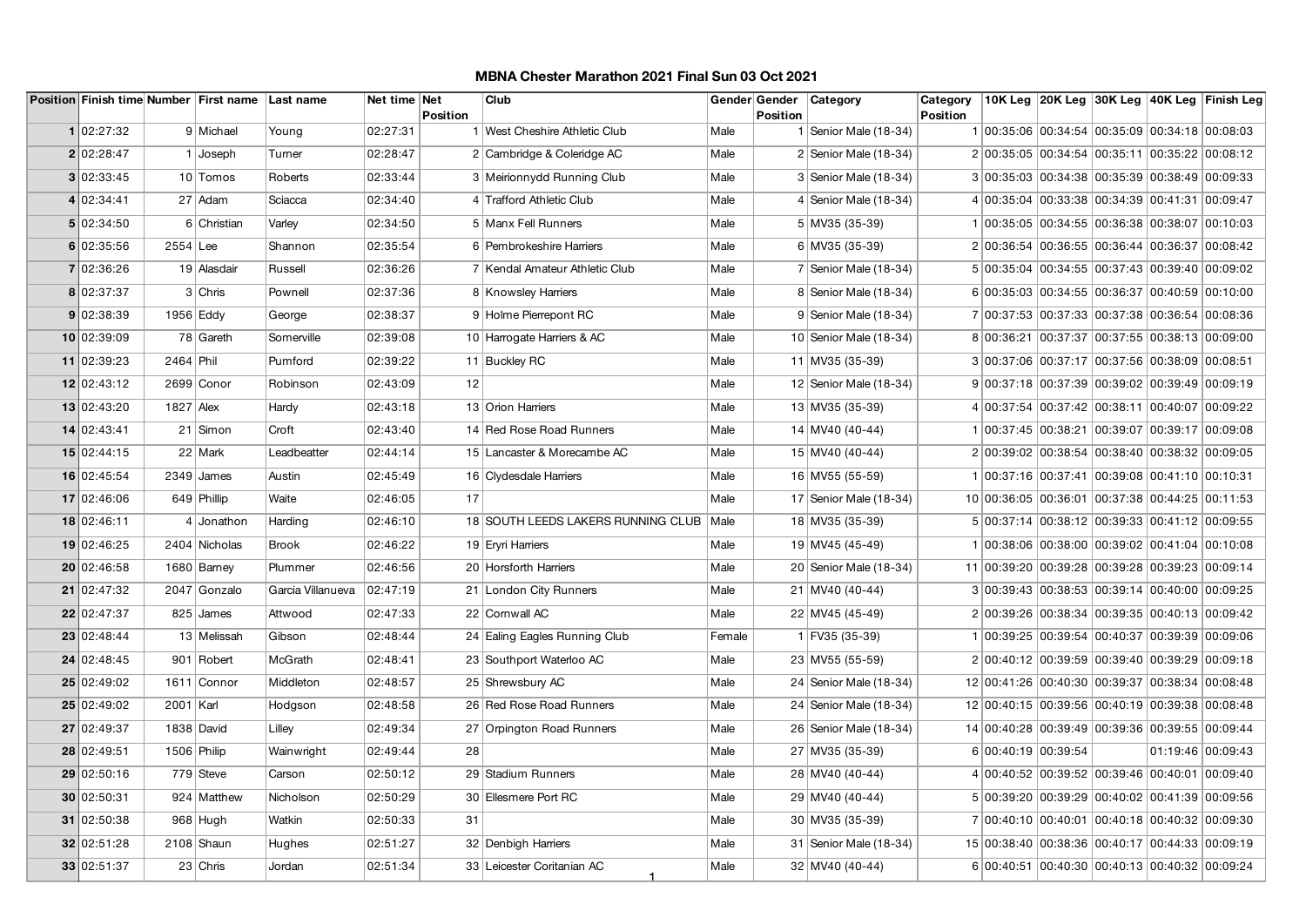| Position Finish time Number First name Last name |             |               |                   | Net time Net |                 | Club                               |        | Gender Gender   | Category                 | Category |                                                 |  |                   | 10K Leg 20K Leg 30K Leg 40K Leg Finish Leg |
|--------------------------------------------------|-------------|---------------|-------------------|--------------|-----------------|------------------------------------|--------|-----------------|--------------------------|----------|-------------------------------------------------|--|-------------------|--------------------------------------------|
|                                                  |             |               |                   |              | <b>Position</b> |                                    |        | <b>Position</b> |                          | Position |                                                 |  |                   |                                            |
| 1 02:27:32                                       |             | 9 Michael     | Young             | 02:27:31     |                 | 1 West Cheshire Athletic Club      | Male   |                 | 1   Senior Male (18-34)  |          | 1 00:35:06 00:34:54 00:35:09 00:34:18 00:08:03  |  |                   |                                            |
| 2 02:28:47                                       |             | $1$ Joseph    | Turner            | 02:28:47     |                 | 2 Cambridge & Coleridge AC         | Male   |                 | 2 Senior Male $(18-34)$  |          | 2 00:35:05 00:34:54 00:35:11 00:35:22 00:08:12  |  |                   |                                            |
| 3 02:33:45                                       |             | 10 Tomos      | Roberts           | 02:33:44     |                 | 3 Meirionnydd Running Club         | Male   |                 | 3 Senior Male (18-34)    |          | 3 00:35:03 00:34:38 00:35:39 00:38:49 00:09:33  |  |                   |                                            |
| 4 02:34:41                                       |             | 27 Adam       | Sciacca           | 02:34:40     |                 | 4 Trafford Athletic Club           | Male   |                 | 4 Senior Male (18-34)    |          | 4 00:35:04 00:33:38 00:34:39 00:41:31 00:09:47  |  |                   |                                            |
| 5 02:34:50                                       |             | 6 Christian   | Varley            | 02:34:50     |                 | 5 Manx Fell Runners                | Male   |                 | 5 MV35 (35-39)           |          | 1 00:35:05 00:34:55 00:36:38 00:38:07 00:10:03  |  |                   |                                            |
| 6 02:35:56                                       | $2554$ Lee  |               | Shannon           | 02:35:54     |                 | 6 Pembrokeshire Harriers           | Male   |                 | 6 MV35 (35-39)           |          | 2 00:36:54 00:36:55 00:36:44 00:36:37 00:08:42  |  |                   |                                            |
| 7 02:36:26                                       |             | 19 Alasdair   | Russell           | 02:36:26     |                 | 7 Kendal Amateur Athletic Club     | Male   |                 | 7 Senior Male $(18-34)$  |          | 5 00:35:04 00:34:55 00:37:43 00:39:40 00:09:02  |  |                   |                                            |
| 8 02:37:37                                       |             | 3 Chris       | Pownell           | 02:37:36     |                 | 8 Knowsley Harriers                | Male   |                 | 8 Senior Male (18-34)    |          | 6 00:35:03 00:34:55 00:36:37 00:40:59 00:10:00  |  |                   |                                            |
| 9 02:38:39                                       | 1956 Eddy   |               | George            | 02:38:37     |                 | 9 Holme Pierrepont RC              | Male   |                 | 9 Senior Male (18-34)    |          | 7 00:37:53 00:37:33 00:37:38 00:36:54 00:08:36  |  |                   |                                            |
| 10 02:39:09                                      |             | 78 Gareth     | Somerville        | 02:39:08     |                 | 10 Harrogate Harriers & AC         | Male   |                 | 10 Senior Male (18-34)   |          | 8 00:36:21 00:37:37 00:37:55 00:38:13 00:09:00  |  |                   |                                            |
| 11 02:39:23                                      | 2464 Phil   |               | Pumford           | 02:39:22     |                 | 11 Buckley RC                      | Male   |                 | 11 MV35 (35-39)          |          | 3 00:37:06 00:37:17 00:37:56 00:38:09 00:08:51  |  |                   |                                            |
| 12 02:43:12                                      |             | 2699 Conor    | Robinson          | 02:43:09     | 12              |                                    | Male   |                 | 12 Senior Male (18-34)   |          | 9 00:37:18 00:37:39 00:39:02 00:39:49 00:09:19  |  |                   |                                            |
| 13 02:43:20                                      | $1827$ Alex |               | Hardy             | 02:43:18     |                 | 13 Orion Harriers                  | Male   |                 | 13 MV35 (35-39)          |          | 4 00:37:54 00:37:42 00:38:11 00:40:07 00:09:22  |  |                   |                                            |
| 14 02:43:41                                      |             | $21$ Simon    | Croft             | 02:43:40     |                 | 14 Red Rose Road Runners           | Male   |                 | 14 MV40 (40-44)          |          | 1 00:37:45 00:38:21 00:39:07 00:39:17 00:09:08  |  |                   |                                            |
| 15 02:44:15                                      |             | 22 Mark       | Leadbeatter       | 02:44:14     |                 | 15 Lancaster & Morecambe AC        | Male   |                 | 15 MV40 (40-44)          |          | 2 00:39:02 00:38:54 00:38:40 00:38:32 00:09:05  |  |                   |                                            |
| 16 02:45:54                                      |             | $2349$ James  | Austin            | 02:45:49     |                 | 16 Clydesdale Harriers             | Male   |                 | 16 MV55 (55-59)          |          | 1 00:37:16 00:37:41 00:39:08 00:41:10 00:10:31  |  |                   |                                            |
| 17 02:46:06                                      |             | 649 Phillip   | Waite             | 02:46:05     | 17              |                                    | Male   |                 | 17 Senior Male (18-34)   |          | 10 00:36:05 00:36:01 00:37:38 00:44:25 00:11:53 |  |                   |                                            |
| 18 02:46:11                                      |             | 4 Jonathon    | Harding           | 02:46:10     |                 | 18 SOUTH LEEDS LAKERS RUNNING CLUB | Male   |                 | 18 MV35 (35-39)          |          | 5 00:37:14 00:38:12 00:39:33 00:41:12 00:09:55  |  |                   |                                            |
| 19 02:46:25                                      |             | 2404 Nicholas | <b>Brook</b>      | 02:46:22     |                 | 19 Eryri Harriers                  | Male   |                 | 19 MV45 (45-49)          |          | 100:38:06 00:38:00 00:39:02 00:41:04 00:10:08   |  |                   |                                            |
| 20 02:46:58                                      |             | 1680 Barney   | Plummer           | 02:46:56     |                 | 20 Horsforth Harriers              | Male   |                 | 20 Senior Male (18-34)   |          | 11 00:39:20 00:39:28 00:39:28 00:39:23 00:09:14 |  |                   |                                            |
| 21 02:47:32                                      |             | 2047 Gonzalo  | Garcia Villanueva | 02:47:19     |                 | 21 London City Runners             | Male   |                 | 21 MV40 (40-44)          |          | 3 00:39:43 00:38:53 00:39:14 00:40:00 00:09:25  |  |                   |                                            |
| 22 02:47:37                                      |             | 825 James     | Attwood           | 02:47:33     |                 | 22 Cornwall AC                     | Male   |                 | 22 MV45 (45-49)          |          | 2 00:39:26 00:38:34 00:39:35 00:40:13 00:09:42  |  |                   |                                            |
| 23 02:48:44                                      |             | 13 Melissah   | Gibson            | 02:48:44     |                 | 24 Ealing Eagles Running Club      | Female |                 | 1 FV35 (35-39)           |          | 1 00:39:25 00:39:54 00:40:37 00:39:39 00:09:06  |  |                   |                                            |
| 24 02:48:45                                      |             | 901 Robert    | McGrath           | 02:48:41     |                 | 23 Southport Waterloo AC           | Male   |                 | 23 MV55 (55-59)          |          | 2 00:40:12 00:39:59 00:39:40 00:39:29 00:09:18  |  |                   |                                            |
| 25 02:49:02                                      |             | 1611 Connor   | Middleton         | 02:48:57     |                 | 25 Shrewsbury AC                   | Male   |                 | 24   Senior Male (18-34) |          | 12 00:41:26 00:40:30 00:39:37 00:38:34 00:08:48 |  |                   |                                            |
| 25 02:49:02                                      | 2001   Karl |               | Hodgson           | 02:48:58     |                 | 26 Red Rose Road Runners           | Male   |                 | 24   Senior Male (18-34) |          | 12 00:40:15 00:39:56 00:40:19 00:39:38 00:08:48 |  |                   |                                            |
| 27 02:49:37                                      | 1838 David  |               | Lilley            | 02:49:34     |                 | 27 Orpington Road Runners          | Male   |                 | 26   Senior Male (18-34) |          | 14 00:40:28 00:39:49 00:39:36 00:39:55 00:09:44 |  |                   |                                            |
| 28 02:49:51                                      | 1506 Philip |               | Wainwright        | 02:49:44     | 28              |                                    | Male   |                 | 27 MV35 (35-39)          |          | 6 00:40:19 00:39:54                             |  | 01:19:46 00:09:43 |                                            |
| 29 02:50:16                                      |             | 779 Steve     | Carson            | 02:50:12     |                 | 29 Stadium Runners                 | Male   |                 | 28 MV40 (40-44)          |          | 4 00:40:52 00:39:52 00:39:46 00:40:01 00:09:40  |  |                   |                                            |
| 30 02:50:31                                      |             | 924 Matthew   | Nicholson         | 02:50:29     |                 | 30 Ellesmere Port RC               | Male   |                 | 29 MV40 (40-44)          |          | 5 00:39:20 00:39:29 00:40:02 00:41:39 00:09:56  |  |                   |                                            |
| 31 02:50:38                                      |             | $968$ Hugh    | Watkin            | 02:50:33     | 31              |                                    | Male   |                 | 30 MV35 (35-39)          |          | 7 00:40:10 00:40:01 00:40:18 00:40:32 00:09:30  |  |                   |                                            |
| 32 02:51:28                                      |             | $2108$ Shaun  | Hughes            | 02:51:27     |                 | 32 Denbigh Harriers                | Male   |                 | 31   Senior Male (18-34) |          | 15 00:38:40 00:38:36 00:40:17 00:44:33 00:09:19 |  |                   |                                            |
| 33 02:51:37                                      |             | $23$ Chris    | Jordan            | 02:51:34     |                 | 33 Leicester Coritanian AC         | Male   |                 | 32 MV40 (40-44)          |          | 6 00:40:51 00:40:30 00:40:13 00:40:32 00:09:24  |  |                   |                                            |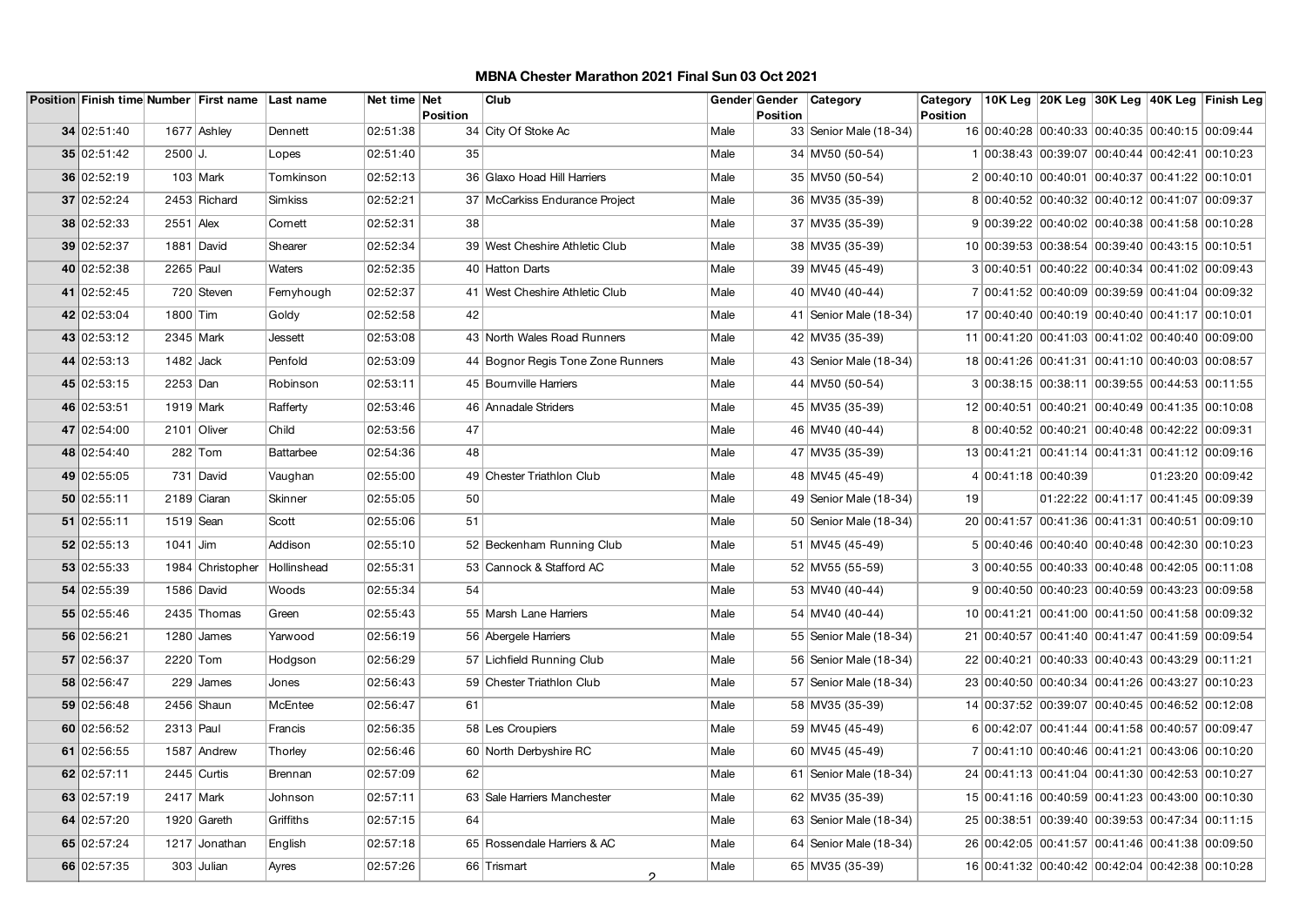|             |             | Position Finish time Number First name Last name |                  | Net time Net         | Club                              |      |          | Gender Gender   Category | Category        |                                                 |                                     |                   | ∣10K Leg ∣20K Leg ∣30K Leg ∣40K Leg ∣Finish Leg |
|-------------|-------------|--------------------------------------------------|------------------|----------------------|-----------------------------------|------|----------|--------------------------|-----------------|-------------------------------------------------|-------------------------------------|-------------------|-------------------------------------------------|
| 34 02:51:40 |             | 1677 Ashley                                      | Dennett          | Position<br>02:51:38 | 34 City Of Stoke Ac               | Male | Position | 33   Senior Male (18-34) | <b>Position</b> | 16 00:40:28 00:40:33 00:40:35 00:40:15 00:09:44 |                                     |                   |                                                 |
| 35 02:51:42 | $2500$ J.   |                                                  | Lopes            | 35<br>02:51:40       |                                   | Male |          | 34 MV50 (50-54)          |                 | 1 00:38:43 00:39:07 00:40:44 00:42:41 00:10:23  |                                     |                   |                                                 |
| 36 02:52:19 |             | $103$ Mark                                       | Tomkinson        | 02:52:13             | 36 Glaxo Hoad Hill Harriers       | Male |          | 35 MV50 (50-54)          |                 | 2 00:40:10 00:40:01 00:40:37 00:41:22 00:10:01  |                                     |                   |                                                 |
| 37 02:52:24 |             | 2453 Richard                                     | Simkiss          | 02:52:21             | 37 McCarkiss Endurance Project    | Male |          | 36 MV35 (35-39)          |                 | 8 00:40:52 00:40:32 00:40:12 00:41:07 00:09:37  |                                     |                   |                                                 |
| 38 02:52:33 | $2551$ Alex |                                                  | Cornett          | 02:52:31<br>38       |                                   | Male |          | 37 MV35 (35-39)          |                 | 9 00:39:22 00:40:02 00:40:38 00:41:58 00:10:28  |                                     |                   |                                                 |
| 39 02:52:37 |             | 1881 David                                       | Shearer          | 02:52:34             | 39 West Cheshire Athletic Club    | Male |          | 38 MV35 (35-39)          |                 | 10 00:39:53 00:38:54 00:39:40 00:43:15 00:10:51 |                                     |                   |                                                 |
|             |             |                                                  |                  |                      |                                   |      |          |                          |                 |                                                 |                                     |                   |                                                 |
| 40 02:52:38 | 2265 Paul   |                                                  | Waters           | 02:52:35             | 40 Hatton Darts                   | Male |          | 39 MV45 (45-49)          |                 | 3 00:40:51 00:40:22 00:40:34 00:41:02 00:09:43  |                                     |                   |                                                 |
| 41 02:52:45 |             | 720 Steven                                       | Fernyhough       | 02:52:37             | 41 West Cheshire Athletic Club    | Male |          | 40 MV40 (40-44)          |                 | 7 00:41:52 00:40:09 00:39:59 00:41:04 00:09:32  |                                     |                   |                                                 |
| 42 02:53:04 | 1800 Tim    |                                                  | Goldy            | 02:52:58<br>42       |                                   | Male |          | 41   Senior Male (18-34) |                 | 17 00:40:40 00:40:19 00:40:40 00:41:17 00:10:01 |                                     |                   |                                                 |
| 43 02:53:12 | 2345 Mark   |                                                  | Jessett          | 02:53:08             | 43 North Wales Road Runners       | Male |          | 42 MV35 (35-39)          |                 | 11 00:41:20 00:41:03 00:41:02 00:40:40 00:09:00 |                                     |                   |                                                 |
| 44 02:53:13 | 1482 Jack   |                                                  | Penfold          | 02:53:09             | 44 Bognor Regis Tone Zone Runners | Male |          | 43 Senior Male (18-34)   |                 | 18 00:41:26 00:41:31 00:41:10 00:40:03 00:08:57 |                                     |                   |                                                 |
| 45 02:53:15 | 2253 Dan    |                                                  | Robinson         | 02:53:11             | 45 Bourn ville Harriers           | Male |          | 44 MV50 (50-54)          |                 | 3 00:38:15 00:38:11 00:39:55 00:44:53 00:11:55  |                                     |                   |                                                 |
| 46 02:53:51 | 1919 Mark   |                                                  | Rafferty         | 02:53:46             | 46 Annadale Striders              | Male |          | 45 MV35 (35-39)          |                 | 12 00:40:51 00:40:21 00:40:49 00:41:35 00:10:08 |                                     |                   |                                                 |
| 47 02:54:00 | 2101 Oliver |                                                  | Child            | 47<br>02:53:56       |                                   | Male |          | 46 MV40 (40-44)          |                 | 8 00:40:52 00:40:21 00:40:48 00:42:22 00:09:31  |                                     |                   |                                                 |
| 48 02:54:40 |             | 282 Tom                                          | <b>Battarbee</b> | 02:54:36<br>48       |                                   | Male |          | 47 MV35 (35-39)          |                 | 13 00:41:21 00:41:14 00:41:31 00:41:12 00:09:16 |                                     |                   |                                                 |
| 49 02:55:05 |             | 731 David                                        | Vaughan          | 02:55:00             | 49 Chester Triathlon Club         | Male |          | 48 MV45 (45-49)          |                 | 4 00:41:18 00:40:39                             |                                     | 01:23:20 00:09:42 |                                                 |
| 50 02:55:11 |             | 2189 Ciaran                                      | Skinner          | 50<br>02:55:05       |                                   | Male |          | 49 Senior Male (18-34)   | 19              |                                                 | 01:22:22 00:41:17 00:41:45 00:09:39 |                   |                                                 |
| 51 02:55:11 | 1519 Sean   |                                                  | Scott            | 02:55:06<br>51       |                                   | Male |          | 50 Senior Male (18-34)   |                 | 20 00:41:57 00:41:36 00:41:31 00:40:51 00:09:10 |                                     |                   |                                                 |
| 52 02:55:13 | $1041$ Jim  |                                                  | Addison          | 02:55:10             | 52 Beckenham Running Club         | Male |          | 51 MV45 (45-49)          |                 | 5 00:40:46 00:40:40 00:40:48 00:42:30 00:10:23  |                                     |                   |                                                 |
| 53 02:55:33 |             | 1984 Christopher                                 | Hollinshead      | 02:55:31             | 53 Cannock & Stafford AC          | Male |          | 52 MV55 (55-59)          |                 | 3 00:40:55 00:40:33 00:40:48 00:42:05 00:11:08  |                                     |                   |                                                 |
| 54 02:55:39 |             | 1586 David                                       | Woods            | 02:55:34<br>54       |                                   | Male |          | 53 MV40 (40-44)          |                 | 9 00:40:50 00:40:23 00:40:59 00:43:23 00:09:58  |                                     |                   |                                                 |
| 55 02:55:46 |             | 2435 Thomas                                      | Green            | 02:55:43             | 55 Marsh Lane Harriers            | Male |          | 54 MV40 (40-44)          |                 | 10 00:41:21 00:41:00 00:41:50 00:41:58 00:09:32 |                                     |                   |                                                 |
| 56 02:56:21 |             | $1280$ James                                     | Yarwood          | 02:56:19             | 56 Abergele Harriers              | Male |          | 55   Senior Male (18-34) |                 | 21 00:40:57 00:41:40 00:41:47 00:41:59 00:09:54 |                                     |                   |                                                 |
| 57 02:56:37 | 2220 Tom    |                                                  | Hodgson          | 02:56:29             | 57 Lichfield Running Club         | Male |          | 56 Senior Male (18-34)   |                 | 22 00:40:21 00:40:33 00:40:43 00:43:29 00:11:21 |                                     |                   |                                                 |
| 58 02:56:47 |             | 229 James                                        | Jones            | 02:56:43             | 59 Chester Triathlon Club         | Male |          | 57   Senior Male (18-34) |                 | 23 00:40:50 00:40:34 00:41:26 00:43:27 00:10:23 |                                     |                   |                                                 |
| 59 02:56:48 |             | 2456 Shaun                                       | McEntee          | 02:56:47<br>61       |                                   | Male |          | 58 MV35 (35-39)          |                 | 14 00:37:52 00:39:07 00:40:45 00:46:52 00:12:08 |                                     |                   |                                                 |
| 60 02:56:52 | 2313 Paul   |                                                  | Francis          | 02:56:35             | 58 Les Croupiers                  | Male |          | 59 MV45 (45-49)          |                 | 6 00:42:07 00:41:44 00:41:58 00:40:57 00:09:47  |                                     |                   |                                                 |
| 61 02:56:55 |             | 1587 Andrew                                      | Thorley          | 02:56:46             | 60 North Derbyshire RC            | Male |          | 60 MV45 (45-49)          |                 | 7 00:41:10 00:40:46 00:41:21 00:43:06 00:10:20  |                                     |                   |                                                 |
| 62 02:57:11 |             | $2445$ Curtis                                    | Brennan          | 02:57:09<br>62       |                                   | Male |          | 61   Senior Male (18-34) |                 | 24 00:41:13 00:41:04 00:41:30 00:42:53 00:10:27 |                                     |                   |                                                 |
| 63 02:57:19 | 2417 Mark   |                                                  | Johnson          | 02:57:11             | 63 Sale Harriers Manchester       | Male |          | 62 MV35 (35-39)          |                 | 15 00:41:16 00:40:59 00:41:23 00:43:00 00:10:30 |                                     |                   |                                                 |
| 64 02:57:20 |             | 1920 Gareth                                      | Griffiths        | 02:57:15<br>64       |                                   | Male |          | 63   Senior Male (18-34) |                 | 25 00:38:51 00:39:40 00:39:53 00:47:34 00:11:15 |                                     |                   |                                                 |
| 65 02:57:24 |             | 1217 Jonathan                                    | English          | 02:57:18             | 65 Rossendale Harriers & AC       | Male |          | 64   Senior Male (18-34) |                 | 26 00:42:05 00:41:57 00:41:46 00:41:38 00:09:50 |                                     |                   |                                                 |
| 66 02:57:35 |             | 303 Julian                                       | Ayres            | 02:57:26             | 66 Trismart                       | Male |          | 65 MV35 (35-39)          |                 | 16 00:41:32 00:40:42 00:42:04 00:42:38 00:10:28 |                                     |                   |                                                 |
|             |             |                                                  |                  |                      | 2                                 |      |          |                          |                 |                                                 |                                     |                   |                                                 |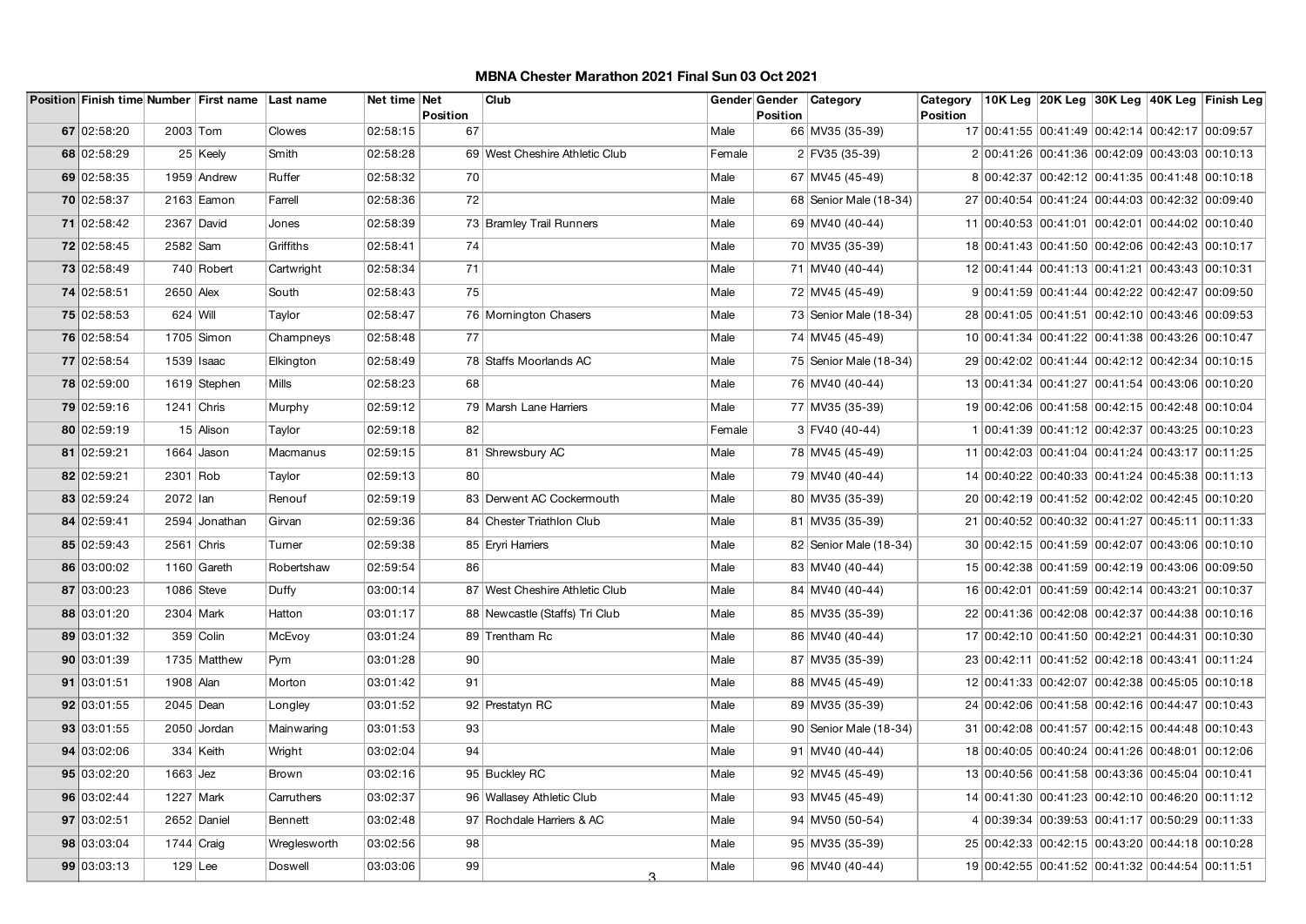| Position Finish time Number First name Last name |              |               |                | Net time Net               | Club                           |        |          | Gender Gender   Category | Category        |                                                 |  | 10K Leg  20K Leg  30K Leg  40K Leg  Finish Leg |
|--------------------------------------------------|--------------|---------------|----------------|----------------------------|--------------------------------|--------|----------|--------------------------|-----------------|-------------------------------------------------|--|------------------------------------------------|
| 67 02:58:20                                      | 2003 Tom     |               | Clowes         | Position<br>02:58:15<br>67 |                                | Male   | Position | 66 MV35 (35-39)          | <b>Position</b> | 17 00:41:55 00:41:49 00:42:14 00:42:17 00:09:57 |  |                                                |
| 68 02:58:29                                      |              | 25 Keely      | Smith          | 02:58:28                   | 69 West Cheshire Athletic Club | Female |          | 2 FV35 (35-39)           |                 | 2 00:41:26 00:41:36 00:42:09 00:43:03 00:10:13  |  |                                                |
| 69 02:58:35                                      |              | 1959 Andrew   | Ruffer         | 02:58:32<br>70             |                                | Male   |          |                          |                 |                                                 |  |                                                |
|                                                  |              |               |                |                            |                                |        |          | 67 MV45 (45-49)          |                 | 8 00:42:37 00:42:12 00:41:35 00:41:48 00:10:18  |  |                                                |
| 70 02:58:37                                      |              | $2163$ Eamon  | Farrell        | 02:58:36<br>72             |                                | Male   |          | 68 Senior Male (18-34)   |                 | 27 00:40:54 00:41:24 00:44:03 00:42:32 00:09:40 |  |                                                |
| 71 02:58:42                                      |              | 2367 David    | Jones          | 02:58:39                   | 73 Bramley Trail Runners       | Male   |          | 69 MV40 (40-44)          |                 | 11 00:40:53 00:41:01 00:42:01 00:44:02 00:10:40 |  |                                                |
| 72 02:58:45                                      | 2582 Sam     |               | Griffiths      | 02:58:41<br>74             |                                | Male   |          | 70 MV35 (35-39)          |                 | 18 00:41:43 00:41:50 00:42:06 00:42:43 00:10:17 |  |                                                |
| 73 02:58:49                                      |              | 740 Robert    | Cartwright     | 71<br>02:58:34             |                                | Male   |          | 71 MV40 (40-44)          |                 | 12 00:41:44 00:41:13 00:41:21 00:43:43 00:10:31 |  |                                                |
| 74 02:58:51                                      | 2650 Alex    |               | South          | 75<br>02:58:43             |                                | Male   |          | 72 MV45 (45-49)          |                 | 9 00:41:59 00:41:44 00:42:22 00:42:47 00:09:50  |  |                                                |
| 75 02:58:53                                      | 624 Will     |               | Taylor         | 02:58:47                   | 76 Momington Chasers           | Male   |          | 73 Senior Male (18-34)   |                 | 28 00:41:05 00:41:51 00:42:10 00:43:46 00:09:53 |  |                                                |
| 76 02:58:54                                      |              | $1705$ Simon  | Champneys      | 02:58:48<br>77             |                                | Male   |          | 74 MV45 (45-49)          |                 | 10 00:41:34 00:41:22 00:41:38 00:43:26 00:10:47 |  |                                                |
| 77 02:58:54                                      | 1539 Isaac   |               | Elkington      | 02:58:49                   | 78 Staffs Moorlands AC         | Male   |          | 75 Senior Male (18-34)   |                 | 29 00:42:02 00:41:44 00:42:12 00:42:34 00:10:15 |  |                                                |
| 78 02:59:00                                      |              | 1619 Stephen  | <b>Mills</b>   | 02:58:23<br>68             |                                | Male   |          | 76 MV40 (40-44)          |                 | 13 00:41:34 00:41:27 00:41:54 00:43:06 00:10:20 |  |                                                |
| 79 02:59:16                                      | $1241$ Chris |               | Murphy         | 02:59:12                   | 79 Marsh Lane Harriers         | Male   |          | 77 MV35 (35-39)          |                 | 19 00:42:06 00:41:58 00:42:15 00:42:48 00:10:04 |  |                                                |
| 80 02:59:19                                      |              | 15 Alison     | Taylor         | 02:59:18<br>82             |                                | Female |          | $3 $ FV40 (40-44)        |                 | 1 00:41:39 00:41:12 00:42:37 00:43:25 00:10:23  |  |                                                |
| 81 02:59:21                                      |              | 1664 Jason    | Macmanus       | 02:59:15                   | 81 Shrewsbury AC               | Male   |          | 78 MV45 (45-49)          |                 | 11 00:42:03 00:41:04 00:41:24 00:43:17 00:11:25 |  |                                                |
| 82 02:59:21                                      | 2301 Rob     |               | Taylor         | 02:59:13<br>80             |                                | Male   |          | 79 MV40 (40-44)          |                 | 14 00:40:22 00:40:33 00:41:24 00:45:38 00:11:13 |  |                                                |
| 83 02:59:24                                      | 2072 lan     |               | Renouf         | 02:59:19                   | 83 Derwent AC Cockermouth      | Male   |          | 80 MV35 (35-39)          |                 | 20 00:42:19 00:41:52 00:42:02 00:42:45 00:10:20 |  |                                                |
| 84 02:59:41                                      |              | 2594 Jonathan | Girvan         | 02:59:36                   | 84 Chester Triathlon Club      | Male   |          | 81 MV35 (35-39)          |                 | 21 00:40:52 00:40:32 00:41:27 00:45:11 00:11:33 |  |                                                |
| 85 02:59:43                                      | 2561 Chris   |               | Turner         | 02:59:38                   | 85 Eryri Harriers              | Male   |          | 82   Senior Male (18-34) |                 | 30 00:42:15 00:41:59 00:42:07 00:43:06 00:10:10 |  |                                                |
| 86 03:00:02                                      |              | 1160 Gareth   | Robertshaw     | 02:59:54<br>86             |                                | Male   |          | 83 MV40 (40-44)          |                 | 15 00:42:38 00:41:59 00:42:19 00:43:06 00:09:50 |  |                                                |
| 87 03:00:23                                      | 1086 Steve   |               | Duffy          | 03:00:14                   | 87 West Cheshire Athletic Club | Male   |          | 84 MV40 (40-44)          |                 | 16 00:42:01 00:41:59 00:42:14 00:43:21 00:10:37 |  |                                                |
| 88 03:01:20                                      | 2304 Mark    |               | Hatton         | 03:01:17                   | 88 Newcastle (Staffs) Tri Club | Male   |          | 85 MV35 (35-39)          |                 | 22 00:41:36 00:42:08 00:42:37 00:44:38 00:10:16 |  |                                                |
| 89 03:01:32                                      |              | 359 Colin     | McEvoy         | 03:01:24                   | 89 Trentham Rc                 | Male   |          | 86 MV40 (40-44)          |                 | 17 00:42:10 00:41:50 00:42:21 00:44:31 00:10:30 |  |                                                |
| 90 03:01:39                                      |              | 1735 Matthew  | Pym            | 03:01:28<br>90             |                                | Male   |          | 87 MV35 (35-39)          |                 | 23 00:42:11 00:41:52 00:42:18 00:43:41 00:11:24 |  |                                                |
| 91 03:01:51                                      | 1908 Alan    |               | Morton         | 03:01:42<br>91             |                                | Male   |          | 88 MV45 (45-49)          |                 | 12 00:41:33 00:42:07 00:42:38 00:45:05 00:10:18 |  |                                                |
| 92 03:01:55                                      | 2045 Dean    |               | Longley        | 03:01:52                   | 92 Prestatyn RC                | Male   |          | 89 MV35 (35-39)          |                 | 24 00:42:06 00:41:58 00:42:16 00:44:47 00:10:43 |  |                                                |
| 93 03:01:55                                      |              | 2050 Jordan   | Mainwaring     | 93<br>03:01:53             |                                | Male   |          | 90 Senior Male (18-34)   |                 | 31 00:42:08 00:41:57 00:42:15 00:44:48 00:10:43 |  |                                                |
| 94 03:02:06                                      |              | 334 Keith     | Wright         | 03:02:04<br>94             |                                | Male   |          | 91 MV40 (40-44)          |                 | 18 00:40:05 00:40:24 00:41:26 00:48:01 00:12:06 |  |                                                |
| 95 03:02:20                                      | $1663$ Jez   |               | Brown          | 03:02:16                   | 95 Buckley RC                  | Male   |          | 92 MV45 (45-49)          |                 | 13 00:40:56 00:41:58 00:43:36 00:45:04 00:10:41 |  |                                                |
| 96 03:02:44                                      | 1227 Mark    |               | Carruthers     | 03:02:37                   | 96 Wallasey Athletic Club      | Male   |          | 93 MV45 (45-49)          |                 | 14 00:41:30 00:41:23 00:42:10 00:46:20 00:11:12 |  |                                                |
| 97 03:02:51                                      |              | 2652 Daniel   | <b>Bennett</b> | 03:02:48                   | 97 Rochdale Harriers & AC      | Male   |          | 94 MV50 (50-54)          |                 | 4 00:39:34 00:39:53 00:41:17 00:50:29 00:11:33  |  |                                                |
|                                                  |              |               |                |                            |                                |        |          |                          |                 |                                                 |  |                                                |
| 98 03:03:04                                      | $1744$ Craig |               | Wreglesworth   | 03:02:56<br>98             |                                | Male   |          | 95 MV35 (35-39)          |                 | 25 00:42:33 00:42:15 00:43:20 00:44:18 00:10:28 |  |                                                |
| 99 03:03:13                                      | $129$ Lee    |               | Doswell        | 99<br>03:03:06             | 3                              | Male   |          | 96 MV40 (40-44)          |                 | 19 00:42:55 00:41:52 00:41:32 00:44:54 00:11:51 |  |                                                |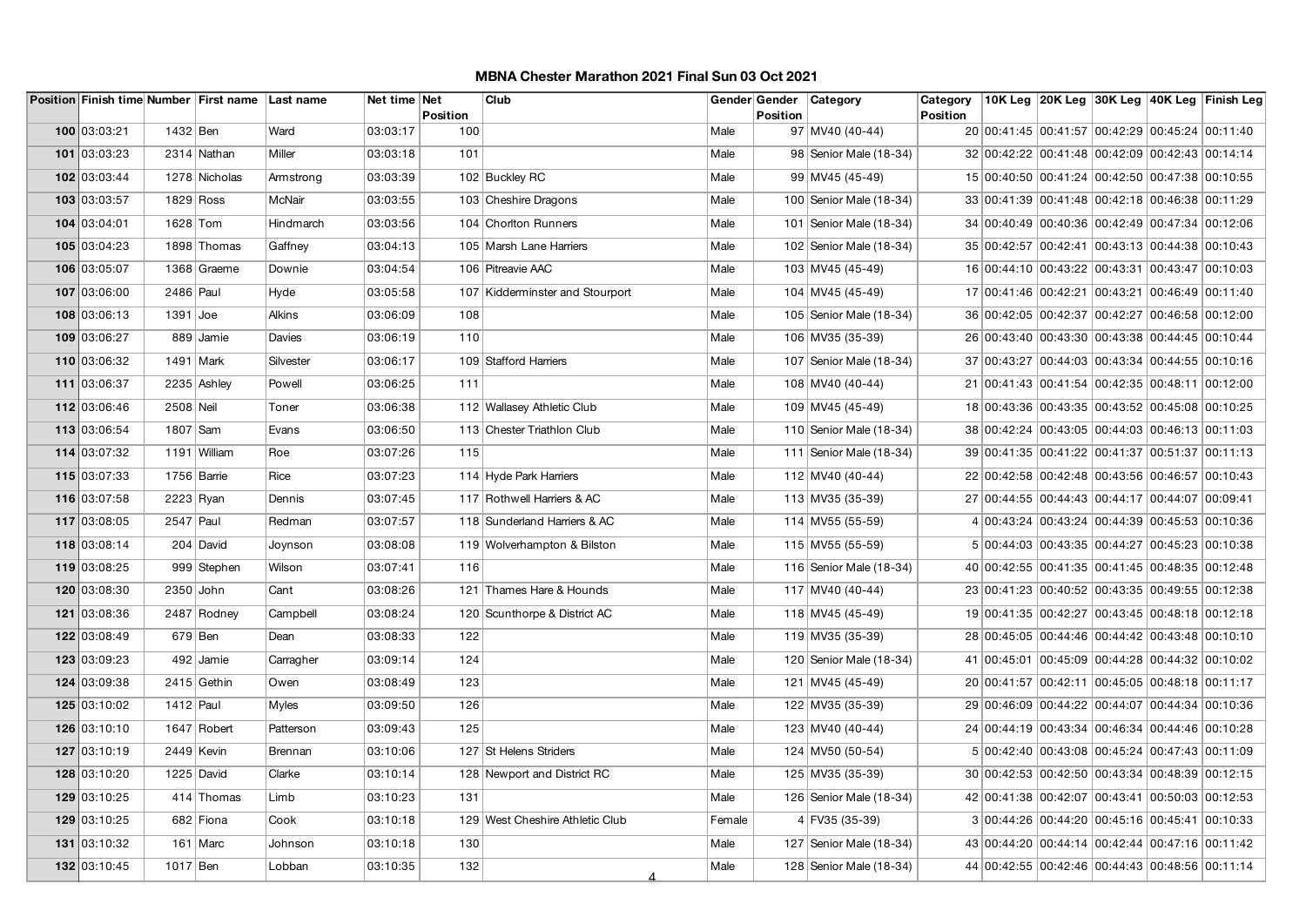|              |             | Position Finish time Number First name Last name |               | Net time Net | Position | Club                            |        | Position | Gender Gender Category    | Category<br><b>Position</b> |                                                 |  | 10K Leg 20K Leg 30K Leg 40K Leg Finish Leg |
|--------------|-------------|--------------------------------------------------|---------------|--------------|----------|---------------------------------|--------|----------|---------------------------|-----------------------------|-------------------------------------------------|--|--------------------------------------------|
| 100 03:03:21 | 1432 Ben    |                                                  | Ward          | 03:03:17     | 100      |                                 | Male   |          | 97 MV40 (40-44)           |                             | 20 00:41:45 00:41:57 00:42:29 00:45:24 00:11:40 |  |                                            |
| 101 03:03:23 |             | 2314 Nathan                                      | Miller        | 03:03:18     | 101      |                                 | Male   |          | 98 Senior Male (18-34)    |                             | 32 00:42:22 00:41:48 00:42:09 00:42:43 00:14:14 |  |                                            |
| 102 03:03:44 |             | 1278 Nicholas                                    | Armstrong     | 03:03:39     |          | 102 Buckley RC                  | Male   |          | 99 MV45 (45-49)           |                             | 15 00:40:50 00:41:24 00:42:50 00:47:38 00:10:55 |  |                                            |
| 103 03:03:57 |             | 1829 Ross                                        | McNair        | 03:03:55     |          | 103 Cheshire Dragons            | Male   |          | 100 Senior Male (18-34)   |                             | 33 00:41:39 00:41:48 00:42:18 00:46:38 00:11:29 |  |                                            |
| 104 03:04:01 | 1628 Tom    |                                                  | Hindmarch     | 03:03:56     |          | 104 Choriton Runners            | Male   |          | 101   Senior Male (18-34) |                             | 34 00:40:49 00:40:36 00:42:49 00:47:34 00:12:06 |  |                                            |
| 105 03:04:23 |             | 1898 Thomas                                      | Gaffney       | 03:04:13     |          | 105 Marsh Lane Harriers         | Male   |          | 102   Senior Male (18-34) |                             | 35 00:42:57 00:42:41 00:43:13 00:44:38 00:10:43 |  |                                            |
| 106 03:05:07 |             | 1368 Graeme                                      | Downie        | 03:04:54     |          | 106 Pitreavie AAC               | Male   |          | 103 MV45 (45-49)          |                             | 16 00:44:10 00:43:22 00:43:31 00:43:47 00:10:03 |  |                                            |
| 107 03:06:00 | 2486 Paul   |                                                  | Hyde          | 03:05:58     |          | 107 Kidderminster and Stourport | Male   |          | 104 MV45 (45-49)          |                             | 17 00:41:46 00:42:21 00:43:21 00:46:49 00:11:40 |  |                                            |
| 108 03:06:13 | $1391$ Joe  |                                                  | <b>Alkins</b> | 03:06:09     | 108      |                                 | Male   |          | 105   Senior Male (18-34) |                             | 36 00:42:05 00:42:37 00:42:27 00:46:58 00:12:00 |  |                                            |
| 109 03:06:27 |             | 889 Jamie                                        | Davies        | 03:06:19     | 110      |                                 | Male   |          | 106 MV35 (35-39)          |                             | 26 00:43:40 00:43:30 00:43:38 00:44:45 00:10:44 |  |                                            |
| 110 03:06:32 |             | $1491$ Mark                                      | Silvester     | 03:06:17     |          | 109 Stafford Harriers           | Male   |          | 107 Senior Male (18-34)   |                             | 37 00:43:27 00:44:03 00:43:34 00:44:55 00:10:16 |  |                                            |
| 111 03:06:37 |             | 2235 Ashley                                      | Powell        | 03:06:25     | 111      |                                 | Male   |          | 108 MV40 (40-44)          |                             | 21 00:41:43 00:41:54 00:42:35 00:48:11 00:12:00 |  |                                            |
| 112 03:06:46 | 2508 Neil   |                                                  | Toner         | 03:06:38     |          | 112 Wallasey Athletic Club      | Male   |          | 109 MV45 (45-49)          |                             | 18 00:43:36 00:43:35 00:43:52 00:45:08 00:10:25 |  |                                            |
| 113 03:06:54 | 1807 Sam    |                                                  | Evans         | 03:06:50     |          | 113 Chester Triathlon Club      | Male   |          | 110 Senior Male (18-34)   |                             | 38 00:42:24 00:43:05 00:44:03 00:46:13 00:11:03 |  |                                            |
| 114 03:07:32 |             | 1191 William                                     | Roe           | 03:07:26     | 115      |                                 | Male   |          | 111   Senior Male (18-34) |                             | 39 00:41:35 00:41:22 00:41:37 00:51:37 00:11:13 |  |                                            |
| 115 03:07:33 |             | 1756 Barrie                                      | Rice          | 03:07:23     |          | 114 Hyde Park Harriers          | Male   |          | 112 MV40 (40-44)          |                             | 22 00:42:58 00:42:48 00:43:56 00:46:57 00:10:43 |  |                                            |
| 116 03:07:58 | $2223$ Ryan |                                                  | Dennis        | 03:07:45     |          | 117 Rothwell Harriers & AC      | Male   |          | 113 MV35 (35-39)          |                             | 27 00:44:55 00:44:43 00:44:17 00:44:07 00:09:41 |  |                                            |
| 117 03:08:05 | 2547 Paul   |                                                  | Redman        | 03:07:57     |          | 118 Sunderland Harriers & AC    | Male   |          | 114 MV55 (55-59)          |                             | 4 00:43:24 00:43:24 00:44:39 00:45:53 00:10:36  |  |                                            |
| 118 03:08:14 |             | 204 David                                        | Joynson       | 03:08:08     |          | 119 Wolverhampton & Bilston     | Male   |          | 115 MV55 (55-59)          |                             | 5 00:44:03 00:43:35 00:44:27 00:45:23 00:10:38  |  |                                            |
| 119 03:08:25 |             | 999 Stephen                                      | Wilson        | 03:07:41     | 116      |                                 | Male   |          | 116 Senior Male (18-34)   |                             | 40 00:42:55 00:41:35 00:41:45 00:48:35 00:12:48 |  |                                            |
| 120 03:08:30 | 2350 John   |                                                  | Cant          | 03:08:26     |          | 121 Thames Hare & Hounds        | Male   |          | 117 MV40 (40-44)          |                             | 23 00:41:23 00:40:52 00:43:35 00:49:55 00:12:38 |  |                                            |
| 121 03:08:36 |             | 2487 Rodney                                      | Campbell      | 03:08:24     |          | 120 Scunthorpe & District AC    | Male   |          | 118 MV45 (45-49)          |                             | 19 00:41:35 00:42:27 00:43:45 00:48:18 00:12:18 |  |                                            |
| 122 03:08:49 |             | $679$ Ben                                        | Dean          | 03:08:33     | 122      |                                 | Male   |          | 119 MV35 (35-39)          |                             | 28 00:45:05 00:44:46 00:44:42 00:43:48 00:10:10 |  |                                            |
| 123 03:09:23 |             | 492 Jamie                                        | Carragher     | 03:09:14     | 124      |                                 | Male   |          | 120 Senior Male (18-34)   |                             | 41 00:45:01 00:45:09 00:44:28 00:44:32 00:10:02 |  |                                            |
| 124 03:09:38 |             | $2415$ Gethin                                    | Owen          | 03:08:49     | 123      |                                 | Male   |          | 121 MV45 (45-49)          |                             | 20 00:41:57 00:42:11 00:45:05 00:48:18 00:11:17 |  |                                            |
| 125 03:10:02 | 1412 Paul   |                                                  | <b>Myles</b>  | 03:09:50     | 126      |                                 | Male   |          | 122 MV35 (35-39)          |                             | 29 00:46:09 00:44:22 00:44:07 00:44:34 00:10:36 |  |                                            |
| 126 03:10:10 |             | 1647 Robert                                      | Patterson     | 03:09:43     | 125      |                                 | Male   |          | 123 MV40 (40-44)          |                             | 24 00:44:19 00:43:34 00:46:34 00:44:46 00:10:28 |  |                                            |
| 127 03:10:19 |             | 2449 Kevin                                       | Brennan       | 03:10:06     |          | 127 St Helens Striders          | Male   |          | 124 MV50 (50-54)          |                             | 5 00:42:40 00:43:08 00:45:24 00:47:43 00:11:09  |  |                                            |
| 128 03:10:20 |             | 1225 David                                       | Clarke        | 03:10:14     |          | 128 Newport and District RC     | Male   |          | 125 MV35 (35-39)          |                             | 30 00:42:53 00:42:50 00:43:34 00:48:39 00:12:15 |  |                                            |
| 129 03:10:25 |             | 414 Thomas                                       | Limb          | 03:10:23     | 131      |                                 | Male   |          | 126 Senior Male (18-34)   |                             | 42 00:41:38 00:42:07 00:43:41 00:50:03 00:12:53 |  |                                            |
| 129 03:10:25 |             | 682 Fiona                                        | Cook          | 03:10:18     |          | 129 West Cheshire Athletic Club | Female |          | 4 FV35 (35-39)            |                             | 3 00:44:26 00:44:20 00:45:16 00:45:41 00:10:33  |  |                                            |
| 131 03:10:32 |             | 161 $Marc$                                       | Johnson       | 03:10:18     | 130      |                                 | Male   |          | 127   Senior Male (18-34) |                             | 43 00:44:20 00:44:14 00:42:44 00:47:16 00:11:42 |  |                                            |
| 132 03:10:45 | 1017 Ben    |                                                  | Lobban        | 03:10:35     | 132      |                                 | Male   |          | 128 Senior Male (18-34)   |                             | 44 00:42:55 00:42:46 00:44:43 00:48:56 00:11:14 |  |                                            |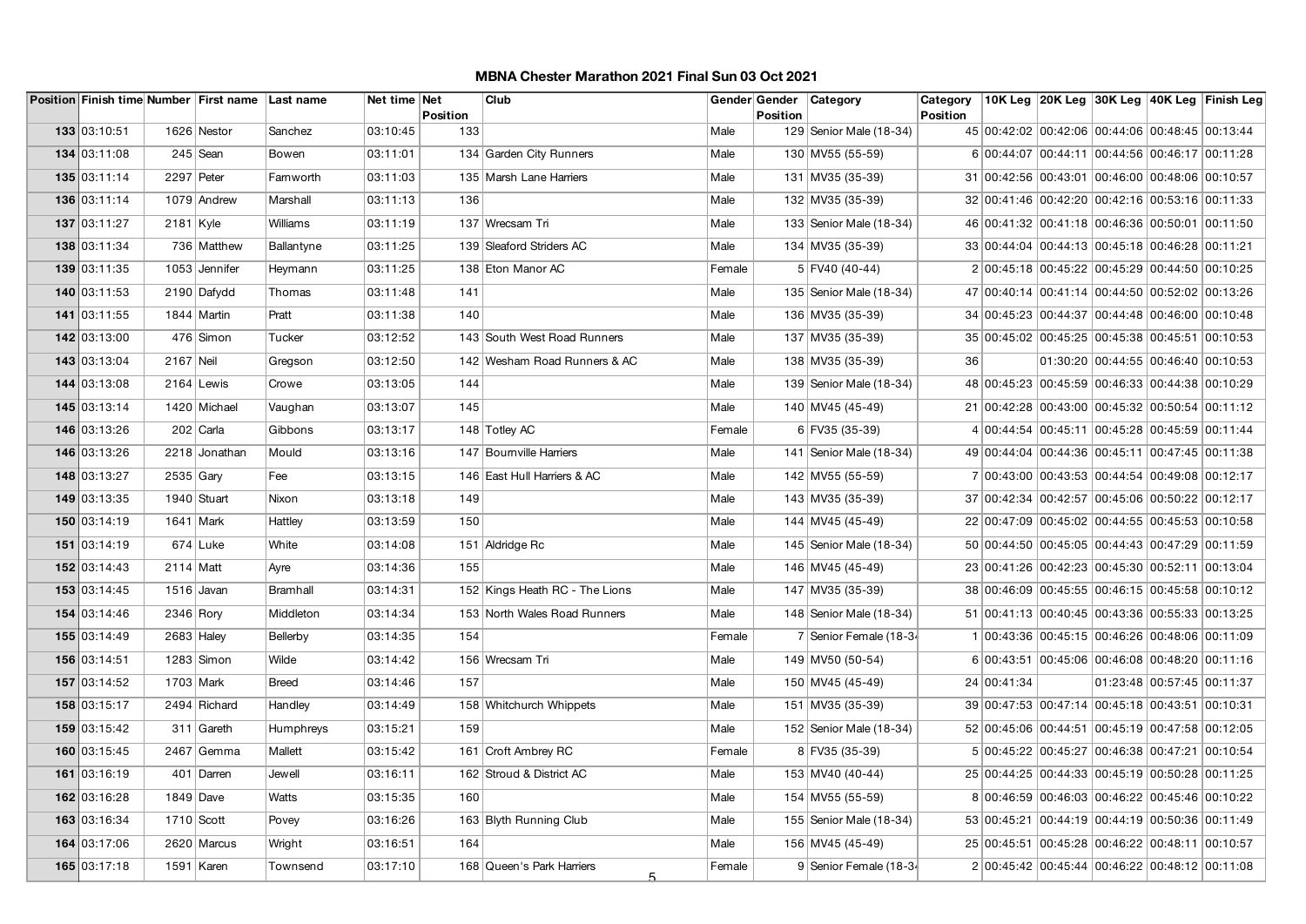|              |             | Position Finish time Number First name Last name |                 | Net time Net | Position | Club                            |        | Position | Gender Gender   Category  | Category<br><b>Position</b> |                                                 |                                     |                            | 10K Leg 20K Leg 30K Leg 40K Leg Finish Leg |
|--------------|-------------|--------------------------------------------------|-----------------|--------------|----------|---------------------------------|--------|----------|---------------------------|-----------------------------|-------------------------------------------------|-------------------------------------|----------------------------|--------------------------------------------|
| 133 03:10:51 |             | 1626 Nestor                                      | Sanchez         | 03:10:45     | 133      |                                 | Male   |          | 129 Senior Male (18-34)   |                             | 45 00:42:02 00:42:06 00:44:06 00:48:45 00:13:44 |                                     |                            |                                            |
| 134 03:11:08 |             | $245$ Sean                                       | Bowen           | 03:11:01     |          | 134 Garden City Runners         | Male   |          | 130 MV55 (55-59)          |                             | 6 00:44:07 00:44:11 00:44:56 00:46:17 00:11:28  |                                     |                            |                                            |
| 135 03:11:14 | 2297 Peter  |                                                  | Farnworth       | 03:11:03     |          | 135 Marsh Lane Harriers         | Male   |          | 131 MV35 (35-39)          |                             | 31 00:42:56 00:43:01 00:46:00 00:48:06 00:10:57 |                                     |                            |                                            |
| 136 03:11:14 |             | 1079 Andrew                                      | Marshall        | 03:11:13     | 136      |                                 | Male   |          | 132 MV35 (35-39)          |                             | 32 00:41:46 00:42:20 00:42:16 00:53:16 00:11:33 |                                     |                            |                                            |
| 137 03:11:27 | $2181$ Kyle |                                                  | <b>Williams</b> | 03:11:19     |          | 137 Wrecsam Tri                 | Male   |          | 133 Senior Male (18-34)   |                             | 46 00:41:32 00:41:18 00:46:36 00:50:01 00:11:50 |                                     |                            |                                            |
| 138 03:11:34 |             | 736 Matthew                                      | Ballantyne      | 03:11:25     |          | 139 Sleaford Striders AC        | Male   |          | 134 MV35 (35-39)          |                             | 33 00:44:04 00:44:13 00:45:18 00:46:28 00:11:21 |                                     |                            |                                            |
| 139 03:11:35 |             | 1053 Jennifer                                    | Heymann         | 03:11:25     |          | 138 Eton Manor AC               | Female |          | $5 $ FV40 (40-44)         |                             | 2 00:45:18 00:45:22 00:45:29 00:44:50 00:10:25  |                                     |                            |                                            |
| 140 03:11:53 |             | 2190 Dafydd                                      | Thomas          | 03:11:48     | 141      |                                 | Male   |          | 135   Senior Male (18-34) |                             | 47 00:40:14 00:41:14 00:44:50 00:52:02 00:13:26 |                                     |                            |                                            |
| 141 03:11:55 |             | 1844 Martin                                      | Pratt           | 03:11:38     | 140      |                                 | Male   |          | 136 MV35 (35-39)          |                             | 34 00:45:23 00:44:37 00:44:48 00:46:00 00:10:48 |                                     |                            |                                            |
| 142 03:13:00 |             | $476$ Simon                                      | Tucker          | 03:12:52     |          | 143 South West Road Runners     | Male   |          | 137 MV35 (35-39)          |                             | 35 00:45:02 00:45:25 00:45:38 00:45:51 00:10:53 |                                     |                            |                                            |
| 143 03:13:04 | 2167 Neil   |                                                  | Gregson         | 03:12:50     |          | 142 Wesham Road Runners & AC    | Male   |          | 138 MV35 (35-39)          | 36                          |                                                 | 01:30:20 00:44:55 00:46:40 00:10:53 |                            |                                            |
| 144 03:13:08 |             | 2164 Lewis                                       | Crowe           | 03:13:05     | 144      |                                 | Male   |          | 139 Senior Male (18-34)   |                             | 48 00:45:23 00:45:59 00:46:33 00:44:38 00:10:29 |                                     |                            |                                            |
| 145 03:13:14 |             | 1420 Michael                                     | Vaughan         | 03:13:07     | 145      |                                 | Male   |          | 140 MV45 (45-49)          |                             | 21 00:42:28 00:43:00 00:45:32 00:50:54 00:11:12 |                                     |                            |                                            |
| 146 03:13:26 |             | 202 Carla                                        | Gibbons         | 03:13:17     |          | 148 Totley AC                   | Female |          | 6 FV35 (35-39)            |                             | 4 00:44:54 00:45:11 00:45:28 00:45:59 00:11:44  |                                     |                            |                                            |
| 146 03:13:26 |             | 2218 Jonathan                                    | Mould           | 03:13:16     |          | 147 Bourn ville Harriers        | Male   |          | 141   Senior Male (18-34) |                             | 49 00:44:04 00:44:36 00:45:11 00:47:45 00:11:38 |                                     |                            |                                            |
| 148 03:13:27 | $2535$ Gary |                                                  | Fee             | 03:13:15     |          | 146 East Hull Harriers & AC     | Male   |          | 142 MV55 (55-59)          |                             | 7 00:43:00 00:43:53 00:44:54 00:49:08 00:12:17  |                                     |                            |                                            |
| 149 03:13:35 |             | 1940 Stuart                                      | Nixon           | 03:13:18     | 149      |                                 | Male   |          | 143 MV35 (35-39)          |                             | 37 00:42:34 00:42:57 00:45:06 00:50:22 00:12:17 |                                     |                            |                                            |
| 150 03:14:19 | 1641 Mark   |                                                  | Hattley         | 03:13:59     | 150      |                                 | Male   |          | 144 MV45 (45-49)          |                             | 22 00:47:09 00:45:02 00:44:55 00:45:53 00:10:58 |                                     |                            |                                            |
| 151 03:14:19 |             | $674$ Luke                                       | White           | 03:14:08     |          | 151 Aldridge Rc                 | Male   |          | 145 Senior Male (18-34)   |                             | 50 00:44:50 00:45:05 00:44:43 00:47:29 00:11:59 |                                     |                            |                                            |
| 152 03:14:43 | 2114 Matt   |                                                  | Ayre            | 03:14:36     | 155      |                                 | Male   |          | 146 MV45 (45-49)          |                             | 23 00:41:26 00:42:23 00:45:30 00:52:11 00:13:04 |                                     |                            |                                            |
| 153 03:14:45 |             | $1516$ Javan                                     | <b>Bramhall</b> | 03:14:31     |          | 152 Kings Heath RC - The Lions  | Male   |          | 147 MV35 (35-39)          |                             | 38 00:46:09 00:45:55 00:46:15 00:45:58 00:10:12 |                                     |                            |                                            |
| 154 03:14:46 | 2346 Rory   |                                                  | Middleton       | 03:14:34     |          | 153 North Wales Road Runners    | Male   |          | 148 Senior Male (18-34)   |                             | 51 00:41:13 00:40:45 00:43:36 00:55:33 00:13:25 |                                     |                            |                                            |
| 155 03:14:49 | 2683 Haley  |                                                  | Bellerby        | 03:14:35     | 154      |                                 | Female |          | 7 Senior Female (18-34    |                             | 100:43:36 00:45:15 00:46:26 00:48:06 00:11:09   |                                     |                            |                                            |
| 156 03:14:51 |             | $1283$ Simon                                     | Wilde           | 03:14:42     |          | 156 Wrecsam Tri                 | Male   |          | 149 MV50 (50-54)          |                             | 6 00:43:51 00:45:06 00:46:08 00:48:20 00:11:16  |                                     |                            |                                            |
| 157 03:14:52 |             | 1703 Mark                                        | <b>Breed</b>    | 03:14:46     | 157      |                                 | Male   |          | 150 MV45 (45-49)          |                             | 24 00:41:34                                     |                                     | 01:23:48 00:57:45 00:11:37 |                                            |
| 158 03:15:17 |             | 2494 Richard                                     | Handley         | 03:14:49     |          | 158 Whitchurch Whippets         | Male   |          | 151   MV35 (35-39)        |                             | 39 00:47:53 00:47:14 00:45:18 00:43:51 00:10:31 |                                     |                            |                                            |
| 159 03:15:42 |             | 311 Gareth                                       | Humphreys       | 03:15:21     | 159      |                                 | Male   |          | 152   Senior Male (18-34) |                             | 52 00:45:06 00:44:51 00:45:19 00:47:58 00:12:05 |                                     |                            |                                            |
| 160 03:15:45 |             | 2467 Gemma                                       | Mallett         | 03:15:42     |          | 161 Croft Ambrey RC             | Female |          | 8 FV35 (35-39)            |                             | 5 00:45:22 00:45:27 00:46:38 00:47:21 00:10:54  |                                     |                            |                                            |
| 161 03:16:19 |             | 401 Darren                                       | Jewell          | 03:16:11     |          | 162 Stroud & District AC        | Male   |          | 153 MV40 (40-44)          |                             | 25 00:44:25 00:44:33 00:45:19 00:50:28 00:11:25 |                                     |                            |                                            |
| 162 03:16:28 | 1849 Dave   |                                                  | Watts           | 03:15:35     | 160      |                                 | Male   |          | 154 MV55 (55-59)          |                             | 8 00:46:59 00:46:03 00:46:22 00:45:46 00:10:22  |                                     |                            |                                            |
| 163 03:16:34 | 1710 Scott  |                                                  | Povey           | 03:16:26     |          | 163 Blyth Running Club          | Male   |          | 155   Senior Male (18-34) |                             | 53 00:45:21 00:44:19 00:44:19 00:50:36 00:11:49 |                                     |                            |                                            |
| 164 03:17:06 |             | 2620 Marcus                                      | Wright          | 03:16:51     | 164      |                                 | Male   |          | 156 MV45 (45-49)          |                             | 25 00:45:51 00:45:28 00:46:22 00:48:11 00:10:57 |                                     |                            |                                            |
| 165 03:17:18 |             | 1591 Karen                                       | Townsend        | 03:17:10     |          | 168 Queen's Park Harriers<br>5. | Female |          | 9 Senior Female (18-34    |                             | 2 00:45:42 00:45:44 00:46:22 00:48:12 00:11:08  |                                     |                            |                                            |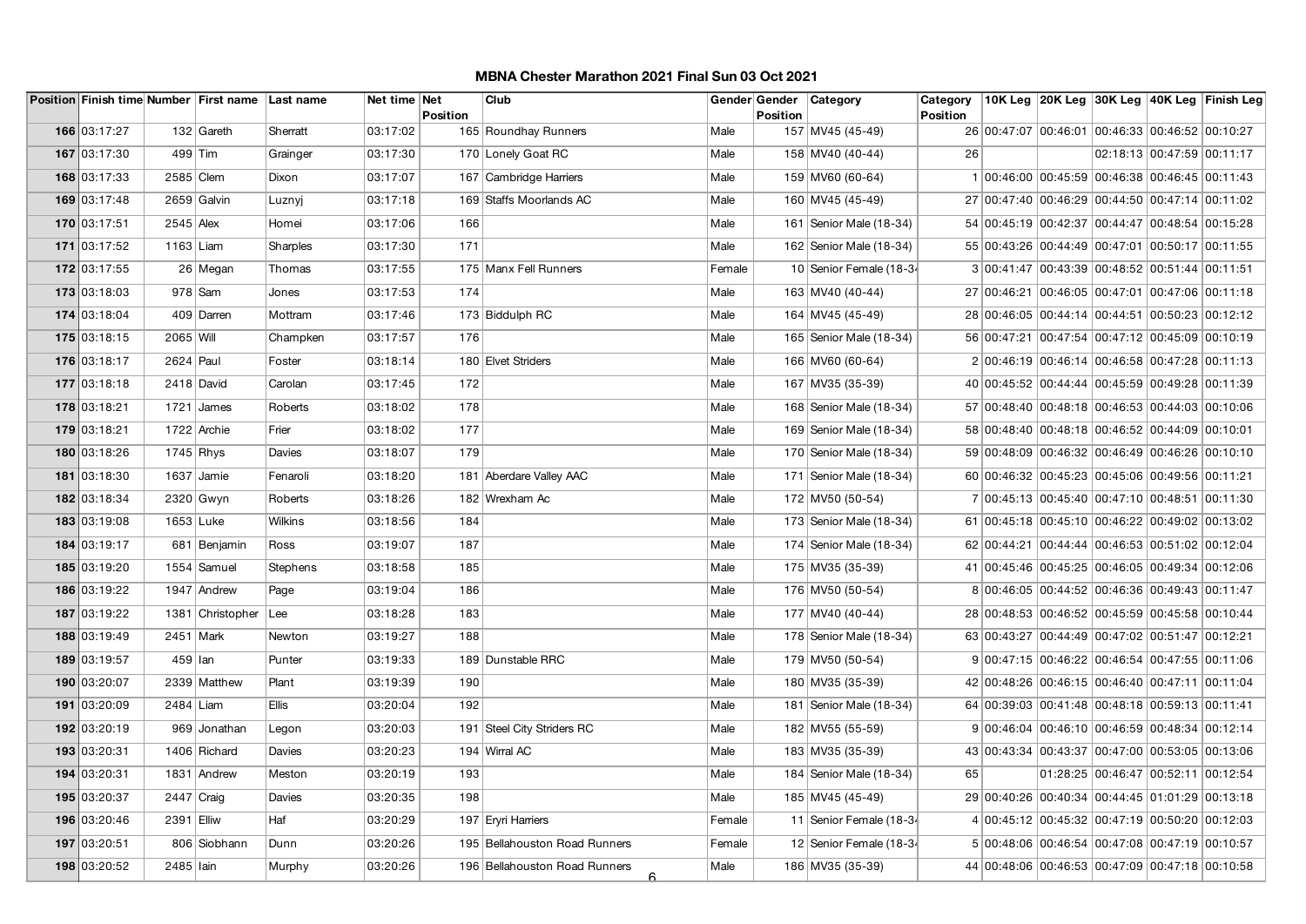|              |              | Position Finish time Number First name Last name |                | Net time Net |                 | Club                                |        | Gender Gender   | Category                  | Category        |                                                 |                                     |                            | 10K Leg  20K Leg  30K Leg  40K Leg  Finish Leg |
|--------------|--------------|--------------------------------------------------|----------------|--------------|-----------------|-------------------------------------|--------|-----------------|---------------------------|-----------------|-------------------------------------------------|-------------------------------------|----------------------------|------------------------------------------------|
| 166 03:17:27 |              | 132 Gareth                                       | Sherratt       | 03:17:02     | <b>Position</b> | 165 Roundhay Runners                | Male   | <b>Position</b> | 157 MV45 (45-49)          | <b>Position</b> | 26 00:47:07 00:46:01 00:46:33 00:46:52 00:10:27 |                                     |                            |                                                |
| 167 03:17:30 | 499 Tim      |                                                  |                | 03:17:30     |                 | 170 Lonely Goat RC                  | Male   |                 | 158 MV40 (40-44)          | 26              |                                                 |                                     | 02:18:13 00:47:59 00:11:17 |                                                |
|              |              |                                                  | Grainger       |              |                 |                                     |        |                 |                           |                 |                                                 |                                     |                            |                                                |
| 168 03:17:33 | 2585 Clem    |                                                  | Dixon          | 03:17:07     |                 | 167 Cambridge Harriers              | Male   |                 | 159 MV60 (60-64)          |                 | 1 00:46:00 00:45:59 00:46:38 00:46:45 00:11:43  |                                     |                            |                                                |
| 169 03:17:48 |              | 2659 Galvin                                      | Luznyj         | 03:17:18     |                 | 169 Staffs Moorlands AC             | Male   |                 | 160 MV45 (45-49)          |                 | 27 00:47:40 00:46:29 00:44:50 00:47:14 00:11:02 |                                     |                            |                                                |
| 170 03:17:51 | $2545$ Alex  |                                                  | Homei          | 03:17:06     | 166             |                                     | Male   |                 | 161   Senior Male (18-34) |                 | 54 00:45:19 00:42:37 00:44:47 00:48:54 00:15:28 |                                     |                            |                                                |
| 171 03:17:52 | 1163 Liam    |                                                  | Sharples       | 03:17:30     | 171             |                                     | Male   |                 | 162   Senior Male (18-34) |                 | 55 00:43:26 00:44:49 00:47:01 00:50:17 00:11:55 |                                     |                            |                                                |
| 172 03:17:55 |              | 26 Megan                                         | Thomas         | 03:17:55     |                 | 175 Manx Fell Runners               | Female |                 | 10 Senior Female (18-34   |                 | 3 00:41:47 00:43:39 00:48:52 00:51:44 00:11:51  |                                     |                            |                                                |
| 173 03:18:03 |              | $978$ Sam                                        | Jones          | 03:17:53     | 174             |                                     | Male   |                 | 163 MV40 (40-44)          |                 | 27 00:46:21 00:46:05 00:47:01 00:47:06 00:11:18 |                                     |                            |                                                |
| 174 03:18:04 |              | 409 Darren                                       | Mottram        | 03:17:46     |                 | 173 Biddulph RC                     | Male   |                 | 164 MV45 (45-49)          |                 | 28 00:46:05 00:44:14 00:44:51 00:50:23 00:12:12 |                                     |                            |                                                |
| 175 03:18:15 | 2065 Will    |                                                  | Champken       | 03:17:57     | 176             |                                     | Male   |                 | 165   Senior Male (18-34) |                 | 56 00:47:21 00:47:54 00:47:12 00:45:09 00:10:19 |                                     |                            |                                                |
| 176 03:18:17 | 2624 Paul    |                                                  | Foster         | 03:18:14     |                 | 180 Elvet Striders                  | Male   |                 | 166 MV60 (60-64)          |                 | 2 00:46:19 00:46:14 00:46:58 00:47:28 00:11:13  |                                     |                            |                                                |
| 177 03:18:18 | 2418 David   |                                                  | Carolan        | 03:17:45     | 172             |                                     | Male   |                 | 167 MV35 (35-39)          |                 | 40 00:45:52 00:44:44 00:45:59 00:49:28 00:11:39 |                                     |                            |                                                |
| 178 03:18:21 |              | 1721 James                                       | Roberts        | 03:18:02     | 178             |                                     | Male   |                 | 168 Senior Male (18-34)   |                 | 57 00:48:40 00:48:18 00:46:53 00:44:03 00:10:06 |                                     |                            |                                                |
| 179 03:18:21 |              | 1722 Archie                                      | Frier          | 03:18:02     | 177             |                                     | Male   |                 | 169 Senior Male (18-34)   |                 | 58 00:48:40 00:48:18 00:46:52 00:44:09 00:10:01 |                                     |                            |                                                |
| 180 03:18:26 | $1745$ Rhys  |                                                  | Davies         | 03:18:07     | 179             |                                     | Male   |                 | 170 Senior Male (18-34)   |                 | 59 00:48:09 00:46:32 00:46:49 00:46:26 00:10:10 |                                     |                            |                                                |
| 181 03:18:30 |              | $1637$ Jamie                                     | Fenaroli       | 03:18:20     |                 | 181 Aberdare Valley AAC             | Male   |                 | 171 Senior Male (18-34)   |                 | 60 00:46:32 00:45:23 00:45:06 00:49:56 00:11:21 |                                     |                            |                                                |
| 182 03:18:34 |              | 2320 Gwyn                                        | Roberts        | 03:18:26     |                 | 182 Wrexham Ac                      | Male   |                 | 172 MV50 (50-54)          |                 | 7 00:45:13 00:45:40 00:47:10 00:48:51 00:11:30  |                                     |                            |                                                |
| 183 03:19:08 | 1653 Luke    |                                                  | <b>Wilkins</b> | 03:18:56     | 184             |                                     | Male   |                 | 173 Senior Male (18-34)   |                 | 61 00:45:18 00:45:10 00:46:22 00:49:02 00:13:02 |                                     |                            |                                                |
| 184 03:19:17 |              | 681 Benjamin                                     | Ross           | 03:19:07     | 187             |                                     | Male   |                 | 174 Senior Male (18-34)   |                 | 62 00:44:21 00:44:44 00:46:53 00:51:02 00:12:04 |                                     |                            |                                                |
| 185 03:19:20 |              | 1554 Samuel                                      | Stephens       | 03:18:58     | 185             |                                     | Male   |                 | 175 MV35 (35-39)          |                 | 41 00:45:46 00:45:25 00:46:05 00:49:34 00:12:06 |                                     |                            |                                                |
| 186 03:19:22 |              | 1947 Andrew                                      | Page           | 03:19:04     | 186             |                                     | Male   |                 | 176 MV50 (50-54)          |                 | 8 00:46:05 00:44:52 00:46:36 00:49:43 00:11:47  |                                     |                            |                                                |
| 187 03:19:22 |              | 1381 Christopher                                 | Lee            | 03:18:28     | 183             |                                     | Male   |                 | 177 MV40 (40-44)          |                 | 28 00:48:53 00:46:52 00:45:59 00:45:58 00:10:44 |                                     |                            |                                                |
| 188 03:19:49 | 2451 Mark    |                                                  | Newton         | 03:19:27     | 188             |                                     | Male   |                 | 178 Senior Male (18-34)   |                 | 63 00:43:27 00:44:49 00:47:02 00:51:47 00:12:21 |                                     |                            |                                                |
| 189 03:19:57 | 459 lan      |                                                  | Punter         | 03:19:33     |                 | 189 Dunstable RRC                   | Male   |                 | 179 MV50 (50-54)          |                 | 9 00:47:15 00:46:22 00:46:54 00:47:55 00:11:06  |                                     |                            |                                                |
| 190 03:20:07 |              | 2339 Matthew                                     | Plant          | 03:19:39     | 190             |                                     | Male   |                 | 180 MV35 (35-39)          |                 | 42 00:48:26 00:46:15 00:46:40 00:47:11 00:11:04 |                                     |                            |                                                |
| 191 03:20:09 | 2484 Liam    |                                                  | <b>Ellis</b>   | 03:20:04     | 192             |                                     | Male   |                 | 181   Senior Male (18-34) |                 | 64 00:39:03 00:41:48 00:48:18 00:59:13 00:11:41 |                                     |                            |                                                |
| 192 03:20:19 |              | 969 Jonathan                                     | Legon          | 03:20:03     |                 | 191 Steel City Striders RC          | Male   |                 | 182 MV55 (55-59)          |                 | 9 00:46:04 00:46:10 00:46:59 00:48:34 00:12:14  |                                     |                            |                                                |
| 193 03:20:31 |              | 1406 Richard                                     | Davies         | 03:20:23     |                 | 194 Wirral AC                       | Male   |                 | 183 MV35 (35-39)          |                 | 43 00:43:34 00:43:37 00:47:00 00:53:05 00:13:06 |                                     |                            |                                                |
| 194 03:20:31 |              | 1831 Andrew                                      | Meston         | 03:20:19     | 193             |                                     | Male   |                 | 184 Senior Male (18-34)   | 65              |                                                 | 01:28:25 00:46:47 00:52:11 00:12:54 |                            |                                                |
| 195 03:20:37 | $2447$ Craig |                                                  | Davies         | 03:20:35     | 198             |                                     | Male   |                 | 185 MV45 (45-49)          |                 | 29 00:40:26 00:40:34 00:44:45 01:01:29 00:13:18 |                                     |                            |                                                |
| 196 03:20:46 | 2391 Elliw   |                                                  | Haf            | 03:20:29     |                 | 197 Eryri Harriers                  | Female |                 | 11 Senior Female (18-34   |                 | 4 00:45:12 00:45:32 00:47:19 00:50:20 00:12:03  |                                     |                            |                                                |
| 197 03:20:51 |              | 806 Siobhann                                     | Dunn           | 03:20:26     |                 | 195 Bellahouston Road Runners       | Female |                 | 12 Senior Female (18-34   |                 | 5 00:48:06 00:46:54 00:47:08 00:47:19 00:10:57  |                                     |                            |                                                |
| 198 03:20:52 | 2485 Iain    |                                                  | Murphy         | 03:20:26     |                 | 196 Bellahouston Road Runners<br>6. | Male   |                 | 186 MV35 (35-39)          |                 | 44 00:48:06 00:46:53 00:47:09 00:47:18 00:10:58 |                                     |                            |                                                |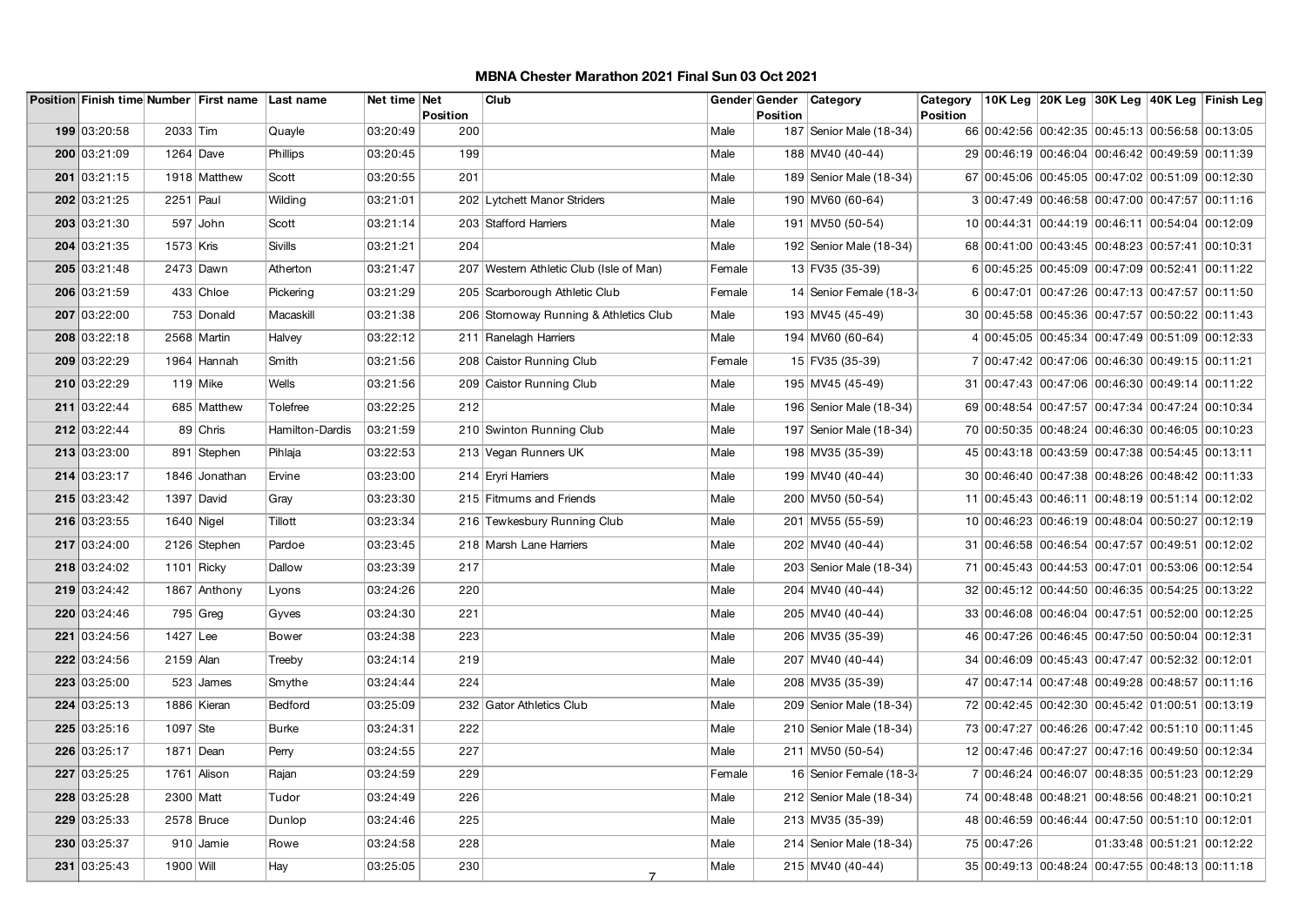|              |             | Position Finish time Number First name Last name |                 | Net time Net |                 | Club                                    |        |          | Gender Gender   Category  | Category        |                                                 |  | 10K Leg 20K Leg 30K Leg 40K Leg Finish Leg |
|--------------|-------------|--------------------------------------------------|-----------------|--------------|-----------------|-----------------------------------------|--------|----------|---------------------------|-----------------|-------------------------------------------------|--|--------------------------------------------|
| 199 03:20:58 | 2033 Tim    |                                                  | Quayle          | 03:20:49     | Position<br>200 |                                         | Male   | Position | 187   Senior Male (18-34) | <b>Position</b> | 66 00:42:56 00:42:35 00:45:13 00:56:58 00:13:05 |  |                                            |
| 200 03:21:09 | 1264 Dave   |                                                  | Phillips        | 03:20:45     | 199             |                                         | Male   |          | 188 MV40 (40-44)          |                 | 29 00:46:19 00:46:04 00:46:42 00:49:59 00:11:39 |  |                                            |
| 201 03:21:15 |             | 1918 Matthew                                     | Scott           | 03:20:55     | 201             |                                         | Male   |          | 189 Senior Male (18-34)   |                 | 67 00:45:06 00:45:05 00:47:02 00:51:09 00:12:30 |  |                                            |
| 202 03:21:25 | $2251$ Paul |                                                  | Wilding         | 03:21:01     |                 | 202 Lytchett Manor Striders             | Male   |          | 190 MV60 (60-64)          |                 | 3 00:47:49 00:46:58 00:47:00 00:47:57 00:11:16  |  |                                            |
| 203 03:21:30 |             | $597$ John                                       | Scott           | 03:21:14     |                 | 203 Stafford Harriers                   | Male   |          | 191 MV50 (50-54)          |                 | 10 00:44:31 00:44:19 00:46:11 00:54:04 00:12:09 |  |                                            |
| 204 03:21:35 | 1573 Kris   |                                                  | <b>Sivills</b>  | 03:21:21     | 204             |                                         | Male   |          | 192 Senior Male (18-34)   |                 | 68 00:41:00 00:43:45 00:48:23 00:57:41 00:10:31 |  |                                            |
|              |             |                                                  |                 |              |                 |                                         |        |          |                           |                 |                                                 |  |                                            |
| 205 03:21:48 |             | 2473 Dawn                                        | Atherton        | 03:21:47     |                 | 207 Western Athletic Club (Isle of Man) | Female |          | 13 FV35 (35-39)           |                 | 6 00:45:25 00:45:09 00:47:09 00:52:41 00:11:22  |  |                                            |
| 206 03:21:59 |             | 433 Chloe                                        | Pickering       | 03:21:29     |                 | 205 Scarborough Athletic Club           | Female |          | 14 Senior Female (18-34   |                 | 6 00:47:01 00:47:26 00:47:13 00:47:57 00:11:50  |  |                                            |
| 207 03:22:00 |             | 753 Donald                                       | Macaskill       | 03:21:38     |                 | 206 Stomoway Running & Athletics Club   | Male   |          | 193 MV45 (45-49)          |                 | 30 00:45:58 00:45:36 00:47:57 00:50:22 00:11:43 |  |                                            |
| 208 03:22:18 |             | 2568 Martin                                      | Halvey          | 03:22:12     |                 | 211 Ranelagh Harriers                   | Male   |          | 194 MV60 (60-64)          |                 | 4 00:45:05 00:45:34 00:47:49 00:51:09 00:12:33  |  |                                            |
| 209 03:22:29 |             | 1964 Hannah                                      | Smith           | 03:21:56     |                 | 208 Caistor Running Club                | Female |          | 15 FV35 (35-39)           |                 | 7 00:47:42 00:47:06 00:46:30 00:49:15 00:11:21  |  |                                            |
| 210 03:22:29 |             | $119$ Mike                                       | <b>Wells</b>    | 03:21:56     |                 | 209 Caistor Running Club                | Male   |          | 195 MV45 (45-49)          |                 | 31 00:47:43 00:47:06 00:46:30 00:49:14 00:11:22 |  |                                            |
| 211 03:22:44 |             | 685 Matthew                                      | Tolefree        | 03:22:25     | 212             |                                         | Male   |          | 196 Senior Male (18-34)   |                 | 69 00:48:54 00:47:57 00:47:34 00:47:24 00:10:34 |  |                                            |
| 212 03:22:44 |             | 89 Chris                                         | Hamilton-Dardis | 03:21:59     |                 | 210 Swinton Running Club                | Male   |          | 197   Senior Male (18-34) |                 | 70 00:50:35 00:48:24 00:46:30 00:46:05 00:10:23 |  |                                            |
| 213 03:23:00 |             | 891 Stephen                                      | Pihlaja         | 03:22:53     |                 | 213 Vegan Runners UK                    | Male   |          | 198 MV35 (35-39)          |                 | 45 00:43:18 00:43:59 00:47:38 00:54:45 00:13:11 |  |                                            |
| 214 03:23:17 |             | 1846 Jonathan                                    | Ervine          | 03:23:00     |                 | 214 Eryri Harriers                      | Male   |          | 199 MV40 (40-44)          |                 | 30 00:46:40 00:47:38 00:48:26 00:48:42 00:11:33 |  |                                            |
| 215 03:23:42 |             | 1397 David                                       | Gray            | 03:23:30     |                 | 215 Fitmums and Friends                 | Male   |          | 200 MV50 (50-54)          |                 | 11 00:45:43 00:46:11 00:48:19 00:51:14 00:12:02 |  |                                            |
| 216 03:23:55 |             | $1640$ Nigel                                     | Tillott         | 03:23:34     |                 | 216 Tewkesbury Running Club             | Male   |          | 201 MV55 (55-59)          |                 | 10 00:46:23 00:46:19 00:48:04 00:50:27 00:12:19 |  |                                            |
| 217 03:24:00 |             | 2126 Stephen                                     | Pardoe          | 03:23:45     |                 | 218 Marsh Lane Harriers                 | Male   |          | 202 MV40 (40-44)          |                 | 31 00:46:58 00:46:54 00:47:57 00:49:51 00:12:02 |  |                                            |
| 218 03:24:02 |             | $1101$ Ricky                                     | Dallow          | 03:23:39     | 217             |                                         | Male   |          | 203 Senior Male (18-34)   |                 | 71 00:45:43 00:44:53 00:47:01 00:53:06 00:12:54 |  |                                            |
| 219 03:24:42 |             | 1867 Anthony                                     | Lyons           | 03:24:26     | 220             |                                         | Male   |          | 204 MV40 (40-44)          |                 | 32 00:45:12 00:44:50 00:46:35 00:54:25 00:13:22 |  |                                            |
| 220 03:24:46 |             | $795$ Greg                                       | Gyves           | 03:24:30     | 221             |                                         | Male   |          | 205 MV40 (40-44)          |                 | 33 00:46:08 00:46:04 00:47:51 00:52:00 00:12:25 |  |                                            |
| 221 03:24:56 | 1427 Lee    |                                                  | Bower           | 03:24:38     | 223             |                                         | Male   |          | 206 MV35 (35-39)          |                 | 46 00:47:26 00:46:45 00:47:50 00:50:04 00:12:31 |  |                                            |
| 222 03:24:56 | 2159 Alan   |                                                  | Treeby          | 03:24:14     | 219             |                                         | Male   |          | 207 MV40 (40-44)          |                 | 34 00:46:09 00:45:43 00:47:47 00:52:32 00:12:01 |  |                                            |
| 223 03:25:00 |             | $523$ James                                      | Smythe          | 03:24:44     | 224             |                                         | Male   |          | 208 MV35 (35-39)          |                 | 47 00:47:14 00:47:48 00:49:28 00:48:57 00:11:16 |  |                                            |
| 224 03:25:13 |             | 1886 Kieran                                      | Bedford         | 03:25:09     |                 | 232 Gator Athletics Club                | Male   |          | 209 Senior Male (18-34)   |                 | 72 00:42:45 00:42:30 00:45:42 01:00:51 00:13:19 |  |                                            |
| 225 03:25:16 | $1097$ Ste  |                                                  | <b>Burke</b>    | 03:24:31     | 222             |                                         | Male   |          | 210 Senior Male (18-34)   |                 | 73 00:47:27 00:46:26 00:47:42 00:51:10 00:11:45 |  |                                            |
| 226 03:25:17 | 1871 Dean   |                                                  | Perry           | 03:24:55     | 227             |                                         | Male   |          | 211 MV50 (50-54)          |                 | 12 00:47:46 00:47:27 00:47:16 00:49:50 00:12:34 |  |                                            |
| 227 03:25:25 |             | 1761 Alison                                      | Rajan           | 03:24:59     | 229             |                                         | Female |          | 16 Senior Female (18-34   |                 | 7 00:46:24 00:46:07 00:48:35 00:51:23 00:12:29  |  |                                            |
| 228 03:25:28 | 2300 Matt   |                                                  | Tudor           | 03:24:49     | 226             |                                         | Male   |          | 212 Senior Male (18-34)   |                 | 74 00:48:48 00:48:21 00:48:56 00:48:21 00:10:21 |  |                                            |
| 229 03:25:33 |             | 2578 Bruce                                       | Dunlop          | 03:24:46     | 225             |                                         | Male   |          | 213 MV35 (35-39)          |                 | 48 00:46:59 00:46:44 00:47:50 00:51:10 00:12:01 |  |                                            |
| 230 03:25:37 |             | 910 Jamie                                        | Rowe            | 03:24:58     | 228             |                                         | Male   |          | 214 Senior Male (18-34)   |                 | 75 00:47:26                                     |  | 01:33:48 00:51:21 00:12:22                 |
| 231 03:25:43 | $1900$ Will |                                                  | Hay             | 03:25:05     | 230             |                                         | Male   |          | 215 MV40 (40-44)          |                 | 35 00:49:13 00:48:24 00:47:55 00:48:13 00:11:18 |  |                                            |
|              |             |                                                  |                 |              |                 |                                         |        |          |                           |                 |                                                 |  |                                            |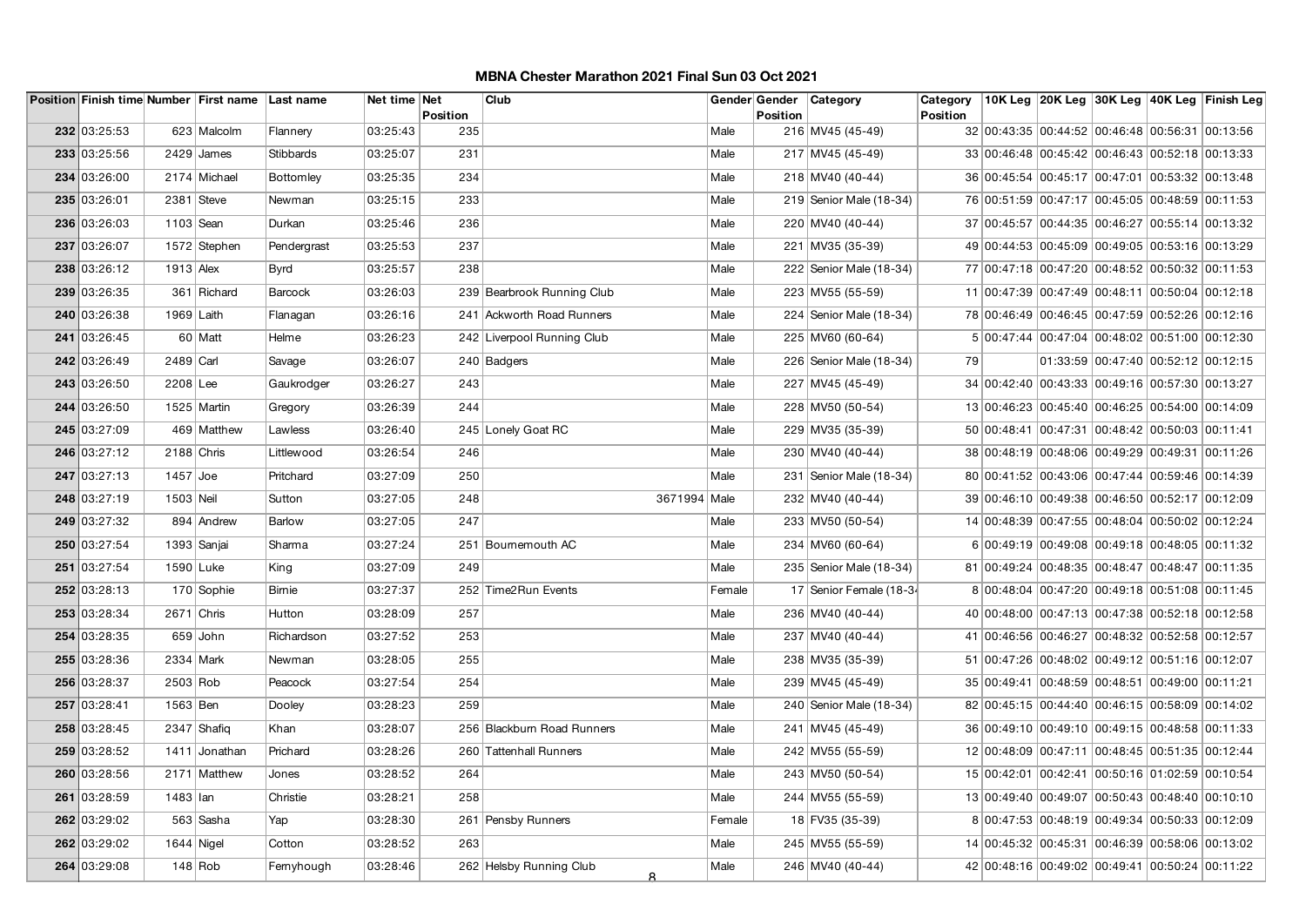|              |              | Position Finish time Number First name Last name |               | Net time Net |                        | Club                         |        |                 | Gender Gender Category    | Category        |                                                 |  | 10K Leg 20K Leg 30K Leg 40K Leg Finish Leg |
|--------------|--------------|--------------------------------------------------|---------------|--------------|------------------------|------------------------------|--------|-----------------|---------------------------|-----------------|-------------------------------------------------|--|--------------------------------------------|
| 232 03:25:53 |              | 623 Malcolm                                      | Flannery      | 03:25:43     | <b>Position</b><br>235 |                              | Male   | <b>Position</b> | 216 MV45 (45-49)          | <b>Position</b> | 32 00:43:35 00:44:52 00:46:48 00:56:31 00:13:56 |  |                                            |
|              |              |                                                  |               |              |                        |                              |        |                 |                           |                 |                                                 |  |                                            |
| 233 03:25:56 |              | $2429$ James                                     | Stibbards     | 03:25:07     | 231                    |                              | Male   |                 | 217 MV45 (45-49)          |                 | 33 00:46:48 00:45:42 00:46:43 00:52:18 00:13:33 |  |                                            |
| 234 03:26:00 |              | 2174 Michael                                     | Bottomley     | 03:25:35     | 234                    |                              | Male   |                 | 218 MV40 (40-44)          |                 | 36 00:45:54 00:45:17 00:47:01 00:53:32 00:13:48 |  |                                            |
| 235 03:26:01 |              | 2381 Steve                                       | Newman        | 03:25:15     | 233                    |                              | Male   |                 | 219 Senior Male (18-34)   |                 | 76 00:51:59 00:47:17 00:45:05 00:48:59 00:11:53 |  |                                            |
| 236 03:26:03 | 1103 Sean    |                                                  | Durkan        | 03:25:46     | 236                    |                              | Male   |                 | 220 MV40 (40-44)          |                 | 37 00:45:57 00:44:35 00:46:27 00:55:14 00:13:32 |  |                                            |
| 237 03:26:07 |              | 1572 Stephen                                     | Pendergrast   | 03:25:53     | 237                    |                              | Male   |                 | 221 MV35 (35-39)          |                 | 49 00:44:53 00:45:09 00:49:05 00:53:16 00:13:29 |  |                                            |
| 238 03:26:12 | $1913$ Alex  |                                                  | <b>Byrd</b>   | 03:25:57     | 238                    |                              | Male   |                 | 222 Senior Male (18-34)   |                 | 77 00:47:18 00:47:20 00:48:52 00:50:32 00:11:53 |  |                                            |
| 239 03:26:35 |              | 361 Richard                                      | Barcock       | 03:26:03     |                        | 239 Bearbrook Running Club   | Male   |                 | 223 MV55 (55-59)          |                 | 11 00:47:39 00:47:49 00:48:11 00:50:04 00:12:18 |  |                                            |
| 240 03:26:38 | 1969 Laith   |                                                  | Flanagan      | 03:26:16     |                        | 241 Ackworth Road Runners    | Male   |                 | 224   Senior Male (18-34) |                 | 78 00:46:49 00:46:45 00:47:59 00:52:26 00:12:16 |  |                                            |
| 241 03:26:45 |              | 60 Matt                                          | Helme         | 03:26:23     |                        | 242 Liverpool Running Club   | Male   |                 | 225 MV60 (60-64)          |                 | 5 00:47:44 00:47:04 00:48:02 00:51:00 00:12:30  |  |                                            |
| 242 03:26:49 | 2489 Carl    |                                                  | Savage        | 03:26:07     |                        | 240 Badgers                  | Male   |                 | 226 Senior Male (18-34)   | 79              |                                                 |  | 01:33:59 00:47:40 00:52:12 00:12:15        |
| 243 03:26:50 | 2208 Lee     |                                                  | Gaukrodger    | 03:26:27     | 243                    |                              | Male   |                 | 227 MV45 (45-49)          |                 | 34 00:42:40 00:43:33 00:49:16 00:57:30 00:13:27 |  |                                            |
| 244 03:26:50 |              | 1525 Martin                                      | Gregory       | 03:26:39     | 244                    |                              | Male   |                 | 228 MV50 (50-54)          |                 | 13 00:46:23 00:45:40 00:46:25 00:54:00 00:14:09 |  |                                            |
| 245 03:27:09 |              | 469 Matthew                                      | Lawless       | 03:26:40     |                        | 245 Lonely Goat RC           | Male   |                 | 229 MV35 (35-39)          |                 | 50 00:48:41 00:47:31 00:48:42 00:50:03 00:11:41 |  |                                            |
| 246 03:27:12 | $2188$ Chris |                                                  | Littlewood    | 03:26:54     | 246                    |                              | Male   |                 | 230 MV40 (40-44)          |                 | 38 00:48:19 00:48:06 00:49:29 00:49:31 00:11:26 |  |                                            |
| 247 03:27:13 | $1457$ Joe   |                                                  | Pritchard     | 03:27:09     | 250                    |                              | Male   |                 | 231   Senior Male (18-34) |                 | 80 00:41:52 00:43:06 00:47:44 00:59:46 00:14:39 |  |                                            |
| 248 03:27:19 | 1503 Neil    |                                                  | Sutton        | 03:27:05     | 248                    | 3671994 Male                 |        |                 | 232 MV40 (40-44)          |                 | 39 00:46:10 00:49:38 00:46:50 00:52:17 00:12:09 |  |                                            |
| 249 03:27:32 |              | 894 Andrew                                       | <b>Barlow</b> | 03:27:05     | 247                    |                              | Male   |                 | 233 MV50 (50-54)          |                 | 14 00:48:39 00:47:55 00:48:04 00:50:02 00:12:24 |  |                                            |
| 250 03:27:54 |              | 1393 Sanjai                                      | Sharma        | 03:27:24     |                        | 251 Bournemouth AC           | Male   |                 | 234 MV60 (60-64)          |                 | 6 00:49:19 00:49:08 00:49:18 00:48:05 00:11:32  |  |                                            |
| 251 03:27:54 | 1590 Luke    |                                                  | King          | 03:27:09     | 249                    |                              | Male   |                 | 235 Senior Male (18-34)   |                 | 81 00:49:24 00:48:35 00:48:47 00:48:47 00:11:35 |  |                                            |
| 252 03:28:13 |              | 170 Sophie                                       | Bimie         | 03:27:37     |                        | 252 Time2Run Events          | Female |                 | 17 Senior Female (18-34   |                 | 8 00:48:04 00:47:20 00:49:18 00:51:08 00:11:45  |  |                                            |
| 253 03:28:34 | $2671$ Chris |                                                  | Hutton        | 03:28:09     | 257                    |                              | Male   |                 | 236 MV40 (40-44)          |                 | 40 00:48:00 00:47:13 00:47:38 00:52:18 00:12:58 |  |                                            |
| 254 03:28:35 |              | $659$ John                                       | Richardson    | 03:27:52     | 253                    |                              | Male   |                 | 237 MV40 (40-44)          |                 | 41 00:46:56 00:46:27 00:48:32 00:52:58 00:12:57 |  |                                            |
| 255 03:28:36 | 2334 Mark    |                                                  | Newman        | 03:28:05     | 255                    |                              | Male   |                 | 238 MV35 (35-39)          |                 | 51 00:47:26 00:48:02 00:49:12 00:51:16 00:12:07 |  |                                            |
| 256 03:28:37 | $2503$ Rob   |                                                  | Peacock       | 03:27:54     | 254                    |                              | Male   |                 | 239 MV45 (45-49)          |                 | 35 00:49:41 00:48:59 00:48:51 00:49:00 00:11:21 |  |                                            |
| 257 03:28:41 | 1563 Ben     |                                                  | Dooley        | 03:28:23     | 259                    |                              | Male   |                 | 240 Senior Male (18-34)   |                 | 82 00:45:15 00:44:40 00:46:15 00:58:09 00:14:02 |  |                                            |
| 258 03:28:45 |              | $2347$ Shafiq                                    | Khan          | 03:28:07     |                        | 256 Blackburn Road Runners   | Male   |                 | 241 MV45 (45-49)          |                 | 36 00:49:10 00:49:10 00:49:15 00:48:58 00:11:33 |  |                                            |
| 259 03:28:52 |              | 1411 Jonathan                                    | Prichard      | 03:28:26     |                        | 260 Tattenhall Runners       | Male   |                 | 242 MV55 (55-59)          |                 | 12 00:48:09 00:47:11 00:48:45 00:51:35 00:12:44 |  |                                            |
| 260 03:28:56 |              | 2171 Matthew                                     | Jones         | 03:28:52     | 264                    |                              | Male   |                 | 243 MV50 (50-54)          |                 | 15 00:42:01 00:42:41 00:50:16 01:02:59 00:10:54 |  |                                            |
| 261 03:28:59 | 1483 lan     |                                                  | Christie      | 03:28:21     | 258                    |                              | Male   |                 | 244 MV55 (55-59)          |                 | 13 00:49:40 00:49:07 00:50:43 00:48:40 00:10:10 |  |                                            |
| 262 03:29:02 |              | 563 Sasha                                        | Yap           | 03:28:30     |                        | 261 Pensby Runners           | Female |                 | 18 FV35 (35-39)           |                 | 8 00:47:53 00:48:19 00:49:34 00:50:33 00:12:09  |  |                                            |
| 262 03:29:02 | $1644$ Nigel |                                                  | Cotton        | 03:28:52     | 263                    |                              | Male   |                 | 245 MV55 (55-59)          |                 | 14 00:45:32 00:45:31 00:46:39 00:58:06 00:13:02 |  |                                            |
| 264 03:29:08 |              | $148$ Rob                                        | Fernyhough    | 03:28:46     |                        | 262 Helsby Running Club<br>8 | Male   |                 | 246 MV40 (40-44)          |                 | 42 00:48:16 00:49:02 00:49:41 00:50:24 00:11:22 |  |                                            |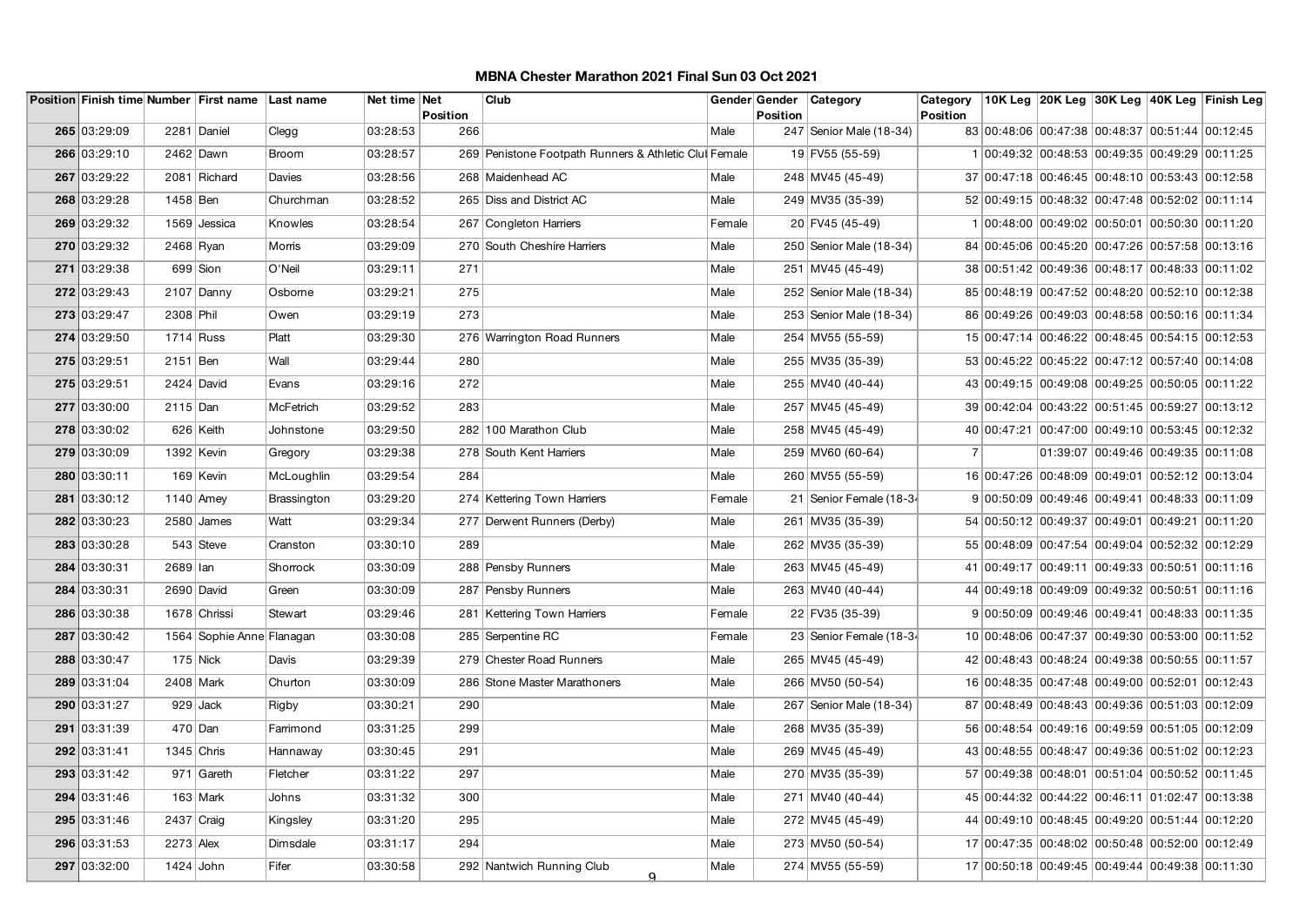|              |              | Position Finish time Number First name Last name |               | Net time Net | Position | Club                                                  |        | <b>Position</b> | Gender Gender   Category  | Category<br><b>Position</b> |                                                 |  | 10K Leg 20K Leg 30K Leg 40K Leg Finish Leg |
|--------------|--------------|--------------------------------------------------|---------------|--------------|----------|-------------------------------------------------------|--------|-----------------|---------------------------|-----------------------------|-------------------------------------------------|--|--------------------------------------------|
| 265 03:29:09 |              | 2281 Daniel                                      | Clegg         | 03:28:53     | 266      |                                                       | Male   |                 | 247 Senior Male (18-34)   |                             | 83 00:48:06 00:47:38 00:48:37 00:51:44 00:12:45 |  |                                            |
| 266 03:29:10 |              | 2462 Dawn                                        | <b>Broom</b>  | 03:28:57     |          | 269 Penistone Footpath Runners & Athletic Clui Female |        |                 | 19 FV55 (55-59)           |                             | 1 00:49:32 00:48:53 00:49:35 00:49:29 00:11:25  |  |                                            |
| 267 03:29:22 |              | 2081 Richard                                     | Davies        | 03:28:56     |          | 268 Maidenhead AC                                     | Male   |                 | 248 MV45 (45-49)          |                             | 37 00:47:18 00:46:45 00:48:10 00:53:43 00:12:58 |  |                                            |
| 268 03:29:28 | 1458 Ben     |                                                  | Churchman     | 03:28:52     |          | 265 Diss and District AC                              | Male   |                 | 249 MV35 (35-39)          |                             | 52 00:49:15 00:48:32 00:47:48 00:52:02 00:11:14 |  |                                            |
| 269 03:29:32 |              | 1569 Jessica                                     | Knowles       | 03:28:54     |          | 267 Congleton Harriers                                | Female |                 | 20 FV45 (45-49)           |                             | 1 00:48:00 00:49:02 00:50:01 00:50:30 00:11:20  |  |                                            |
| 270 03:29:32 | 2468 Ryan    |                                                  | <b>Morris</b> | 03:29:09     |          | 270 South Cheshire Harriers                           | Male   |                 | 250 Senior Male (18-34)   |                             | 84 00:45:06 00:45:20 00:47:26 00:57:58 00:13:16 |  |                                            |
| 271 03:29:38 |              | 699 Sion                                         | O'Neil        | 03:29:11     | 271      |                                                       | Male   |                 | 251 MV45 (45-49)          |                             | 38 00:51:42 00:49:36 00:48:17 00:48:33 00:11:02 |  |                                            |
| 272 03:29:43 |              | $2107$ Danny                                     | Osborne       | 03:29:21     | 275      |                                                       | Male   |                 | 252 Senior Male (18-34)   |                             | 85 00:48:19 00:47:52 00:48:20 00:52:10 00:12:38 |  |                                            |
| 273 03:29:47 | 2308 Phil    |                                                  | Owen          | 03:29:19     | 273      |                                                       | Male   |                 | 253   Senior Male (18-34) |                             | 86 00:49:26 00:49:03 00:48:58 00:50:16 00:11:34 |  |                                            |
| 274 03:29:50 | $1714$ Russ  |                                                  | Platt         | 03:29:30     |          | 276 Warrington Road Runners                           | Male   |                 | 254 MV55 (55-59)          |                             | 15 00:47:14 00:46:22 00:48:45 00:54:15 00:12:53 |  |                                            |
| 275 03:29:51 | 2151 Ben     |                                                  | Wall          | 03:29:44     | 280      |                                                       | Male   |                 | 255 MV35 (35-39)          |                             | 53 00:45:22 00:45:22 00:47:12 00:57:40 00:14:08 |  |                                            |
| 275 03:29:51 |              | $2424$ David                                     | Evans         | 03:29:16     | 272      |                                                       | Male   |                 | 255 MV40 (40-44)          |                             | 43 00:49:15 00:49:08 00:49:25 00:50:05 00:11:22 |  |                                            |
| 277 03:30:00 | $2115$ Dan   |                                                  | McFetrich     | 03:29:52     | 283      |                                                       | Male   |                 | 257 MV45 (45-49)          |                             | 39 00:42:04 00:43:22 00:51:45 00:59:27 00:13:12 |  |                                            |
| 278 03:30:02 |              | 626 Keith                                        | Johnstone     | 03:29:50     |          | 282 100 Marathon Club                                 | Male   |                 | 258 MV45 (45-49)          |                             | 40 00:47:21 00:47:00 00:49:10 00:53:45 00:12:32 |  |                                            |
| 279 03:30:09 |              | 1392   Kevin                                     | Gregory       | 03:29:38     |          | 278 South Kent Harriers                               | Male   |                 | 259 MV60 (60-64)          | 7                           |                                                 |  | 01:39:07 00:49:46 00:49:35 00:11:08        |
| 280 03:30:11 |              | 169 Kevin                                        | McLoughlin    | 03:29:54     | 284      |                                                       | Male   |                 | 260 MV55 (55-59)          |                             | 16 00:47:26 00:48:09 00:49:01 00:52:12 00:13:04 |  |                                            |
| 281 03:30:12 |              | $1140$ Amey                                      | Brassington   | 03:29:20     |          | 274 Kettering Town Harriers                           | Female |                 | 21 Senior Female (18-34   |                             | 9 00:50:09 00:49:46 00:49:41 00:48:33 00:11:09  |  |                                            |
| 282 03:30:23 |              | 2580 James                                       | Watt          | 03:29:34     |          | 277 Derwent Runners (Derby)                           | Male   |                 | 261 MV35 (35-39)          |                             | 54 00:50:12 00:49:37 00:49:01 00:49:21 00:11:20 |  |                                            |
| 283 03:30:28 |              | 543 Steve                                        | Cranston      | 03:30:10     | 289      |                                                       | Male   |                 | 262 MV35 (35-39)          |                             | 55 00:48:09 00:47:54 00:49:04 00:52:32 00:12:29 |  |                                            |
| 284 03:30:31 | 2689 lan     |                                                  | Shorrock      | 03:30:09     |          | 288 Pensby Runners                                    | Male   |                 | 263 MV45 (45-49)          |                             | 41 00:49:17 00:49:11 00:49:33 00:50:51 00:11:16 |  |                                            |
| 284 03:30:31 |              | 2690 David                                       | Green         | 03:30:09     |          | 287 Pensby Runners                                    | Male   |                 | 263 MV40 (40-44)          |                             | 44 00:49:18 00:49:09 00:49:32 00:50:51 00:11:16 |  |                                            |
| 286 03:30:38 |              | 1678 Chrissi                                     | Stewart       | 03:29:46     |          | 281 Kettering Town Harriers                           | Female |                 | 22 FV35 (35-39)           |                             | 9 00:50:09 00:49:46 00:49:41 00:48:33 00:11:35  |  |                                            |
| 287 03:30:42 |              | 1564 Sophie Anne Flanagan                        |               | 03:30:08     |          | 285 Serpentine RC                                     | Female |                 | 23 Senior Female (18-34   |                             | 10 00:48:06 00:47:37 00:49:30 00:53:00 00:11:52 |  |                                            |
| 288 03:30:47 |              | $175$ Nick                                       | Davis         | 03:29:39     |          | 279 Chester Road Runners                              | Male   |                 | 265 MV45 (45-49)          |                             | 42 00:48:43 00:48:24 00:49:38 00:50:55 00:11:57 |  |                                            |
| 289 03:31:04 | 2408 Mark    |                                                  | Churton       | 03:30:09     |          | 286 Stone Master Marathoners                          | Male   |                 | 266 MV50 (50-54)          |                             | 16 00:48:35 00:47:48 00:49:00 00:52:01 00:12:43 |  |                                            |
| 290 03:31:27 |              | 929 Jack                                         | Rigby         | 03:30:21     | 290      |                                                       | Male   |                 | 267 Senior Male (18-34)   |                             | 87 00:48:49 00:48:43 00:49:36 00:51:03 00:12:09 |  |                                            |
| 291 03:31:39 |              | 470   Dan                                        | Farrimond     | 03:31:25     | 299      |                                                       | Male   |                 | 268 MV35 (35-39)          |                             | 56 00:48:54 00:49:16 00:49:59 00:51:05 00:12:09 |  |                                            |
| 292 03:31:41 | $1345$ Chris |                                                  | Hannaway      | 03:30:45     | 291      |                                                       | Male   |                 | 269 MV45 (45-49)          |                             | 43 00:48:55 00:48:47 00:49:36 00:51:02 00:12:23 |  |                                            |
| 293 03:31:42 |              | 971 Gareth                                       | Fletcher      | 03:31:22     | 297      |                                                       | Male   |                 | 270 MV35 (35-39)          |                             | 57 00:49:38 00:48:01 00:51:04 00:50:52 00:11:45 |  |                                            |
| 294 03:31:46 |              | $163$ Mark                                       | Johns         | 03:31:32     | 300      |                                                       | Male   |                 | 271 MV40 (40-44)          |                             | 45 00:44:32 00:44:22 00:46:11 01:02:47 00:13:38 |  |                                            |
| 295 03:31:46 | $2437$ Craig |                                                  | Kingsley      | 03:31:20     | 295      |                                                       | Male   |                 | 272 MV45 (45-49)          |                             | 44 00:49:10 00:48:45 00:49:20 00:51:44 00:12:20 |  |                                            |
| 296 03:31:53 | $2273$ Alex  |                                                  | Dimsdale      | 03:31:17     | 294      |                                                       | Male   |                 | 273 MV50 (50-54)          |                             | 17 00:47:35 00:48:02 00:50:48 00:52:00 00:12:49 |  |                                            |
| 297 03:32:00 | $1424$ John  |                                                  | Fifer         | 03:30:58     |          | 292 Nantwich Running Club<br><u>o</u>                 | Male   |                 | 274 MV55 (55-59)          |                             | 17 00:50:18 00:49:45 00:49:44 00:49:38 00:11:30 |  |                                            |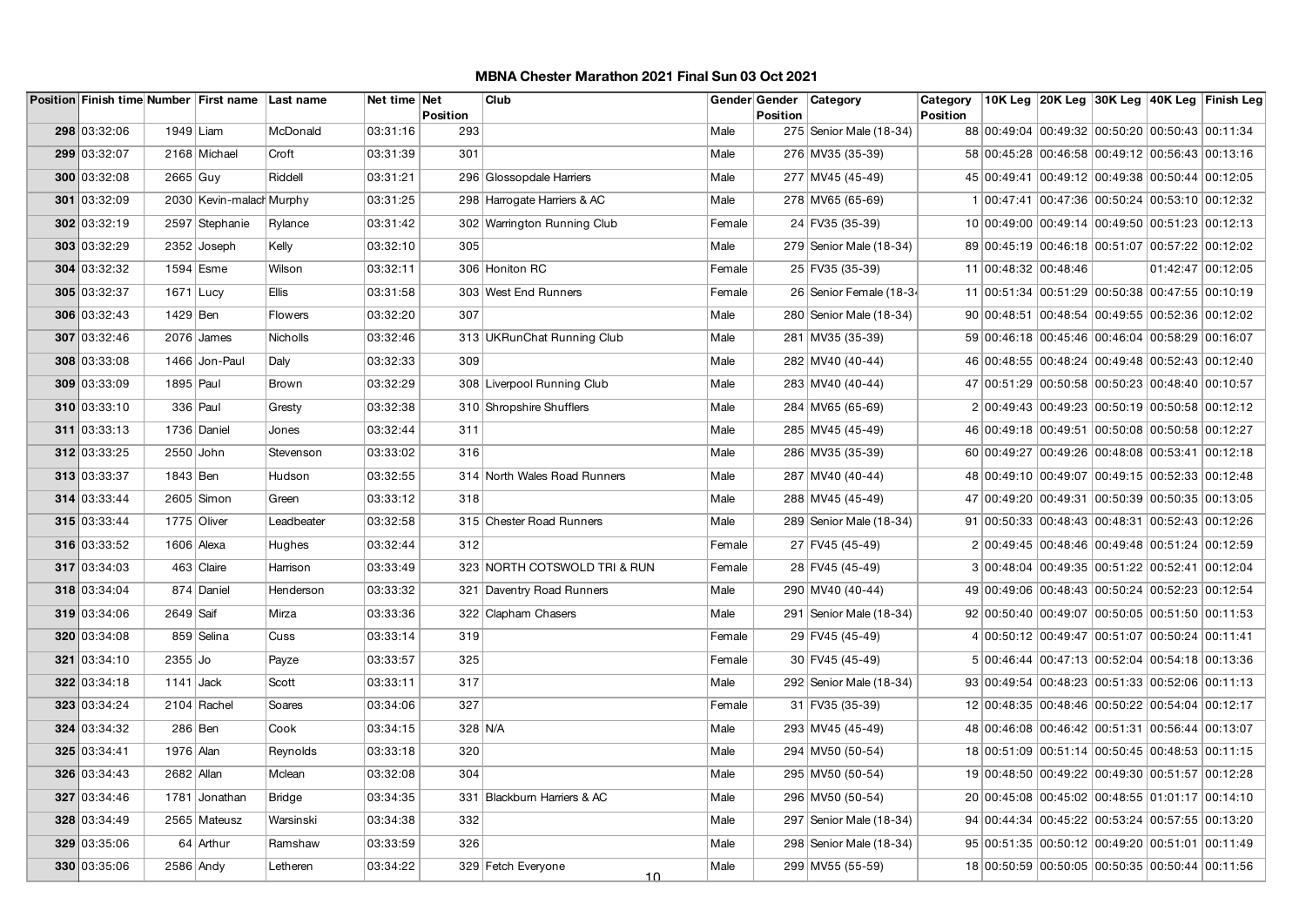|              |             | Position Finish time Number First name Last name |                  | Net time Net | Position | Club                         |        | Position | Gender Gender   Category | Category<br><b>Position</b> |                                                 |  | 10K Leg 20K Leg 30K Leg 40K Leg Finish Leg |
|--------------|-------------|--------------------------------------------------|------------------|--------------|----------|------------------------------|--------|----------|--------------------------|-----------------------------|-------------------------------------------------|--|--------------------------------------------|
| 298 03:32:06 | 1949 Liam   |                                                  | McDonald         | 03:31:16     | 293      |                              | Male   |          | 275 Senior Male (18-34)  |                             | 88 00:49:04 00:49:32 00:50:20 00:50:43 00:11:34 |  |                                            |
| 299 03:32:07 |             | 2168 Michael                                     | Croft            | 03:31:39     | 301      |                              | Male   |          | 276 MV35 (35-39)         |                             | 58 00:45:28 00:46:58 00:49:12 00:56:43 00:13:16 |  |                                            |
| 300 03:32:08 | $2665$ Guy  |                                                  | Riddell          | 03:31:21     |          | 296 Glossopdale Harriers     | Male   |          | 277 MV45 (45-49)         |                             | 45 00:49:41 00:49:12 00:49:38 00:50:44 00:12:05 |  |                                            |
| 301 03:32:09 |             | 2030   Kevin-malach Murphy                       |                  | 03:31:25     |          | 298 Harrogate Harriers & AC  | Male   |          | 278 MV65 (65-69)         |                             | 1 00:47:41 00:47:36 00:50:24 00:53:10 00:12:32  |  |                                            |
| 302 03:32:19 |             | 2597 Stephanie                                   |                  | 03:31:42     |          | 302 Warrington Running Club  | Female |          | 24 FV35 (35-39)          |                             | 10 00:49:00 00:49:14 00:49:50 00:51:23 00:12:13 |  |                                            |
| 303 03:32:29 |             | 2352 Joseph                                      | Rylance<br>Kelly | 03:32:10     | 305      |                              | Male   |          | 279 Senior Male (18-34)  |                             | 89 00:45:19 00:46:18 00:51:07 00:57:22 00:12:02 |  |                                            |
|              |             |                                                  |                  |              |          |                              |        |          |                          |                             |                                                 |  |                                            |
| 304 03:32:32 |             | 1594 Esme                                        | Wilson           | 03:32:11     |          | 306 Honiton RC               | Female |          | 25 FV35 (35-39)          |                             | 11 00:48:32 00:48:46                            |  | 01:42:47 00:12:05                          |
| 305 03:32:37 | $1671$ Lucy |                                                  | <b>Ellis</b>     | 03:31:58     |          | 303 West End Runners         | Female |          | 26 Senior Female (18-34  |                             | 11 00:51:34 00:51:29 00:50:38 00:47:55 00:10:19 |  |                                            |
| 306 03:32:43 | 1429 Ben    |                                                  | <b>Flowers</b>   | 03:32:20     | 307      |                              | Male   |          | 280 Senior Male (18-34)  |                             | 90 00:48:51 00:48:54 00:49:55 00:52:36 00:12:02 |  |                                            |
| 307 03:32:46 |             | $2076$ James                                     | Nicholls         | 03:32:46     |          | 313 UKRunChat Running Club   | Male   |          | 281 MV35 (35-39)         |                             | 59 00:46:18 00:45:46 00:46:04 00:58:29 00:16:07 |  |                                            |
| 308 03:33:08 |             | 1466 Jon-Paul                                    | Daly             | 03:32:33     | 309      |                              | Male   |          | 282 MV40 (40-44)         |                             | 46 00:48:55 00:48:24 00:49:48 00:52:43 00:12:40 |  |                                            |
| 309 03:33:09 | 1895 Paul   |                                                  | <b>Brown</b>     | 03:32:29     |          | 308 Liverpool Running Club   | Male   |          | 283 MV40 (40-44)         |                             | 47 00:51:29 00:50:58 00:50:23 00:48:40 00:10:57 |  |                                            |
| 310 03:33:10 |             | 336 Paul                                         | Gresty           | 03:32:38     |          | 310 Shropshire Shufflers     | Male   |          | 284 MV65 (65-69)         |                             | 2 00:49:43 00:49:23 00:50:19 00:50:58 00:12:12  |  |                                            |
| 311 03:33:13 |             | 1736 Daniel                                      | Jones            | 03:32:44     | 311      |                              | Male   |          | 285 MV45 (45-49)         |                             | 46 00:49:18 00:49:51 00:50:08 00:50:58 00:12:27 |  |                                            |
| 312 03:33:25 | 2550 John   |                                                  | Stevenson        | 03:33:02     | 316      |                              | Male   |          | 286 MV35 (35-39)         |                             | 60 00:49:27 00:49:26 00:48:08 00:53:41 00:12:18 |  |                                            |
| 313 03:33:37 | 1843 Ben    |                                                  | Hudson           | 03:32:55     |          | 314 North Wales Road Runners | Male   |          | 287 MV40 (40-44)         |                             | 48 00:49:10 00:49:07 00:49:15 00:52:33 00:12:48 |  |                                            |
| 314 03:33:44 |             | $2605$ Simon                                     | Green            | 03:33:12     | 318      |                              | Male   |          | 288 MV45 (45-49)         |                             | 47 00:49:20 00:49:31 00:50:39 00:50:35 00:13:05 |  |                                            |
| 315 03:33:44 |             | 1775 Oliver                                      | Leadbeater       | 03:32:58     |          | 315 Chester Road Runners     | Male   |          | 289 Senior Male (18-34)  |                             | 91 00:50:33 00:48:43 00:48:31 00:52:43 00:12:26 |  |                                            |
| 316 03:33:52 |             | 1606 Alexa                                       | Hughes           | 03:32:44     | 312      |                              | Female |          | 27 FV45 (45-49)          |                             | 2 00:49:45 00:48:46 00:49:48 00:51:24 00:12:59  |  |                                            |
| 317 03:34:03 |             | 463 Claire                                       | Harrison         | 03:33:49     |          | 323 NORTH COTSWOLD TRI & RUN | Female |          | 28 FV45 (45-49)          |                             | 3 00:48:04 00:49:35 00:51:22 00:52:41 00:12:04  |  |                                            |
| 318 03:34:04 |             | 874 Daniel                                       | Henderson        | 03:33:32     |          | 321 Daventry Road Runners    | Male   |          | 290 MV40 (40-44)         |                             | 49 00:49:06 00:48:43 00:50:24 00:52:23 00:12:54 |  |                                            |
| 319 03:34:06 | 2649 Saif   |                                                  | Mirza            | 03:33:36     |          | 322 Clapham Chasers          | Male   |          | 291 Senior Male (18-34)  |                             | 92 00:50:40 00:49:07 00:50:05 00:51:50 00:11:53 |  |                                            |
| 320 03:34:08 |             | 859 Selina                                       | Cuss             | 03:33:14     | 319      |                              | Female |          | 29 FV45 (45-49)          |                             | 4 00:50:12 00:49:47 00:51:07 00:50:24 00:11:41  |  |                                            |
| 321 03:34:10 | $2355$ Jo   |                                                  | Payze            | 03:33:57     | 325      |                              | Female |          | 30 FV45 (45-49)          |                             | 5 00:46:44 00:47:13 00:52:04 00:54:18 00:13:36  |  |                                            |
| 322 03:34:18 | $1141$ Jack |                                                  | Scott            | 03:33:11     | 317      |                              | Male   |          | 292 Senior Male (18-34)  |                             | 93 00:49:54 00:48:23 00:51:33 00:52:06 00:11:13 |  |                                            |
| 323 03:34:24 |             | 2104 Rachel                                      | Soares           | 03:34:06     | 327      |                              | Female |          | 31 FV35 (35-39)          |                             | 12 00:48:35 00:48:46 00:50:22 00:54:04 00:12:17 |  |                                            |
| 324 03:34:32 | 286 Ben     |                                                  | Cook             | 03:34:15     | 328 N/A  |                              | Male   |          | 293 MV45 (45-49)         |                             | 48 00:46:08 00:46:42 00:51:31 00:56:44 00:13:07 |  |                                            |
| 325 03:34:41 | 1976 Alan   |                                                  | Reynolds         | 03:33:18     | 320      |                              | Male   |          | 294 MV50 (50-54)         |                             | 18 00:51:09 00:51:14 00:50:45 00:48:53 00:11:15 |  |                                            |
| 326 03:34:43 | 2682 Allan  |                                                  | Mclean           | 03:32:08     | 304      |                              | Male   |          | 295 MV50 (50-54)         |                             | 19 00:48:50 00:49:22 00:49:30 00:51:57 00:12:28 |  |                                            |
| 327 03:34:46 |             | 1781 Jonathan                                    | Bridge           | 03:34:35     |          | 331 Blackburn Harriers & AC  | Male   |          | 296 MV50 (50-54)         |                             | 20 00:45:08 00:45:02 00:48:55 01:01:17 00:14:10 |  |                                            |
| 328 03:34:49 |             | 2565 Mateusz                                     | Warsinski        | 03:34:38     | 332      |                              | Male   |          | 297 Senior Male (18-34)  |                             | 94 00:44:34 00:45:22 00:53:24 00:57:55 00:13:20 |  |                                            |
| 329 03:35:06 |             | 64 Arthur                                        | Ramshaw          | 03:33:59     | 326      |                              | Male   |          | 298 Senior Male (18-34)  |                             | 95 00:51:35 00:50:12 00:49:20 00:51:01 00:11:49 |  |                                            |
| 330 03:35:06 | 2586 Andy   |                                                  | Letheren         | 03:34:22     |          | 329 Fetch Everyone           | Male   |          | 299 MV55 (55-59)         |                             | 18 00:50:59 00:50:05 00:50:35 00:50:44 00:11:56 |  |                                            |
|              |             |                                                  |                  |              |          | <u>10</u>                    |        |          |                          |                             |                                                 |  |                                            |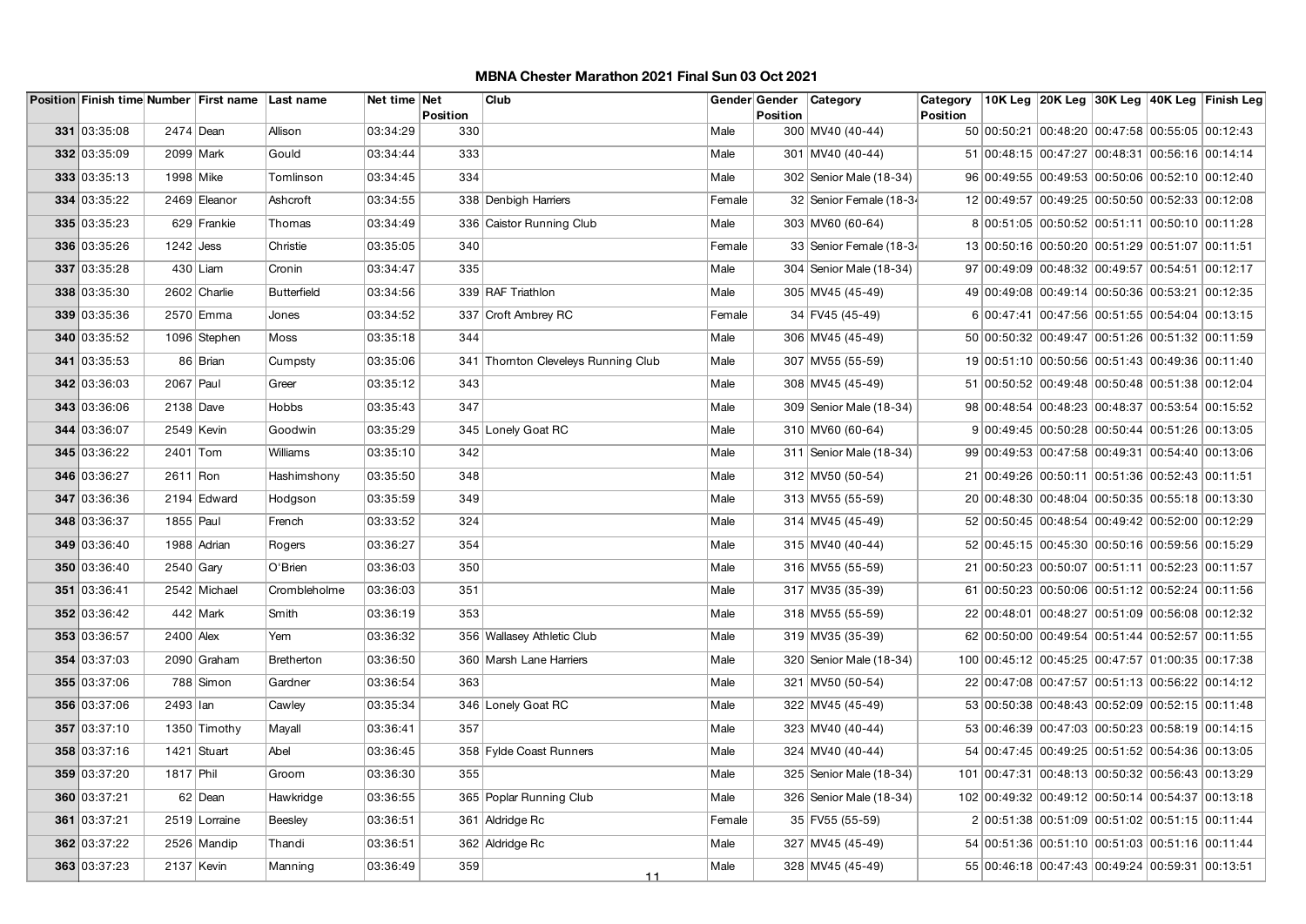|              |                   | Position Finish time Number First name Last name |                    | Net time Net |                        | Club                                |        | Gender Gender   | <b>Category</b>           | Category        |                                                  |  | 10K Leg 20K Leg 30K Leg 40K Leg Finish Leg |
|--------------|-------------------|--------------------------------------------------|--------------------|--------------|------------------------|-------------------------------------|--------|-----------------|---------------------------|-----------------|--------------------------------------------------|--|--------------------------------------------|
| 331 03:35:08 | 2474 Dean         |                                                  | Allison            | 03:34:29     | <b>Position</b><br>330 |                                     | Male   | <b>Position</b> | 300 MV40 (40-44)          | <b>Position</b> | 50 00:50:21 00:48:20 00:47:58 00:55:05 00:12:43  |  |                                            |
| 332 03:35:09 | 2099 Mark         |                                                  | Gould              | 03:34:44     | 333                    |                                     | Male   |                 | 301   MV40 (40-44)        |                 | 51 00:48:15 00:47:27 00:48:31 00:56:16 00:14:14  |  |                                            |
| 333 03:35:13 | 1998 Mike         |                                                  | Tomlinson          | 03:34:45     | 334                    |                                     | Male   |                 | 302 Senior Male (18-34)   |                 | 96 00:49:55 00:49:53 00:50:06 00:52:10 00:12:40  |  |                                            |
| 334 03:35:22 |                   | 2469 Eleanor                                     | Ashcroft           | 03:34:55     |                        | 338 Denbigh Harriers                | Female |                 | 32 Senior Female (18-34   |                 | 12 00:49:57 00:49:25 00:50:50 00:52:33 00:12:08  |  |                                            |
|              |                   |                                                  |                    |              |                        |                                     |        |                 |                           |                 |                                                  |  |                                            |
| 335 03:35:23 |                   | 629 Frankie                                      | Thomas             | 03:34:49     |                        | 336 Caistor Running Club            | Male   |                 | 303 MV60 (60-64)          |                 | 8 00:51:05 00:50:52 00:51:11 00:50:10 00:11:28   |  |                                            |
| 336 03:35:26 | $1242$ Jess       |                                                  | Christie           | 03:35:05     | 340                    |                                     | Female |                 | 33 Senior Female (18-34   |                 | 13 00:50:16 00:50:20 00:51:29 00:51:07 00:11:51  |  |                                            |
| 337 03:35:28 |                   | $430$ Liam                                       | Cronin             | 03:34:47     | 335                    |                                     | Male   |                 | 304 Senior Male (18-34)   |                 | 97 00:49:09 00:48:32 00:49:57 00:54:51 00:12:17  |  |                                            |
| 338 03:35:30 |                   | 2602 Charlie                                     | <b>Butterfield</b> | 03:34:56     |                        | 339 RAF Triathlon                   | Male   |                 | 305 MV45 (45-49)          |                 | 49 00:49:08 00:49:14 00:50:36 00:53:21 00:12:35  |  |                                            |
| 339 03:35:36 |                   | 2570 Emma                                        | Jones              | 03:34:52     |                        | 337 Croft Ambrey RC                 | Female |                 | 34 FV45 (45-49)           |                 | 6 00:47:41 00:47:56 00:51:55 00:54:04 00:13:15   |  |                                            |
| 340 03:35:52 |                   | 1096 Stephen                                     | Moss               | 03:35:18     | 344                    |                                     | Male   |                 | 306 MV45 (45-49)          |                 | 50 00:50:32 00:49:47 00:51:26 00:51:32 00:11:59  |  |                                            |
| 341 03:35:53 |                   | 86 Brian                                         | Cumpsty            | 03:35:06     |                        | 341 Thornton Cleveleys Running Club | Male   |                 | 307 MV55 (55-59)          |                 | 19 00:51:10 00:50:56 00:51:43 00:49:36 00:11:40  |  |                                            |
| 342 03:36:03 | $2067$ Paul       |                                                  | Greer              | 03:35:12     | 343                    |                                     | Male   |                 | 308 MV45 (45-49)          |                 | 51 00:50:52 00:49:48 00:50:48 00:51:38 00:12:04  |  |                                            |
| 343 03:36:06 | 2138 Dave         |                                                  | <b>Hobbs</b>       | 03:35:43     | 347                    |                                     | Male   |                 | 309 Senior Male (18-34)   |                 | 98 00:48:54 00:48:23 00:48:37 00:53:54 00:15:52  |  |                                            |
| 344 03:36:07 |                   | 2549 Kevin                                       | Goodwin            | 03:35:29     |                        | 345 Lonely Goat RC                  | Male   |                 | 310 MV60 (60-64)          |                 | 9 00:49:45 00:50:28 00:50:44 00:51:26 00:13:05   |  |                                            |
| 345 03:36:22 | 2401 Tom          |                                                  | Williams           | 03:35:10     | 342                    |                                     | Male   |                 | 311   Senior Male (18-34) |                 | 99 00:49:53 00:47:58 00:49:31 00:54:40 00:13:06  |  |                                            |
| 346 03:36:27 | 2611 Ron          |                                                  | Hashimshony        | 03:35:50     | 348                    |                                     | Male   |                 | 312 MV50 (50-54)          |                 | 21 00:49:26 00:50:11 00:51:36 00:52:43 00:11:51  |  |                                            |
| 347 03:36:36 |                   | 2194 Edward                                      | Hodgson            | 03:35:59     | 349                    |                                     | Male   |                 | 313 MV55 (55-59)          |                 | 20 00:48:30 00:48:04 00:50:35 00:55:18 00:13:30  |  |                                            |
| 348 03:36:37 | 1855 Paul         |                                                  | French             | 03:33:52     | 324                    |                                     | Male   |                 | 314 MV45 (45-49)          |                 | 52 00:50:45 00:48:54 00:49:42 00:52:00 00:12:29  |  |                                            |
| 349 03:36:40 |                   | 1988 Adrian                                      | Rogers             | 03:36:27     | 354                    |                                     | Male   |                 | 315 MV40 (40-44)          |                 | 52 00:45:15 00:45:30 00:50:16 00:59:56 00:15:29  |  |                                            |
| 350 03:36:40 | $2540$ Gary       |                                                  | O'Brien            | 03:36:03     | 350                    |                                     | Male   |                 | 316 MV55 (55-59)          |                 | 21 00:50:23 00:50:07 00:51:11 00:52:23 00:11:57  |  |                                            |
| 351 03:36:41 |                   | 2542 Michael                                     | Crombleholme       | 03:36:03     | 351                    |                                     | Male   |                 | 317 MV35 (35-39)          |                 | 61 00:50:23 00:50:06 00:51:12 00:52:24 00:11:56  |  |                                            |
| 352 03:36:42 |                   | $442$ Mark                                       | Smith              | 03:36:19     | 353                    |                                     | Male   |                 | 318 MV55 (55-59)          |                 | 22 00:48:01 00:48:27 00:51:09 00:56:08 00:12:32  |  |                                            |
| 353 03:36:57 | 2400 Alex         |                                                  | Yem                | 03:36:32     |                        | 356 Wallasey Athletic Club          | Male   |                 | 319 MV35 (35-39)          |                 | 62 00:50:00 00:49:54 00:51:44 00:52:57 00:11:55  |  |                                            |
| 354 03:37:03 |                   | 2090 Graham                                      | <b>Bretherton</b>  | 03:36:50     |                        | 360 Marsh Lane Harriers             | Male   |                 | 320 Senior Male (18-34)   |                 | 100 00:45:12 00:45:25 00:47:57 01:00:35 00:17:38 |  |                                            |
| 355 03:37:06 |                   | 788 Simon                                        | Gardner            | 03:36:54     | 363                    |                                     | Male   |                 | 321 MV50 (50-54)          |                 | 22 00:47:08 00:47:57 00:51:13 00:56:22 00:14:12  |  |                                            |
| 356 03:37:06 | $2493$ $  \n $ an |                                                  | Cawley             | 03:35:34     |                        | 346 Lonely Goat RC                  | Male   |                 | 322 MV45 (45-49)          |                 | 53 00:50:38 00:48:43 00:52:09 00:52:15 00:11:48  |  |                                            |
| 357 03:37:10 |                   | 1350 Timothy                                     | Mayall             | 03:36:41     | 357                    |                                     | Male   |                 | 323 MV40 (40-44)          |                 | 53 00:46:39 00:47:03 00:50:23 00:58:19 00:14:15  |  |                                            |
| 358 03:37:16 |                   | 1421 Stuart                                      | Abel               | 03:36:45     |                        | 358 Fylde Coast Runners             | Male   |                 | 324 MV40 (40-44)          |                 | 54 00:47:45 00:49:25 00:51:52 00:54:36 00:13:05  |  |                                            |
| 359 03:37:20 | $1817$ Phil       |                                                  | Groom              | 03:36:30     | 355                    |                                     | Male   |                 | 325   Senior Male (18-34) |                 | 101 00:47:31 00:48:13 00:50:32 00:56:43 00:13:29 |  |                                            |
| 360 03:37:21 |                   | 62 Dean                                          | Hawkridge          | 03:36:55     |                        | 365 Poplar Running Club             | Male   |                 | 326 Senior Male (18-34)   |                 | 102 00:49:32 00:49:12 00:50:14 00:54:37 00:13:18 |  |                                            |
| 361 03:37:21 |                   | 2519 Lorraine                                    | Beesley            | 03:36:51     |                        | 361 Aldridge Rc                     | Female |                 | 35 FV55 (55-59)           |                 | 2 00:51:38 00:51:09 00:51:02 00:51:15 00:11:44   |  |                                            |
| 362 03:37:22 |                   | 2526 Mandip                                      | Thandi             | 03:36:51     |                        | 362 Aldridge Rc                     | Male   |                 | 327 MV45 (45-49)          |                 | 54 00:51:36 00:51:10 00:51:03 00:51:16 00:11:44  |  |                                            |
| 363 03:37:23 |                   | $2137$ Kevin                                     | Manning            | 03:36:49     | 359                    |                                     | Male   |                 | 328 MV45 (45-49)          |                 | 55 00:46:18 00:47:43 00:49:24 00:59:31 00:13:51  |  |                                            |
|              |                   |                                                  |                    |              |                        | 11                                  |        |                 |                           |                 |                                                  |  |                                            |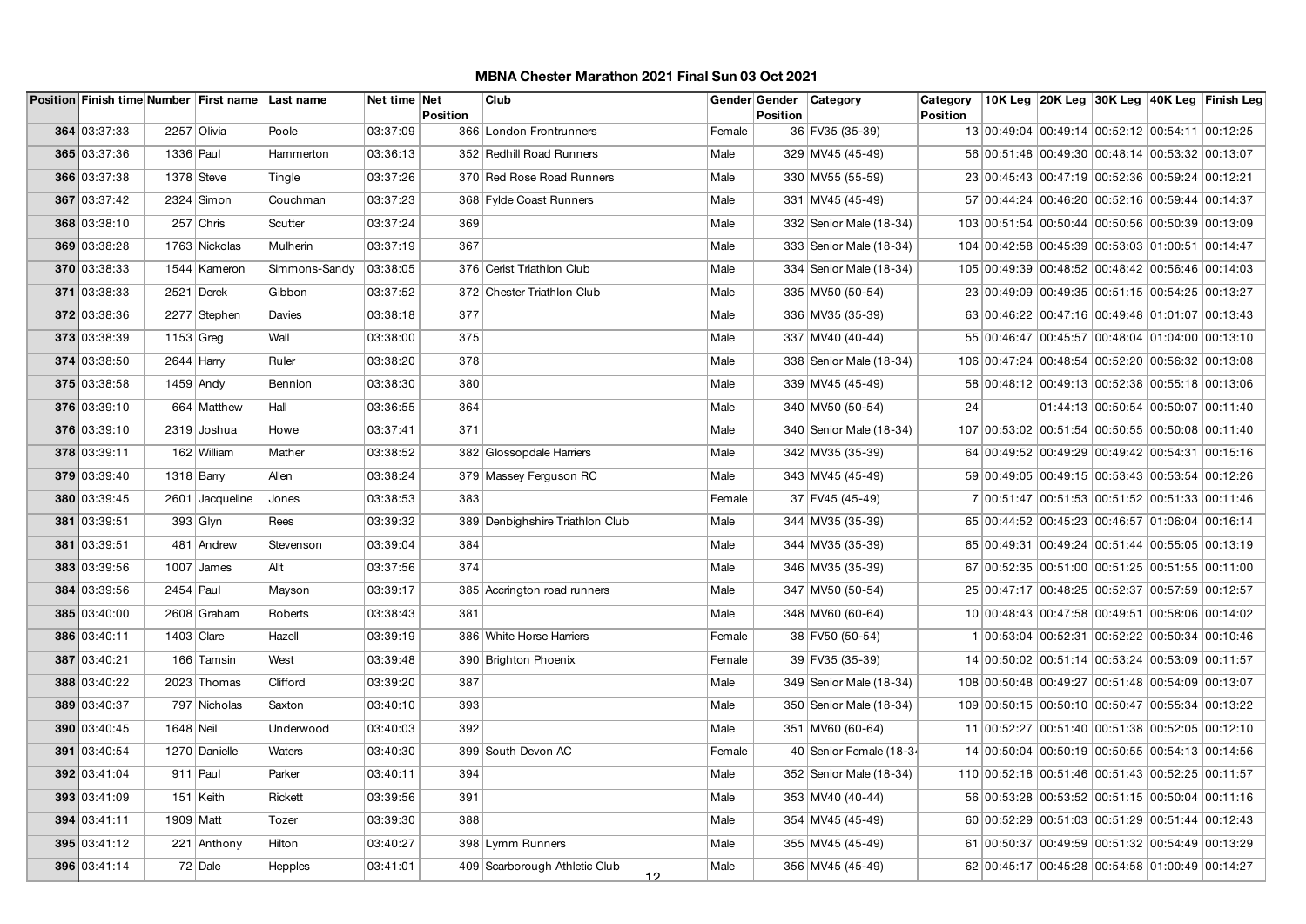|              |              | Position Finish time Number First name Last name |                | Net time Net | <b>Position</b> | Club                                        |        | <b>Position</b> | Gender Gender   Category | Category<br><b>Position</b> |                                                  |                                       | 10K Leg  20K Leg  30K Leg  40K Leg  Finish Leg |
|--------------|--------------|--------------------------------------------------|----------------|--------------|-----------------|---------------------------------------------|--------|-----------------|--------------------------|-----------------------------|--------------------------------------------------|---------------------------------------|------------------------------------------------|
| 364 03:37:33 |              | 2257 Olivia                                      | Poole          | 03:37:09     |                 | 366 London Frontrunners                     | Female |                 | 36 FV35 (35-39)          |                             | 13 00:49:04 00:49:14 00:52:12 00:54:11 00:12:25  |                                       |                                                |
| 365 03:37:36 | 1336 Paul    |                                                  | Hammerton      | 03:36:13     |                 | 352 Redhill Road Runners                    | Male   |                 | 329 MV45 (45-49)         |                             | 56 00:51:48 00:49:30 00:48:14 00:53:32 00:13:07  |                                       |                                                |
| 366 03:37:38 |              | $1378$ Steve                                     | Tingle         | 03:37:26     |                 | 370 Red Rose Road Runners                   | Male   |                 | 330 MV55 (55-59)         |                             | 23 00:45:43 00:47:19 00:52:36 00:59:24 00:12:21  |                                       |                                                |
| 367 03:37:42 |              | $2324$ Simon                                     | Couchman       | 03:37:23     |                 | 368 Fylde Coast Runners                     | Male   |                 | 331 MV45 (45-49)         |                             | 57 00:44:24 00:46:20 00:52:16 00:59:44 00:14:37  |                                       |                                                |
| 368 03:38:10 |              | $257$ Chris                                      | Scutter        | 03:37:24     | 369             |                                             | Male   |                 | 332 Senior Male (18-34)  |                             | 103 00:51:54 00:50:44 00:50:56 00:50:39 00:13:09 |                                       |                                                |
| 369 03:38:28 |              | 1763 Nickolas                                    | Mulherin       | 03:37:19     | 367             |                                             | Male   |                 | 333 Senior Male (18-34)  |                             | 104 00:42:58 00:45:39 00:53:03 01:00:51 00:14:47 |                                       |                                                |
| 370 03:38:33 |              | 1544 Kameron                                     | Simmons-Sandy  | 03:38:05     |                 | 376 Cerist Triathlon Club                   | Male   |                 | 334 Senior Male (18-34)  |                             | 105 00:49:39 00:48:52 00:48:42 00:56:46 00:14:03 |                                       |                                                |
| 371 03:38:33 |              | 2521 Derek                                       | Gibbon         | 03:37:52     |                 | 372 Chester Triathlon Club                  | Male   |                 | 335 MV50 (50-54)         |                             | 23 00:49:09 00:49:35 00:51:15 00:54:25 00:13:27  |                                       |                                                |
| 372 03:38:36 |              | 2277 Stephen                                     | Davies         | 03:38:18     | 377             |                                             | Male   |                 | 336 MV35 (35-39)         |                             | 63 00:46:22 00:47:16 00:49:48 01:01:07 00:13:43  |                                       |                                                |
| 373 03:38:39 | $1153$ Greg  |                                                  | Wall           | 03:38:00     | 375             |                                             | Male   |                 | 337 MV40 (40-44)         |                             | 55 00:46:47 00:45:57 00:48:04 01:04:00 00:13:10  |                                       |                                                |
| 374 03:38:50 | $2644$ Harry |                                                  | Ruler          | 03:38:20     | 378             |                                             | Male   |                 | 338 Senior Male (18-34)  |                             | 106 00:47:24 00:48:54 00:52:20 00:56:32 00:13:08 |                                       |                                                |
| 375 03:38:58 |              | $1459$ Andy                                      | Bennion        | 03:38:30     | 380             |                                             | Male   |                 | 339 MV45 (45-49)         |                             | 58 00:48:12 00:49:13 00:52:38 00:55:18 00:13:06  |                                       |                                                |
| 376 03:39:10 |              | 664 Matthew                                      | Hall           | 03:36:55     | 364             |                                             | Male   |                 | 340 MV50 (50-54)         | 24                          |                                                  | $01:44:13$ 00:50:54 00:50:07 00:11:40 |                                                |
| 376 03:39:10 |              | 2319 Joshua                                      | Howe           | 03:37:41     | 371             |                                             | Male   |                 | 340 Senior Male (18-34)  |                             | 107 00:53:02 00:51:54 00:50:55 00:50:08 00:11:40 |                                       |                                                |
| 378 03:39:11 |              | 162 William                                      | Mather         | 03:38:52     |                 | 382 Glossopdale Harriers                    | Male   |                 | 342 MV35 (35-39)         |                             | 64 00:49:52 00:49:29 00:49:42 00:54:31 00:15:16  |                                       |                                                |
| 379 03:39:40 |              | $1318$ Barry                                     | Allen          | 03:38:24     |                 | 379 Massey Ferguson RC                      | Male   |                 | 343 MV45 (45-49)         |                             | 59 00:49:05 00:49:15 00:53:43 00:53:54 00:12:26  |                                       |                                                |
| 380 03:39:45 |              | 2601 Jacqueline                                  | Jones          | 03:38:53     | 383             |                                             | Female |                 | 37 FV45 (45-49)          |                             | 7 00:51:47 00:51:53 00:51:52 00:51:33 00:11:46   |                                       |                                                |
| 381 03:39:51 |              | $393$ Glyn                                       | Rees           | 03:39:32     |                 | 389 Denbighshire Triathlon Club             | Male   |                 | 344 MV35 (35-39)         |                             | 65 00:44:52 00:45:23 00:46:57 01:06:04 00:16:14  |                                       |                                                |
| 381 03:39:51 |              | 481 Andrew                                       | Stevenson      | 03:39:04     | 384             |                                             | Male   |                 | 344 MV35 (35-39)         |                             | 65 00:49:31 00:49:24 00:51:44 00:55:05 00:13:19  |                                       |                                                |
| 383 03:39:56 |              | $1007$ James                                     | Allt           | 03:37:56     | 374             |                                             | Male   |                 | 346 MV35 (35-39)         |                             | 67 00:52:35 00:51:00 00:51:25 00:51:55 00:11:00  |                                       |                                                |
| 384 03:39:56 | 2454 Paul    |                                                  | Mayson         | 03:39:17     |                 | 385 Accrington road runners                 | Male   |                 | 347 MV50 (50-54)         |                             | 25 00:47:17 00:48:25 00:52:37 00:57:59 00:12:57  |                                       |                                                |
| 385 03:40:00 |              | 2608 Graham                                      | Roberts        | 03:38:43     | 381             |                                             | Male   |                 | 348 MV60 (60-64)         |                             | 10 00:48:43 00:47:58 00:49:51 00:58:06 00:14:02  |                                       |                                                |
| 386 03:40:11 |              | $1403$ Clare                                     | Hazell         | 03:39:19     |                 | 386 White Horse Harriers                    | Female |                 | 38 FV50 (50-54)          |                             | 1 00:53:04 00:52:31 00:52:22 00:50:34 00:10:46   |                                       |                                                |
| 387 03:40:21 |              | 166 Tamsin                                       | West           | 03:39:48     |                 | 390 Brighton Phoenix                        | Female |                 | 39 FV35 (35-39)          |                             | 14 00:50:02 00:51:14 00:53:24 00:53:09 00:11:57  |                                       |                                                |
| 388 03:40:22 |              | 2023 Thomas                                      | Clifford       | 03:39:20     | 387             |                                             | Male   |                 | 349 Senior Male (18-34)  |                             | 108 00:50:48 00:49:27 00:51:48 00:54:09 00:13:07 |                                       |                                                |
| 389 03:40:37 |              | 797 Nicholas                                     | Saxton         | 03:40:10     | 393             |                                             | Male   |                 | 350 Senior Male (18-34)  |                             | 109 00:50:15 00:50:10 00:50:47 00:55:34 00:13:22 |                                       |                                                |
| 390 03:40:45 | 1648 Neil    |                                                  | Underwood      | 03:40:03     | 392             |                                             | Male   |                 | 351 MV60 (60-64)         |                             | 11 00:52:27 00:51:40 00:51:38 00:52:05 00:12:10  |                                       |                                                |
| 391 03:40:54 |              | 1270 Danielle                                    | Waters         | 03:40:30     |                 | 399 South Devon AC                          | Female |                 | 40 Senior Female (18-34  |                             | 14 00:50:04 00:50:19 00:50:55 00:54:13 00:14:56  |                                       |                                                |
| 392 03:41:04 |              | $911$ Paul                                       | Parker         | 03:40:11     | 394             |                                             | Male   |                 | 352 Senior Male (18-34)  |                             | 110 00:52:18 00:51:46 00:51:43 00:52:25 00:11:57 |                                       |                                                |
| 393 03:41:09 |              | 151 Keith                                        | Rickett        | 03:39:56     | 391             |                                             | Male   |                 | 353 MV40 (40-44)         |                             | 56 00:53:28 00:53:52 00:51:15 00:50:04 00:11:16  |                                       |                                                |
| 394 03:41:11 | 1909   Matt  |                                                  | Tozer          | 03:39:30     | 388             |                                             | Male   |                 | 354 MV45 (45-49)         |                             | 60 00:52:29 00:51:03 00:51:29 00:51:44 00:12:43  |                                       |                                                |
| 395 03:41:12 |              | 221 Anthony                                      | Hilton         | 03:40:27     |                 | 398 Lymm Runners                            | Male   |                 | 355 MV45 (45-49)         |                             | 61 00:50:37 00:49:59 00:51:32 00:54:49 00:13:29  |                                       |                                                |
| 396 03:41:14 |              | 72 Dale                                          | <b>Hepples</b> | 03:41:01     |                 | 409 Scarborough Athletic Club<br><u> 12</u> | Male   |                 | 356 MV45 (45-49)         |                             | 62 00:45:17 00:45:28 00:54:58 01:00:49 00:14:27  |                                       |                                                |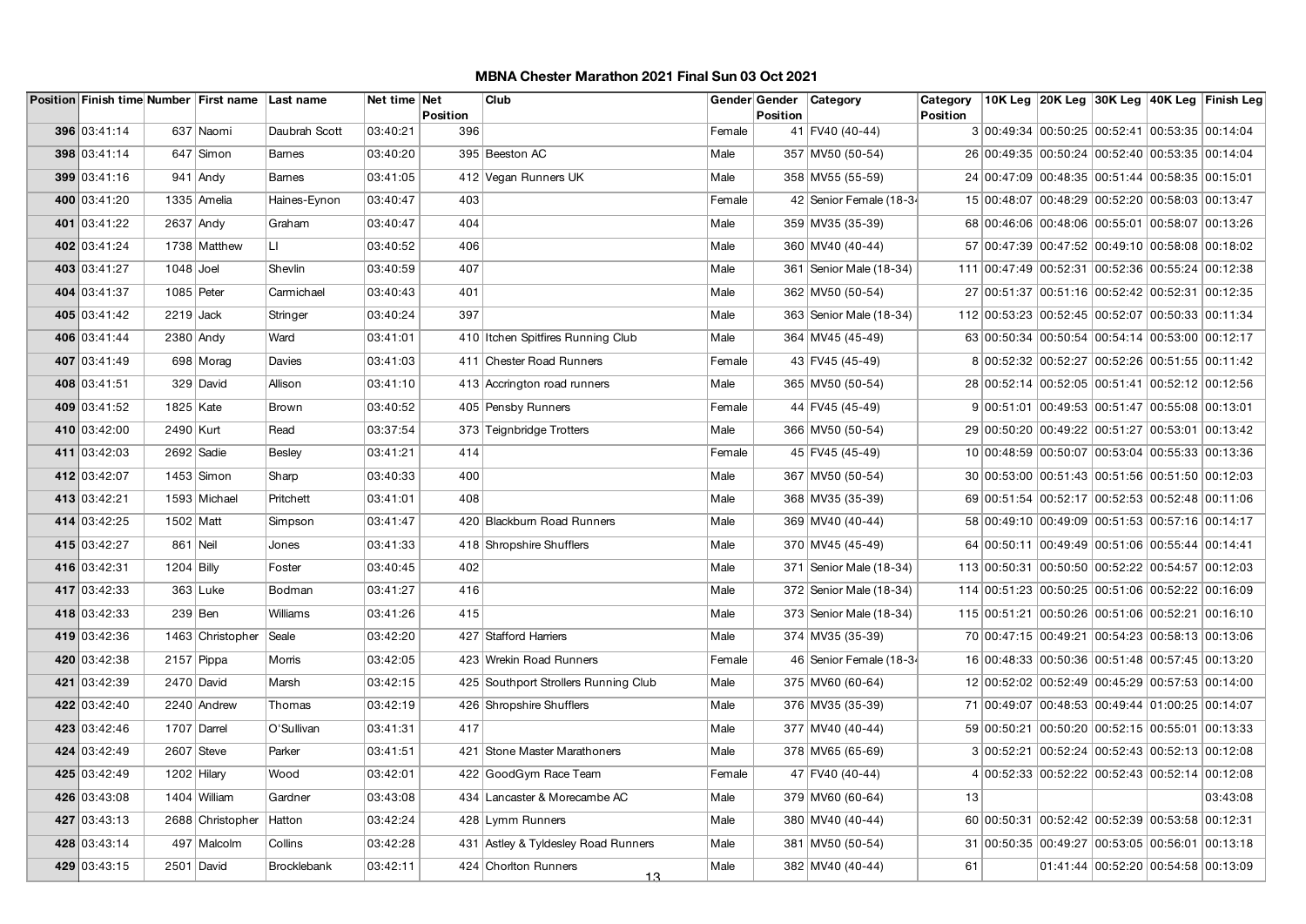|              |              |               | Position Finish time Number First name Last name |               | Net time Net | <b>Position</b> | Club                                 |        | Gender Gender Category<br><b>Position</b> |                           | Category<br><b>Position</b> |                                                  |  | 10K Leg 20K Leg 30K Leg 40K Leg Finish Leg       |
|--------------|--------------|---------------|--------------------------------------------------|---------------|--------------|-----------------|--------------------------------------|--------|-------------------------------------------|---------------------------|-----------------------------|--------------------------------------------------|--|--------------------------------------------------|
|              | 396 03:41:14 |               | 637 Naomi                                        | Daubrah Scott | 03:40:21     | 396             |                                      | Female | 41 FV40 (40-44)                           |                           |                             |                                                  |  | 3 00:49:34 00:50:25 00:52:41 00:53:35 00:14:04   |
|              | 398 03:41:14 |               | 647 Simon                                        | <b>Barnes</b> | 03:40:20     |                 | 395 Beeston AC                       | Male   | 357 MV50 (50-54)                          |                           |                             |                                                  |  | 26 00:49:35 00:50:24 00:52:40 00:53:35 00:14:04  |
|              | 399 03:41:16 |               | $941$ Andy                                       | <b>Barnes</b> | 03:41:05     |                 | 412 Vegan Runners UK                 | Male   | 358 MV55 (55-59)                          |                           |                             | 24 00:47:09 00:48:35 00:51:44 00:58:35 00:15:01  |  |                                                  |
|              |              |               |                                                  | Haines-Eynon  |              |                 |                                      |        |                                           |                           |                             |                                                  |  |                                                  |
|              | 400 03:41:20 |               | 1335 Amelia                                      |               | 03:40:47     | 403             |                                      | Female |                                           | 42 Senior Female (18-34   |                             | 15 00:48:07 00:48:29 00:52:20 00:58:03 00:13:47  |  |                                                  |
|              | 401 03:41:22 | 2637 Andy     |                                                  | Graham        | 03:40:47     | 404             |                                      | Male   | 359 MV35 (35-39)                          |                           |                             |                                                  |  | 68 00:46:06 00:48:06 00:55:01 00:58:07 00:13:26  |
|              | 402 03:41:24 |               | 1738 Matthew                                     | LI.           | 03:40:52     | 406             |                                      | Male   | 360 MV40 (40-44)                          |                           |                             |                                                  |  | 57 00:47:39 00:47:52 00:49:10 00:58:08 00:18:02  |
|              | 403 03:41:27 | $1048$ Joel   |                                                  | Shevlin       | 03:40:59     | 407             |                                      | Male   |                                           | 361   Senior Male (18-34) |                             | 111 00:47:49 00:52:31 00:52:36 00:55:24 00:12:38 |  |                                                  |
|              | 404 03:41:37 | 1085 Peter    |                                                  | Carmichael    | 03:40:43     | 401             |                                      | Male   | 362 MV50 (50-54)                          |                           |                             |                                                  |  | 27 00:51:37 00:51:16 00:52:42 00:52:31 00:12:35  |
|              | 405 03:41:42 | $2219$ Jack   |                                                  | Stringer      | 03:40:24     | 397             |                                      | Male   |                                           | 363   Senior Male (18-34) |                             |                                                  |  | 112 00:53:23 00:52:45 00:52:07 00:50:33 00:11:34 |
|              | 406 03:41:44 | 2380 Andy     |                                                  | Ward          | 03:41:01     |                 | 410 Itchen Spitfires Running Club    | Male   | 364 MV45 (45-49)                          |                           |                             | 63 00:50:34 00:50:54 00:54:14 00:53:00 00:12:17  |  |                                                  |
|              | 407 03:41:49 |               | 698 Morag                                        | Davies        | 03:41:03     |                 | 411 Chester Road Runners             | Female | 43 FV45 (45-49)                           |                           |                             |                                                  |  | 8 00:52:32 00:52:27 00:52:26 00:51:55 00:11:42   |
|              | 408 03:41:51 |               | 329 David                                        | Allison       | 03:41:10     |                 | 413 Accrington road runners          | Male   | 365 MV50 (50-54)                          |                           |                             |                                                  |  | 28 00:52:14 00:52:05 00:51:41 00:52:12 00:12:56  |
|              | 409 03:41:52 | 1825 Kate     |                                                  | Brown         | 03:40:52     |                 | 405 Pensby Runners                   | Female | 44 FV45 (45-49)                           |                           |                             | 9 00:51:01 00:49:53 00:51:47 00:55:08 00:13:01   |  |                                                  |
|              | 410 03:42:00 | 2490 Kurt     |                                                  | Read          | 03:37:54     |                 | 373 Teignbridge Trotters             | Male   | 366 MV50 (50-54)                          |                           |                             |                                                  |  | 29 00:50:20 00:49:22 00:51:27 00:53:01 00:13:42  |
|              | 411 03:42:03 | 2692 Sadie    |                                                  | <b>Besley</b> | 03:41:21     | 414             |                                      | Female | 45 FV45 (45-49)                           |                           |                             |                                                  |  | 10 00:48:59 00:50:07 00:53:04 00:55:33 00:13:36  |
|              | 412 03:42:07 |               | $1453$ Simon                                     | Sharp         | 03:40:33     | 400             |                                      | Male   | 367 MV50 (50-54)                          |                           |                             | 30 00:53:00 00:51:43 00:51:56 00:51:50 00:12:03  |  |                                                  |
|              | 413 03:42:21 |               | 1593 Michael                                     | Pritchett     | 03:41:01     | 408             |                                      | Male   | 368 MV35 (35-39)                          |                           |                             |                                                  |  | 69 00:51:54 00:52:17 00:52:53 00:52:48 00:11:06  |
|              | 414 03:42:25 | 1502 Matt     |                                                  | Simpson       | 03:41:47     |                 | 420 Blackburn Road Runners           | Male   | 369 MV40 (40-44)                          |                           |                             |                                                  |  | 58 00:49:10 00:49:09 00:51:53 00:57:16 00:14:17  |
|              | 415 03:42:27 | 861 Neil      |                                                  | Jones         | 03:41:33     |                 | 418 Shropshire Shufflers             | Male   | 370 MV45 (45-49)                          |                           |                             | 64 00:50:11 00:49:49 00:51:06 00:55:44 00:14:41  |  |                                                  |
|              | 416 03:42:31 | $1204$ Billy  |                                                  | Foster        | 03:40:45     | 402             |                                      | Male   |                                           | 371 Senior Male (18-34)   |                             | 113 00:50:31 00:50:50 00:52:22 00:54:57 00:12:03 |  |                                                  |
|              | 417 03:42:33 |               | $363$ Luke                                       | Bodman        | 03:41:27     | 416             |                                      | Male   |                                           | 372 Senior Male (18-34)   |                             | 114 00:51:23 00:50:25 00:51:06 00:52:22 00:16:09 |  |                                                  |
|              | 418 03:42:33 | $239$ Ben     |                                                  | Williams      | 03:41:26     | 415             |                                      | Male   |                                           | 373 Senior Male (18-34)   |                             |                                                  |  | 115 00:51:21 00:50:26 00:51:06 00:52:21 00:16:10 |
|              | 419 03:42:36 |               | 1463 Christopher                                 | Seale         | 03:42:20     |                 | 427 Stafford Harriers                | Male   | 374 MV35 (35-39)                          |                           |                             |                                                  |  | 70 00:47:15 00:49:21 00:54:23 00:58:13 00:13:06  |
|              | 420 03:42:38 |               | $2157$ Pippa                                     | Morris        | 03:42:05     |                 | 423 Wrekin Road Runners              | Female |                                           | 46 Senior Female (18-34   |                             |                                                  |  | 16 00:48:33 00:50:36 00:51:48 00:57:45 00:13:20  |
|              | 421 03:42:39 |               | 2470 David                                       | Marsh         | 03:42:15     |                 | 425 Southport Strollers Running Club | Male   | 375 MV60 (60-64)                          |                           |                             | 12 00:52:02 00:52:49 00:45:29 00:57:53 00:14:00  |  |                                                  |
|              | 422 03:42:40 |               | 2240 Andrew                                      | Thomas        | 03:42:19     |                 | 426 Shropshire Shufflers             | Male   | 376 MV35 (35-39)                          |                           |                             | 71 00:49:07 00:48:53 00:49:44 01:00:25 00:14:07  |  |                                                  |
|              | 423 03:42:46 |               | 1707 Darrel                                      | O'Sullivan    | 03:41:31     | 417             |                                      | Male   | 377 MV40 (40-44)                          |                           |                             |                                                  |  | 59 00:50:21 00:50:20 00:52:15 00:55:01 00:13:33  |
|              | 424 03:42:49 | $2607$ Steve  |                                                  | Parker        | 03:41:51     |                 | 421 Stone Master Marathoners         | Male   | 378 MV65 (65-69)                          |                           |                             | 3 00:52:21 00:52:24                              |  | 00:52:43 00:52:13 00:12:08                       |
|              | 425 03:42:49 | $1202$ Hilary |                                                  | Wood          | 03:42:01     |                 | 422 GoodGym Race Team                | Female | 47 FV40 (40-44)                           |                           |                             |                                                  |  | 4 00:52:33 00:52:22 00:52:43 00:52:14 00:12:08   |
|              | 426 03:43:08 |               | 1404 William                                     | Gardner       | 03:43:08     |                 | 434 Lancaster & Morecambe AC         | Male   | 379 MV60 (60-64)                          |                           | 13                          |                                                  |  | 03:43:08                                         |
|              | 427 03:43:13 |               | 2688 Christopher                                 | Hatton        | 03:42:24     |                 | 428 Lymm Runners                     | Male   | 380 MV40 (40-44)                          |                           |                             | 60 00:50:31 00:52:42 00:52:39 00:53:58 00:12:31  |  |                                                  |
|              | 428 03:43:14 |               | 497 Malcolm                                      | Collins       | 03:42:28     |                 | 431 Astley & Tyldesley Road Runners  | Male   | 381 MV50 (50-54)                          |                           |                             |                                                  |  | 31 00:50:35 00:49:27 00:53:05 00:56:01 00:13:18  |
| 429 03:43:15 |              |               |                                                  |               |              |                 |                                      |        |                                           |                           |                             |                                                  |  |                                                  |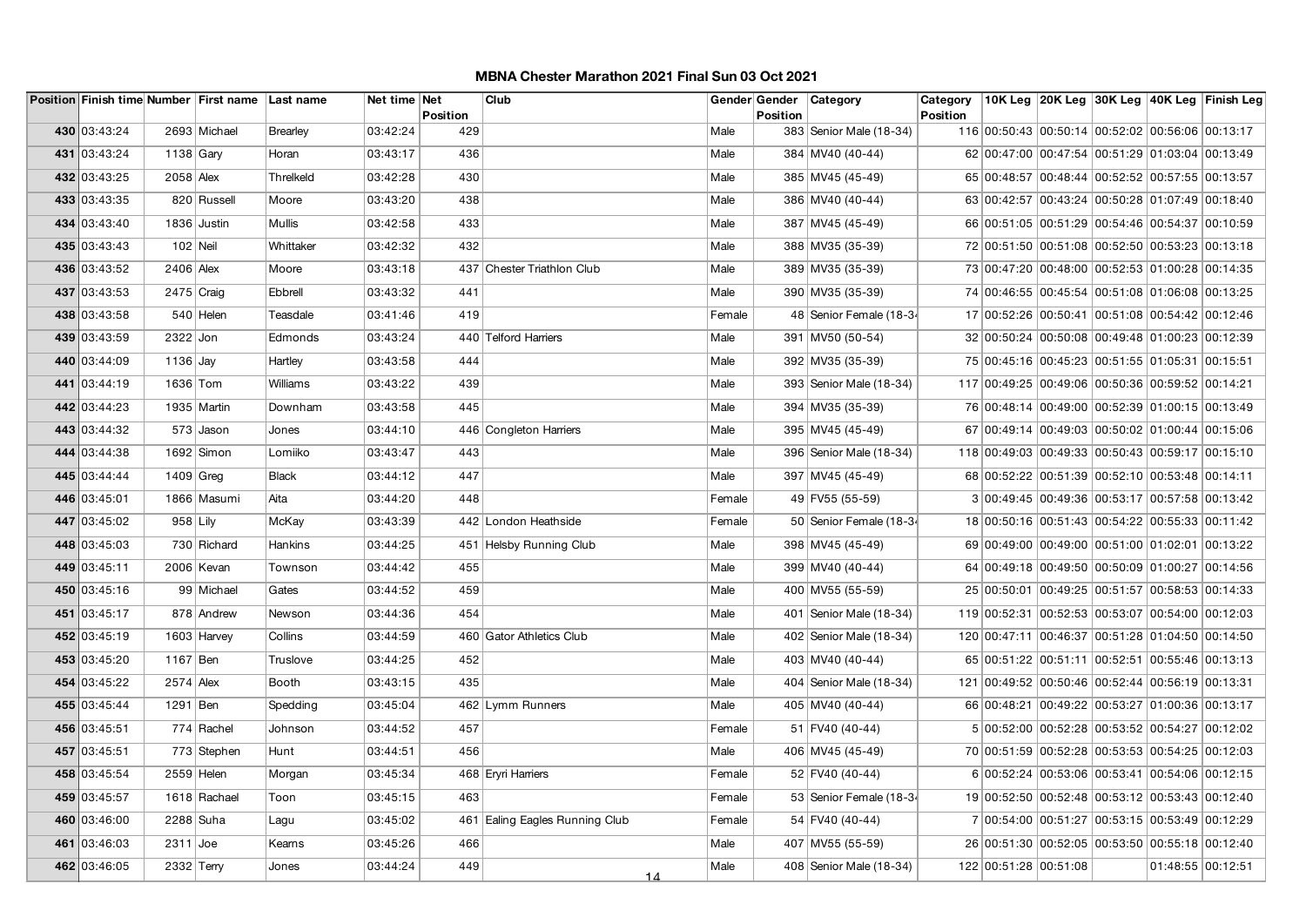|              |              | Position Finish time Number First name Last name |              | Net time Net |                 | Club                           |        | Gender Gender | Category                  | Category |                                                  |  | 10K Leg 20K Leg 30K Leg 40K Leg Finish Leg |
|--------------|--------------|--------------------------------------------------|--------------|--------------|-----------------|--------------------------------|--------|---------------|---------------------------|----------|--------------------------------------------------|--|--------------------------------------------|
| 430 03:43:24 |              | 2693 Michael                                     | Brearley     | 03:42:24     | Position<br>429 |                                | Male   | Position      | 383 Senior Male (18-34)   | Position | 116 00:50:43 00:50:14 00:52:02 00:56:06 00:13:17 |  |                                            |
| 431 03:43:24 | 1138 $G$ ary |                                                  | Horan        | 03:43:17     | 436             |                                | Male   |               | 384 MV40 (40-44)          |          | 62 00:47:00 00:47:54 00:51:29 01:03:04 00:13:49  |  |                                            |
|              |              |                                                  |              |              |                 |                                |        |               |                           |          |                                                  |  |                                            |
| 432 03:43:25 | 2058 Alex    |                                                  | Threlkeld    | 03:42:28     | 430             |                                | Male   |               | 385 MV45 (45-49)          |          | 65 00:48:57 00:48:44 00:52:52 00:57:55 00:13:57  |  |                                            |
| 433 03:43:35 |              | 820 Russell                                      | Moore        | 03:43:20     | 438             |                                | Male   |               | 386 MV40 (40-44)          |          | 63 00:42:57 00:43:24 00:50:28 01:07:49 00:18:40  |  |                                            |
| 434 03:43:40 |              | 1836 Justin                                      | Mullis       | 03:42:58     | 433             |                                | Male   |               | 387 MV45 (45-49)          |          | 66 00:51:05 00:51:29 00:54:46 00:54:37 00:10:59  |  |                                            |
| 435 03:43:43 | $102$ Neil   |                                                  | Whittaker    | 03:42:32     | 432             |                                | Male   |               | 388 MV35 (35-39)          |          | 72 00:51:50 00:51:08 00:52:50 00:53:23 00:13:18  |  |                                            |
| 436 03:43:52 | 2406 Alex    |                                                  | Moore        | 03:43:18     |                 | 437 Chester Triathlon Club     | Male   |               | 389 MV35 (35-39)          |          | 73 00:47:20 00:48:00 00:52:53 01:00:28 00:14:35  |  |                                            |
| 437 03:43:53 | $2475$ Craig |                                                  | Ebbrell      | 03:43:32     | 441             |                                | Male   |               | 390 MV35 (35-39)          |          | 74 00:46:55 00:45:54 00:51:08 01:06:08 00:13:25  |  |                                            |
| 438 03:43:58 |              | 540 Helen                                        | Teasdale     | 03:41:46     | 419             |                                | Female |               | 48 Senior Female (18-34   |          | 17 00:52:26 00:50:41 00:51:08 00:54:42 00:12:46  |  |                                            |
| 439 03:43:59 | 2322 Jon     |                                                  | Edmonds      | 03:43:24     |                 | 440 Telford Harriers           | Male   |               | 391 MV50 (50-54)          |          | 32 00:50:24 00:50:08 00:49:48 01:00:23 00:12:39  |  |                                            |
| 440 03:44:09 | $1136$ Jay   |                                                  | Hartley      | 03:43:58     | 444             |                                | Male   |               | 392 MV35 (35-39)          |          | 75 00:45:16 00:45:23 00:51:55 01:05:31 00:15:51  |  |                                            |
| 441 03:44:19 | 1636 Tom     |                                                  | Williams     | 03:43:22     | 439             |                                | Male   |               | 393 Senior Male (18-34)   |          | 117 00:49:25 00:49:06 00:50:36 00:59:52 00:14:21 |  |                                            |
| 442 03:44:23 |              | 1935 Martin                                      | Downham      | 03:43:58     | 445             |                                | Male   |               | 394 MV35 (35-39)          |          | 76 00:48:14 00:49:00 00:52:39 01:00:15 00:13:49  |  |                                            |
| 443 03:44:32 |              | 573 Jason                                        | Jones        | 03:44:10     |                 | 446 Congleton Harriers         | Male   |               | 395 MV45 (45-49)          |          | 67 00:49:14 00:49:03 00:50:02 01:00:44 00:15:06  |  |                                            |
| 444 03:44:38 |              | $1692$ Simon                                     | Lomiiko      | 03:43:47     | 443             |                                | Male   |               | 396   Senior Male (18-34) |          | 118 00:49:03 00:49:33 00:50:43 00:59:17 00:15:10 |  |                                            |
| 445 03:44:44 | $1409$ Greg  |                                                  | <b>Black</b> | 03:44:12     | 447             |                                | Male   |               | 397 MV45 (45-49)          |          | 68 00:52:22 00:51:39 00:52:10 00:53:48 00:14:11  |  |                                            |
| 446 03:45:01 |              | 1866 Masumi                                      | Aita         | 03:44:20     | 448             |                                | Female |               | 49 FV55 (55-59)           |          | 3 00:49:45 00:49:36 00:53:17 00:57:58 00:13:42   |  |                                            |
| 447 03:45:02 | $958$ Lily   |                                                  | McKay        | 03:43:39     |                 | 442 London Heathside           | Female |               | 50 Senior Female (18-34   |          | 18 00:50:16 00:51:43 00:54:22 00:55:33 00:11:42  |  |                                            |
|              |              |                                                  |              |              |                 |                                |        |               |                           |          |                                                  |  |                                            |
| 448 03:45:03 |              | 730 Richard                                      | Hankins      | 03:44:25     |                 | 451 Helsby Running Club        | Male   |               | 398 MV45 (45-49)          |          | 69 00:49:00 00:49:00 00:51:00 01:02:01 00:13:22  |  |                                            |
| 449 03:45:11 |              | 2006 Kevan                                       | Townson      | 03:44:42     | 455             |                                | Male   |               | 399 MV40 (40-44)          |          | 64 00:49:18 00:49:50 00:50:09 01:00:27 00:14:56  |  |                                            |
| 450 03:45:16 |              | 99 Michael                                       | Gates        | 03:44:52     | 459             |                                | Male   |               | 400 MV55 (55-59)          |          | 25 00:50:01 00:49:25 00:51:57 00:58:53 00:14:33  |  |                                            |
| 451 03:45:17 |              | 878 Andrew                                       | Newson       | 03:44:36     | 454             |                                | Male   |               | 401   Senior Male (18-34) |          | 119 00:52:31 00:52:53 00:53:07 00:54:00 00:12:03 |  |                                            |
| 452 03:45:19 |              | $1603$ Harvey                                    | Collins      | 03:44:59     |                 | 460 Gator Athletics Club       | Male   |               | 402   Senior Male (18-34) |          | 120 00:47:11 00:46:37 00:51:28 01:04:50 00:14:50 |  |                                            |
| 453 03:45:20 | 1167 Ben     |                                                  | Truslove     | 03:44:25     | 452             |                                | Male   |               | 403 MV40 (40-44)          |          | 65 00:51:22 00:51:11 00:52:51 00:55:46 00:13:13  |  |                                            |
| 454 03:45:22 | $2574$ Alex  |                                                  | Booth        | 03:43:15     | 435             |                                | Male   |               | 404 Senior Male (18-34)   |          | 121 00:49:52 00:50:46 00:52:44 00:56:19 00:13:31 |  |                                            |
| 455 03:45:44 | 1291 Ben     |                                                  | Spedding     | 03:45:04     |                 | 462 Lymm Runners               | Male   |               | 405 MV40 (40-44)          |          | 66 00:48:21 00:49:22 00:53:27 01:00:36 00:13:17  |  |                                            |
| 456 03:45:51 |              | 774 Rachel                                       | Johnson      | 03:44:52     | 457             |                                | Female |               | 51 FV40 (40-44)           |          | 5 00:52:00 00:52:28 00:53:52 00:54:27 00:12:02   |  |                                            |
| 457 03:45:51 |              | 773 Stephen                                      | Hunt         | 03:44:51     | 456             |                                | Male   |               | 406 MV45 (45-49)          |          | 70 00:51:59 00:52:28 00:53:53 00:54:25 00:12:03  |  |                                            |
| 458 03:45:54 | $2559$ Helen |                                                  | Morgan       | 03:45:34     |                 | 468 Eryri Harriers             | Female |               | 52 FV40 (40-44)           |          | 6 00:52:24 00:53:06 00:53:41 00:54:06 00:12:15   |  |                                            |
| 459 03:45:57 |              | 1618 Rachael                                     | Toon         | 03:45:15     | 463             |                                | Female |               | 53 Senior Female (18-34   |          | 19 00:52:50 00:52:48 00:53:12 00:53:43 00:12:40  |  |                                            |
| 460 03:46:00 | 2288 Suha    |                                                  | Lagu         | 03:45:02     |                 | 461 Ealing Eagles Running Club | Female |               | 54 FV40 (40-44)           |          | 7 00:54:00 00:51:27 00:53:15 00:53:49 00:12:29   |  |                                            |
| 461 03:46:03 | $2311$ Joe   |                                                  | Kearns       | 03:45:26     | 466             |                                | Male   |               | 407 MV55 (55-59)          |          | 26 00:51:30 00:52:05 00:53:50 00:55:18 00:12:40  |  |                                            |
| 462 03:46:05 | 2332 Terry   |                                                  | Jones        | 03:44:24     | 449             |                                | Male   |               | 408 Senior Male (18-34)   |          | 122 00:51:28 00:51:08                            |  | 01:48:55 00:12:51                          |
|              |              |                                                  |              |              |                 | 14                             |        |               |                           |          |                                                  |  |                                            |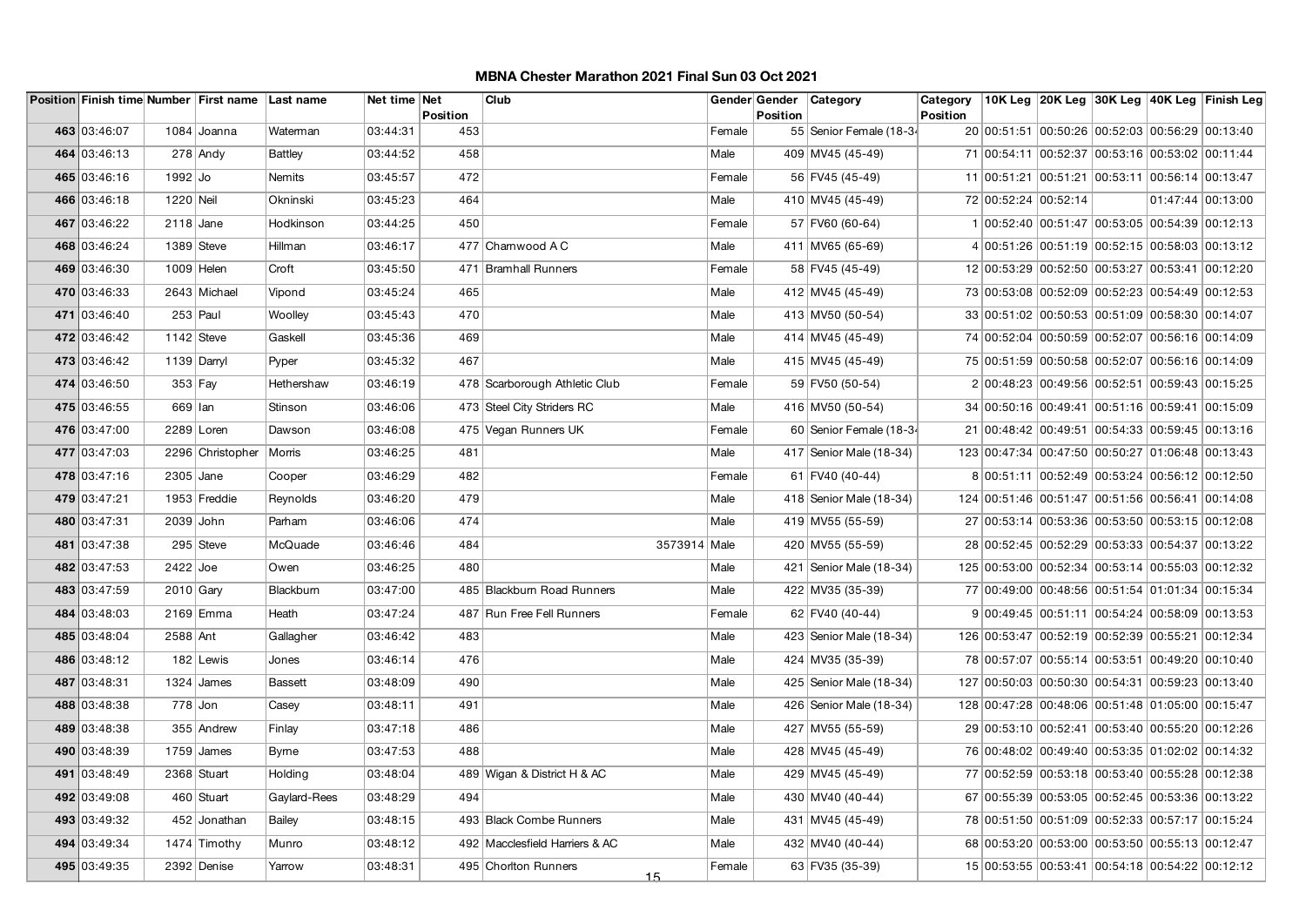| 463 03:46:07<br>20 00:51:51 00:50:26 00:52:03 00:56:29 00:13:40<br>1084 Joanna<br>03:44:31<br>453<br>55 Senior Female (18-34<br>Waterman<br>Female<br>464 03:46:13<br>$278$ Andy<br>03:44:52<br>458<br>Male<br>409 MV45 (45-49)<br>71 00:54:11 00:52:37 00:53:16 00:53:02 00:11:44<br><b>Battley</b><br>465 03:46:16<br>03:45:57<br>472<br>56 FV45 (45-49)<br>1992 Jo<br>Nemits<br>Female<br>11 00:51:21 00:51:21 00:53:11 00:56:14 00:13:47<br>466 03:46:18<br>1220 Neil<br>03:45:23<br>464<br>72 00:52:24 00:52:14<br>01:47:44 00:13:00<br>Okninski<br>Male<br>410 MV45 (45-49)<br>467 03:46:22<br>03:44:25<br>450<br>1 00:52:40 00:51:47 00:53:05 00:54:39 00:12:13<br>$2118$ Jane<br>Hodkinson<br>Female<br>57 FV60 (60-64)<br>468 03:46:24<br>477 Charnwood A C<br>4 00:51:26 00:51:19 00:52:15 00:58:03 00:13:12<br>$1389$ Steve<br>Hillman<br>03:46:17<br>Male<br>411 MV65 (65-69)<br>469 03:46:30<br>12 00:53:29 00:52:50 00:53:27 00:53:41 00:12:20<br>$1009$ Helen<br>Croft<br>03:45:50<br>471 Bramhall Runners<br>58 FV45 (45-49)<br>Female<br>470 03:46:33<br>2643 Michael<br>03:45:24<br>465<br>Male<br>412 MV45 (45-49)<br>73 00:53:08 00:52:09 00:52:23 00:54:49 00:12:53<br>Vipond<br>471 03:46:40<br>$253$ Paul<br>03:45:43<br>470<br>413 MV50 (50-54)<br>33 00:51:02 00:50:53 00:51:09 00:58:30 00:14:07<br>Woolley<br>Male<br>472 03:46:42<br>1142 Steve<br>03:45:36<br>469<br>74 00:52:04 00:50:59 00:52:07 00:56:16 00:14:09<br>Gaskell<br>Male<br>414 MV45 (45-49)<br>473 03:46:42<br>03:45:32<br>467<br>1139 Darryl<br>Pyper<br>Male<br>415 MV45 (45-49)<br>75 00:51:59 00:50:58 00:52:07 00:56:16 00:14:09<br>474 03:46:50<br>2 00:48:23 00:49:56 00:52:51 00:59:43 00:15:25<br>$353$ Fay<br>Hethershaw<br>03:46:19<br>478 Scarborough Athletic Club<br>Female<br>59 FV50 (50-54)<br>475 03:46:55<br>669 lan<br>Stinson<br>03:46:06<br>473 Steel City Striders RC<br>416 MV50 (50-54)<br>34 00:50:16 00:49:41 00:51:16 00:59:41 00:15:09<br>Male<br>476 03:47:00<br>2289 Loren<br>03:46:08<br>475 Vegan Runners UK<br>60 Senior Female (18-34<br>21 00:48:42 00:49:51 00:54:33 00:59:45 00:13:16<br>Dawson<br>Female<br>477 03:47:03<br>2296 Christopher<br>03:46:25<br>Male<br>123 00:47:34 00:47:50 00:50:27 01:06:48 00:13:43<br>Morris<br>481<br>417 Senior Male (18-34)<br>478 03:47:16<br>2305 Jane<br>03:46:29<br>482<br>61 FV40 (40-44)<br>8 00:51:11 00:52:49 00:53:24 00:56:12 00:12:50<br>Cooper<br>Female<br>479 03:47:21<br>1953 Freddie<br>03:46:20<br>479<br>Reynolds<br>Male<br>418 Senior Male (18-34)<br>124 00:51:46 00:51:47 00:51:56 00:56:41 00:14:08<br>480 03:47:31<br>2039 John<br>03:46:06<br>474<br>419 MV55 (55-59)<br>27 00:53:14 00:53:36 00:53:50 00:53:15 00:12:08<br>Parham<br>Male<br>481 03:47:38<br>295 Steve<br>McQuade<br>03:46:46<br>484<br>3573914 Male<br>420 MV55 (55-59)<br>28 00:52:45 00:52:29 00:53:33 00:54:37 00:13:22<br>482 03:47:53<br>$2422$ Joe<br>03:46:25<br>480<br>Male<br>421   Senior Male (18-34)<br>125 00:53:00 00:52:34 00:53:14 00:55:03 00:12:32<br>Owen<br>483 03:47:59<br>2010 Gary<br>Blackbum<br>03:47:00<br>Male<br>422 MV35 (35-39)<br>77 00:49:00 00:48:56 00:51:54 01:01:34 00:15:34<br>485 Blackburn Road Runners<br>484 03:48:03<br>2169 Emma<br>03:47:24<br>487 Run Free Fell Runners<br>62 FV40 (40-44)<br>9 00:49:45 00:51:11 00:54:24 00:58:09 00:13:53<br>Heath<br>Female<br>485 03:48:04<br>2588 Ant<br>Gallagher<br>03:46:42<br>126 00:53:47 00:52:19 00:52:39 00:55:21 00:12:34<br>483<br>Male<br>423 Senior Male (18-34)<br>486 03:48:12<br>03:46:14<br>476<br>424 MV35 (35-39)<br>78 00:57:07 00:55:14 00:53:51 00:49:20 00:10:40<br>182 Lewis<br>Jones<br>Male<br>487 03:48:31<br>127 00:50:03 00:50:30 00:54:31 00:59:23 00:13:40<br>$1324$ James<br>03:48:09<br>490<br>Male<br>425   Senior Male (18-34)<br><b>Bassett</b><br>488 03:48:38<br>$778$ Jon<br>03:48:11<br>491<br>Male<br>426 Senior Male (18-34)<br>128 00:47:28 00:48:06 00:51:48 01:05:00 00:15:47<br>Casey<br>489 03:48:38<br>355 Andrew<br>03:47:18<br>486<br>Male<br>427 MV55 (55-59)<br>29 00:53:10 00:52:41 00:53:40 00:55:20 00:12:26<br>Finlay<br>490 03:48:39<br>$1759$ James<br>03:47:53<br>488<br>Male<br>428 MV45 (45-49)<br>76 00:48:02 00:49:40 00:53:35 01:02:02 00:14:32<br><b>Byrne</b><br>491 03:48:49<br>2368 Stuart<br>03:48:04<br>Holding<br>489 Wigan & District H & AC<br>Male<br>429 MV45 (45-49)<br>77 00:52:59 00:53:18 00:53:40 00:55:28 00:12:38<br>492 03:49:08<br>460 Stuart<br>Gaylard-Rees<br>03:48:29<br>494<br>430 MV40 (40-44)<br>67 00:55:39 00:53:05 00:52:45 00:53:36 00:13:22<br>Male<br>493 03:49:32<br>78 00:51:50 00:51:09 00:52:33 00:57:17 00:15:24<br>452 Jonathan<br>Bailey<br>03:48:15<br>493 Black Combe Runners<br>Male<br>431   MV45 (45-49)<br>494 03:49:34<br>1474 Timothy<br>03:48:12<br>492 Macclesfield Harriers & AC<br>Male<br>432 MV40 (40-44)<br>68 00:53:20 00:53:00 00:53:50 00:55:13 00:12:47<br>Munro<br>495 03:49:35<br>63 FV35 (35-39)<br>2392 Denise<br>03:48:31<br>495 Chorlton Runners<br>15 00:53:55 00:53:41 00:54:18 00:54:22 00:12:12<br>Yarrow<br>Female |  | Position Finish time Number First name Last name | Net time Net | <b>Position</b> | Club | Gender Gender<br><b>Position</b> | Category | Category<br>Position |  |  | 10K Leg 20K Leg 30K Leg 40K Leg Finish Leg |
|----------------------------------------------------------------------------------------------------------------------------------------------------------------------------------------------------------------------------------------------------------------------------------------------------------------------------------------------------------------------------------------------------------------------------------------------------------------------------------------------------------------------------------------------------------------------------------------------------------------------------------------------------------------------------------------------------------------------------------------------------------------------------------------------------------------------------------------------------------------------------------------------------------------------------------------------------------------------------------------------------------------------------------------------------------------------------------------------------------------------------------------------------------------------------------------------------------------------------------------------------------------------------------------------------------------------------------------------------------------------------------------------------------------------------------------------------------------------------------------------------------------------------------------------------------------------------------------------------------------------------------------------------------------------------------------------------------------------------------------------------------------------------------------------------------------------------------------------------------------------------------------------------------------------------------------------------------------------------------------------------------------------------------------------------------------------------------------------------------------------------------------------------------------------------------------------------------------------------------------------------------------------------------------------------------------------------------------------------------------------------------------------------------------------------------------------------------------------------------------------------------------------------------------------------------------------------------------------------------------------------------------------------------------------------------------------------------------------------------------------------------------------------------------------------------------------------------------------------------------------------------------------------------------------------------------------------------------------------------------------------------------------------------------------------------------------------------------------------------------------------------------------------------------------------------------------------------------------------------------------------------------------------------------------------------------------------------------------------------------------------------------------------------------------------------------------------------------------------------------------------------------------------------------------------------------------------------------------------------------------------------------------------------------------------------------------------------------------------------------------------------------------------------------------------------------------------------------------------------------------------------------------------------------------------------------------------------------------------------------------------------------------------------------------------------------------------------------------------------------------------------------------------------------------------------------------------------------------------------------------------------------------------------------------------------------------------------------------------------------------------------------------------------------------------------------------------------------------------------------------------------------------------------------------------------------------------------------------------------------------------------------------------------------------------------------------------------------------------------------------------------------------------------------------------------------------------------------------------------------------------------------------------------------------------------------------------------------------------------------------------------------------------------------------------------------------------------------------------------------|--|--------------------------------------------------|--------------|-----------------|------|----------------------------------|----------|----------------------|--|--|--------------------------------------------|
|                                                                                                                                                                                                                                                                                                                                                                                                                                                                                                                                                                                                                                                                                                                                                                                                                                                                                                                                                                                                                                                                                                                                                                                                                                                                                                                                                                                                                                                                                                                                                                                                                                                                                                                                                                                                                                                                                                                                                                                                                                                                                                                                                                                                                                                                                                                                                                                                                                                                                                                                                                                                                                                                                                                                                                                                                                                                                                                                                                                                                                                                                                                                                                                                                                                                                                                                                                                                                                                                                                                                                                                                                                                                                                                                                                                                                                                                                                                                                                                                                                                                                                                                                                                                                                                                                                                                                                                                                                                                                                                                                                                                                                                                                                                                                                                                                                                                                                                                                                                                                                                                                                                |  |                                                  |              |                 |      |                                  |          |                      |  |  |                                            |
|                                                                                                                                                                                                                                                                                                                                                                                                                                                                                                                                                                                                                                                                                                                                                                                                                                                                                                                                                                                                                                                                                                                                                                                                                                                                                                                                                                                                                                                                                                                                                                                                                                                                                                                                                                                                                                                                                                                                                                                                                                                                                                                                                                                                                                                                                                                                                                                                                                                                                                                                                                                                                                                                                                                                                                                                                                                                                                                                                                                                                                                                                                                                                                                                                                                                                                                                                                                                                                                                                                                                                                                                                                                                                                                                                                                                                                                                                                                                                                                                                                                                                                                                                                                                                                                                                                                                                                                                                                                                                                                                                                                                                                                                                                                                                                                                                                                                                                                                                                                                                                                                                                                |  |                                                  |              |                 |      |                                  |          |                      |  |  |                                            |
|                                                                                                                                                                                                                                                                                                                                                                                                                                                                                                                                                                                                                                                                                                                                                                                                                                                                                                                                                                                                                                                                                                                                                                                                                                                                                                                                                                                                                                                                                                                                                                                                                                                                                                                                                                                                                                                                                                                                                                                                                                                                                                                                                                                                                                                                                                                                                                                                                                                                                                                                                                                                                                                                                                                                                                                                                                                                                                                                                                                                                                                                                                                                                                                                                                                                                                                                                                                                                                                                                                                                                                                                                                                                                                                                                                                                                                                                                                                                                                                                                                                                                                                                                                                                                                                                                                                                                                                                                                                                                                                                                                                                                                                                                                                                                                                                                                                                                                                                                                                                                                                                                                                |  |                                                  |              |                 |      |                                  |          |                      |  |  |                                            |
|                                                                                                                                                                                                                                                                                                                                                                                                                                                                                                                                                                                                                                                                                                                                                                                                                                                                                                                                                                                                                                                                                                                                                                                                                                                                                                                                                                                                                                                                                                                                                                                                                                                                                                                                                                                                                                                                                                                                                                                                                                                                                                                                                                                                                                                                                                                                                                                                                                                                                                                                                                                                                                                                                                                                                                                                                                                                                                                                                                                                                                                                                                                                                                                                                                                                                                                                                                                                                                                                                                                                                                                                                                                                                                                                                                                                                                                                                                                                                                                                                                                                                                                                                                                                                                                                                                                                                                                                                                                                                                                                                                                                                                                                                                                                                                                                                                                                                                                                                                                                                                                                                                                |  |                                                  |              |                 |      |                                  |          |                      |  |  |                                            |
|                                                                                                                                                                                                                                                                                                                                                                                                                                                                                                                                                                                                                                                                                                                                                                                                                                                                                                                                                                                                                                                                                                                                                                                                                                                                                                                                                                                                                                                                                                                                                                                                                                                                                                                                                                                                                                                                                                                                                                                                                                                                                                                                                                                                                                                                                                                                                                                                                                                                                                                                                                                                                                                                                                                                                                                                                                                                                                                                                                                                                                                                                                                                                                                                                                                                                                                                                                                                                                                                                                                                                                                                                                                                                                                                                                                                                                                                                                                                                                                                                                                                                                                                                                                                                                                                                                                                                                                                                                                                                                                                                                                                                                                                                                                                                                                                                                                                                                                                                                                                                                                                                                                |  |                                                  |              |                 |      |                                  |          |                      |  |  |                                            |
|                                                                                                                                                                                                                                                                                                                                                                                                                                                                                                                                                                                                                                                                                                                                                                                                                                                                                                                                                                                                                                                                                                                                                                                                                                                                                                                                                                                                                                                                                                                                                                                                                                                                                                                                                                                                                                                                                                                                                                                                                                                                                                                                                                                                                                                                                                                                                                                                                                                                                                                                                                                                                                                                                                                                                                                                                                                                                                                                                                                                                                                                                                                                                                                                                                                                                                                                                                                                                                                                                                                                                                                                                                                                                                                                                                                                                                                                                                                                                                                                                                                                                                                                                                                                                                                                                                                                                                                                                                                                                                                                                                                                                                                                                                                                                                                                                                                                                                                                                                                                                                                                                                                |  |                                                  |              |                 |      |                                  |          |                      |  |  |                                            |
|                                                                                                                                                                                                                                                                                                                                                                                                                                                                                                                                                                                                                                                                                                                                                                                                                                                                                                                                                                                                                                                                                                                                                                                                                                                                                                                                                                                                                                                                                                                                                                                                                                                                                                                                                                                                                                                                                                                                                                                                                                                                                                                                                                                                                                                                                                                                                                                                                                                                                                                                                                                                                                                                                                                                                                                                                                                                                                                                                                                                                                                                                                                                                                                                                                                                                                                                                                                                                                                                                                                                                                                                                                                                                                                                                                                                                                                                                                                                                                                                                                                                                                                                                                                                                                                                                                                                                                                                                                                                                                                                                                                                                                                                                                                                                                                                                                                                                                                                                                                                                                                                                                                |  |                                                  |              |                 |      |                                  |          |                      |  |  |                                            |
|                                                                                                                                                                                                                                                                                                                                                                                                                                                                                                                                                                                                                                                                                                                                                                                                                                                                                                                                                                                                                                                                                                                                                                                                                                                                                                                                                                                                                                                                                                                                                                                                                                                                                                                                                                                                                                                                                                                                                                                                                                                                                                                                                                                                                                                                                                                                                                                                                                                                                                                                                                                                                                                                                                                                                                                                                                                                                                                                                                                                                                                                                                                                                                                                                                                                                                                                                                                                                                                                                                                                                                                                                                                                                                                                                                                                                                                                                                                                                                                                                                                                                                                                                                                                                                                                                                                                                                                                                                                                                                                                                                                                                                                                                                                                                                                                                                                                                                                                                                                                                                                                                                                |  |                                                  |              |                 |      |                                  |          |                      |  |  |                                            |
|                                                                                                                                                                                                                                                                                                                                                                                                                                                                                                                                                                                                                                                                                                                                                                                                                                                                                                                                                                                                                                                                                                                                                                                                                                                                                                                                                                                                                                                                                                                                                                                                                                                                                                                                                                                                                                                                                                                                                                                                                                                                                                                                                                                                                                                                                                                                                                                                                                                                                                                                                                                                                                                                                                                                                                                                                                                                                                                                                                                                                                                                                                                                                                                                                                                                                                                                                                                                                                                                                                                                                                                                                                                                                                                                                                                                                                                                                                                                                                                                                                                                                                                                                                                                                                                                                                                                                                                                                                                                                                                                                                                                                                                                                                                                                                                                                                                                                                                                                                                                                                                                                                                |  |                                                  |              |                 |      |                                  |          |                      |  |  |                                            |
|                                                                                                                                                                                                                                                                                                                                                                                                                                                                                                                                                                                                                                                                                                                                                                                                                                                                                                                                                                                                                                                                                                                                                                                                                                                                                                                                                                                                                                                                                                                                                                                                                                                                                                                                                                                                                                                                                                                                                                                                                                                                                                                                                                                                                                                                                                                                                                                                                                                                                                                                                                                                                                                                                                                                                                                                                                                                                                                                                                                                                                                                                                                                                                                                                                                                                                                                                                                                                                                                                                                                                                                                                                                                                                                                                                                                                                                                                                                                                                                                                                                                                                                                                                                                                                                                                                                                                                                                                                                                                                                                                                                                                                                                                                                                                                                                                                                                                                                                                                                                                                                                                                                |  |                                                  |              |                 |      |                                  |          |                      |  |  |                                            |
|                                                                                                                                                                                                                                                                                                                                                                                                                                                                                                                                                                                                                                                                                                                                                                                                                                                                                                                                                                                                                                                                                                                                                                                                                                                                                                                                                                                                                                                                                                                                                                                                                                                                                                                                                                                                                                                                                                                                                                                                                                                                                                                                                                                                                                                                                                                                                                                                                                                                                                                                                                                                                                                                                                                                                                                                                                                                                                                                                                                                                                                                                                                                                                                                                                                                                                                                                                                                                                                                                                                                                                                                                                                                                                                                                                                                                                                                                                                                                                                                                                                                                                                                                                                                                                                                                                                                                                                                                                                                                                                                                                                                                                                                                                                                                                                                                                                                                                                                                                                                                                                                                                                |  |                                                  |              |                 |      |                                  |          |                      |  |  |                                            |
|                                                                                                                                                                                                                                                                                                                                                                                                                                                                                                                                                                                                                                                                                                                                                                                                                                                                                                                                                                                                                                                                                                                                                                                                                                                                                                                                                                                                                                                                                                                                                                                                                                                                                                                                                                                                                                                                                                                                                                                                                                                                                                                                                                                                                                                                                                                                                                                                                                                                                                                                                                                                                                                                                                                                                                                                                                                                                                                                                                                                                                                                                                                                                                                                                                                                                                                                                                                                                                                                                                                                                                                                                                                                                                                                                                                                                                                                                                                                                                                                                                                                                                                                                                                                                                                                                                                                                                                                                                                                                                                                                                                                                                                                                                                                                                                                                                                                                                                                                                                                                                                                                                                |  |                                                  |              |                 |      |                                  |          |                      |  |  |                                            |
|                                                                                                                                                                                                                                                                                                                                                                                                                                                                                                                                                                                                                                                                                                                                                                                                                                                                                                                                                                                                                                                                                                                                                                                                                                                                                                                                                                                                                                                                                                                                                                                                                                                                                                                                                                                                                                                                                                                                                                                                                                                                                                                                                                                                                                                                                                                                                                                                                                                                                                                                                                                                                                                                                                                                                                                                                                                                                                                                                                                                                                                                                                                                                                                                                                                                                                                                                                                                                                                                                                                                                                                                                                                                                                                                                                                                                                                                                                                                                                                                                                                                                                                                                                                                                                                                                                                                                                                                                                                                                                                                                                                                                                                                                                                                                                                                                                                                                                                                                                                                                                                                                                                |  |                                                  |              |                 |      |                                  |          |                      |  |  |                                            |
|                                                                                                                                                                                                                                                                                                                                                                                                                                                                                                                                                                                                                                                                                                                                                                                                                                                                                                                                                                                                                                                                                                                                                                                                                                                                                                                                                                                                                                                                                                                                                                                                                                                                                                                                                                                                                                                                                                                                                                                                                                                                                                                                                                                                                                                                                                                                                                                                                                                                                                                                                                                                                                                                                                                                                                                                                                                                                                                                                                                                                                                                                                                                                                                                                                                                                                                                                                                                                                                                                                                                                                                                                                                                                                                                                                                                                                                                                                                                                                                                                                                                                                                                                                                                                                                                                                                                                                                                                                                                                                                                                                                                                                                                                                                                                                                                                                                                                                                                                                                                                                                                                                                |  |                                                  |              |                 |      |                                  |          |                      |  |  |                                            |
|                                                                                                                                                                                                                                                                                                                                                                                                                                                                                                                                                                                                                                                                                                                                                                                                                                                                                                                                                                                                                                                                                                                                                                                                                                                                                                                                                                                                                                                                                                                                                                                                                                                                                                                                                                                                                                                                                                                                                                                                                                                                                                                                                                                                                                                                                                                                                                                                                                                                                                                                                                                                                                                                                                                                                                                                                                                                                                                                                                                                                                                                                                                                                                                                                                                                                                                                                                                                                                                                                                                                                                                                                                                                                                                                                                                                                                                                                                                                                                                                                                                                                                                                                                                                                                                                                                                                                                                                                                                                                                                                                                                                                                                                                                                                                                                                                                                                                                                                                                                                                                                                                                                |  |                                                  |              |                 |      |                                  |          |                      |  |  |                                            |
|                                                                                                                                                                                                                                                                                                                                                                                                                                                                                                                                                                                                                                                                                                                                                                                                                                                                                                                                                                                                                                                                                                                                                                                                                                                                                                                                                                                                                                                                                                                                                                                                                                                                                                                                                                                                                                                                                                                                                                                                                                                                                                                                                                                                                                                                                                                                                                                                                                                                                                                                                                                                                                                                                                                                                                                                                                                                                                                                                                                                                                                                                                                                                                                                                                                                                                                                                                                                                                                                                                                                                                                                                                                                                                                                                                                                                                                                                                                                                                                                                                                                                                                                                                                                                                                                                                                                                                                                                                                                                                                                                                                                                                                                                                                                                                                                                                                                                                                                                                                                                                                                                                                |  |                                                  |              |                 |      |                                  |          |                      |  |  |                                            |
|                                                                                                                                                                                                                                                                                                                                                                                                                                                                                                                                                                                                                                                                                                                                                                                                                                                                                                                                                                                                                                                                                                                                                                                                                                                                                                                                                                                                                                                                                                                                                                                                                                                                                                                                                                                                                                                                                                                                                                                                                                                                                                                                                                                                                                                                                                                                                                                                                                                                                                                                                                                                                                                                                                                                                                                                                                                                                                                                                                                                                                                                                                                                                                                                                                                                                                                                                                                                                                                                                                                                                                                                                                                                                                                                                                                                                                                                                                                                                                                                                                                                                                                                                                                                                                                                                                                                                                                                                                                                                                                                                                                                                                                                                                                                                                                                                                                                                                                                                                                                                                                                                                                |  |                                                  |              |                 |      |                                  |          |                      |  |  |                                            |
|                                                                                                                                                                                                                                                                                                                                                                                                                                                                                                                                                                                                                                                                                                                                                                                                                                                                                                                                                                                                                                                                                                                                                                                                                                                                                                                                                                                                                                                                                                                                                                                                                                                                                                                                                                                                                                                                                                                                                                                                                                                                                                                                                                                                                                                                                                                                                                                                                                                                                                                                                                                                                                                                                                                                                                                                                                                                                                                                                                                                                                                                                                                                                                                                                                                                                                                                                                                                                                                                                                                                                                                                                                                                                                                                                                                                                                                                                                                                                                                                                                                                                                                                                                                                                                                                                                                                                                                                                                                                                                                                                                                                                                                                                                                                                                                                                                                                                                                                                                                                                                                                                                                |  |                                                  |              |                 |      |                                  |          |                      |  |  |                                            |
|                                                                                                                                                                                                                                                                                                                                                                                                                                                                                                                                                                                                                                                                                                                                                                                                                                                                                                                                                                                                                                                                                                                                                                                                                                                                                                                                                                                                                                                                                                                                                                                                                                                                                                                                                                                                                                                                                                                                                                                                                                                                                                                                                                                                                                                                                                                                                                                                                                                                                                                                                                                                                                                                                                                                                                                                                                                                                                                                                                                                                                                                                                                                                                                                                                                                                                                                                                                                                                                                                                                                                                                                                                                                                                                                                                                                                                                                                                                                                                                                                                                                                                                                                                                                                                                                                                                                                                                                                                                                                                                                                                                                                                                                                                                                                                                                                                                                                                                                                                                                                                                                                                                |  |                                                  |              |                 |      |                                  |          |                      |  |  |                                            |
|                                                                                                                                                                                                                                                                                                                                                                                                                                                                                                                                                                                                                                                                                                                                                                                                                                                                                                                                                                                                                                                                                                                                                                                                                                                                                                                                                                                                                                                                                                                                                                                                                                                                                                                                                                                                                                                                                                                                                                                                                                                                                                                                                                                                                                                                                                                                                                                                                                                                                                                                                                                                                                                                                                                                                                                                                                                                                                                                                                                                                                                                                                                                                                                                                                                                                                                                                                                                                                                                                                                                                                                                                                                                                                                                                                                                                                                                                                                                                                                                                                                                                                                                                                                                                                                                                                                                                                                                                                                                                                                                                                                                                                                                                                                                                                                                                                                                                                                                                                                                                                                                                                                |  |                                                  |              |                 |      |                                  |          |                      |  |  |                                            |
|                                                                                                                                                                                                                                                                                                                                                                                                                                                                                                                                                                                                                                                                                                                                                                                                                                                                                                                                                                                                                                                                                                                                                                                                                                                                                                                                                                                                                                                                                                                                                                                                                                                                                                                                                                                                                                                                                                                                                                                                                                                                                                                                                                                                                                                                                                                                                                                                                                                                                                                                                                                                                                                                                                                                                                                                                                                                                                                                                                                                                                                                                                                                                                                                                                                                                                                                                                                                                                                                                                                                                                                                                                                                                                                                                                                                                                                                                                                                                                                                                                                                                                                                                                                                                                                                                                                                                                                                                                                                                                                                                                                                                                                                                                                                                                                                                                                                                                                                                                                                                                                                                                                |  |                                                  |              |                 |      |                                  |          |                      |  |  |                                            |
|                                                                                                                                                                                                                                                                                                                                                                                                                                                                                                                                                                                                                                                                                                                                                                                                                                                                                                                                                                                                                                                                                                                                                                                                                                                                                                                                                                                                                                                                                                                                                                                                                                                                                                                                                                                                                                                                                                                                                                                                                                                                                                                                                                                                                                                                                                                                                                                                                                                                                                                                                                                                                                                                                                                                                                                                                                                                                                                                                                                                                                                                                                                                                                                                                                                                                                                                                                                                                                                                                                                                                                                                                                                                                                                                                                                                                                                                                                                                                                                                                                                                                                                                                                                                                                                                                                                                                                                                                                                                                                                                                                                                                                                                                                                                                                                                                                                                                                                                                                                                                                                                                                                |  |                                                  |              |                 |      |                                  |          |                      |  |  |                                            |
|                                                                                                                                                                                                                                                                                                                                                                                                                                                                                                                                                                                                                                                                                                                                                                                                                                                                                                                                                                                                                                                                                                                                                                                                                                                                                                                                                                                                                                                                                                                                                                                                                                                                                                                                                                                                                                                                                                                                                                                                                                                                                                                                                                                                                                                                                                                                                                                                                                                                                                                                                                                                                                                                                                                                                                                                                                                                                                                                                                                                                                                                                                                                                                                                                                                                                                                                                                                                                                                                                                                                                                                                                                                                                                                                                                                                                                                                                                                                                                                                                                                                                                                                                                                                                                                                                                                                                                                                                                                                                                                                                                                                                                                                                                                                                                                                                                                                                                                                                                                                                                                                                                                |  |                                                  |              |                 |      |                                  |          |                      |  |  |                                            |
|                                                                                                                                                                                                                                                                                                                                                                                                                                                                                                                                                                                                                                                                                                                                                                                                                                                                                                                                                                                                                                                                                                                                                                                                                                                                                                                                                                                                                                                                                                                                                                                                                                                                                                                                                                                                                                                                                                                                                                                                                                                                                                                                                                                                                                                                                                                                                                                                                                                                                                                                                                                                                                                                                                                                                                                                                                                                                                                                                                                                                                                                                                                                                                                                                                                                                                                                                                                                                                                                                                                                                                                                                                                                                                                                                                                                                                                                                                                                                                                                                                                                                                                                                                                                                                                                                                                                                                                                                                                                                                                                                                                                                                                                                                                                                                                                                                                                                                                                                                                                                                                                                                                |  |                                                  |              |                 |      |                                  |          |                      |  |  |                                            |
|                                                                                                                                                                                                                                                                                                                                                                                                                                                                                                                                                                                                                                                                                                                                                                                                                                                                                                                                                                                                                                                                                                                                                                                                                                                                                                                                                                                                                                                                                                                                                                                                                                                                                                                                                                                                                                                                                                                                                                                                                                                                                                                                                                                                                                                                                                                                                                                                                                                                                                                                                                                                                                                                                                                                                                                                                                                                                                                                                                                                                                                                                                                                                                                                                                                                                                                                                                                                                                                                                                                                                                                                                                                                                                                                                                                                                                                                                                                                                                                                                                                                                                                                                                                                                                                                                                                                                                                                                                                                                                                                                                                                                                                                                                                                                                                                                                                                                                                                                                                                                                                                                                                |  |                                                  |              |                 |      |                                  |          |                      |  |  |                                            |
|                                                                                                                                                                                                                                                                                                                                                                                                                                                                                                                                                                                                                                                                                                                                                                                                                                                                                                                                                                                                                                                                                                                                                                                                                                                                                                                                                                                                                                                                                                                                                                                                                                                                                                                                                                                                                                                                                                                                                                                                                                                                                                                                                                                                                                                                                                                                                                                                                                                                                                                                                                                                                                                                                                                                                                                                                                                                                                                                                                                                                                                                                                                                                                                                                                                                                                                                                                                                                                                                                                                                                                                                                                                                                                                                                                                                                                                                                                                                                                                                                                                                                                                                                                                                                                                                                                                                                                                                                                                                                                                                                                                                                                                                                                                                                                                                                                                                                                                                                                                                                                                                                                                |  |                                                  |              |                 |      |                                  |          |                      |  |  |                                            |
|                                                                                                                                                                                                                                                                                                                                                                                                                                                                                                                                                                                                                                                                                                                                                                                                                                                                                                                                                                                                                                                                                                                                                                                                                                                                                                                                                                                                                                                                                                                                                                                                                                                                                                                                                                                                                                                                                                                                                                                                                                                                                                                                                                                                                                                                                                                                                                                                                                                                                                                                                                                                                                                                                                                                                                                                                                                                                                                                                                                                                                                                                                                                                                                                                                                                                                                                                                                                                                                                                                                                                                                                                                                                                                                                                                                                                                                                                                                                                                                                                                                                                                                                                                                                                                                                                                                                                                                                                                                                                                                                                                                                                                                                                                                                                                                                                                                                                                                                                                                                                                                                                                                |  |                                                  |              |                 |      |                                  |          |                      |  |  |                                            |
|                                                                                                                                                                                                                                                                                                                                                                                                                                                                                                                                                                                                                                                                                                                                                                                                                                                                                                                                                                                                                                                                                                                                                                                                                                                                                                                                                                                                                                                                                                                                                                                                                                                                                                                                                                                                                                                                                                                                                                                                                                                                                                                                                                                                                                                                                                                                                                                                                                                                                                                                                                                                                                                                                                                                                                                                                                                                                                                                                                                                                                                                                                                                                                                                                                                                                                                                                                                                                                                                                                                                                                                                                                                                                                                                                                                                                                                                                                                                                                                                                                                                                                                                                                                                                                                                                                                                                                                                                                                                                                                                                                                                                                                                                                                                                                                                                                                                                                                                                                                                                                                                                                                |  |                                                  |              |                 |      |                                  |          |                      |  |  |                                            |
|                                                                                                                                                                                                                                                                                                                                                                                                                                                                                                                                                                                                                                                                                                                                                                                                                                                                                                                                                                                                                                                                                                                                                                                                                                                                                                                                                                                                                                                                                                                                                                                                                                                                                                                                                                                                                                                                                                                                                                                                                                                                                                                                                                                                                                                                                                                                                                                                                                                                                                                                                                                                                                                                                                                                                                                                                                                                                                                                                                                                                                                                                                                                                                                                                                                                                                                                                                                                                                                                                                                                                                                                                                                                                                                                                                                                                                                                                                                                                                                                                                                                                                                                                                                                                                                                                                                                                                                                                                                                                                                                                                                                                                                                                                                                                                                                                                                                                                                                                                                                                                                                                                                |  |                                                  |              |                 |      |                                  |          |                      |  |  |                                            |
|                                                                                                                                                                                                                                                                                                                                                                                                                                                                                                                                                                                                                                                                                                                                                                                                                                                                                                                                                                                                                                                                                                                                                                                                                                                                                                                                                                                                                                                                                                                                                                                                                                                                                                                                                                                                                                                                                                                                                                                                                                                                                                                                                                                                                                                                                                                                                                                                                                                                                                                                                                                                                                                                                                                                                                                                                                                                                                                                                                                                                                                                                                                                                                                                                                                                                                                                                                                                                                                                                                                                                                                                                                                                                                                                                                                                                                                                                                                                                                                                                                                                                                                                                                                                                                                                                                                                                                                                                                                                                                                                                                                                                                                                                                                                                                                                                                                                                                                                                                                                                                                                                                                |  |                                                  |              |                 |      |                                  |          |                      |  |  |                                            |
|                                                                                                                                                                                                                                                                                                                                                                                                                                                                                                                                                                                                                                                                                                                                                                                                                                                                                                                                                                                                                                                                                                                                                                                                                                                                                                                                                                                                                                                                                                                                                                                                                                                                                                                                                                                                                                                                                                                                                                                                                                                                                                                                                                                                                                                                                                                                                                                                                                                                                                                                                                                                                                                                                                                                                                                                                                                                                                                                                                                                                                                                                                                                                                                                                                                                                                                                                                                                                                                                                                                                                                                                                                                                                                                                                                                                                                                                                                                                                                                                                                                                                                                                                                                                                                                                                                                                                                                                                                                                                                                                                                                                                                                                                                                                                                                                                                                                                                                                                                                                                                                                                                                |  |                                                  |              |                 |      |                                  |          |                      |  |  |                                            |
|                                                                                                                                                                                                                                                                                                                                                                                                                                                                                                                                                                                                                                                                                                                                                                                                                                                                                                                                                                                                                                                                                                                                                                                                                                                                                                                                                                                                                                                                                                                                                                                                                                                                                                                                                                                                                                                                                                                                                                                                                                                                                                                                                                                                                                                                                                                                                                                                                                                                                                                                                                                                                                                                                                                                                                                                                                                                                                                                                                                                                                                                                                                                                                                                                                                                                                                                                                                                                                                                                                                                                                                                                                                                                                                                                                                                                                                                                                                                                                                                                                                                                                                                                                                                                                                                                                                                                                                                                                                                                                                                                                                                                                                                                                                                                                                                                                                                                                                                                                                                                                                                                                                |  |                                                  |              |                 |      |                                  |          |                      |  |  |                                            |
|                                                                                                                                                                                                                                                                                                                                                                                                                                                                                                                                                                                                                                                                                                                                                                                                                                                                                                                                                                                                                                                                                                                                                                                                                                                                                                                                                                                                                                                                                                                                                                                                                                                                                                                                                                                                                                                                                                                                                                                                                                                                                                                                                                                                                                                                                                                                                                                                                                                                                                                                                                                                                                                                                                                                                                                                                                                                                                                                                                                                                                                                                                                                                                                                                                                                                                                                                                                                                                                                                                                                                                                                                                                                                                                                                                                                                                                                                                                                                                                                                                                                                                                                                                                                                                                                                                                                                                                                                                                                                                                                                                                                                                                                                                                                                                                                                                                                                                                                                                                                                                                                                                                |  |                                                  |              |                 | 15   |                                  |          |                      |  |  |                                            |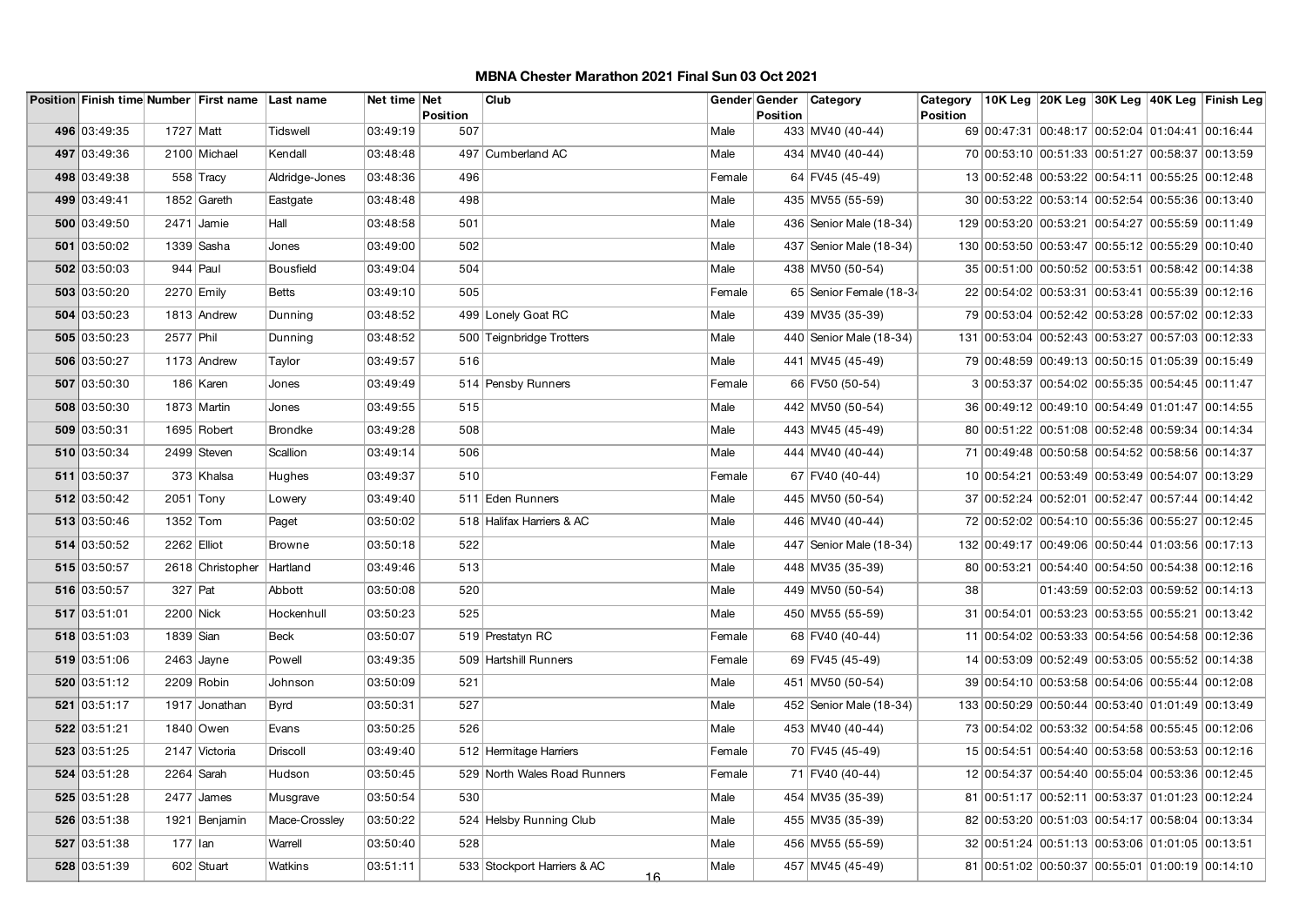|              |             | Position Finish time Number First name Last name |                  | Net time Net | <b>Position</b> | Club                              |        | Gender Gender Category<br><b>Position</b> |                         | Category<br><b>Position</b> |                                                  |                                     | 10K Leg 20K Leg 30K Leg 40K Leg Finish Leg |
|--------------|-------------|--------------------------------------------------|------------------|--------------|-----------------|-----------------------------------|--------|-------------------------------------------|-------------------------|-----------------------------|--------------------------------------------------|-------------------------------------|--------------------------------------------|
| 496 03:49:35 | 1727   Matt |                                                  | Tidswell         | 03:49:19     | 507             |                                   | Male   |                                           | 433 MV40 (40-44)        |                             | 69 00:47:31 00:48:17 00:52:04 01:04:41 00:16:44  |                                     |                                            |
| 497 03:49:36 |             | 2100 Michael                                     | Kendall          | 03:48:48     |                 | 497 Cumberland AC                 | Male   |                                           | 434 MV40 (40-44)        |                             | 70 00:53:10 00:51:33 00:51:27 00:58:37 00:13:59  |                                     |                                            |
| 498 03:49:38 |             | 558 Tracy                                        | Aldridge-Jones   | 03:48:36     | 496             |                                   | Female |                                           | 64 FV45 (45-49)         |                             | 13 00:52:48 00:53:22 00:54:11 00:55:25 00:12:48  |                                     |                                            |
| 499 03:49:41 |             | 1852 Gareth                                      | Eastgate         | 03:48:48     | 498             |                                   | Male   |                                           | 435 MV55 (55-59)        |                             | 30 00:53:22 00:53:14 00:52:54 00:55:36 00:13:40  |                                     |                                            |
| 500 03:49:50 |             | $2471$ Jamie                                     | Hall             | 03:48:58     | 501             |                                   | Male   |                                           | 436 Senior Male (18-34) |                             | 129 00:53:20 00:53:21 00:54:27 00:55:59 00:11:49 |                                     |                                            |
| 501 03:50:02 |             | 1339 Sasha                                       | Jones            | 03:49:00     | 502             |                                   | Male   |                                           | 437 Senior Male (18-34) |                             | 130 00:53:50 00:53:47 00:55:12 00:55:29 00:10:40 |                                     |                                            |
| 502 03:50:03 |             | $944$ Paul                                       | <b>Bousfield</b> | 03:49:04     | 504             |                                   | Male   |                                           | 438 MV50 (50-54)        |                             | 35 00:51:00 00:50:52 00:53:51 00:58:42 00:14:38  |                                     |                                            |
| 503 03:50:20 |             | 2270 Emily                                       | Betts            | 03:49:10     | 505             |                                   | Female |                                           | 65 Senior Female (18-34 |                             | 22 00:54:02 00:53:31 00:53:41 00:55:39 00:12:16  |                                     |                                            |
| 504 03:50:23 |             | 1813 Andrew                                      | Dunning          | 03:48:52     |                 | 499 Lonely Goat RC                | Male   |                                           | 439 MV35 (35-39)        |                             | 79 00:53:04 00:52:42 00:53:28 00:57:02 00:12:33  |                                     |                                            |
| 505 03:50:23 | 2577 Phil   |                                                  | Dunning          | 03:48:52     |                 | 500 Teignbridge Trotters          | Male   |                                           | 440 Senior Male (18-34) |                             | 131 00:53:04 00:52:43 00:53:27 00:57:03 00:12:33 |                                     |                                            |
| 506 03:50:27 |             | 1173 Andrew                                      | Taylor           | 03:49:57     | 516             |                                   | Male   |                                           | 441 MV45 (45-49)        |                             | 79 00:48:59 00:49:13 00:50:15 01:05:39 00:15:49  |                                     |                                            |
| 507 03:50:30 |             | 186 Karen                                        | Jones            | 03:49:49     |                 | 514 Pensby Runners                | Female |                                           | 66 FV50 (50-54)         |                             | 3 00:53:37 00:54:02 00:55:35 00:54:45 00:11:47   |                                     |                                            |
| 508 03:50:30 |             | 1873 Martin                                      | Jones            | 03:49:55     | 515             |                                   | Male   |                                           | 442 MV50 (50-54)        |                             | 36 00:49:12 00:49:10 00:54:49 01:01:47 00:14:55  |                                     |                                            |
| 509 03:50:31 |             | 1695 Robert                                      | <b>Brondke</b>   | 03:49:28     | 508             |                                   | Male   |                                           | 443 MV45 (45-49)        |                             | 80 00:51:22 00:51:08 00:52:48 00:59:34 00:14:34  |                                     |                                            |
| 510 03:50:34 |             | 2499 Steven                                      | Scallion         | 03:49:14     | 506             |                                   | Male   |                                           | 444 MV40 (40-44)        |                             | 71 00:49:48 00:50:58 00:54:52 00:58:56 00:14:37  |                                     |                                            |
| 511 03:50:37 |             | 373 Khalsa                                       | Hughes           | 03:49:37     | 510             |                                   | Female |                                           | 67 FV40 (40-44)         |                             | 10 00:54:21 00:53:49 00:53:49 00:54:07 00:13:29  |                                     |                                            |
| 512 03:50:42 | $2051$ Tony |                                                  | Lowery           | 03:49:40     |                 | 511 Eden Runners                  | Male   |                                           | 445 MV50 (50-54)        |                             | 37 00:52:24 00:52:01 00:52:47 00:57:44 00:14:42  |                                     |                                            |
| 513 03:50:46 | $1352$ Tom  |                                                  | Paget            | 03:50:02     |                 | 518 Halifax Harriers & AC         | Male   |                                           | 446 MV40 (40-44)        |                             | 72 00:52:02 00:54:10 00:55:36 00:55:27 00:12:45  |                                     |                                            |
| 514 03:50:52 | 2262 Elliot |                                                  | <b>Browne</b>    | 03:50:18     | 522             |                                   | Male   |                                           | 447 Senior Male (18-34) |                             | 132 00:49:17 00:49:06 00:50:44 01:03:56 00:17:13 |                                     |                                            |
| 515 03:50:57 |             | 2618 Christopher                                 | Hartland         | 03:49:46     | 513             |                                   | Male   |                                           | 448 MV35 (35-39)        |                             | 80 00:53:21 00:54:40 00:54:50 00:54:38 00:12:16  |                                     |                                            |
| 516 03:50:57 | $327$ Pat   |                                                  | Abbott           | 03:50:08     | 520             |                                   | Male   |                                           | 449 MV50 (50-54)        | 38                          |                                                  | 01:43:59 00:52:03 00:59:52 00:14:13 |                                            |
| 517 03:51:01 | 2200 Nick   |                                                  | Hockenhull       | 03:50:23     | 525             |                                   | Male   |                                           | 450 MV55 (55-59)        |                             | 31 00:54:01 00:53:23 00:53:55 00:55:21 00:13:42  |                                     |                                            |
| 518 03:51:03 | 1839 Sian   |                                                  | <b>Beck</b>      | 03:50:07     |                 | 519 Prestatyn RC                  | Female |                                           | 68 FV40 (40-44)         |                             | 11 00:54:02 00:53:33 00:54:56 00:54:58 00:12:36  |                                     |                                            |
| 519 03:51:06 |             | $2463$ Jayne                                     | Powell           | 03:49:35     |                 | 509 Hartshill Runners             | Female |                                           | 69 FV45 (45-49)         |                             | 14 00:53:09 00:52:49 00:53:05 00:55:52 00:14:38  |                                     |                                            |
| 520 03:51:12 |             | $2209$ Robin                                     | Johnson          | 03:50:09     | 521             |                                   | Male   |                                           | 451 MV50 (50-54)        |                             | 39 00:54:10 00:53:58 00:54:06 00:55:44 00:12:08  |                                     |                                            |
| 521 03:51:17 |             | 1917 Jonathan                                    | <b>Byrd</b>      | 03:50:31     | 527             |                                   | Male   |                                           | 452 Senior Male (18-34) |                             | 133 00:50:29 00:50:44 00:53:40 01:01:49 00:13:49 |                                     |                                            |
| 522 03:51:21 |             | 1840 Owen                                        | Evans            | 03:50:25     | 526             |                                   | Male   |                                           | 453 MV40 (40-44)        |                             | 73 00:54:02 00:53:32 00:54:58 00:55:45 00:12:06  |                                     |                                            |
| 523 03:51:25 |             | 2147 Victoria                                    | Driscoll         | 03:49:40     |                 | 512 Hermitage Harriers            | Female |                                           | 70 FV45 (45-49)         |                             | 15 00:54:51 00:54:40 00:53:58 00:53:53 00:12:16  |                                     |                                            |
| 524 03:51:28 |             | 2264 Sarah                                       | Hudson           | 03:50:45     |                 | 529 North Wales Road Runners      | Female |                                           | 71 FV40 (40-44)         |                             | 12 00:54:37 00:54:40 00:55:04 00:53:36 00:12:45  |                                     |                                            |
| 525 03:51:28 |             | 2477 James                                       | Musgrave         | 03:50:54     | 530             |                                   | Male   |                                           | 454 MV35 (35-39)        |                             | 81 00:51:17 00:52:11 00:53:37 01:01:23 00:12:24  |                                     |                                            |
| 526 03:51:38 |             | 1921 Benjamin                                    | Mace-Crossley    | 03:50:22     |                 | 524 Helsby Running Club           | Male   |                                           | 455 MV35 (35-39)        |                             | 82 00:53:20 00:51:03 00:54:17 00:58:04 00:13:34  |                                     |                                            |
| 527 03:51:38 | $177$ Ian   |                                                  | Warrell          | 03:50:40     | 528             |                                   | Male   |                                           | 456 MV55 (55-59)        |                             | 32 00:51:24 00:51:13 00:53:06 01:01:05 00:13:51  |                                     |                                            |
| 528 03:51:39 |             | 602 Stuart                                       | Watkins          | 03:51:11     |                 | 533 Stockport Harriers & AC<br>16 | Male   |                                           | 457 MV45 (45-49)        |                             | 81 00:51:02 00:50:37 00:55:01 01:00:19 00:14:10  |                                     |                                            |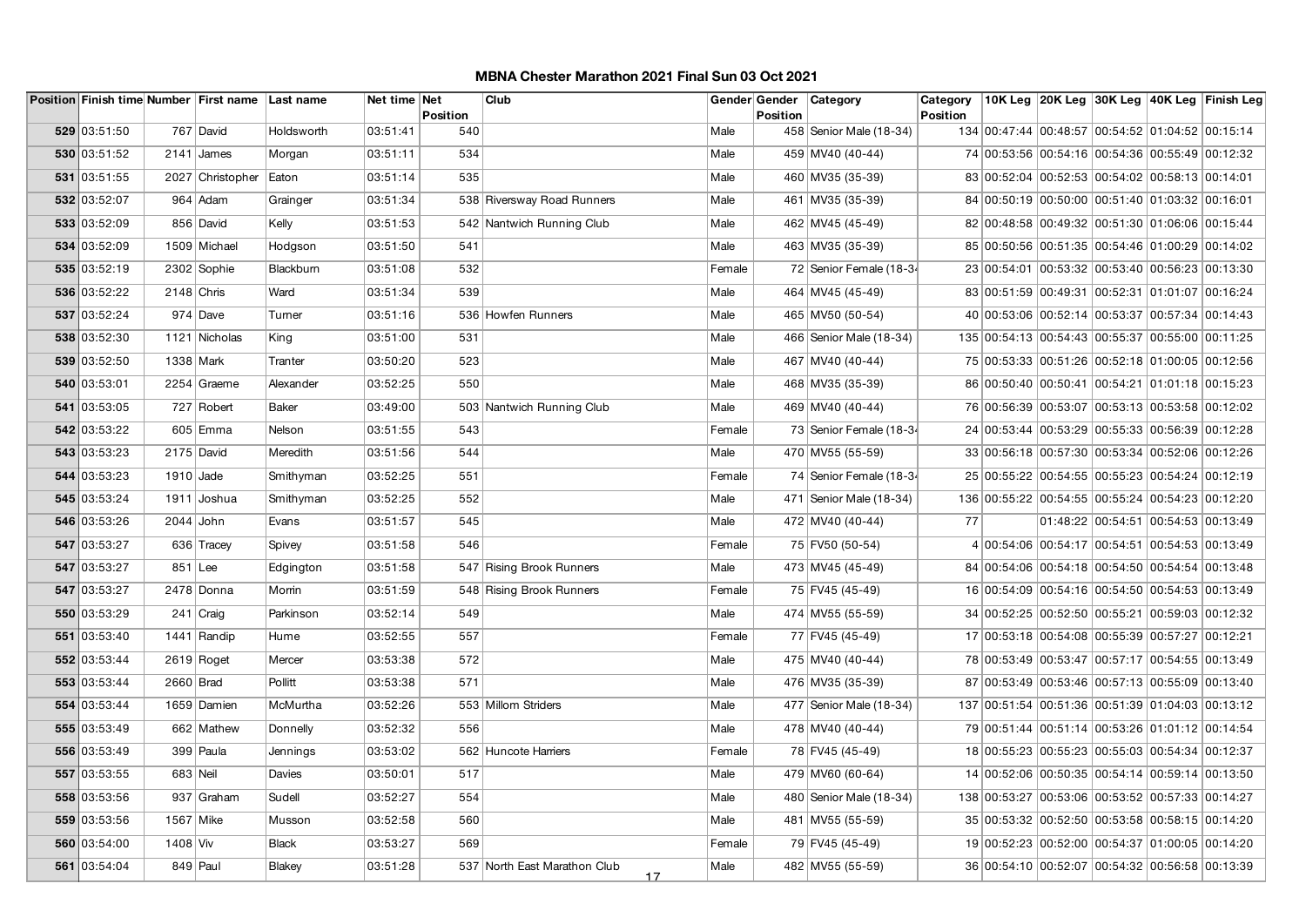|              |             | Position Finish time Number First name Last name |               | Net time Net | <b>Position</b> | Club                               |        | Gender Gender<br><b>Position</b> | Category                  | Category<br><b>Position</b> |                                                  |                                     | 10K Leg 20K Leg 30K Leg 40K Leg Finish Leg |
|--------------|-------------|--------------------------------------------------|---------------|--------------|-----------------|------------------------------------|--------|----------------------------------|---------------------------|-----------------------------|--------------------------------------------------|-------------------------------------|--------------------------------------------|
| 529 03:51:50 |             | 767 David                                        | Holdsworth    | 03:51:41     | 540             |                                    | Male   |                                  | 458 Senior Male (18-34)   |                             | 134 00:47:44 00:48:57 00:54:52 01:04:52 00:15:14 |                                     |                                            |
| 530 03:51:52 |             | $2141$ James                                     | Morgan        | 03:51:11     | 534             |                                    | Male   |                                  | 459 MV40 (40-44)          |                             | 74 00:53:56 00:54:16 00:54:36 00:55:49 00:12:32  |                                     |                                            |
| 531 03:51:55 |             | 2027 Christopher                                 | Eaton         | 03:51:14     | 535             |                                    | Male   |                                  | 460 MV35 (35-39)          |                             | 83 00:52:04 00:52:53 00:54:02 00:58:13 00:14:01  |                                     |                                            |
| 532 03:52:07 |             | 964 Adam                                         | Grainger      | 03:51:34     |                 | 538 Riversway Road Runners         | Male   |                                  | 461 MV35 (35-39)          |                             | 84 00:50:19 00:50:00 00:51:40 01:03:32 00:16:01  |                                     |                                            |
| 533 03:52:09 |             | 856 David                                        | Kelly         | 03:51:53     |                 | 542 Nantwich Running Club          | Male   |                                  | 462 MV45 (45-49)          |                             | 82 00:48:58 00:49:32 00:51:30 01:06:06 00:15:44  |                                     |                                            |
| 534 03:52:09 |             | 1509 Michael                                     | Hodgson       | 03:51:50     | 541             |                                    | Male   |                                  | 463 MV35 (35-39)          |                             | 85 00:50:56 00:51:35 00:54:46 01:00:29 00:14:02  |                                     |                                            |
| 535 03:52:19 |             | 2302 Sophie                                      | Blackbum      | 03:51:08     | 532             |                                    | Female |                                  | 72 Senior Female (18-34   |                             | 23 00:54:01 00:53:32 00:53:40 00:56:23 00:13:30  |                                     |                                            |
| 536 03:52:22 |             | $2148$ Chris                                     | Ward          | 03:51:34     | 539             |                                    | Male   |                                  | 464 MV45 (45-49)          |                             | 83 00:51:59 00:49:31 00:52:31 01:01:07 00:16:24  |                                     |                                            |
| 537 03:52:24 |             | $974$ Dave                                       | Turner        | 03:51:16     |                 | 536 Howfen Runners                 | Male   |                                  | 465 MV50 (50-54)          |                             | 40 00:53:06 00:52:14 00:53:37 00:57:34 00:14:43  |                                     |                                            |
| 538 03:52:30 |             | 1121 Nicholas                                    | King          | 03:51:00     | 531             |                                    | Male   |                                  | 466 Senior Male (18-34)   |                             | 135 00:54:13 00:54:43 00:55:37 00:55:00 00:11:25 |                                     |                                            |
| 539 03:52:50 | 1338 Mark   |                                                  | Tranter       | 03:50:20     | 523             |                                    | Male   |                                  | 467 MV40 (40-44)          |                             | 75 00:53:33 00:51:26 00:52:18 01:00:05 00:12:56  |                                     |                                            |
| 540 03:53:01 |             | 2254 Graeme                                      | Alexander     | 03:52:25     | 550             |                                    | Male   |                                  | 468 MV35 (35-39)          |                             | 86 00:50:40 00:50:41 00:54:21 01:01:18 00:15:23  |                                     |                                            |
| 541 03:53:05 |             | 727 Robert                                       | <b>Baker</b>  | 03:49:00     |                 | 503 Nantwich Running Club          | Male   |                                  | 469 MV40 (40-44)          |                             | 76 00:56:39 00:53:07 00:53:13 00:53:58 00:12:02  |                                     |                                            |
| 542 03:53:22 |             | 605 Emma                                         | Nelson        | 03:51:55     | 543             |                                    | Female |                                  | 73 Senior Female (18-34   |                             | 24 00:53:44 00:53:29 00:55:33 00:56:39 00:12:28  |                                     |                                            |
| 543 03:53:23 |             | $2175$ David                                     | Meredith      | 03:51:56     | 544             |                                    | Male   |                                  | 470 MV55 (55-59)          |                             | 33 00:56:18 00:57:30 00:53:34 00:52:06 00:12:26  |                                     |                                            |
| 544 03:53:23 | $1910$ Jade |                                                  | Smithyman     | 03:52:25     | 551             |                                    | Female |                                  | 74 Senior Female (18-34   |                             | 25 00:55:22 00:54:55 00:55:23 00:54:24 00:12:19  |                                     |                                            |
| 545 03:53:24 |             | 1911 Joshua                                      | Smithyman     | 03:52:25     | 552             |                                    | Male   |                                  | 471 Senior Male (18-34)   |                             | 136 00:55:22 00:54:55 00:55:24 00:54:23 00:12:20 |                                     |                                            |
| 546 03:53:26 | $2044$ John |                                                  | Evans         | 03:51:57     | 545             |                                    | Male   |                                  | 472 MV40 (40-44)          | 77                          |                                                  | 01:48:22 00:54:51 00:54:53 00:13:49 |                                            |
| 547 03:53:27 |             | 636 Tracey                                       | Spivey        | 03:51:58     | 546             |                                    | Female |                                  | 75 FV50 (50-54)           |                             | 4 00:54:06 00:54:17 00:54:51 00:54:53 00:13:49   |                                     |                                            |
| 547 03:53:27 | $851$ Lee   |                                                  | Edgington     | 03:51:58     |                 | 547 Rising Brook Runners           | Male   |                                  | 473 MV45 (45-49)          |                             | 84 00:54:06 00:54:18 00:54:50 00:54:54 00:13:48  |                                     |                                            |
| 547 03:53:27 |             | 2478 Donna                                       | Morrin        | 03:51:59     |                 | 548 Rising Brook Runners           | Female |                                  | 75 FV45 (45-49)           |                             | 16 00:54:09 00:54:16 00:54:50 00:54:53 00:13:49  |                                     |                                            |
| 550 03:53:29 |             | $241$ Craig                                      | Parkinson     | 03:52:14     | 549             |                                    | Male   |                                  | 474 MV55 (55-59)          |                             | 34 00:52:25 00:52:50 00:55:21 00:59:03 00:12:32  |                                     |                                            |
| 551 03:53:40 |             | 1441 Randip                                      | Hume          | 03:52:55     | 557             |                                    | Female |                                  | 77 FV45 (45-49)           |                             | 17 00:53:18 00:54:08 00:55:39 00:57:27 00:12:21  |                                     |                                            |
| 552 03:53:44 |             | $2619$ Roget                                     | Mercer        | 03:53:38     | 572             |                                    | Male   |                                  | 475 MV40 (40-44)          |                             | 78 00:53:49 00:53:47 00:57:17 00:54:55 00:13:49  |                                     |                                            |
| 553 03:53:44 | 2660 Brad   |                                                  | Pollitt       | 03:53:38     | 571             |                                    | Male   |                                  | 476 MV35 (35-39)          |                             | 87 00:53:49 00:53:46 00:57:13 00:55:09 00:13:40  |                                     |                                            |
| 554 03:53:44 |             | 1659 Damien                                      | McMurtha      | 03:52:26     |                 | 553 Millom Striders                | Male   |                                  | 477   Senior Male (18-34) |                             | 137 00:51:54 00:51:36 00:51:39 01:04:03 00:13:12 |                                     |                                            |
| 555 03:53:49 |             | 662 Mathew                                       | Donnelly      | 03:52:32     | 556             |                                    | Male   |                                  | 478 MV40 (40-44)          |                             | 79 00:51:44 00:51:14 00:53:26 01:01:12 00:14:54  |                                     |                                            |
| 556 03:53:49 |             | $399$ Paula                                      | Jennings      | 03:53:02     |                 | 562 Huncote Harriers               | Female |                                  | 78 FV45 (45-49)           |                             | 18 00:55:23 00:55:23 00:55:03 00:54:34 00:12:37  |                                     |                                            |
| 557 03:53:55 | 683 Neil    |                                                  | Davies        | 03:50:01     | 517             |                                    | Male   |                                  | 479 MV60 (60-64)          |                             | 14 00:52:06 00:50:35 00:54:14 00:59:14 00:13:50  |                                     |                                            |
| 558 03:53:56 |             | 937 Graham                                       | Sudell        | 03:52:27     | 554             |                                    | Male   |                                  | 480 Senior Male (18-34)   |                             | 138 00:53:27 00:53:06 00:53:52 00:57:33 00:14:27 |                                     |                                            |
| 559 03:53:56 | 1567 Mike   |                                                  | Musson        | 03:52:58     | 560             |                                    | Male   |                                  | 481 MV55 (55-59)          |                             | 35 00:53:32 00:52:50 00:53:58 00:58:15 00:14:20  |                                     |                                            |
| 560 03:54:00 | 1408 Viv    |                                                  | <b>Black</b>  | 03:53:27     | 569             |                                    | Female |                                  | 79 FV45 (45-49)           |                             | 19 00:52:23 00:52:00 00:54:37 01:00:05 00:14:20  |                                     |                                            |
| 561 03:54:04 |             | $849$ Paul                                       | <b>Blakey</b> | 03:51:28     |                 | 537 North East Marathon Club<br>17 | Male   |                                  | 482 MV55 (55-59)          |                             | 36 00:54:10 00:52:07 00:54:32 00:56:58 00:13:39  |                                     |                                            |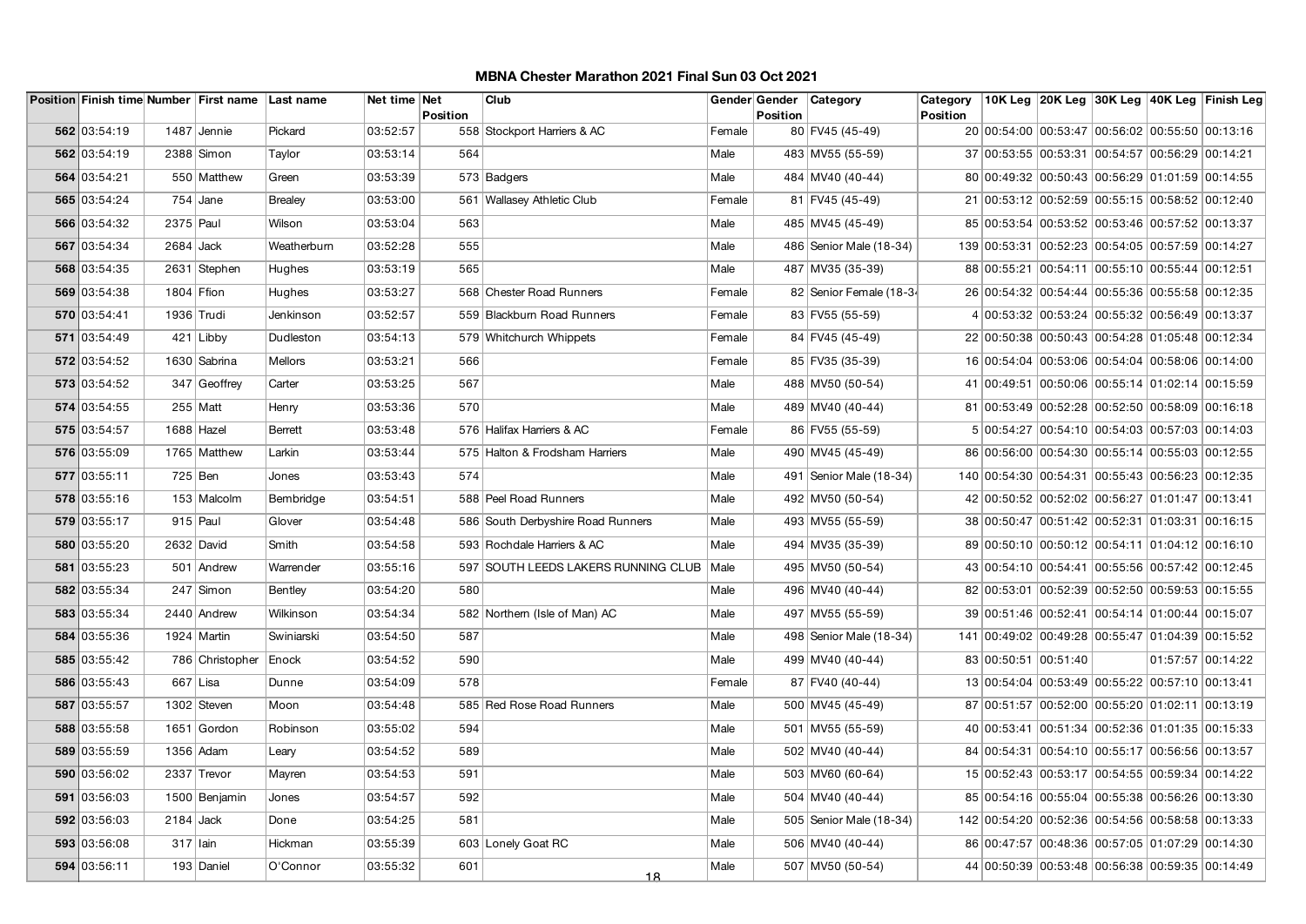|              |             | Position Finish time Number First name Last name |                | Net time Net | <b>Position</b> | Club                                       |        | <b>Position</b> | Gender Gender Category    | Category<br>Position |                                                  |  | 10K Leg 20K Leg 30K Leg 40K Leg Finish Leg |
|--------------|-------------|--------------------------------------------------|----------------|--------------|-----------------|--------------------------------------------|--------|-----------------|---------------------------|----------------------|--------------------------------------------------|--|--------------------------------------------|
| 562 03:54:19 |             | 1487 Jennie                                      | Pickard        | 03:52:57     |                 | 558 Stockport Harriers & AC                | Female |                 | 80 FV45 (45-49)           |                      | 20 00:54:00 00:53:47 00:56:02 00:55:50 00:13:16  |  |                                            |
| 562 03:54:19 |             | 2388 Simon                                       | Taylor         | 03:53:14     | 564             |                                            | Male   |                 | 483 MV55 (55-59)          |                      | 37 00:53:55 00:53:31 00:54:57 00:56:29 00:14:21  |  |                                            |
| 564 03:54:21 |             | 550 Matthew                                      | Green          | 03:53:39     |                 | 573 Badgers                                | Male   |                 | 484 MV40 (40-44)          |                      | 80 00:49:32 00:50:43 00:56:29 01:01:59 00:14:55  |  |                                            |
| 565 03:54:24 |             | $754$ Jane                                       | <b>Brealey</b> | 03:53:00     |                 | 561 Wallasey Athletic Club                 | Female |                 | 81 FV45 (45-49)           |                      | 21 00:53:12 00:52:59 00:55:15 00:58:52 00:12:40  |  |                                            |
| 566 03:54:32 | 2375 Paul   |                                                  | Wilson         | 03:53:04     | 563             |                                            | Male   |                 | 485 MV45 (45-49)          |                      | 85 00:53:54 00:53:52 00:53:46 00:57:52 00:13:37  |  |                                            |
| 567 03:54:34 | $2684$ Jack |                                                  | Weatherburn    | 03:52:28     | 555             |                                            | Male   |                 | 486   Senior Male (18-34) |                      | 139 00:53:31 00:52:23 00:54:05 00:57:59 00:14:27 |  |                                            |
| 568 03:54:35 |             | 2631 Stephen                                     | Hughes         | 03:53:19     | 565             |                                            | Male   |                 | 487 MV35 (35-39)          |                      | 88 00:55:21 00:54:11 00:55:10 00:55:44 00:12:51  |  |                                            |
| 569 03:54:38 | 1804 Ffion  |                                                  | Hughes         | 03:53:27     |                 | 568 Chester Road Runners                   | Female |                 | 82 Senior Female (18-34   |                      | 26 00:54:32 00:54:44 00:55:36 00:55:58 00:12:35  |  |                                            |
| 570 03:54:41 | 1936 Trudi  |                                                  | Jenkinson      | 03:52:57     |                 | 559 Blackburn Road Runners                 | Female |                 | 83 FV55 (55-59)           |                      | 4 00:53:32 00:53:24 00:55:32 00:56:49 00:13:37   |  |                                            |
| 571 03:54:49 |             | $421$ Libby                                      | Dudleston      | 03:54:13     |                 | 579 Whitchurch Whippets                    | Female |                 | 84 FV45 (45-49)           |                      | 22 00:50:38 00:50:43 00:54:28 01:05:48 00:12:34  |  |                                            |
| 572 03:54:52 |             | 1630 Sabrina                                     | Mellors        | 03:53:21     | 566             |                                            | Female |                 | 85 FV35 (35-39)           |                      | 16 00:54:04 00:53:06 00:54:04 00:58:06 00:14:00  |  |                                            |
| 573 03:54:52 |             | 347 Geoffrey                                     | Carter         | 03:53:25     | 567             |                                            | Male   |                 | 488 MV50 (50-54)          |                      | 41 00:49:51 00:50:06 00:55:14 01:02:14 00:15:59  |  |                                            |
| 574 03:54:55 |             | 255 Matt                                         | Henry          | 03:53:36     | 570             |                                            | Male   |                 | 489 MV40 (40-44)          |                      | 81 00:53:49 00:52:28 00:52:50 00:58:09 00:16:18  |  |                                            |
| 575 03:54:57 |             | $1688$ Hazel                                     | <b>Berrett</b> | 03:53:48     |                 | 576 Halifax Harriers & AC                  | Female |                 | 86 FV55 (55-59)           |                      | 5 00:54:27 00:54:10 00:54:03 00:57:03 00:14:03   |  |                                            |
| 576 03:55:09 |             | 1765 Matthew                                     | Larkin         | 03:53:44     |                 | 575 Halton & Frodsham Harriers             | Male   |                 | 490 MV45 (45-49)          |                      | 86 00:56:00 00:54:30 00:55:14 00:55:03 00:12:55  |  |                                            |
| 577 03:55:11 |             | 725 Ben                                          | Jones          | 03:53:43     | 574             |                                            | Male   |                 | 491 Senior Male (18-34)   |                      | 140 00:54:30 00:54:31 00:55:43 00:56:23 00:12:35 |  |                                            |
| 578 03:55:16 |             | 153 Malcolm                                      | Bembridge      | 03:54:51     |                 | 588 Peel Road Runners                      | Male   |                 | 492 MV50 (50-54)          |                      | 42 00:50:52 00:52:02 00:56:27 01:01:47 00:13:41  |  |                                            |
| 579 03:55:17 |             | $915$ Paul                                       | Glover         | 03:54:48     |                 | 586 South Derbyshire Road Runners          | Male   |                 | 493 MV55 (55-59)          |                      | 38 00:50:47 00:51:42 00:52:31 01:03:31 00:16:15  |  |                                            |
| 580 03:55:20 |             | 2632 David                                       | Smith          | 03:54:58     |                 | 593 Rochdale Harriers & AC                 | Male   |                 | 494 MV35 (35-39)          |                      | 89 00:50:10 00:50:12 00:54:11 01:04:12 00:16:10  |  |                                            |
| 581 03:55:23 |             | 501 Andrew                                       | Warrender      | 03:55:16     |                 | 597 SOUTH LEEDS LAKERS RUNNING CLUB   Male |        |                 | 495 MV50 (50-54)          |                      | 43 00:54:10 00:54:41 00:55:56 00:57:42 00:12:45  |  |                                            |
| 582 03:55:34 |             | 247 Simon                                        | Bentley        | 03:54:20     | 580             |                                            | Male   |                 | 496 MV40 (40-44)          |                      | 82 00:53:01 00:52:39 00:52:50 00:59:53 00:15:55  |  |                                            |
| 583 03:55:34 |             | 2440 Andrew                                      | Wilkinson      | 03:54:34     |                 | 582 Northern (Isle of Man) AC              | Male   |                 | 497 MV55 (55-59)          |                      | 39 00:51:46 00:52:41 00:54:14 01:00:44 00:15:07  |  |                                            |
| 584 03:55:36 |             | 1924 Martin                                      | Swiniarski     | 03:54:50     | 587             |                                            | Male   |                 | 498 Senior Male (18-34)   |                      | 141 00:49:02 00:49:28 00:55:47 01:04:39 00:15:52 |  |                                            |
| 585 03:55:42 |             | 786 Christopher                                  | Enock          | 03:54:52     | 590             |                                            | Male   |                 | 499 MV40 (40-44)          |                      | 83 00:50:51 00:51:40                             |  | 01:57:57 00:14:22                          |
| 586 03:55:43 |             | $667$ Lisa                                       | Dunne          | 03:54:09     | 578             |                                            | Female |                 | 87 FV40 (40-44)           |                      | 13 00:54:04 00:53:49 00:55:22 00:57:10 00:13:41  |  |                                            |
| 587 03:55:57 |             | 1302 Steven                                      | Moon           | 03:54:48     |                 | 585 Red Rose Road Runners                  | Male   |                 | 500 MV45 (45-49)          |                      | 87 00:51:57 00:52:00 00:55:20 01:02:11 00:13:19  |  |                                            |
| 588 03:55:58 |             | 1651 Gordon                                      | Robinson       | 03:55:02     | 594             |                                            | Male   |                 | 501 MV55 (55-59)          |                      | 40 00:53:41 00:51:34 00:52:36 01:01:35 00:15:33  |  |                                            |
| 589 03:55:59 |             | 1356 Adam                                        | Leary          | 03:54:52     | 589             |                                            | Male   |                 | 502 MV40 (40-44)          |                      | 84 00:54:31 00:54:10 00:55:17 00:56:56 00:13:57  |  |                                            |
| 590 03:56:02 |             | 2337 Trevor                                      | Mayren         | 03:54:53     | 591             |                                            | Male   |                 | 503 MV60 (60-64)          |                      | 15 00:52:43 00:53:17 00:54:55 00:59:34 00:14:22  |  |                                            |
| 591 03:56:03 |             | 1500 Benjamin                                    | Jones          | 03:54:57     | 592             |                                            | Male   |                 | 504 MV40 (40-44)          |                      | 85 00:54:16 00:55:04 00:55:38 00:56:26 00:13:30  |  |                                            |
| 592 03:56:03 | $2184$ Jack |                                                  | Done           | 03:54:25     | 581             |                                            | Male   |                 | 505 Senior Male (18-34)   |                      | 142 00:54:20 00:52:36 00:54:56 00:58:58 00:13:33 |  |                                            |
| 593 03:56:08 | $317$ lain  |                                                  | Hickman        | 03:55:39     |                 | 603 Lonely Goat RC                         | Male   |                 | 506 MV40 (40-44)          |                      | 86 00:47:57 00:48:36 00:57:05 01:07:29 00:14:30  |  |                                            |
| 594 03:56:11 |             | 193 Daniel                                       | O'Connor       | 03:55:32     | 601             | 18                                         | Male   |                 | 507 MV50 (50-54)          |                      | 44 00:50:39 00:53:48 00:56:38 00:59:35 00:14:49  |  |                                            |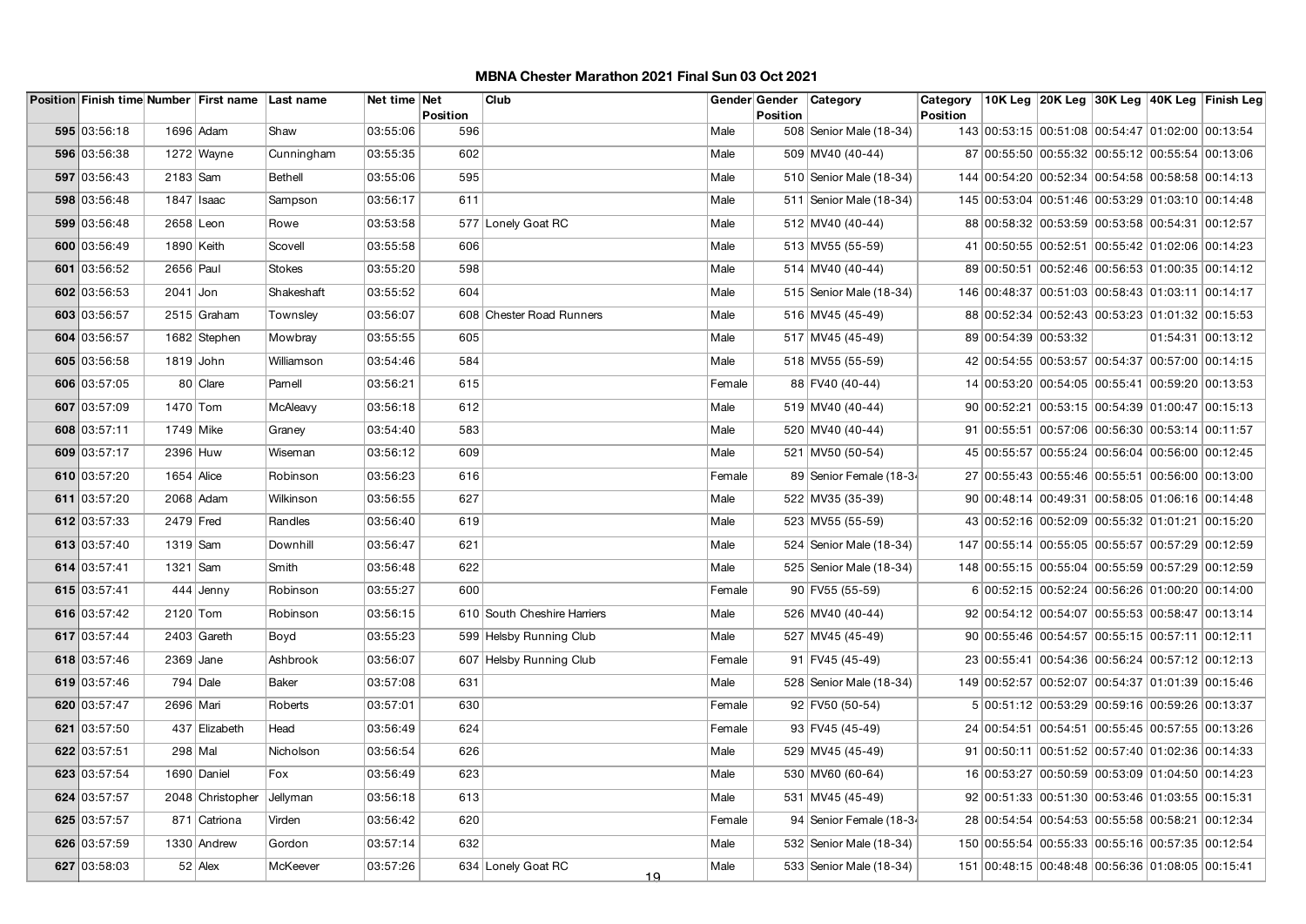|              |            | Position Finish time Number First name Last name |               | Net time Net |                 | Club                        |        |                 | Gender Gender   Category  | Category        |                                                  |  | 10K Leg 20K Leg 30K Leg 40K Leg Finish Leg |
|--------------|------------|--------------------------------------------------|---------------|--------------|-----------------|-----------------------------|--------|-----------------|---------------------------|-----------------|--------------------------------------------------|--|--------------------------------------------|
| 595 03:56:18 |            | 1696 Adam                                        | Shaw          | 03:55:06     | Position<br>596 |                             | Male   | <b>Position</b> | 508 Senior Male (18-34)   | <b>Position</b> | 143 00:53:15 00:51:08 00:54:47 01:02:00 00:13:54 |  |                                            |
| 596 03:56:38 |            | $1272$ Wayne                                     | Cunningham    | 03:55:35     | 602             |                             | Male   |                 | 509 MV40 (40-44)          |                 | 87 00:55:50 00:55:32 00:55:12 00:55:54 00:13:06  |  |                                            |
| 597 03:56:43 | 2183 Sam   |                                                  | Bethell       | 03:55:06     | 595             |                             | Male   |                 | 510 Senior Male (18-34)   |                 | 144 00:54:20 00:52:34 00:54:58 00:58:58 00:14:13 |  |                                            |
| 598 03:56:48 |            | $1847$ Isaac                                     | Sampson       | 03:56:17     | 611             |                             | Male   |                 | 511   Senior Male (18-34) |                 | 145 00:53:04 00:51:46 00:53:29 01:03:10 00:14:48 |  |                                            |
| 599 03:56:48 | 2658 Leon  |                                                  | Rowe          | 03:53:58     |                 | 577 Lonely Goat RC          | Male   |                 | 512 MV40 (40-44)          |                 | 88 00:58:32 00:53:59 00:53:58 00:54:31 00:12:57  |  |                                            |
| 600 03:56:49 | 1890 Keith |                                                  | Scovell       | 03:55:58     | 606             |                             | Male   |                 | 513 MV55 (55-59)          |                 | 41 00:50:55 00:52:51 00:55:42 01:02:06 00:14:23  |  |                                            |
| 601 03:56:52 | 2656 Paul  |                                                  | <b>Stokes</b> | 03:55:20     | 598             |                             | Male   |                 | 514 MV40 (40-44)          |                 | 89 00:50:51 00:52:46 00:56:53 01:00:35 00:14:12  |  |                                            |
| 602 03:56:53 | $2041$ Jon |                                                  | Shakeshaft    |              | 604             |                             | Male   |                 |                           |                 |                                                  |  |                                            |
|              |            |                                                  |               | 03:55:52     |                 |                             |        |                 | 515 Senior Male (18-34)   |                 | 146 00:48:37 00:51:03 00:58:43 01:03:11 00:14:17 |  |                                            |
| 603 03:56:57 |            | 2515 Graham                                      | Townsley      | 03:56:07     |                 | 608 Chester Road Runners    | Male   |                 | 516 MV45 (45-49)          |                 | 88 00:52:34 00:52:43 00:53:23 01:01:32 00:15:53  |  |                                            |
| 604 03:56:57 |            | 1682 Stephen                                     | Mowbray       | 03:55:55     | 605             |                             | Male   |                 | 517 MV45 (45-49)          |                 | 89 00:54:39 00:53:32                             |  | 01:54:31 00:13:12                          |
| 605 03:56:58 | 1819 John  |                                                  | Williamson    | 03:54:46     | 584             |                             | Male   |                 | 518 MV55 (55-59)          |                 | 42 00:54:55 00:53:57 00:54:37 00:57:00 00:14:15  |  |                                            |
| 606 03:57:05 |            | 80 Clare                                         | Parnell       | 03:56:21     | 615             |                             | Female |                 | 88 FV40 (40-44)           |                 | 14 00:53:20 00:54:05 00:55:41 00:59:20 00:13:53  |  |                                            |
| 607 03:57:09 | 1470 Tom   |                                                  | McAleavy      | 03:56:18     | 612             |                             | Male   |                 | 519 MV40 (40-44)          |                 | 90 00:52:21 00:53:15 00:54:39 01:00:47 00:15:13  |  |                                            |
| 608 03:57:11 | 1749 Mike  |                                                  | Graney        | 03:54:40     | 583             |                             | Male   |                 | 520 MV40 (40-44)          |                 | 91 00:55:51 00:57:06 00:56:30 00:53:14 00:11:57  |  |                                            |
| 609 03:57:17 | 2396 Huw   |                                                  | Wiseman       | 03:56:12     | 609             |                             | Male   |                 | 521 MV50 (50-54)          |                 | 45 00:55:57 00:55:24 00:56:04 00:56:00 00:12:45  |  |                                            |
| 610 03:57:20 | 1654 Alice |                                                  | Robinson      | 03:56:23     | 616             |                             | Female |                 | 89 Senior Female (18-34   |                 | 27 00:55:43 00:55:46 00:55:51 00:56:00 00:13:00  |  |                                            |
| 611 03:57:20 |            | 2068 Adam                                        | Wilkinson     | 03:56:55     | 627             |                             | Male   |                 | 522 MV35 (35-39)          |                 | 90 00:48:14 00:49:31 00:58:05 01:06:16 00:14:48  |  |                                            |
| 612 03:57:33 | 2479 Fred  |                                                  | Randles       | 03:56:40     | 619             |                             | Male   |                 | 523 MV55 (55-59)          |                 | 43 00:52:16 00:52:09 00:55:32 01:01:21 00:15:20  |  |                                            |
| 613 03:57:40 | 1319 Sam   |                                                  | Downhill      | 03:56:47     | 621             |                             | Male   |                 | 524   Senior Male (18-34) |                 | 147 00:55:14 00:55:05 00:55:57 00:57:29 00:12:59 |  |                                            |
| 614 03:57:41 | 1321 Sam   |                                                  | Smith         | 03:56:48     | 622             |                             | Male   |                 | 525 Senior Male (18-34)   |                 | 148 00:55:15 00:55:04 00:55:59 00:57:29 00:12:59 |  |                                            |
| 615 03:57:41 |            | 444 Jenny                                        | Robinson      | 03:55:27     | 600             |                             | Female |                 | 90 FV55 (55-59)           |                 | 6 00:52:15 00:52:24 00:56:26 01:00:20 00:14:00   |  |                                            |
| 616 03:57:42 | 2120 Tom   |                                                  | Robinson      | 03:56:15     |                 | 610 South Cheshire Harriers | Male   |                 | 526 MV40 (40-44)          |                 | 92 00:54:12 00:54:07 00:55:53 00:58:47 00:13:14  |  |                                            |
| 617 03:57:44 |            | 2403 Gareth                                      | Boyd          | 03:55:23     |                 | 599 Helsby Running Club     | Male   |                 | 527 MV45 (45-49)          |                 | 90 00:55:46 00:54:57 00:55:15 00:57:11 00:12:11  |  |                                            |
| 618 03:57:46 | 2369 Jane  |                                                  | Ashbrook      | 03:56:07     |                 | 607 Helsby Running Club     | Female |                 | 91 FV45 (45-49)           |                 | 23 00:55:41 00:54:36 00:56:24 00:57:12 00:12:13  |  |                                            |
| 619 03:57:46 |            | $794$ Dale                                       | <b>Baker</b>  | 03:57:08     | 631             |                             | Male   |                 | 528 Senior Male (18-34)   |                 | 149 00:52:57 00:52:07 00:54:37 01:01:39 00:15:46 |  |                                            |
| 620 03:57:47 | 2696 Mari  |                                                  | Roberts       | 03:57:01     | 630             |                             | Female |                 | 92 FV50 (50-54)           |                 | 5 00:51:12 00:53:29 00:59:16 00:59:26 00:13:37   |  |                                            |
| 621 03:57:50 |            | 437 Elizabeth                                    | Head          | 03:56:49     | 624             |                             | Female |                 | 93 FV45 (45-49)           |                 | 24 00:54:51 00:54:51 00:55:45 00:57:55 00:13:26  |  |                                            |
| 622 03:57:51 | 298 Mal    |                                                  | Nicholson     | 03:56:54     | 626             |                             | Male   |                 | 529 MV45 (45-49)          |                 | 91 00:50:11 00:51:52 00:57:40 01:02:36 00:14:33  |  |                                            |
| 623 03:57:54 |            | 1690 Daniel                                      | Fox           | 03:56:49     | 623             |                             | Male   |                 | 530 MV60 (60-64)          |                 | 16 00:53:27 00:50:59 00:53:09 01:04:50 00:14:23  |  |                                            |
| 624 03:57:57 |            | 2048 Christopher                                 | Jellyman      | 03:56:18     | 613             |                             | Male   |                 | 531 MV45 (45-49)          |                 | 92 00:51:33 00:51:30 00:53:46 01:03:55 00:15:31  |  |                                            |
| 625 03:57:57 |            | 871 Catriona                                     | Virden        | 03:56:42     | 620             |                             | Female |                 | 94 Senior Female (18-34   |                 | 28 00:54:54 00:54:53 00:55:58 00:58:21 00:12:34  |  |                                            |
| 626 03:57:59 |            | 1330 Andrew                                      | Gordon        | 03:57:14     | 632             |                             | Male   |                 | 532 Senior Male (18-34)   |                 | 150 00:55:54 00:55:33 00:55:16 00:57:35 00:12:54 |  |                                            |
| 627 03:58:03 |            | $52$ Alex                                        | McKeever      | 03:57:26     |                 | 634 Lonely Goat RC          | Male   |                 | 533 Senior Male (18-34)   |                 | 151 00:48:15 00:48:48 00:56:36 01:08:05 00:15:41 |  |                                            |
|              |            |                                                  |               |              |                 | <u> 19</u>                  |        |                 |                           |                 |                                                  |  |                                            |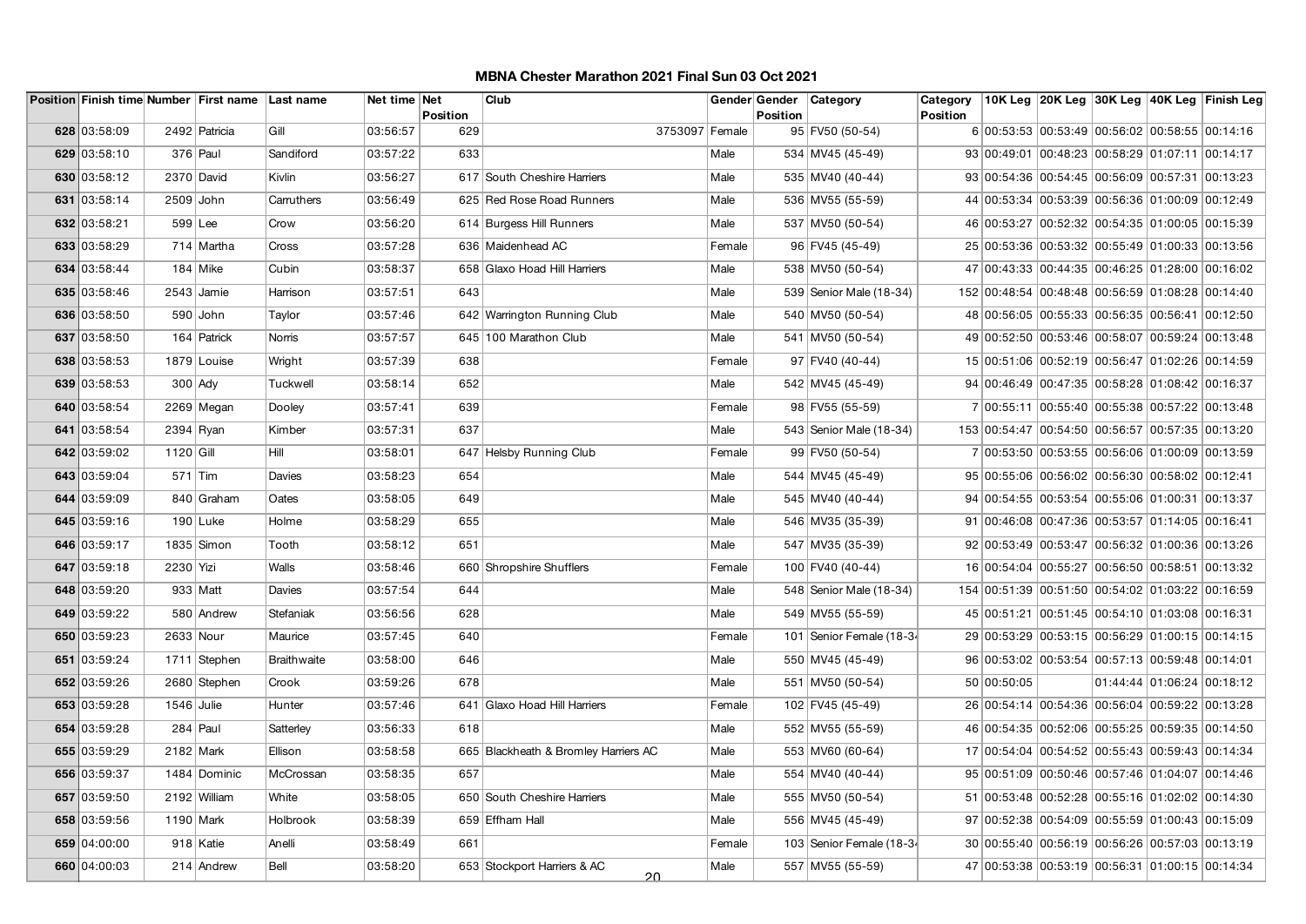|              |              | Position Finish time Number First name Last name |             | Net time Net | <b>Position</b> | Club                                    |        | <b>Position</b> | Gender Gender Category   | Category<br><b>Position</b> |                                                  |  | 10K Leg 20K Leg 30K Leg 40K Leg Finish Leg |
|--------------|--------------|--------------------------------------------------|-------------|--------------|-----------------|-----------------------------------------|--------|-----------------|--------------------------|-----------------------------|--------------------------------------------------|--|--------------------------------------------|
| 628 03:58:09 |              | 2492 Patricia                                    | Gill        | 03:56:57     | 629             | 3753097 Female                          |        |                 | 95 FV50 (50-54)          |                             | 6 00:53:53 00:53:49 00:56:02 00:58:55 00:14:16   |  |                                            |
| 629 03:58:10 |              | $376$ Paul                                       | Sandiford   | 03:57:22     | 633             |                                         | Male   |                 | 534 MV45 (45-49)         |                             | 93 00:49:01 00:48:23 00:58:29 01:07:11 00:14:17  |  |                                            |
|              |              |                                                  |             |              |                 |                                         |        |                 |                          |                             |                                                  |  |                                            |
| 630 03:58:12 | 2370 David   |                                                  | Kivlin      | 03:56:27     |                 | 617 South Cheshire Harriers             | Male   |                 | 535 MV40 (40-44)         |                             | 93 00:54:36 00:54:45 00:56:09 00:57:31 00:13:23  |  |                                            |
| 631 03:58:14 | 2509 John    |                                                  | Carruthers  | 03:56:49     |                 | 625 Red Rose Road Runners               | Male   |                 | 536 MV55 (55-59)         |                             | 44 00:53:34 00:53:39 00:56:36 01:00:09 00:12:49  |  |                                            |
| 632 03:58:21 | 599 Lee      |                                                  | Crow        | 03:56:20     |                 | 614 Burgess Hill Runners                | Male   |                 | 537 MV50 (50-54)         |                             | 46 00:53:27 00:52:32 00:54:35 01:00:05 00:15:39  |  |                                            |
| 633 03:58:29 |              | 714 Martha                                       | Cross       | 03:57:28     |                 | 636 Maidenhead AC                       | Female |                 | 96 FV45 (45-49)          |                             | 25 00:53:36 00:53:32 00:55:49 01:00:33 00:13:56  |  |                                            |
| 634 03:58:44 |              | $184$ Mike                                       | Cubin       | 03:58:37     |                 | 658 Glaxo Hoad Hill Harriers            | Male   |                 | 538 MV50 (50-54)         |                             | 47 00:43:33 00:44:35 00:46:25 01:28:00 00:16:02  |  |                                            |
| 635 03:58:46 |              | $2543$ Jamie                                     | Harrison    | 03:57:51     | 643             |                                         | Male   |                 | 539 Senior Male (18-34)  |                             | 152 00:48:54 00:48:48 00:56:59 01:08:28 00:14:40 |  |                                            |
| 636 03:58:50 |              | 590 John                                         | Taylor      | 03:57:46     |                 | 642 Warrington Running Club             | Male   |                 | 540 MV50 (50-54)         |                             | 48 00:56:05 00:55:33 00:56:35 00:56:41 00:12:50  |  |                                            |
| 637 03:58:50 |              | 164 Patrick                                      | Norris      | 03:57:57     |                 | 645 100 Marathon Club                   | Male   |                 | 541 MV50 (50-54)         |                             | 49 00:52:50 00:53:46 00:58:07 00:59:24 00:13:48  |  |                                            |
| 638 03:58:53 |              | 1879 Louise                                      | Wright      | 03:57:39     | 638             |                                         | Female |                 | 97 FV40 (40-44)          |                             | 15 00:51:06 00:52:19 00:56:47 01:02:26 00:14:59  |  |                                            |
| 639 03:58:53 | $300$ Ady    |                                                  | Tuckwell    | 03:58:14     | 652             |                                         | Male   |                 | 542 MV45 (45-49)         |                             | 94 00:46:49 00:47:35 00:58:28 01:08:42 00:16:37  |  |                                            |
| 640 03:58:54 |              | 2269 Megan                                       | Dooley      | 03:57:41     | 639             |                                         | Female |                 | 98 FV55 (55-59)          |                             | 7 00:55:11 00:55:40 00:55:38 00:57:22 00:13:48   |  |                                            |
| 641 03:58:54 | 2394 Ryan    |                                                  | Kimber      | 03:57:31     | 637             |                                         | Male   |                 | 543 Senior Male (18-34)  |                             | 153 00:54:47 00:54:50 00:56:57 00:57:35 00:13:20 |  |                                            |
| 642 03:59:02 | $1120$ Gill  |                                                  | Hill        | 03:58:01     |                 | 647 Helsby Running Club                 | Female |                 | 99 FV50 (50-54)          |                             | 7 00:53:50 00:53:55 00:56:06 01:00:09 00:13:59   |  |                                            |
| 643 03:59:04 | $571$ Tim    |                                                  | Davies      | 03:58:23     | 654             |                                         | Male   |                 | 544 MV45 (45-49)         |                             | 95 00:55:06 00:56:02 00:56:30 00:58:02 00:12:41  |  |                                            |
| 644 03:59:09 |              | 840 Graham                                       | Oates       | 03:58:05     | 649             |                                         | Male   |                 | 545 MV40 (40-44)         |                             | 94 00:54:55 00:53:54 00:55:06 01:00:31 00:13:37  |  |                                            |
| 645 03:59:16 |              | $190$ Luke                                       | Holme       | 03:58:29     | 655             |                                         | Male   |                 | 546 MV35 (35-39)         |                             | 91 00:46:08 00:47:36 00:53:57 01:14:05 00:16:41  |  |                                            |
| 646 03:59:17 |              | 1835 Simon                                       | Tooth       | 03:58:12     | 651             |                                         | Male   |                 | 547 MV35 (35-39)         |                             | 92 00:53:49 00:53:47 00:56:32 01:00:36 00:13:26  |  |                                            |
| 647 03:59:18 | 2230 Yizi    |                                                  | Walls       | 03:58:46     |                 | 660 Shropshire Shufflers                | Female |                 | 100 FV40 (40-44)         |                             | 16 00:54:04 00:55:27 00:56:50 00:58:51 00:13:32  |  |                                            |
| 648 03:59:20 |              | 933 Matt                                         | Davies      | 03:57:54     | 644             |                                         | Male   |                 | 548 Senior Male (18-34)  |                             | 154 00:51:39 00:51:50 00:54:02 01:03:22 00:16:59 |  |                                            |
| 649 03:59:22 |              | 580 Andrew                                       | Stefaniak   | 03:56:56     | 628             |                                         | Male   |                 | 549 MV55 (55-59)         |                             | 45 00:51:21 00:51:45 00:54:10 01:03:08 00:16:31  |  |                                            |
| 650 03:59:23 | 2633 Nour    |                                                  | Maurice     | 03:57:45     | 640             |                                         | Female |                 | 101 Senior Female (18-34 |                             | 29 00:53:29 00:53:15 00:56:29 01:00:15 00:14:15  |  |                                            |
| 651 03:59:24 |              | 1711 Stephen                                     | Braithwaite | 03:58:00     | 646             |                                         | Male   |                 | 550 MV45 (45-49)         |                             | 96 00:53:02 00:53:54 00:57:13 00:59:48 00:14:01  |  |                                            |
| 652 03:59:26 |              | 2680 Stephen                                     | Crook       | 03:59:26     | 678             |                                         | Male   |                 | 551 MV50 (50-54)         |                             | 50 00:50:05                                      |  | 01:44:44 01:06:24 00:18:12                 |
| 653 03:59:28 | $1546$ Julie |                                                  | Hunter      | 03:57:46     |                 | 641 Glaxo Hoad Hill Harriers            | Female |                 | 102 FV45 (45-49)         |                             | 26 00:54:14 00:54:36 00:56:04 00:59:22 00:13:28  |  |                                            |
| 654 03:59:28 |              | $284$ Paul                                       | Satterley   | 03:56:33     | 618             |                                         | Male   |                 | 552 MV55 (55-59)         |                             | 46 00:54:35 00:52:06 00:55:25 00:59:35 00:14:50  |  |                                            |
| 655 03:59:29 | 2182 Mark    |                                                  | Ellison     | 03:58:58     |                 | 665 Blackheath & Bromley Harriers AC    | Male   |                 | 553 MV60 (60-64)         |                             | 17 00:54:04 00:54:52 00:55:43 00:59:43 00:14:34  |  |                                            |
| 656 03:59:37 |              | 1484 Dominic                                     | McCrossan   | 03:58:35     | 657             |                                         | Male   |                 | 554 MV40 (40-44)         |                             | 95 00:51:09 00:50:46 00:57:46 01:04:07 00:14:46  |  |                                            |
| 657 03:59:50 |              | 2192 William                                     | White       | 03:58:05     |                 | 650 South Cheshire Harriers             | Male   |                 | 555 MV50 (50-54)         |                             | 51 00:53:48 00:52:28 00:55:16 01:02:02 00:14:30  |  |                                            |
| 658 03:59:56 | 1190 Mark    |                                                  | Holbrook    | 03:58:39     |                 | 659 Effham Hall                         | Male   |                 | 556 MV45 (45-49)         |                             | 97 00:52:38 00:54:09 00:55:59 01:00:43 00:15:09  |  |                                            |
| 659 04:00:00 |              | 918 Katie                                        | Anelli      | 03:58:49     | 661             |                                         | Female |                 | 103 Senior Female (18-34 |                             | 30 00:55:40 00:56:19 00:56:26 00:57:03 00:13:19  |  |                                            |
| 660 04:00:03 |              | 214 Andrew                                       | Bell        | 03:58:20     |                 | 653 Stockport Harriers & AC<br>$\Omega$ | Male   |                 | 557 MV55 (55-59)         |                             | 47 00:53:38 00:53:19 00:56:31 01:00:15 00:14:34  |  |                                            |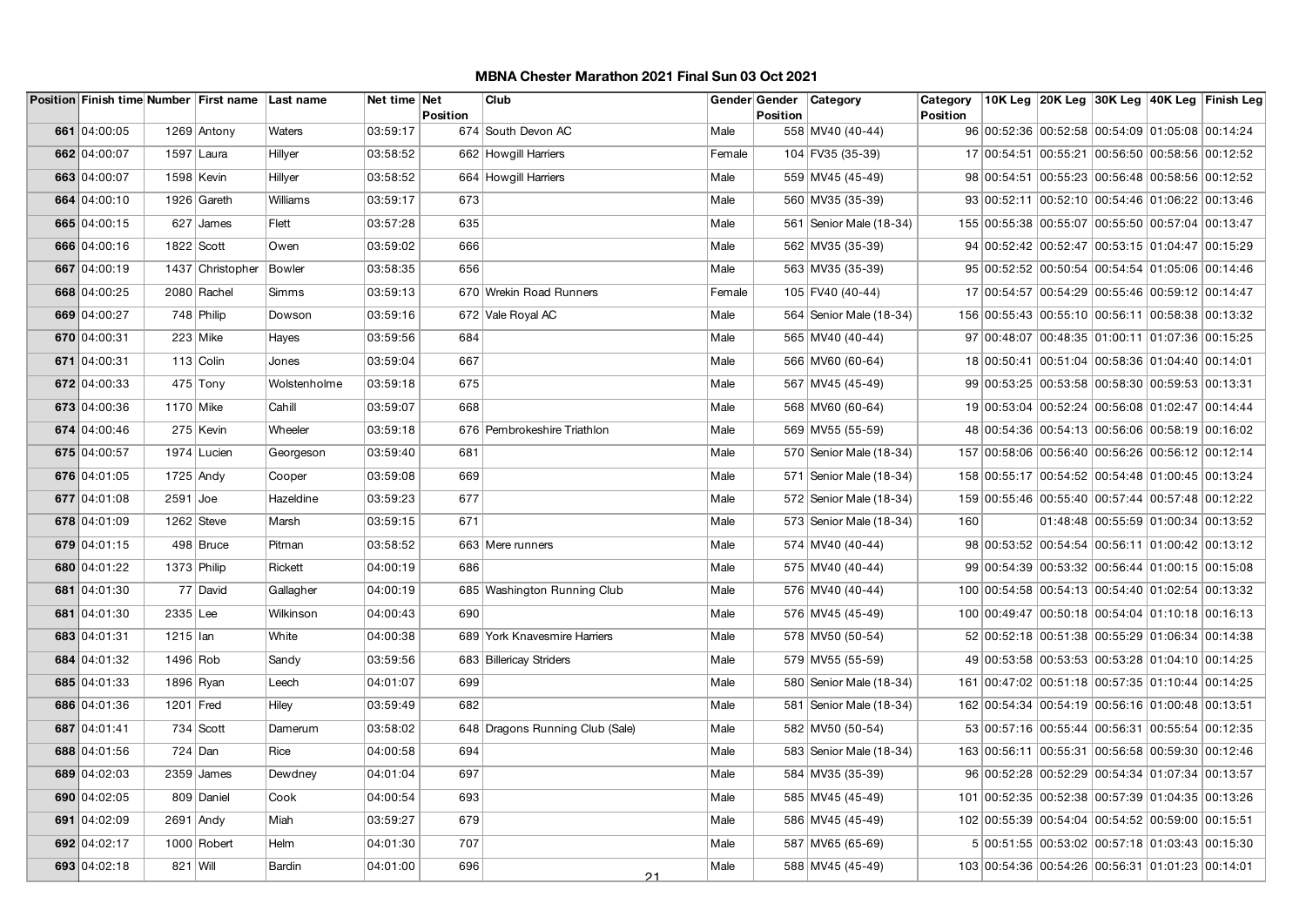|              |               | Position Finish time Number First name Last name |              | Net time Net | <b>Position</b> | Club                            |        | <b>Position</b> | Gender Gender   Category  | Category<br><b>Position</b> |                                                  |  | 10K Leg 20K Leg 30K Leg 40K Leg Finish Leg |
|--------------|---------------|--------------------------------------------------|--------------|--------------|-----------------|---------------------------------|--------|-----------------|---------------------------|-----------------------------|--------------------------------------------------|--|--------------------------------------------|
| 661 04:00:05 |               | 1269 Antony                                      | Waters       | 03:59:17     |                 | 674 South Devon AC              | Male   |                 | 558 MV40 (40-44)          |                             | 96 00:52:36 00:52:58 00:54:09 01:05:08 00:14:24  |  |                                            |
| 662 04:00:07 |               | 1597 Laura                                       | Hillyer      | 03:58:52     |                 | 662 Howgill Harriers            | Female |                 | 104 FV35 (35-39)          |                             | 17 00:54:51 00:55:21 00:56:50 00:58:56 00:12:52  |  |                                            |
| 663 04:00:07 | 1598 Kevin    |                                                  | Hillyer      | 03:58:52     |                 | 664 Howgill Harriers            | Male   |                 | 559 MV45 (45-49)          |                             | 98 00:54:51 00:55:23 00:56:48 00:58:56 00:12:52  |  |                                            |
| 664 04:00:10 |               | 1926 Gareth                                      | Williams     | 03:59:17     | 673             |                                 | Male   |                 | 560 MV35 (35-39)          |                             | 93 00:52:11 00:52:10 00:54:46 01:06:22 00:13:46  |  |                                            |
| 665 04:00:15 |               | $627$ James                                      | Flett        | 03:57:28     | 635             |                                 | Male   |                 | 561   Senior Male (18-34) |                             | 155 00:55:38 00:55:07 00:55:50 00:57:04 00:13:47 |  |                                            |
| 666 04:00:16 | $1822$ Scott  |                                                  | Owen         | 03:59:02     | 666             |                                 | Male   |                 | 562 MV35 (35-39)          |                             | 94 00:52:42 00:52:47 00:53:15 01:04:47 00:15:29  |  |                                            |
| 667 04:00:19 |               | 1437 Christopher                                 | Bowler       | 03:58:35     | 656             |                                 | Male   |                 | 563 MV35 (35-39)          |                             | 95 00:52:52 00:50:54 00:54:54 01:05:06 00:14:46  |  |                                            |
| 668 04:00:25 |               | 2080 Rachel                                      | Simms        | 03:59:13     |                 | 670 Wrekin Road Runners         | Female |                 | 105 FV40 (40-44)          |                             | 17 00:54:57 00:54:29 00:55:46 00:59:12 00:14:47  |  |                                            |
| 669 04:00:27 |               | 748 Philip                                       |              | 03:59:16     |                 |                                 | Male   |                 |                           |                             | 156 00:55:43 00:55:10 00:56:11 00:58:38 00:13:32 |  |                                            |
|              |               |                                                  | Dowson       |              |                 | 672 Vale Royal AC               |        |                 | 564   Senior Male (18-34) |                             |                                                  |  |                                            |
| 670 04:00:31 |               | $223$ Mike                                       | Hayes        | 03:59:56     | 684             |                                 | Male   |                 | 565 MV40 (40-44)          |                             | 97 00:48:07 00:48:35 01:00:11 01:07:36 00:15:25  |  |                                            |
| 671 04:00:31 |               | $113$ Colin                                      | Jones        | 03:59:04     | 667             |                                 | Male   |                 | 566 MV60 (60-64)          |                             | 18 00:50:41 00:51:04 00:58:36 01:04:40 00:14:01  |  |                                            |
| 672 04:00:33 |               | $475$ Tony                                       | Wolstenholme | 03:59:18     | 675             |                                 | Male   |                 | 567 MV45 (45-49)          |                             | 99 00:53:25 00:53:58 00:58:30 00:59:53 00:13:31  |  |                                            |
| 673 04:00:36 | 1170 Mike     |                                                  | Cahill       | 03:59:07     | 668             |                                 | Male   |                 | 568 MV60 (60-64)          |                             | 19 00:53:04 00:52:24 00:56:08 01:02:47 00:14:44  |  |                                            |
| 674 04:00:46 |               | 275 Kevin                                        | Wheeler      | 03:59:18     |                 | 676 Pembrokeshire Triathlon     | Male   |                 | 569 MV55 (55-59)          |                             | 48 00:54:36 00:54:13 00:56:06 00:58:19 00:16:02  |  |                                            |
| 675 04:00:57 |               | 1974 Lucien                                      | Georgeson    | 03:59:40     | 681             |                                 | Male   |                 | 570 Senior Male (18-34)   |                             | 157 00:58:06 00:56:40 00:56:26 00:56:12 00:12:14 |  |                                            |
| 676 04:01:05 | $1725$ Andy   |                                                  | Cooper       | 03:59:08     | 669             |                                 | Male   |                 | 571 Senior Male (18-34)   |                             | 158 00:55:17 00:54:52 00:54:48 01:00:45 00:13:24 |  |                                            |
| 677 04:01:08 | $2591$ Joe    |                                                  | Hazeldine    | 03:59:23     | 677             |                                 | Male   |                 | 572 Senior Male (18-34)   |                             | 159 00:55:46 00:55:40 00:57:44 00:57:48 00:12:22 |  |                                            |
| 678 04:01:09 |               | $1262$ Steve                                     | Marsh        | 03:59:15     | 671             |                                 | Male   |                 | 573 Senior Male (18-34)   | 160                         |                                                  |  | 01:48:48 00:55:59 01:00:34 00:13:52        |
| 679 04:01:15 |               | 498 Bruce                                        | Pitman       | 03:58:52     |                 | 663 Mere runners                | Male   |                 | 574 MV40 (40-44)          |                             | 98 00:53:52 00:54:54 00:56:11 01:00:42 00:13:12  |  |                                            |
| 680 04:01:22 | $1373$ Philip |                                                  | Rickett      | 04:00:19     | 686             |                                 | Male   |                 | 575 MV40 (40-44)          |                             | 99 00:54:39 00:53:32 00:56:44 01:00:15 00:15:08  |  |                                            |
| 681 04:01:30 |               | 77 David                                         | Gallagher    | 04:00:19     |                 | 685 Washington Running Club     | Male   |                 | 576 MV40 (40-44)          |                             | 100 00:54:58 00:54:13 00:54:40 01:02:54 00:13:32 |  |                                            |
| 681 04:01:30 | $2335$ Lee    |                                                  | Wilkinson    | 04:00:43     | 690             |                                 | Male   |                 | 576 MV45 (45-49)          |                             | 100 00:49:47 00:50:18 00:54:04 01:10:18 00:16:13 |  |                                            |
| 683 04:01:31 | $1215$ Ian    |                                                  | White        | 04:00:38     |                 | 689 York Knavesmire Harriers    | Male   |                 | 578 MV50 (50-54)          |                             | 52 00:52:18 00:51:38 00:55:29 01:06:34 00:14:38  |  |                                            |
| 684 04:01:32 | 1496 Rob      |                                                  | Sandy        | 03:59:56     |                 | 683 Billericay Striders         | Male   |                 | 579 MV55 (55-59)          |                             | 49 00:53:58 00:53:53 00:53:28 01:04:10 00:14:25  |  |                                            |
| 685 04:01:33 | 1896 Ryan     |                                                  | Leech        | 04:01:07     | 699             |                                 | Male   |                 | 580 Senior Male (18-34)   |                             | 161 00:47:02 00:51:18 00:57:35 01:10:44 00:14:25 |  |                                            |
| 686 04:01:36 | 1201   Fred   |                                                  | Hiley        | 03:59:49     | 682             |                                 | Male   |                 | 581   Senior Male (18-34) |                             | 162 00:54:34 00:54:19 00:56:16 01:00:48 00:13:51 |  |                                            |
| 687 04:01:41 |               | $734$ Scott                                      | Damerum      | 03:58:02     |                 | 648 Dragons Running Club (Sale) | Male   |                 | 582 MV50 (50-54)          |                             | 53 00:57:16 00:55:44 00:56:31 00:55:54 00:12:35  |  |                                            |
| 688 04:01:56 | $724$ Dan     |                                                  | Rice         | 04:00:58     | 694             |                                 | Male   |                 | 583 Senior Male (18-34)   |                             | 163 00:56:11 00:55:31 00:56:58 00:59:30 00:12:46 |  |                                            |
| 689 04:02:03 |               | 2359 James                                       | Dewdney      | 04:01:04     | 697             |                                 | Male   |                 | 584 MV35 (35-39)          |                             | 96 00:52:28 00:52:29 00:54:34 01:07:34 00:13:57  |  |                                            |
| 690 04:02:05 |               | 809 Daniel                                       | Cook         | 04:00:54     | 693             |                                 | Male   |                 | 585 MV45 (45-49)          |                             | 101 00:52:35 00:52:38 00:57:39 01:04:35 00:13:26 |  |                                            |
| 691 04:02:09 | 2691 Andy     |                                                  | Miah         | 03:59:27     | 679             |                                 | Male   |                 | 586 MV45 (45-49)          |                             | 102 00:55:39 00:54:04 00:54:52 00:59:00 00:15:51 |  |                                            |
| 692 04:02:17 |               | 1000 Robert                                      | Helm         | 04:01:30     | 707             |                                 | Male   |                 | 587 MV65 (65-69)          |                             | 5 00:51:55 00:53:02 00:57:18 01:03:43 00:15:30   |  |                                            |
| 693 04:02:18 | 821 Will      |                                                  | Bardin       | 04:01:00     | 696             |                                 | Male   |                 | 588 MV45 (45-49)          |                             | 103 00:54:36 00:54:26 00:56:31 01:01:23 00:14:01 |  |                                            |
|              |               |                                                  |              |              |                 | 21                              |        |                 |                           |                             |                                                  |  |                                            |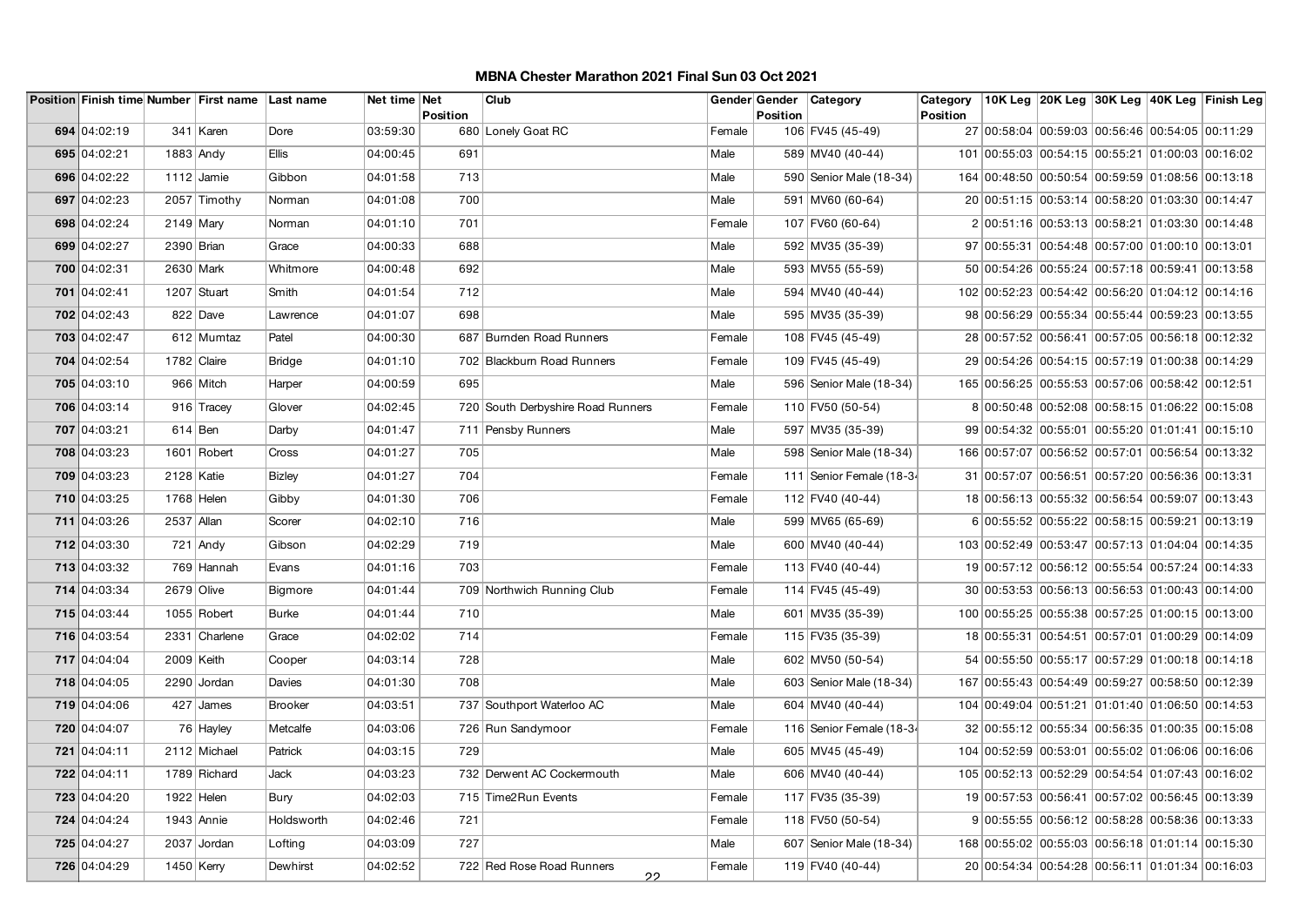|              |             | Position Finish time Number First name Last name |                | Net time Net | <b>Position</b> | Club                                 |        | Gender Gender<br>Position | Category                 | Category<br><b>Position</b> |                                                  |  | 10K Leg 20K Leg 30K Leg 40K Leg Finish Leg |
|--------------|-------------|--------------------------------------------------|----------------|--------------|-----------------|--------------------------------------|--------|---------------------------|--------------------------|-----------------------------|--------------------------------------------------|--|--------------------------------------------|
| 694 04:02:19 |             | 341 Karen                                        | Dore           | 03:59:30     |                 | 680 Lonely Goat RC                   | Female |                           | 106 FV45 (45-49)         |                             | 27 00:58:04 00:59:03 00:56:46 00:54:05 00:11:29  |  |                                            |
| 695 04:02:21 |             | 1883 Andy                                        | <b>Ellis</b>   | 04:00:45     | 691             |                                      | Male   |                           | 589 MV40 (40-44)         |                             | 101 00:55:03 00:54:15 00:55:21 01:00:03 00:16:02 |  |                                            |
| 696 04:02:22 |             | 1112 $J$ amie                                    | Gibbon         | 04:01:58     | 713             |                                      | Male   |                           | 590 Senior Male (18-34)  |                             | 164 00:48:50 00:50:54 00:59:59 01:08:56 00:13:18 |  |                                            |
| 697 04:02:23 |             | 2057 Timothy                                     | Norman         | 04:01:08     | 700             |                                      | Male   |                           | 591 MV60 (60-64)         |                             | 20 00:51:15 00:53:14 00:58:20 01:03:30 00:14:47  |  |                                            |
| 698 04:02:24 | $2149$ Mary |                                                  | Norman         | 04:01:10     | 701             |                                      | Female |                           | 107 FV60 (60-64)         |                             | 2 00:51:16 00:53:13 00:58:21 01:03:30 00:14:48   |  |                                            |
| 699 04:02:27 | 2390 Brian  |                                                  | Grace          | 04:00:33     | 688             |                                      | Male   |                           | 592 MV35 (35-39)         |                             | 97 00:55:31 00:54:48 00:57:00 01:00:10 00:13:01  |  |                                            |
| 700 04:02:31 |             | 2630 Mark                                        | Whitmore       | 04:00:48     | 692             |                                      | Male   |                           | 593 MV55 (55-59)         |                             | 50 00:54:26 00:55:24 00:57:18 00:59:41 00:13:58  |  |                                            |
| 701 04:02:41 |             | 1207 Stuart                                      | Smith          | 04:01:54     | 712             |                                      | Male   |                           | 594 MV40 (40-44)         |                             | 102 00:52:23 00:54:42 00:56:20 01:04:12 00:14:16 |  |                                            |
| 702 04:02:43 |             | 822 Dave                                         | Lawrence       | 04:01:07     | 698             |                                      | Male   |                           | 595 MV35 (35-39)         |                             | 98 00:56:29 00:55:34 00:55:44 00:59:23 00:13:55  |  |                                            |
| 703 04:02:47 |             | 612 Mumtaz                                       | Patel          | 04:00:30     |                 | 687 Burnden Road Runners             | Female |                           | 108 FV45 (45-49)         |                             | 28 00:57:52 00:56:41 00:57:05 00:56:18 00:12:32  |  |                                            |
| 704 04:02:54 |             | 1782 Claire                                      | <b>Bridge</b>  | 04:01:10     |                 | 702 Blackburn Road Runners           | Female |                           | 109 FV45 (45-49)         |                             | 29 00:54:26 00:54:15 00:57:19 01:00:38 00:14:29  |  |                                            |
| 705 04:03:10 |             | 966 Mitch                                        | Harper         | 04:00:59     | 695             |                                      | Male   |                           | 596 Senior Male (18-34)  |                             | 165 00:56:25 00:55:53 00:57:06 00:58:42 00:12:51 |  |                                            |
| 706 04:03:14 |             | 916 Tracey                                       | Glover         | 04:02:45     |                 | 720 South Derbyshire Road Runners    | Female |                           | 110 FV50 (50-54)         |                             | 8 00:50:48 00:52:08 00:58:15 01:06:22 00:15:08   |  |                                            |
| 707 04:03:21 |             | $614$ Ben                                        | Darby          | 04:01:47     |                 | 711 Pensby Runners                   | Male   |                           | 597 MV35 (35-39)         |                             | 99 00:54:32 00:55:01 00:55:20 01:01:41 00:15:10  |  |                                            |
| 708 04:03:23 |             | 1601 Robert                                      | Cross          | 04:01:27     | 705             |                                      | Male   |                           | 598 Senior Male (18-34)  |                             | 166 00:57:07 00:56:52 00:57:01 00:56:54 00:13:32 |  |                                            |
| 709 04:03:23 | 2128 Katie  |                                                  | <b>Bizley</b>  | 04:01:27     | 704             |                                      | Female |                           | 111 Senior Female (18-34 |                             | 31 00:57:07 00:56:51 00:57:20 00:56:36 00:13:31  |  |                                            |
| 710 04:03:25 |             | 1768 Helen                                       | Gibby          | 04:01:30     | 706             |                                      | Female |                           | 112 FV40 (40-44)         |                             | 18 00:56:13 00:55:32 00:56:54 00:59:07 00:13:43  |  |                                            |
| 711 04:03:26 | 2537 Allan  |                                                  | Scorer         | 04:02:10     | 716             |                                      | Male   |                           | 599 MV65 (65-69)         |                             | 6 00:55:52 00:55:22 00:58:15 00:59:21 00:13:19   |  |                                            |
| 712 04:03:30 |             | $721$ Andy                                       | Gibson         | 04:02:29     | 719             |                                      | Male   |                           | 600 MV40 (40-44)         |                             | 103 00:52:49 00:53:47 00:57:13 01:04:04 00:14:35 |  |                                            |
| 713 04:03:32 |             | 769 Hannah                                       | Evans          | 04:01:16     | 703             |                                      | Female |                           | 113 FV40 (40-44)         |                             | 19 00:57:12 00:56:12 00:55:54 00:57:24 00:14:33  |  |                                            |
| 714 04:03:34 |             | 2679 Olive                                       | <b>Bigmore</b> | 04:01:44     |                 | 709 Northwich Running Club           | Female |                           | 114 FV45 (45-49)         |                             | 30 00:53:53 00:56:13 00:56:53 01:00:43 00:14:00  |  |                                            |
| 715 04:03:44 |             | 1055 Robert                                      | <b>Burke</b>   | 04:01:44     | 710             |                                      | Male   |                           | 601 MV35 (35-39)         |                             | 100 00:55:25 00:55:38 00:57:25 01:00:15 00:13:00 |  |                                            |
| 716 04:03:54 |             | 2331 Charlene                                    | Grace          | 04:02:02     | 714             |                                      | Female |                           | 115 FV35 (35-39)         |                             | 18 00:55:31 00:54:51 00:57:01 01:00:29 00:14:09  |  |                                            |
| 717 04:04:04 |             | 2009 Keith                                       | Cooper         | 04:03:14     | 728             |                                      | Male   |                           | 602 MV50 (50-54)         |                             | 54 00:55:50 00:55:17 00:57:29 01:00:18 00:14:18  |  |                                            |
| 718 04:04:05 |             | 2290 Jordan                                      | Davies         | 04:01:30     | 708             |                                      | Male   |                           | 603 Senior Male (18-34)  |                             | 167 00:55:43 00:54:49 00:59:27 00:58:50 00:12:39 |  |                                            |
| 719 04:04:06 |             | $427$ James                                      | <b>Brooker</b> | 04:03:51     |                 | 737 Southport Waterloo AC            | Male   |                           | 604   MV40 (40-44)       |                             | 104 00:49:04 00:51:21 01:01:40 01:06:50 00:14:53 |  |                                            |
| 720 04:04:07 |             | 76 Hayley                                        | Metcalfe       | 04:03:06     |                 | 726 Run Sandymoor                    | Female |                           | 116 Senior Female (18-34 |                             | 32 00:55:12 00:55:34 00:56:35 01:00:35 00:15:08  |  |                                            |
| 721 04:04:11 |             | 2112 Michael                                     | Patrick        | 04:03:15     | 729             |                                      | Male   |                           | 605 MV45 (45-49)         |                             | 104 00:52:59 00:53:01 00:55:02 01:06:06 00:16:06 |  |                                            |
| 722 04:04:11 |             | 1789 Richard                                     | Jack           | 04:03:23     |                 | 732 Derwent AC Cockermouth           | Male   |                           | 606 MV40 (40-44)         |                             | 105 00:52:13 00:52:29 00:54:54 01:07:43 00:16:02 |  |                                            |
| 723 04:04:20 |             | 1922 Helen                                       | Bury           | 04:02:03     |                 | 715 Time2Run Events                  | Female |                           | 117 FV35 (35-39)         |                             | 19 00:57:53 00:56:41 00:57:02 00:56:45 00:13:39  |  |                                            |
| 724 04:04:24 |             | $1943$ Annie                                     | Holdsworth     | 04:02:46     | 721             |                                      | Female |                           | 118 FV50 (50-54)         |                             | 9 00:55:55 00:56:12 00:58:28 00:58:36 00:13:33   |  |                                            |
| 725 04:04:27 |             | 2037 Jordan                                      | Lofting        | 04:03:09     | 727             |                                      | Male   |                           | 607 Senior Male (18-34)  |                             | 168 00:55:02 00:55:03 00:56:18 01:01:14 00:15:30 |  |                                            |
| 726 04:04:29 |             | $1450$ Kerry                                     | Dewhirst       | 04:02:52     |                 | 722 Red Rose Road Runners<br>$^{22}$ | Female |                           | 119 FV40 (40-44)         |                             | 20 00:54:34 00:54:28 00:56:11 01:01:34 00:16:03  |  |                                            |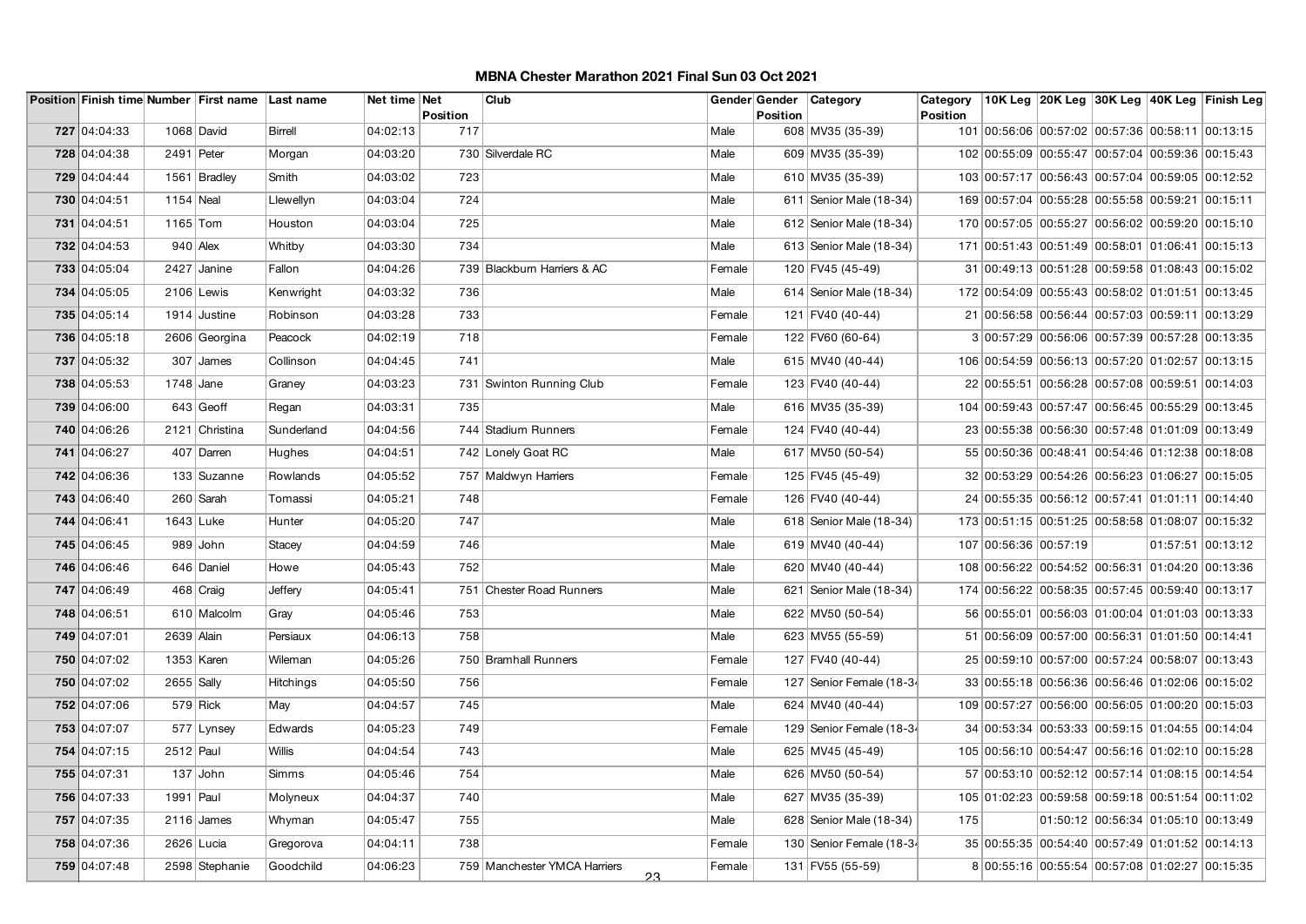|              |              | Position Finish time Number First name Last name |                  | Net time Net |                        | Club                                |        | Gender Gender | Category                  | Category |                                                  |  | 10K Leg 20K Leg 30K Leg 40K Leg Finish Leg       |
|--------------|--------------|--------------------------------------------------|------------------|--------------|------------------------|-------------------------------------|--------|---------------|---------------------------|----------|--------------------------------------------------|--|--------------------------------------------------|
| 727 04:04:33 |              | 1068 David                                       | <b>Birrell</b>   | 04:02:13     | <b>Position</b><br>717 |                                     | Male   | Position      | 608 MV35 (35-39)          | Position |                                                  |  | 101 00:56:06 00:57:02 00:57:36 00:58:11 00:13:15 |
|              |              |                                                  |                  |              |                        |                                     |        |               |                           |          |                                                  |  |                                                  |
| 728 04:04:38 | 2491 Peter   |                                                  | Morgan           | 04:03:20     |                        | 730 Silverdale RC                   | Male   |               | 609 MV35 (35-39)          |          |                                                  |  | 102 00:55:09 00:55:47 00:57:04 00:59:36 00:15:43 |
| 729 04:04:44 |              | 1561 Bradley                                     | Smith            | 04:03:02     | 723                    |                                     | Male   |               | 610 MV35 (35-39)          |          |                                                  |  | 103 00:57:17 00:56:43 00:57:04 00:59:05 00:12:52 |
| 730 04:04:51 | 1154 Neal    |                                                  | Llewellyn        | 04:03:04     | 724                    |                                     | Male   |               | 611   Senior Male (18-34) |          | 169 00:57:04 00:55:28 00:55:58 00:59:21 00:15:11 |  |                                                  |
| 731 04:04:51 | $1165$ Tom   |                                                  | Houston          | 04:03:04     | 725                    |                                     | Male   |               | 612 Senior Male (18-34)   |          |                                                  |  | 170 00:57:05 00:55:27 00:56:02 00:59:20 00:15:10 |
| 732 04:04:53 |              | $940$ Alex                                       | Whitby           | 04:03:30     | 734                    |                                     | Male   |               | 613 Senior Male (18-34)   |          |                                                  |  | 171 00:51:43 00:51:49 00:58:01 01:06:41 00:15:13 |
| 733 04:05:04 |              | 2427 Janine                                      | Fallon           | 04:04:26     |                        | 739 Blackburn Harriers & AC         | Female |               | 120 FV45 (45-49)          |          | 31 00:49:13 00:51:28 00:59:58 01:08:43 00:15:02  |  |                                                  |
| 734 04:05:05 |              | 2106 Lewis                                       | Kenwright        | 04:03:32     | 736                    |                                     | Male   |               | 614 Senior Male (18-34)   |          |                                                  |  | 172 00:54:09 00:55:43 00:58:02 01:01:51 00:13:45 |
| 735 04:05:14 |              | 1914 Justine                                     | Robinson         | 04:03:28     | 733                    |                                     | Female |               | 121 FV40 (40-44)          |          | 21 00:56:58 00:56:44 00:57:03 00:59:11 00:13:29  |  |                                                  |
| 736 04:05:18 |              | 2606 Georgina                                    | Peacock          | 04:02:19     | 718                    |                                     | Female |               | 122 FV60 (60-64)          |          | 3 00:57:29 00:56:06 00:57:39 00:57:28 00:13:35   |  |                                                  |
| 737 04:05:32 |              | $307$ James                                      | Collinson        | 04:04:45     | 741                    |                                     | Male   |               | 615 MV40 (40-44)          |          |                                                  |  | 106 00:54:59 00:56:13 00:57:20 01:02:57 00:13:15 |
| 738 04:05:53 | 1748 Jane    |                                                  | Graney           | 04:03:23     |                        | 731 Swinton Running Club            | Female |               | 123 FV40 (40-44)          |          |                                                  |  | 22 00:55:51 00:56:28 00:57:08 00:59:51 00:14:03  |
| 739 04:06:00 |              | $643$ Geoff                                      | Regan            | 04:03:31     | 735                    |                                     | Male   |               | 616 MV35 (35-39)          |          | 104 00:59:43 00:57:47 00:56:45 00:55:29 00:13:45 |  |                                                  |
| 740 04:06:26 |              | 2121 Christina                                   | Sunderland       | 04:04:56     |                        | 744 Stadium Runners                 | Female |               | 124 FV40 (40-44)          |          |                                                  |  | 23 00:55:38 00:56:30 00:57:48 01:01:09 00:13:49  |
| 741 04:06:27 |              | 407 Darren                                       | Hughes           | 04:04:51     |                        | 742 Lonely Goat RC                  | Male   |               | 617 MV50 (50-54)          |          |                                                  |  | 55 00:50:36 00:48:41 00:54:46 01:12:38 00:18:08  |
| 742 04:06:36 |              | 133 Suzanne                                      | Rowlands         | 04:05:52     |                        | 757 Maldwyn Harriers                | Female |               | 125 FV45 (45-49)          |          | 32 00:53:29 00:54:26 00:56:23 01:06:27 00:15:05  |  |                                                  |
| 743 04:06:40 |              | 260 Sarah                                        | Tomassi          | 04:05:21     | 748                    |                                     | Female |               | 126 FV40 (40-44)          |          |                                                  |  | 24 00:55:35 00:56:12 00:57:41 01:01:11 00:14:40  |
| 744 04:06:41 | 1643 Luke    |                                                  | Hunter           | 04:05:20     | 747                    |                                     | Male   |               | 618 Senior Male (18-34)   |          |                                                  |  | 173 00:51:15 00:51:25 00:58:58 01:08:07 00:15:32 |
| 745 04:06:45 |              | 989 John                                         | Stacey           | 04:04:59     | 746                    |                                     | Male   |               | 619 MV40 (40-44)          |          | 107 00:56:36 00:57:19                            |  | 01:57:51 00:13:12                                |
| 746 04:06:46 |              | 646 Daniel                                       | Howe             | 04:05:43     | 752                    |                                     | Male   |               | 620 MV40 (40-44)          |          | 108 00:56:22 00:54:52 00:56:31 01:04:20 00:13:36 |  |                                                  |
| 747 04:06:49 |              | 468 Craig                                        | Jeffery          | 04:05:41     |                        | 751 Chester Road Runners            | Male   |               | 621 Senior Male (18-34)   |          | 174 00:56:22 00:58:35 00:57:45 00:59:40 00:13:17 |  |                                                  |
| 748 04:06:51 |              | 610 Malcolm                                      | Gray             | 04:05:46     | 753                    |                                     | Male   |               | 622 MV50 (50-54)          |          | 56 00:55:01 00:56:03 01:00:04 01:01:03 00:13:33  |  |                                                  |
| 749 04:07:01 | 2639 Alain   |                                                  | Persiaux         | 04:06:13     | 758                    |                                     | Male   |               | 623 MV55 (55-59)          |          | 51 00:56:09 00:57:00 00:56:31 01:01:50 00:14:41  |  |                                                  |
| 750 04:07:02 |              | 1353 Karen                                       | Wileman          | 04:05:26     |                        | 750 Bramhall Runners                | Female |               | 127 FV40 (40-44)          |          |                                                  |  | 25 00:59:10 00:57:00 00:57:24 00:58:07 00:13:43  |
| 750 04:07:02 | $2655$ Sally |                                                  | <b>Hitchings</b> | 04:05:50     | 756                    |                                     | Female |               | 127 Senior Female (18-34  |          |                                                  |  | 33 00:55:18 00:56:36 00:56:46 01:02:06 00:15:02  |
| 752 04:07:06 |              | $579$ Rick                                       | May              | 04:04:57     | 745                    |                                     | Male   |               | 624 MV40 (40-44)          |          | 109 00:57:27 00:56:00 00:56:05 01:00:20 00:15:03 |  |                                                  |
| 753 04:07:07 |              | 577   Lynsey                                     | Edwards          | 04:05:23     | 749                    |                                     | Female |               | 129 Senior Female (18-34  |          | 34 00:53:34 00:53:33 00:59:15 01:04:55 00:14:04  |  |                                                  |
| 754 04:07:15 | $2512$ Paul  |                                                  | <b>Willis</b>    | 04:04:54     | 743                    |                                     | Male   |               | 625 MV45 (45-49)          |          |                                                  |  | 105 00:56:10 00:54:47 00:56:16 01:02:10 00:15:28 |
| 755 04:07:31 |              | $137$ John                                       | Simms            | 04:05:46     | 754                    |                                     | Male   |               | 626 MV50 (50-54)          |          | 57 00:53:10 00:52:12 00:57:14 01:08:15 00:14:54  |  |                                                  |
| 756 04:07:33 | 1991 Paul    |                                                  | Molyneux         | 04:04:37     | 740                    |                                     | Male   |               | 627 MV35 (35-39)          |          |                                                  |  | 105 01:02:23 00:59:58 00:59:18 00:51:54 00:11:02 |
| 757 04:07:35 |              | $2116$ James                                     | Whyman           | 04:05:47     | 755                    |                                     | Male   |               | 628 Senior Male (18-34)   | 175      |                                                  |  | 01:50:12 00:56:34 01:05:10 00:13:49              |
| 758 04:07:36 |              | 2626 Lucia                                       | Gregorova        | 04:04:11     | 738                    |                                     | Female |               | 130 Senior Female (18-34  |          |                                                  |  | 35 00:55:35 00:54:40 00:57:49 01:01:52 00:14:13  |
| 759 04:07:48 |              | 2598 Stephanie                                   | Goodchild        | 04:06:23     |                        | 759 Manchester YMCA Harriers<br>23. | Female |               | 131 FV55 (55-59)          |          |                                                  |  | 8 00:55:16 00:55:54 00:57:08 01:02:27 00:15:35   |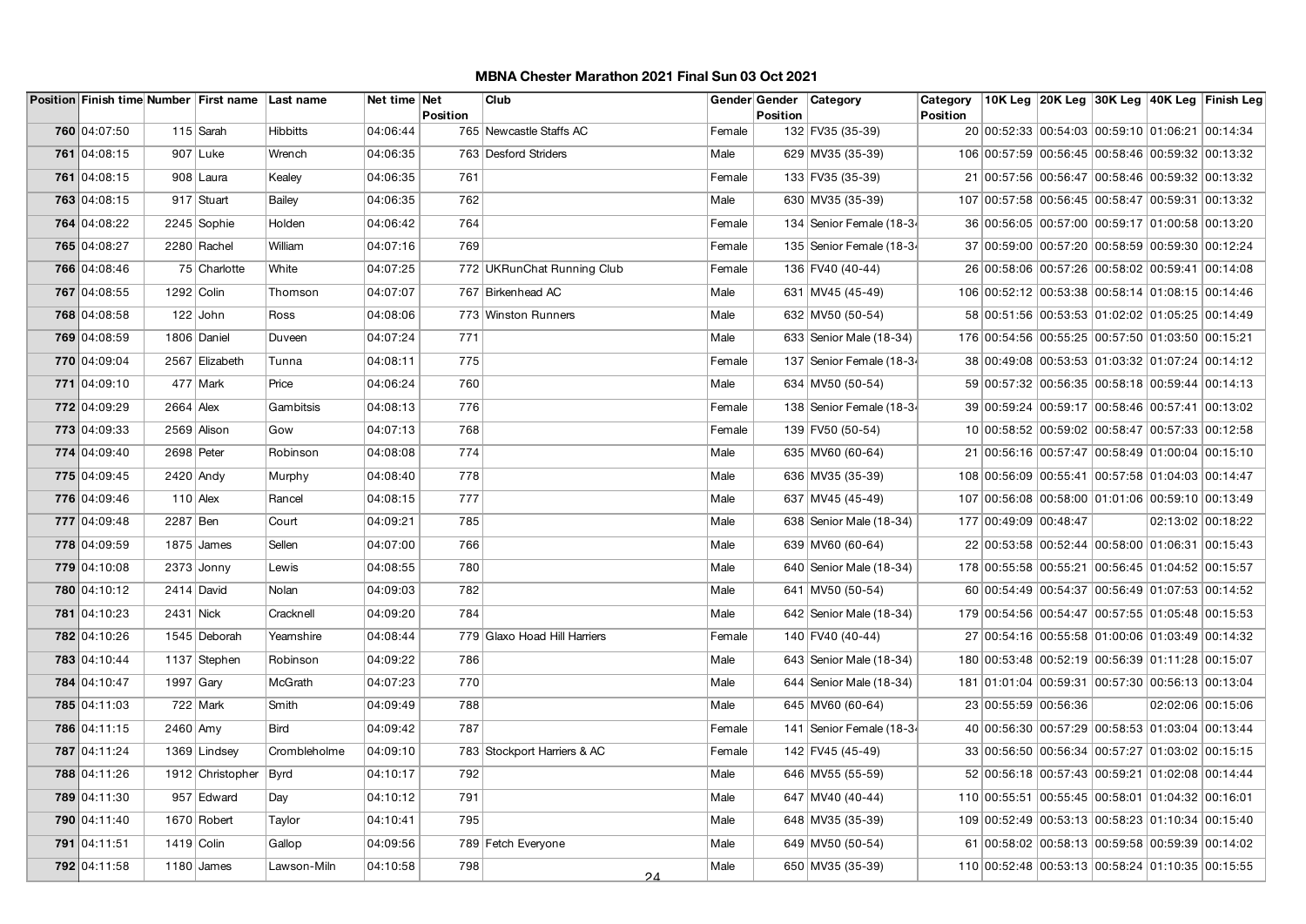|              |             | Position Finish time Number First name Last name |                 | Net time Net | <b>Position</b> | Club                         |        | <b>Position</b> | Gender Gender   Category | Category<br>Position |                                                  |  | 10K Leg 20K Leg 30K Leg 40K Leg Finish Leg |
|--------------|-------------|--------------------------------------------------|-----------------|--------------|-----------------|------------------------------|--------|-----------------|--------------------------|----------------------|--------------------------------------------------|--|--------------------------------------------|
| 760 04:07:50 |             | 115 $Sar$                                        | <b>Hibbitts</b> | 04:06:44     |                 | 765 Newcastle Staffs AC      | Female |                 | 132 FV35 (35-39)         |                      | 20 00:52:33 00:54:03 00:59:10 01:06:21 00:14:34  |  |                                            |
| 761 04:08:15 |             | $907$ Luke                                       | Wrench          | 04:06:35     |                 | 763 Desford Striders         | Male   |                 | 629 MV35 (35-39)         |                      | 106 00:57:59 00:56:45 00:58:46 00:59:32 00:13:32 |  |                                            |
| 761 04:08:15 |             | 908 Laura                                        | Kealey          | 04:06:35     | 761             |                              | Female |                 | 133 FV35 (35-39)         |                      | 21 00:57:56 00:56:47 00:58:46 00:59:32 00:13:32  |  |                                            |
| 763 04:08:15 |             | 917 Stuart                                       | Bailey          | 04:06:35     | 762             |                              | Male   |                 | 630 MV35 (35-39)         |                      | 107 00:57:58 00:56:45 00:58:47 00:59:31 00:13:32 |  |                                            |
| 764 04:08:22 |             | 2245 Sophie                                      | Holden          | 04:06:42     | 764             |                              | Female |                 | 134 Senior Female (18-34 |                      | 36 00:56:05 00:57:00 00:59:17 01:00:58 00:13:20  |  |                                            |
| 765 04:08:27 |             | 2280 Rachel                                      | William         | 04:07:16     | 769             |                              | Female |                 | 135 Senior Female (18-34 |                      | 37 00:59:00 00:57:20 00:58:59 00:59:30 00:12:24  |  |                                            |
| 766 04:08:46 |             | 75 Charlotte                                     | White           | 04:07:25     |                 | 772 UKRunChat Running Club   | Female |                 | 136 FV40 (40-44)         |                      | 26 00:58:06 00:57:26 00:58:02 00:59:41 00:14:08  |  |                                            |
| 767 04:08:55 | 1292 Colin  |                                                  | Thomson         | 04:07:07     |                 | 767 Birkenhead AC            | Male   |                 | 631 MV45 (45-49)         |                      | 106 00:52:12 00:53:38 00:58:14 01:08:15 00:14:46 |  |                                            |
| 768 04:08:58 |             | $122$ John                                       | Ross            | 04:08:06     |                 | 773 Winston Runners          | Male   |                 | 632 MV50 (50-54)         |                      | 58 00:51:56 00:53:53 01:02:02 01:05:25 00:14:49  |  |                                            |
| 769 04:08:59 |             | 1806 Daniel                                      | Duveen          | 04:07:24     | 771             |                              | Male   |                 | 633 Senior Male (18-34)  |                      | 176 00:54:56 00:55:25 00:57:50 01:03:50 00:15:21 |  |                                            |
| 770 04:09:04 |             | 2567 Elizabeth                                   | Tunna           | 04:08:11     | 775             |                              | Female |                 | 137 Senior Female (18-34 |                      | 38 00:49:08 00:53:53 01:03:32 01:07:24 00:14:12  |  |                                            |
| 771 04:09:10 |             | 477 Mark                                         | Price           | 04:06:24     | 760             |                              | Male   |                 | 634 MV50 (50-54)         |                      | 59 00:57:32 00:56:35 00:58:18 00:59:44 00:14:13  |  |                                            |
| 772 04:09:29 | $2664$ Alex |                                                  | Gambitsis       | 04:08:13     | 776             |                              | Female |                 | 138 Senior Female (18-34 |                      | 39 00:59:24 00:59:17 00:58:46 00:57:41 00:13:02  |  |                                            |
| 773 04:09:33 |             | 2569 Alison                                      | Gow             | 04:07:13     | 768             |                              | Female |                 | 139 FV50 (50-54)         |                      | 10 00:58:52 00:59:02 00:58:47 00:57:33 00:12:58  |  |                                            |
| 774 04:09:40 | 2698 Peter  |                                                  | Robinson        | 04:08:08     | 774             |                              | Male   |                 | 635 MV60 (60-64)         |                      | 21 00:56:16 00:57:47 00:58:49 01:00:04 00:15:10  |  |                                            |
| 775 04:09:45 | 2420 Andy   |                                                  | Murphy          | 04:08:40     | 778             |                              | Male   |                 | 636 MV35 (35-39)         |                      | 108 00:56:09 00:55:41 00:57:58 01:04:03 00:14:47 |  |                                            |
| 776 04:09:46 | $110$ Alex  |                                                  | Rancel          | 04:08:15     | 777             |                              | Male   |                 | 637 MV45 (45-49)         |                      | 107 00:56:08 00:58:00 01:01:06 00:59:10 00:13:49 |  |                                            |
| 777 04:09:48 | 2287 Ben    |                                                  | Court           | 04:09:21     | 785             |                              | Male   |                 | 638 Senior Male (18-34)  |                      | 177 00:49:09 00:48:47                            |  | 02:13:02 00:18:22                          |
| 778 04:09:59 |             | 1875 James                                       | Sellen          | 04:07:00     | 766             |                              | Male   |                 | 639 MV60 (60-64)         |                      | 22 00:53:58 00:52:44 00:58:00 01:06:31 00:15:43  |  |                                            |
| 779 04:10:08 |             | $2373$ Jonny                                     | Lewis           | 04:08:55     | 780             |                              | Male   |                 | 640 Senior Male (18-34)  |                      | 178 00:55:58 00:55:21 00:56:45 01:04:52 00:15:57 |  |                                            |
| 780 04:10:12 |             | 2414 David                                       | Nolan           | 04:09:03     | 782             |                              | Male   |                 | 641 MV50 (50-54)         |                      | 60 00:54:49 00:54:37 00:56:49 01:07:53 00:14:52  |  |                                            |
| 781 04:10:23 | 2431 Nick   |                                                  | Cracknell       | 04:09:20     | 784             |                              | Male   |                 | 642 Senior Male (18-34)  |                      | 179 00:54:56 00:54:47 00:57:55 01:05:48 00:15:53 |  |                                            |
| 782 04:10:26 |             | 1545 Deborah                                     | Yearnshire      | 04:08:44     |                 | 779 Glaxo Hoad Hill Harriers | Female |                 | 140 FV40 (40-44)         |                      | 27 00:54:16 00:55:58 01:00:06 01:03:49 00:14:32  |  |                                            |
| 783 04:10:44 |             | 1137 Stephen                                     | Robinson        | 04:09:22     | 786             |                              | Male   |                 | 643 Senior Male (18-34)  |                      | 180 00:53:48 00:52:19 00:56:39 01:11:28 00:15:07 |  |                                            |
| 784 04:10:47 | 1997 Gary   |                                                  | McGrath         | 04:07:23     | 770             |                              | Male   |                 | 644 Senior Male (18-34)  |                      | 181 01:01:04 00:59:31 00:57:30 00:56:13 00:13:04 |  |                                            |
| 785 04:11:03 |             | $722$ Mark                                       | Smith           | 04:09:49     | 788             |                              | Male   |                 | 645 MV60 (60-64)         |                      | 23 00:55:59 00:56:36                             |  | 02:02:06 00:15:06                          |
| 786 04:11:15 | 2460 Amy    |                                                  | <b>Bird</b>     | 04:09:42     | 787             |                              | Female |                 | 141 Senior Female (18-34 |                      | 40 00:56:30 00:57:29 00:58:53 01:03:04 00:13:44  |  |                                            |
| 787 04:11:24 |             | 1369 Lindsey                                     | Crombleholme    | 04:09:10     |                 | 783 Stockport Harriers & AC  | Female |                 | 142 FV45 (45-49)         |                      | 33 00:56:50 00:56:34 00:57:27 01:03:02 00:15:15  |  |                                            |
| 788 04:11:26 |             | 1912 Christopher                                 | Byrd            | 04:10:17     | 792             |                              | Male   |                 | 646 MV55 (55-59)         |                      | 52 00:56:18 00:57:43 00:59:21 01:02:08 00:14:44  |  |                                            |
| 789 04:11:30 |             | 957 Edward                                       | Day             | 04:10:12     | 791             |                              | Male   |                 | 647 MV40 (40-44)         |                      | 110 00:55:51 00:55:45 00:58:01 01:04:32 00:16:01 |  |                                            |
| 790 04:11:40 |             | 1670 Robert                                      | Taylor          | 04:10:41     | 795             |                              | Male   |                 | 648 MV35 (35-39)         |                      | 109 00:52:49 00:53:13 00:58:23 01:10:34 00:15:40 |  |                                            |
| 791 04:11:51 | 1419 Colin  |                                                  | Gallop          | 04:09:56     |                 | 789 Fetch Everyone           | Male   |                 | 649 MV50 (50-54)         |                      | 61 00:58:02 00:58:13 00:59:58 00:59:39 00:14:02  |  |                                            |
| 792 04:11:58 |             | 1180 $ James$                                    | Lawson-Miln     | 04:10:58     | 798             | 24                           | Male   |                 | 650 MV35 (35-39)         |                      | 110 00:52:48 00:53:13 00:58:24 01:10:35 00:15:55 |  |                                            |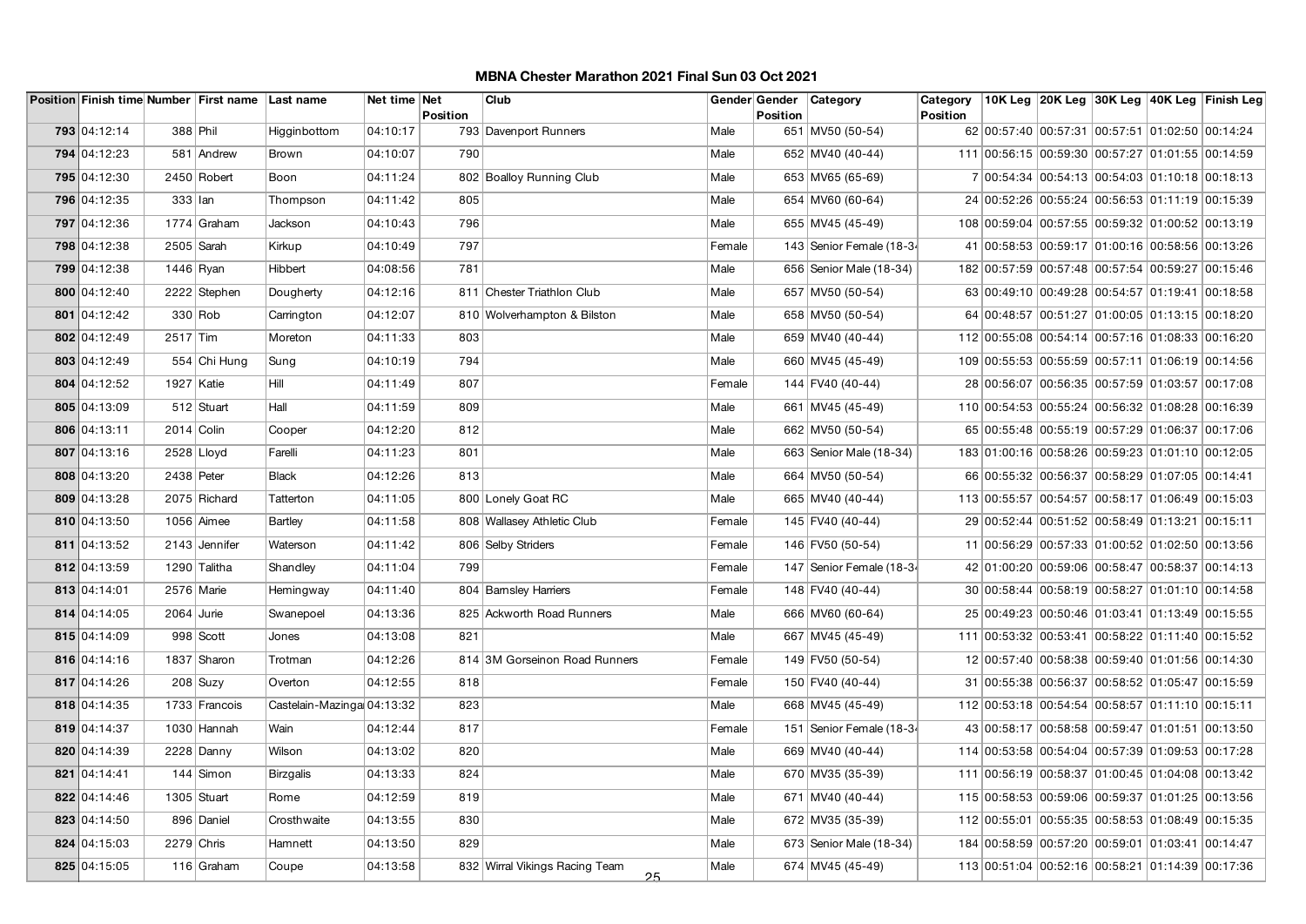|              |               | Position Finish time Number First name Last name |                             | Net time Net | <b>Position</b> | Club                                 |        | Gender Gender | Category                 | Category<br>Position |                                                  |  | 10K Leg 20K Leg 30K Leg 40K Leg Finish Leg |
|--------------|---------------|--------------------------------------------------|-----------------------------|--------------|-----------------|--------------------------------------|--------|---------------|--------------------------|----------------------|--------------------------------------------------|--|--------------------------------------------|
| 793 04:12:14 | 388 Phil      |                                                  | Higginbottom                | 04:10:17     |                 | 793 Davenport Runners                | Male   | Position      | 651 MV50 (50-54)         |                      | 62 00:57:40 00:57:31 00:57:51 01:02:50 00:14:24  |  |                                            |
|              |               |                                                  |                             |              |                 |                                      |        |               |                          |                      |                                                  |  |                                            |
| 794 04:12:23 |               | 581 Andrew                                       | Brown                       | 04:10:07     | 790             |                                      | Male   |               | 652 MV40 (40-44)         |                      | 111 00:56:15 00:59:30 00:57:27 01:01:55 00:14:59 |  |                                            |
| 795 04:12:30 |               | 2450 Robert                                      | Boon                        | 04:11:24     |                 | 802 Boalloy Running Club             | Male   |               | 653 MV65 (65-69)         |                      | 7 00:54:34 00:54:13 00:54:03 01:10:18 00:18:13   |  |                                            |
| 796 04:12:35 | $333$ $ $ lan |                                                  | Thompson                    | 04:11:42     | 805             |                                      | Male   |               | 654 MV60 (60-64)         |                      | 24 00:52:26 00:55:24 00:56:53 01:11:19 00:15:39  |  |                                            |
| 797 04:12:36 |               | 1774 Graham                                      | Jackson                     | 04:10:43     | 796             |                                      | Male   |               | 655 MV45 (45-49)         |                      | 108 00:59:04 00:57:55 00:59:32 01:00:52 00:13:19 |  |                                            |
| 798 04:12:38 |               | $2505$ Sarah                                     | Kirkup                      | 04:10:49     | 797             |                                      | Female |               | 143 Senior Female (18-34 |                      | 41 00:58:53 00:59:17 01:00:16 00:58:56 00:13:26  |  |                                            |
| 799 04:12:38 | $1446$ Ryan   |                                                  | <b>Hibbert</b>              | 04:08:56     | 781             |                                      | Male   |               | 656 Senior Male (18-34)  |                      | 182 00:57:59 00:57:48 00:57:54 00:59:27 00:15:46 |  |                                            |
| 800 04:12:40 |               | 2222 Stephen                                     | Dougherty                   | 04:12:16     |                 | 811 Chester Triathlon Club           | Male   |               | 657 MV50 (50-54)         |                      | 63 00:49:10 00:49:28 00:54:57 01:19:41 00:18:58  |  |                                            |
| 801 04:12:42 |               | 330 Rob                                          | Carrington                  | 04:12:07     |                 | 810 Wolverhampton & Bilston          | Male   |               | 658 MV50 (50-54)         |                      | 64 00:48:57 00:51:27 01:00:05 01:13:15 00:18:20  |  |                                            |
| 802 04:12:49 | 2517 Tim      |                                                  | Moreton                     | 04:11:33     | 803             |                                      | Male   |               | 659 MV40 (40-44)         |                      | 112 00:55:08 00:54:14 00:57:16 01:08:33 00:16:20 |  |                                            |
| 803 04:12:49 |               | 554 Chi Hung                                     | Sung                        | 04:10:19     | 794             |                                      | Male   |               | 660 MV45 (45-49)         |                      | 109 00:55:53 00:55:59 00:57:11 01:06:19 00:14:56 |  |                                            |
| 804 04:12:52 | 1927   Katie  |                                                  | Hill                        | 04:11:49     | 807             |                                      | Female |               | 144 FV40 (40-44)         |                      | 28 00:56:07 00:56:35 00:57:59 01:03:57 00:17:08  |  |                                            |
| 805 04:13:09 |               | 512 Stuart                                       | Hall                        | 04:11:59     | 809             |                                      | Male   |               | 661 MV45 (45-49)         |                      | 110 00:54:53 00:55:24 00:56:32 01:08:28 00:16:39 |  |                                            |
| 806 04:13:11 | 2014 Colin    |                                                  | Cooper                      | 04:12:20     | 812             |                                      | Male   |               | 662 MV50 (50-54)         |                      | 65 00:55:48 00:55:19 00:57:29 01:06:37 00:17:06  |  |                                            |
| 807 04:13:16 |               | $2528$ Lloyd                                     | Farelli                     | 04:11:23     | 801             |                                      | Male   |               | 663 Senior Male (18-34)  |                      | 183 01:00:16 00:58:26 00:59:23 01:01:10 00:12:05 |  |                                            |
| 808 04:13:20 | 2438 Peter    |                                                  | <b>Black</b>                | 04:12:26     | 813             |                                      | Male   |               | 664 MV50 (50-54)         |                      | 66 00:55:32 00:56:37 00:58:29 01:07:05 00:14:41  |  |                                            |
| 809 04:13:28 |               | 2075 Richard                                     | Tatterton                   | 04:11:05     |                 | 800 Lonely Goat RC                   | Male   |               | 665 MV40 (40-44)         |                      | 113 00:55:57 00:54:57 00:58:17 01:06:49 00:15:03 |  |                                            |
| 810 04:13:50 |               | 1056 Aimee                                       | Bartley                     | 04:11:58     |                 | 808 Wallasey Athletic Club           | Female |               | 145 FV40 (40-44)         |                      | 29 00:52:44 00:51:52 00:58:49 01:13:21 00:15:11  |  |                                            |
| 811 04:13:52 |               | 2143 Jennifer                                    | Waterson                    | 04:11:42     |                 | 806 Selby Striders                   | Female |               | 146 FV50 (50-54)         |                      | 11 00:56:29 00:57:33 01:00:52 01:02:50 00:13:56  |  |                                            |
| 812 04:13:59 |               | 1290 Talitha                                     | Shandley                    | 04:11:04     | 799             |                                      | Female |               | 147 Senior Female (18-34 |                      | 42 01:00:20 00:59:06 00:58:47 00:58:37 00:14:13  |  |                                            |
| 813 04:14:01 |               | 2576 Marie                                       | Hemingway                   | 04:11:40     |                 | 804 Barnsley Harriers                | Female |               | 148 FV40 (40-44)         |                      | 30 00:58:44 00:58:19 00:58:27 01:01:10 00:14:58  |  |                                            |
| 814 04:14:05 | $2064$ Jurie  |                                                  | Swanepoel                   | 04:13:36     |                 | 825 Ackworth Road Runners            | Male   |               | 666 MV60 (60-64)         |                      | 25 00:49:23 00:50:46 01:03:41 01:13:49 00:15:55  |  |                                            |
| 815 04:14:09 |               | 998 Scott                                        | Jones                       | 04:13:08     | 821             |                                      | Male   |               | 667 MV45 (45-49)         |                      | 111 00:53:32 00:53:41 00:58:22 01:11:40 00:15:52 |  |                                            |
| 816 04:14:16 |               | 1837 Sharon                                      | Trotman                     | 04:12:26     |                 | 814 3M Gorseinon Road Runners        | Female |               | 149 FV50 (50-54)         |                      | 12 00:57:40 00:58:38 00:59:40 01:01:56 00:14:30  |  |                                            |
| 817 04:14:26 |               | $208$ Suzy                                       | Overton                     | 04:12:55     | 818             |                                      | Female |               | 150 FV40 (40-44)         |                      | 31 00:55:38 00:56:37 00:58:52 01:05:47 00:15:59  |  |                                            |
| 818 04:14:35 |               | 1733 Francois                                    | Castelain-Mazingal 04:13:32 |              | 823             |                                      | Male   |               | 668 MV45 (45-49)         |                      | 112 00:53:18 00:54:54 00:58:57 01:11:10 00:15:11 |  |                                            |
| 819 04:14:37 |               | 1030 Hannah                                      | Wain                        | 04:12:44     | 817             |                                      | Female |               | 151 Senior Female (18-34 |                      | 43 00:58:17 00:58:58 00:59:47 01:01:51 00:13:50  |  |                                            |
| 820 04:14:39 |               | $2228$ Danny                                     | Wilson                      | 04:13:02     | 820             |                                      | Male   |               | 669 MV40 (40-44)         |                      | 114 00:53:58 00:54:04 00:57:39 01:09:53 00:17:28 |  |                                            |
| 821 04:14:41 |               | 144 Simon                                        | <b>Birzgalis</b>            | 04:13:33     | 824             |                                      | Male   |               | 670 MV35 (35-39)         |                      | 111 00:56:19 00:58:37 01:00:45 01:04:08 00:13:42 |  |                                            |
| 822 04:14:46 |               | 1305 Stuart                                      | Rome                        | 04:12:59     | 819             |                                      | Male   |               | 671 MV40 (40-44)         |                      | 115 00:58:53 00:59:06 00:59:37 01:01:25 00:13:56 |  |                                            |
| 823 04:14:50 |               | 896 Daniel                                       | Crosthwaite                 | 04:13:55     | 830             |                                      | Male   |               | 672 MV35 (35-39)         |                      | 112 00:55:01 00:55:35 00:58:53 01:08:49 00:15:35 |  |                                            |
| 824 04:15:03 |               | $2279$ Chris                                     | Hamnett                     | 04:13:50     | 829             |                                      | Male   |               | 673 Senior Male (18-34)  |                      | 184 00:58:59 00:57:20 00:59:01 01:03:41 00:14:47 |  |                                            |
| 825 04:15:05 |               | 116 Graham                                       | Coupe                       | 04:13:58     |                 | 832 Wirral Vikings Racing Team<br>25 | Male   |               | 674 MV45 (45-49)         |                      | 113 00:51:04 00:52:16 00:58:21 01:14:39 00:17:36 |  |                                            |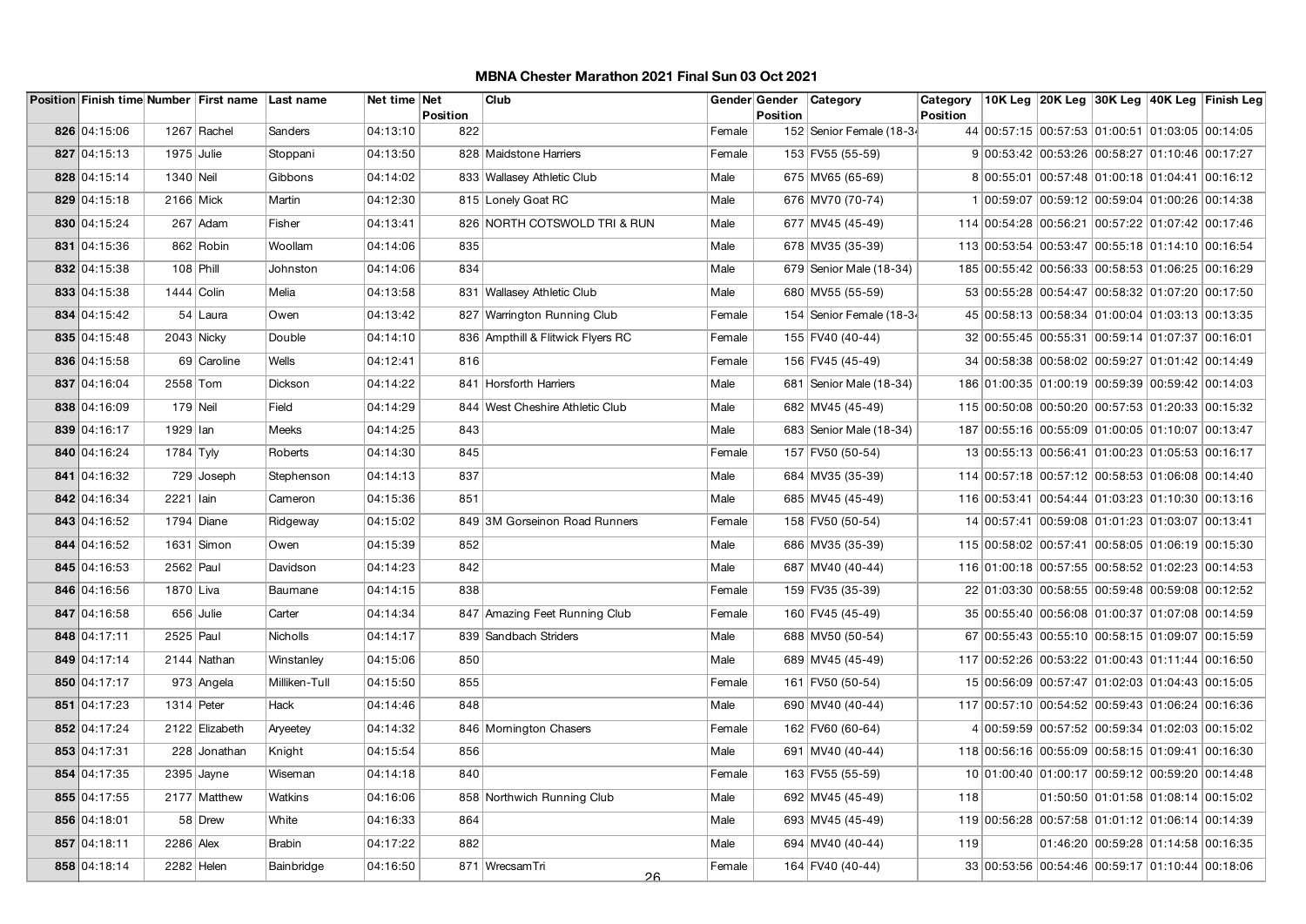|              |              | Position Finish time Number First name Last name |                 | Net time Net |                        | Club                              |        | Gender Gender | <b>Category</b>           | Category        |                                                  |  | 10K Leg 20K Leg 30K Leg 40K Leg Finish Leg |
|--------------|--------------|--------------------------------------------------|-----------------|--------------|------------------------|-----------------------------------|--------|---------------|---------------------------|-----------------|--------------------------------------------------|--|--------------------------------------------|
| 826 04:15:06 |              | 1267 Rachel                                      | Sanders         | 04:13:10     | <b>Position</b><br>822 |                                   | Female | Position      | 152 Senior Female (18-34  | <b>Position</b> | 44 00:57:15 00:57:53 01:00:51 01:03:05 00:14:05  |  |                                            |
|              |              |                                                  |                 |              |                        |                                   |        |               |                           |                 |                                                  |  |                                            |
| 827 04:15:13 | $1975$ Julie |                                                  | Stoppani        | 04:13:50     |                        | 828 Maidstone Harriers            | Female |               | 153 FV55 (55-59)          |                 | 9 00:53:42 00:53:26 00:58:27 01:10:46 00:17:27   |  |                                            |
| 828 04:15:14 | 1340 Neil    |                                                  | Gibbons         | 04:14:02     |                        | 833 Wallasey Athletic Club        | Male   |               | 675 MV65 (65-69)          |                 | 8 00:55:01 00:57:48 01:00:18 01:04:41 00:16:12   |  |                                            |
| 829 04:15:18 | 2166 Mick    |                                                  | Martin          | 04:12:30     |                        | 815 Lonely Goat RC                | Male   |               | 676 MV70 (70-74)          |                 | 1 00:59:07 00:59:12 00:59:04 01:00:26 00:14:38   |  |                                            |
| 830 04:15:24 |              | 267 Adam                                         | Fisher          | 04:13:41     |                        | 826 NORTH COTSWOLD TRI & RUN      | Male   |               | 677 MV45 (45-49)          |                 | 114 00:54:28 00:56:21 00:57:22 01:07:42 00:17:46 |  |                                            |
| 831 04:15:36 |              | 862 Robin                                        | Woollam         | 04:14:06     | 835                    |                                   | Male   |               | 678 MV35 (35-39)          |                 | 113 00:53:54 00:53:47 00:55:18 01:14:10 00:16:54 |  |                                            |
| 832 04:15:38 | 108 Phill    |                                                  | Johnston        | 04:14:06     | 834                    |                                   | Male   |               | 679 Senior Male (18-34)   |                 | 185 00:55:42 00:56:33 00:58:53 01:06:25 00:16:29 |  |                                            |
| 833 04:15:38 | 1444 Colin   |                                                  | Melia           | 04:13:58     |                        | 831 Wallasey Athletic Club        | Male   |               | 680 MV55 (55-59)          |                 | 53 00:55:28 00:54:47 00:58:32 01:07:20 00:17:50  |  |                                            |
| 834 04:15:42 |              | 54 Laura                                         | Owen            | 04:13:42     |                        | 827 Warrington Running Club       | Female |               | 154 Senior Female (18-34  |                 | 45 00:58:13 00:58:34 01:00:04 01:03:13 00:13:35  |  |                                            |
| 835 04:15:48 | $2043$ Nicky |                                                  | Double          | 04:14:10     |                        | 836 Ampthill & Flitwick Flyers RC | Female |               | 155 FV40 (40-44)          |                 | 32 00:55:45 00:55:31 00:59:14 01:07:37 00:16:01  |  |                                            |
| 836 04:15:58 |              | 69 Caroline                                      | Wells           | 04:12:41     | 816                    |                                   | Female |               | 156 FV45 (45-49)          |                 | 34 00:58:38 00:58:02 00:59:27 01:01:42 00:14:49  |  |                                            |
| 837 04:16:04 | 2558 Tom     |                                                  | Dickson         | 04:14:22     |                        | 841 Horsforth Harriers            | Male   |               | 681   Senior Male (18-34) |                 | 186 01:00:35 01:00:19 00:59:39 00:59:42 00:14:03 |  |                                            |
| 838 04:16:09 | 179 Neil     |                                                  | Field           | 04:14:29     |                        | 844 West Cheshire Athletic Club   | Male   |               | 682 MV45 (45-49)          |                 | 115 00:50:08 00:50:20 00:57:53 01:20:33 00:15:32 |  |                                            |
| 839 04:16:17 | 1929 lan     |                                                  | Meeks           | 04:14:25     | 843                    |                                   | Male   |               | 683 Senior Male (18-34)   |                 | 187 00:55:16 00:55:09 01:00:05 01:10:07 00:13:47 |  |                                            |
| 840 04:16:24 | $1784$ Tyly  |                                                  | Roberts         | 04:14:30     | 845                    |                                   | Female |               | 157 FV50 (50-54)          |                 | 13 00:55:13 00:56:41 01:00:23 01:05:53 00:16:17  |  |                                            |
| 841 04:16:32 |              | 729 Joseph                                       | Stephenson      | 04:14:13     | 837                    |                                   | Male   |               | 684 MV35 (35-39)          |                 | 114 00:57:18 00:57:12 00:58:53 01:06:08 00:14:40 |  |                                            |
| 842 04:16:34 | 2221 Iain    |                                                  | Cameron         | 04:15:36     | 851                    |                                   | Male   |               | 685 MV45 (45-49)          |                 | 116 00:53:41 00:54:44 01:03:23 01:10:30 00:13:16 |  |                                            |
| 843 04:16:52 |              | 1794 Diane                                       | Ridgeway        | 04:15:02     |                        | 849 3M Gorseinon Road Runners     | Female |               | 158 FV50 (50-54)          |                 | 14 00:57:41 00:59:08 01:01:23 01:03:07 00:13:41  |  |                                            |
| 844 04:16:52 |              | $1631$ Simon                                     | Owen            | 04:15:39     | 852                    |                                   | Male   |               | 686 MV35 (35-39)          |                 | 115 00:58:02 00:57:41 00:58:05 01:06:19 00:15:30 |  |                                            |
| 845 04:16:53 | 2562 Paul    |                                                  | Davidson        | 04:14:23     | 842                    |                                   | Male   |               | 687 MV40 (40-44)          |                 | 116 01:00:18 00:57:55 00:58:52 01:02:23 00:14:53 |  |                                            |
| 846 04:16:56 | 1870 Liva    |                                                  | Baumane         | 04:14:15     | 838                    |                                   | Female |               | 159 FV35 (35-39)          |                 | 22 01:03:30 00:58:55 00:59:48 00:59:08 00:12:52  |  |                                            |
| 847 04:16:58 |              | $656$ Julie                                      | Carter          | 04:14:34     |                        | 847 Amazing Feet Running Club     | Female |               | 160 FV45 (45-49)          |                 | 35 00:55:40 00:56:08 01:00:37 01:07:08 00:14:59  |  |                                            |
| 848 04:17:11 | 2525 Paul    |                                                  | <b>Nicholls</b> | 04:14:17     |                        | 839 Sandbach Striders             | Male   |               | 688 MV50 (50-54)          |                 | 67 00:55:43 00:55:10 00:58:15 01:09:07 00:15:59  |  |                                            |
| 849 04:17:14 |              | 2144 Nathan                                      | Winstanley      | 04:15:06     | 850                    |                                   | Male   |               | 689 MV45 (45-49)          |                 | 117 00:52:26 00:53:22 01:00:43 01:11:44 00:16:50 |  |                                            |
| 850 04:17:17 |              | 973 Angela                                       | Milliken-Tull   | 04:15:50     | 855                    |                                   | Female |               | 161 FV50 (50-54)          |                 | 15 00:56:09 00:57:47 01:02:03 01:04:43 00:15:05  |  |                                            |
| 851 04:17:23 | 1314 Peter   |                                                  | Hack            | 04:14:46     | 848                    |                                   | Male   |               | 690 MV40 (40-44)          |                 | 117 00:57:10 00:54:52 00:59:43 01:06:24 00:16:36 |  |                                            |
| 852 04:17:24 |              | 2122 Elizabeth                                   | Aryeetey        | 04:14:32     |                        | 846 Mornington Chasers            | Female |               | 162 FV60 (60-64)          |                 | 4 00:59:59 00:57:52 00:59:34 01:02:03 00:15:02   |  |                                            |
| 853 04:17:31 |              | 228 Jonathan                                     | Knight          | 04:15:54     | 856                    |                                   | Male   |               | 691 MV40 (40-44)          |                 | 118 00:56:16 00:55:09 00:58:15 01:09:41 00:16:30 |  |                                            |
| 854 04:17:35 |              | $2395$ Jayne                                     | Wiseman         | 04:14:18     | 840                    |                                   | Female |               | 163 FV55 (55-59)          |                 | 10 01:00:40 01:00:17 00:59:12 00:59:20 00:14:48  |  |                                            |
| 855 04:17:55 |              | 2177 Matthew                                     | Watkins         | 04:16:06     |                        | 858 Northwich Running Club        | Male   |               | 692 MV45 (45-49)          | 118             |                                                  |  | 01:50:50 01:01:58 01:08:14 00:15:02        |
| 856 04:18:01 |              | 58 Drew                                          | White           | 04:16:33     | 864                    |                                   | Male   |               | 693 MV45 (45-49)          |                 | 119 00:56:28 00:57:58 01:01:12 01:06:14 00:14:39 |  |                                            |
| 857 04:18:11 | 2286 Alex    |                                                  | <b>Brabin</b>   | 04:17:22     | 882                    |                                   | Male   |               | 694 MV40 (40-44)          | 119             |                                                  |  | 01:46:20 00:59:28 01:14:58 00:16:35        |
| 858 04:18:14 | 2282 Helen   |                                                  | Bainbridge      | 04:16:50     |                        | 871 WrecsamTri<br>$\Omega$        | Female |               | 164 FV40 (40-44)          |                 | 33 00:53:56 00:54:46 00:59:17 01:10:44 00:18:06  |  |                                            |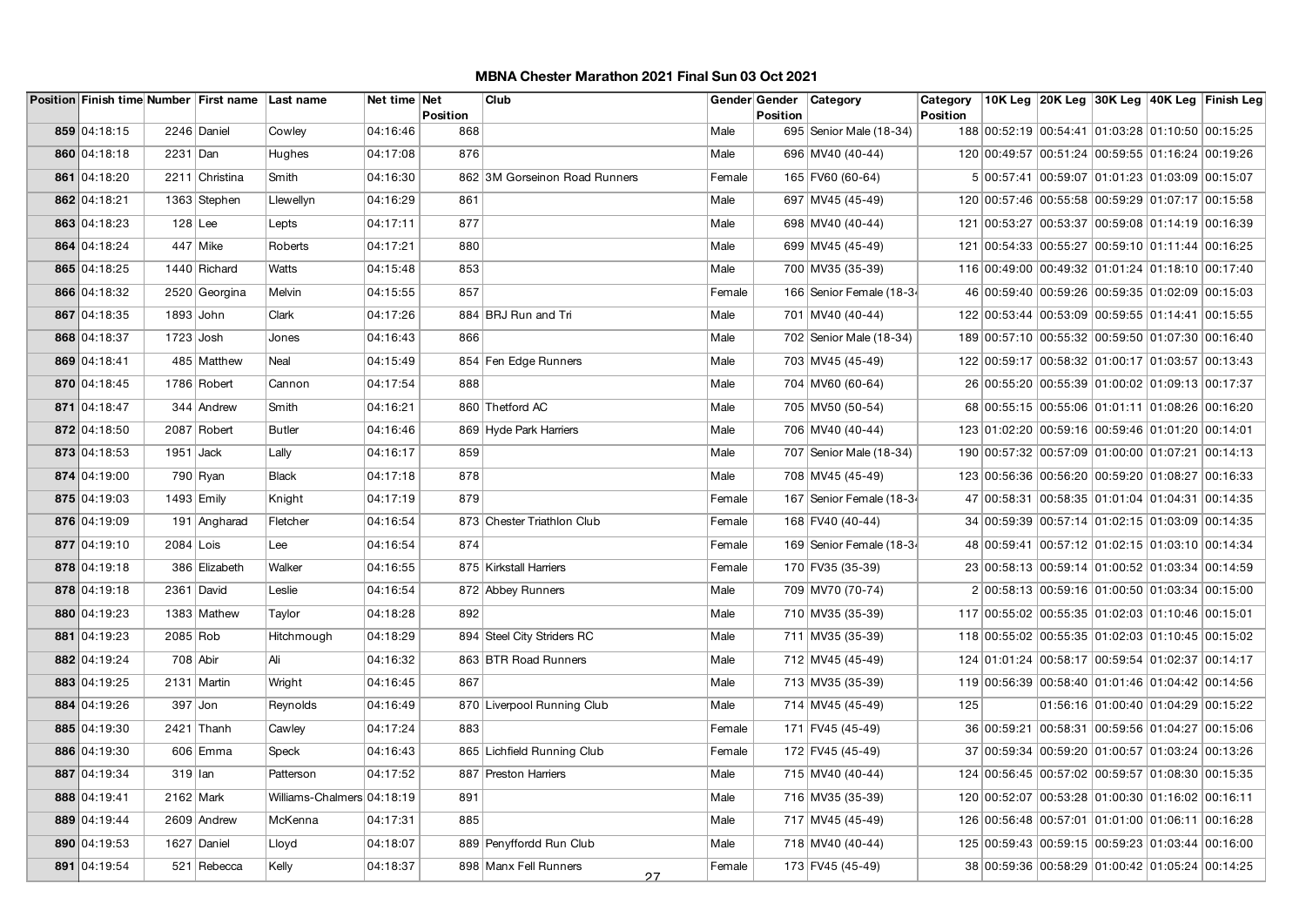|              |             | Position Finish time Number First name Last name |                            | Net time Net | <b>Position</b> | Club                          |        | Gender Gender<br>Position | Category                  | Category<br>Position |                                                  |  | 10K Leg 20K Leg 30K Leg 40K Leg Finish Leg |
|--------------|-------------|--------------------------------------------------|----------------------------|--------------|-----------------|-------------------------------|--------|---------------------------|---------------------------|----------------------|--------------------------------------------------|--|--------------------------------------------|
| 859 04:18:15 |             | 2246 Daniel                                      | Cowley                     | 04:16:46     | 868             |                               | Male   |                           | 695 Senior Male (18-34)   |                      | 188 00:52:19 00:54:41 01:03:28 01:10:50 00:15:25 |  |                                            |
| 860 04:18:18 | 2231 Dan    |                                                  | Hughes                     | 04:17:08     | 876             |                               | Male   |                           | 696 MV40 (40-44)          |                      | 120 00:49:57 00:51:24 00:59:55 01:16:24 00:19:26 |  |                                            |
| 861 04:18:20 |             | 2211 Christina                                   | Smith                      | 04:16:30     |                 | 862 3M Gorseinon Road Runners | Female |                           | 165 FV60 (60-64)          |                      | 5 00:57:41 00:59:07 01:01:23 01:03:09 00:15:07   |  |                                            |
| 862 04:18:21 |             | 1363 Stephen                                     | Llewellyn                  | 04:16:29     | 861             |                               | Male   |                           | 697 MV45 (45-49)          |                      | 120 00:57:46 00:55:58 00:59:29 01:07:17 00:15:58 |  |                                            |
| 863 04:18:23 | $128$ Lee   |                                                  | Lepts                      | 04:17:11     | 877             |                               | Male   |                           | 698 MV40 (40-44)          |                      | 121 00:53:27 00:53:37 00:59:08 01:14:19 00:16:39 |  |                                            |
| 864 04:18:24 |             | 447 Mike                                         | Roberts                    | 04:17:21     | 880             |                               | Male   |                           | 699 MV45 (45-49)          |                      | 121 00:54:33 00:55:27 00:59:10 01:11:44 00:16:25 |  |                                            |
| 865 04:18:25 |             | 1440 Richard                                     | Watts                      | 04:15:48     | 853             |                               | Male   |                           | 700 MV35 (35-39)          |                      | 116 00:49:00 00:49:32 01:01:24 01:18:10 00:17:40 |  |                                            |
| 866 04:18:32 |             | 2520 Georgina                                    | Melvin                     | 04:15:55     | 857             |                               | Female |                           | 166 Senior Female (18-34  |                      | 46 00:59:40 00:59:26 00:59:35 01:02:09 00:15:03  |  |                                            |
| 867 04:18:35 | 1893 John   |                                                  | Clark                      | 04:17:26     |                 | 884 BRJ Run and Tri           | Male   |                           | 701   MV40 (40-44)        |                      | 122 00:53:44 00:53:09 00:59:55 01:14:41 00:15:55 |  |                                            |
| 868 04:18:37 | $1723$ Josh |                                                  | Jones                      | 04:16:43     | 866             |                               | Male   |                           | 702   Senior Male (18-34) |                      | 189 00:57:10 00:55:32 00:59:50 01:07:30 00:16:40 |  |                                            |
| 869 04:18:41 |             | 485 Matthew                                      | Neal                       | 04:15:49     |                 | 854 Fen Edge Runners          | Male   |                           | 703 MV45 (45-49)          |                      | 122 00:59:17 00:58:32 01:00:17 01:03:57 00:13:43 |  |                                            |
| 870 04:18:45 |             | 1786 Robert                                      | Cannon                     | 04:17:54     | 888             |                               | Male   |                           | 704 MV60 (60-64)          |                      | 26 00:55:20 00:55:39 01:00:02 01:09:13 00:17:37  |  |                                            |
| 871 04:18:47 |             | 344 Andrew                                       | Smith                      | 04:16:21     |                 | 860 Thetford AC               | Male   |                           | 705 MV50 (50-54)          |                      | 68 00:55:15 00:55:06 01:01:11 01:08:26 00:16:20  |  |                                            |
| 872 04:18:50 |             | 2087 Robert                                      | <b>Butler</b>              | 04:16:46     |                 | 869 Hyde Park Harriers        | Male   |                           | 706 MV40 (40-44)          |                      | 123 01:02:20 00:59:16 00:59:46 01:01:20 00:14:01 |  |                                            |
| 873 04:18:53 | $1951$ Jack |                                                  | Lally                      | 04:16:17     | 859             |                               | Male   |                           | 707   Senior Male (18-34) |                      | 190 00:57:32 00:57:09 01:00:00 01:07:21 00:14:13 |  |                                            |
| 874 04:19:00 |             | 790 Ryan                                         | <b>Black</b>               | 04:17:18     | 878             |                               | Male   |                           | 708 MV45 (45-49)          |                      | 123 00:56:36 00:56:20 00:59:20 01:08:27 00:16:33 |  |                                            |
| 875 04:19:03 |             | $1493$ Emily                                     | Knight                     | 04:17:19     | 879             |                               | Female |                           | 167 Senior Female (18-34  |                      | 47 00:58:31 00:58:35 01:01:04 01:04:31 00:14:35  |  |                                            |
| 876 04:19:09 |             | 191 Angharad                                     | Fletcher                   | 04:16:54     |                 | 873 Chester Triathlon Club    | Female |                           | 168 FV40 (40-44)          |                      | 34 00:59:39 00:57:14 01:02:15 01:03:09 00:14:35  |  |                                            |
| 877 04:19:10 | $2084$ Lois |                                                  | Lee                        | 04:16:54     | 874             |                               | Female |                           | 169 Senior Female (18-34  |                      | 48 00:59:41 00:57:12 01:02:15 01:03:10 00:14:34  |  |                                            |
| 878 04:19:18 |             | 386 Elizabeth                                    | Walker                     | 04:16:55     |                 | 875 Kirkstall Harriers        | Female |                           | 170 FV35 (35-39)          |                      | 23 00:58:13 00:59:14 01:00:52 01:03:34 00:14:59  |  |                                            |
| 878 04:19:18 |             | 2361 David                                       | Leslie                     | 04:16:54     |                 | 872 Abbey Runners             | Male   |                           | 709 MV70 (70-74)          |                      | 2 00:58:13 00:59:16 01:00:50 01:03:34 00:15:00   |  |                                            |
| 880 04:19:23 |             | 1383 Mathew                                      | Taylor                     | 04:18:28     | 892             |                               | Male   |                           | 710 MV35 (35-39)          |                      | 117 00:55:02 00:55:35 01:02:03 01:10:46 00:15:01 |  |                                            |
| 881 04:19:23 | 2085 Rob    |                                                  | Hitchmough                 | 04:18:29     |                 | 894 Steel City Striders RC    | Male   |                           | 711 MV35 (35-39)          |                      | 118 00:55:02 00:55:35 01:02:03 01:10:45 00:15:02 |  |                                            |
| 882 04:19:24 | 708 Abir    |                                                  | Ali                        | 04:16:32     |                 | 863 BTR Road Runners          | Male   |                           | 712 MV45 (45-49)          |                      | 124 01:01:24 00:58:17 00:59:54 01:02:37 00:14:17 |  |                                            |
| 883 04:19:25 |             | 2131 Martin                                      | Wright                     | 04:16:45     | 867             |                               | Male   |                           | 713 MV35 (35-39)          |                      | 119 00:56:39 00:58:40 01:01:46 01:04:42 00:14:56 |  |                                            |
| 884 04:19:26 |             | $397$ Jon                                        | Reynolds                   | 04:16:49     |                 | 870 Liverpool Running Club    | Male   |                           | 714 MV45 (45-49)          | 125                  |                                                  |  | $01:56:16$ 01:00:40 01:04:29 00:15:22      |
| 885 04:19:30 |             | $2421$ Thanh                                     | Cawley                     | 04:17:24     | 883             |                               | Female |                           | 171 FV45 (45-49)          |                      | 36 00:59:21 00:58:31 00:59:56 01:04:27 00:15:06  |  |                                            |
| 886 04:19:30 |             | 606 Emma                                         | Speck                      | 04:16:43     |                 | 865 Lichfield Running Club    | Female |                           | 172 FV45 (45-49)          |                      | 37 00:59:34 00:59:20 01:00:57 01:03:24 00:13:26  |  |                                            |
| 887 04:19:34 | $319$ Ian   |                                                  | Patterson                  | 04:17:52     |                 | 887 Preston Harriers          | Male   |                           | 715 MV40 (40-44)          |                      | 124 00:56:45 00:57:02 00:59:57 01:08:30 00:15:35 |  |                                            |
| 888 04:19:41 | 2162 Mark   |                                                  | Williams-Chalmers 04:18:19 |              | 891             |                               | Male   |                           | 716 MV35 (35-39)          |                      | 120 00:52:07 00:53:28 01:00:30 01:16:02 00:16:11 |  |                                            |
| 889 04:19:44 |             | 2609 Andrew                                      | McKenna                    | 04:17:31     | 885             |                               | Male   |                           | 717 MV45 (45-49)          |                      | 126 00:56:48 00:57:01 01:01:00 01:06:11 00:16:28 |  |                                            |
| 890 04:19:53 |             | 1627 Daniel                                      | Lloyd                      | 04:18:07     |                 | 889 Penyffordd Run Club       | Male   |                           | 718 MV40 (40-44)          |                      | 125 00:59:43 00:59:15 00:59:23 01:03:44 00:16:00 |  |                                            |
| 891 04:19:54 |             | 521 Rebecca                                      | Kelly                      | 04:18:37     |                 | 898 Manx Fell Runners<br>27   | Female |                           | 173 FV45 (45-49)          |                      | 38 00:59:36 00:58:29 01:00:42 01:05:24 00:14:25  |  |                                            |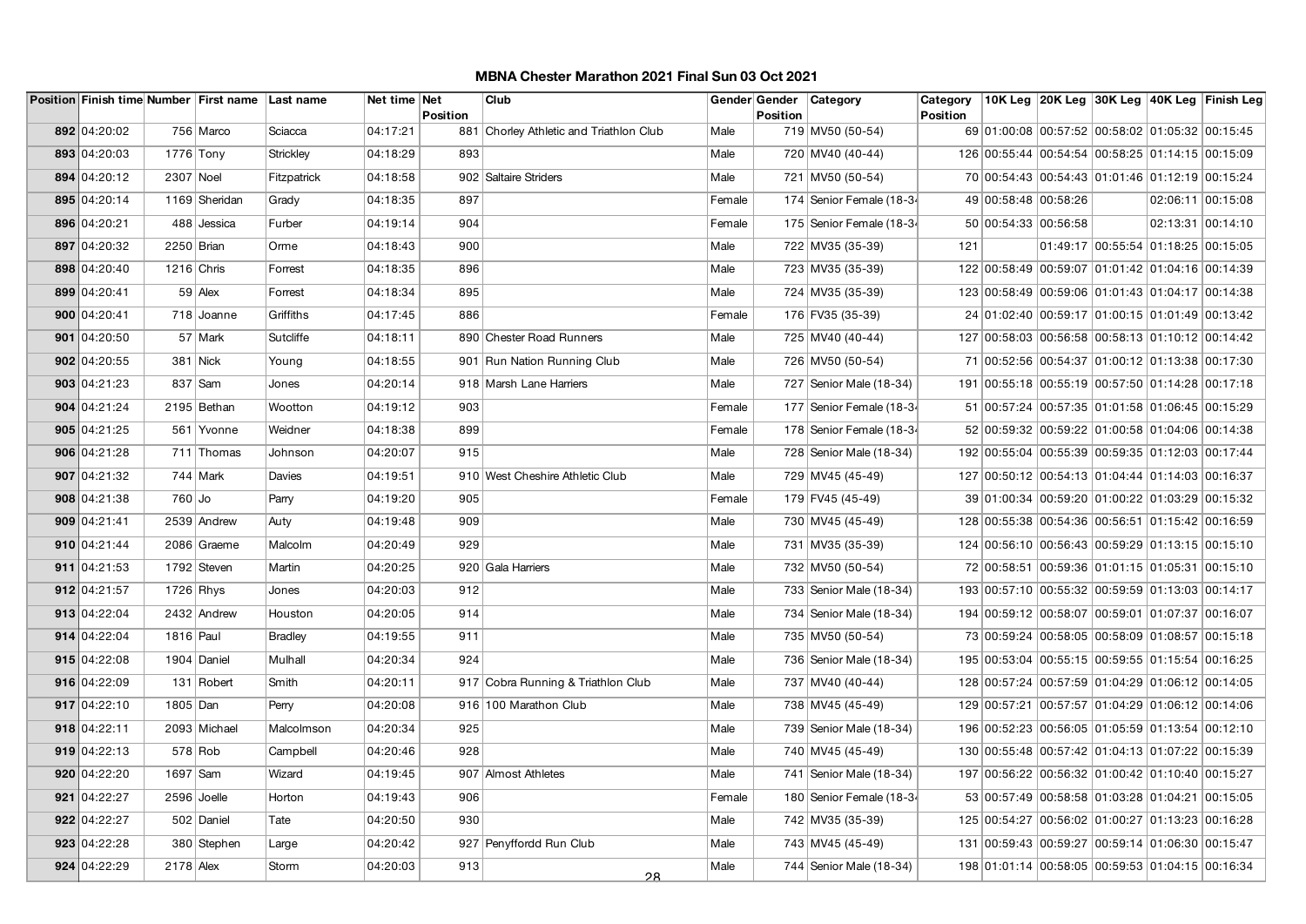|              |              | Position Finish time Number First name Last name |                | Net time Net |                 | Club                                    |        |                 | Gender Gender Category    | Category        |                                                  |                                     | 10K Leg 20K Leg 30K Leg 40K Leg Finish Leg |
|--------------|--------------|--------------------------------------------------|----------------|--------------|-----------------|-----------------------------------------|--------|-----------------|---------------------------|-----------------|--------------------------------------------------|-------------------------------------|--------------------------------------------|
| 892 04:20:02 |              | 756 Marco                                        | Sciacca        | 04:17:21     | <b>Position</b> | 881 Chorley Athletic and Triathlon Club | Male   | <b>Position</b> | 719 MV50 (50-54)          | <b>Position</b> | 69 01:00:08 00:57:52 00:58:02 01:05:32 00:15:45  |                                     |                                            |
|              |              |                                                  |                |              |                 |                                         |        |                 |                           |                 |                                                  |                                     |                                            |
| 893 04:20:03 | $1776$ Tony  |                                                  | Strickley      | 04:18:29     | 893             |                                         | Male   |                 | 720 MV40 (40-44)          |                 | 126 00:55:44 00:54:54 00:58:25 01:14:15 00:15:09 |                                     |                                            |
| 894 04:20:12 | 2307 Noel    |                                                  | Fitzpatrick    | 04:18:58     |                 | 902 Saltaire Striders                   | Male   |                 | 721 MV50 (50-54)          |                 | 70 00:54:43 00:54:43 01:01:46 01:12:19 00:15:24  |                                     |                                            |
| 895 04:20:14 |              | 1169 Sheridan                                    | Grady          | 04:18:35     | 897             |                                         | Female |                 | 174 Senior Female (18-34  |                 | 49 00:58:48 00:58:26                             |                                     | 02:06:11 00:15:08                          |
| 896 04:20:21 |              | 488 Jessica                                      | Furber         | 04:19:14     | 904             |                                         | Female |                 | 175 Senior Female (18-34  |                 | 50 00:54:33 00:56:58                             |                                     | 02:13:31 00:14:10                          |
| 897 04:20:32 | 2250 Brian   |                                                  | Orme           | 04:18:43     | 900             |                                         | Male   |                 | 722 MV35 (35-39)          | 121             |                                                  | 01:49:17 00:55:54 01:18:25 00:15:05 |                                            |
| 898 04:20:40 | $1216$ Chris |                                                  | Forrest        | 04:18:35     | 896             |                                         | Male   |                 | 723 MV35 (35-39)          |                 | 122 00:58:49 00:59:07 01:01:42 01:04:16 00:14:39 |                                     |                                            |
| 899 04:20:41 |              | $59$ Alex                                        | Forrest        | 04:18:34     | 895             |                                         | Male   |                 | 724 MV35 (35-39)          |                 | 123 00:58:49 00:59:06 01:01:43 01:04:17 00:14:38 |                                     |                                            |
| 900 04:20:41 |              | 718 Joanne                                       | Griffiths      | 04:17:45     | 886             |                                         | Female |                 | 176 FV35 (35-39)          |                 | 24 01:02:40 00:59:17 01:00:15 01:01:49 00:13:42  |                                     |                                            |
| 901 04:20:50 |              | 57 Mark                                          | Sutcliffe      | 04:18:11     |                 | 890 Chester Road Runners                | Male   |                 | 725 MV40 (40-44)          |                 | 127 00:58:03 00:56:58 00:58:13 01:10:12 00:14:42 |                                     |                                            |
| 902 04:20:55 |              | 381 Nick                                         | Young          | 04:18:55     |                 | 901 Run Nation Running Club             | Male   |                 | 726 MV50 (50-54)          |                 | 71 00:52:56 00:54:37 01:00:12 01:13:38 00:17:30  |                                     |                                            |
| 903 04:21:23 |              | 837 Sam                                          | Jones          | 04:20:14     |                 | 918 Marsh Lane Harriers                 | Male   |                 | 727   Senior Male (18-34) |                 | 191 00:55:18 00:55:19 00:57:50 01:14:28 00:17:18 |                                     |                                            |
| 904 04:21:24 |              | 2195 Bethan                                      | Wootton        | 04:19:12     | 903             |                                         | Female |                 | 177 Senior Female (18-34  |                 | 51 00:57:24 00:57:35 01:01:58 01:06:45 00:15:29  |                                     |                                            |
| 905 04:21:25 |              | 561 Yvonne                                       | Weidner        | 04:18:38     | 899             |                                         | Female |                 | 178 Senior Female (18-34  |                 | 52 00:59:32 00:59:22 01:00:58 01:04:06 00:14:38  |                                     |                                            |
| 906 04:21:28 |              | 711 Thomas                                       | Johnson        | 04:20:07     | 915             |                                         | Male   |                 | 728   Senior Male (18-34) |                 | 192 00:55:04 00:55:39 00:59:35 01:12:03 00:17:44 |                                     |                                            |
| 907 04:21:32 |              | $744$ Mark                                       | Davies         | 04:19:51     |                 | 910 West Cheshire Athletic Club         | Male   |                 | 729 MV45 (45-49)          |                 | 127 00:50:12 00:54:13 01:04:44 01:14:03 00:16:37 |                                     |                                            |
| 908 04:21:38 | 760 Jo       |                                                  | Parry          | 04:19:20     | 905             |                                         | Female |                 | 179 FV45 (45-49)          |                 | 39 01:00:34 00:59:20 01:00:22 01:03:29 00:15:32  |                                     |                                            |
| 909 04:21:41 |              | 2539 Andrew                                      | Auty           | 04:19:48     | 909             |                                         | Male   |                 | 730 MV45 (45-49)          |                 | 128 00:55:38 00:54:36 00:56:51 01:15:42 00:16:59 |                                     |                                            |
| 910 04:21:44 |              | 2086 Graeme                                      | Malcolm        | 04:20:49     | 929             |                                         | Male   |                 | 731 MV35 (35-39)          |                 | 124 00:56:10 00:56:43 00:59:29 01:13:15 00:15:10 |                                     |                                            |
| 911 04:21:53 |              | 1792 Steven                                      | Martin         | 04:20:25     |                 | 920 Gala Harriers                       | Male   |                 | 732 MV50 (50-54)          |                 | 72 00:58:51 00:59:36 01:01:15 01:05:31 00:15:10  |                                     |                                            |
| 912 04:21:57 | $1726$ Rhys  |                                                  | Jones          | 04:20:03     | 912             |                                         | Male   |                 | 733 Senior Male (18-34)   |                 | 193 00:57:10 00:55:32 00:59:59 01:13:03 00:14:17 |                                     |                                            |
| 913 04:22:04 |              | 2432 Andrew                                      | Houston        | 04:20:05     | 914             |                                         | Male   |                 | 734   Senior Male (18-34) |                 | 194 00:59:12 00:58:07 00:59:01 01:07:37 00:16:07 |                                     |                                            |
| 914 04:22:04 | 1816 Paul    |                                                  | <b>Bradley</b> | 04:19:55     | 911             |                                         | Male   |                 | 735 MV50 (50-54)          |                 | 73 00:59:24 00:58:05 00:58:09 01:08:57 00:15:18  |                                     |                                            |
| 915 04:22:08 |              | 1904 Daniel                                      | Mulhall        | 04:20:34     | 924             |                                         | Male   |                 | 736 Senior Male (18-34)   |                 | 195 00:53:04 00:55:15 00:59:55 01:15:54 00:16:25 |                                     |                                            |
| 916 04:22:09 |              | 131 Robert                                       | Smith          | 04:20:11     |                 | 917 Cobra Running & Triathlon Club      | Male   |                 | 737 MV40 (40-44)          |                 | 128 00:57:24 00:57:59 01:04:29 01:06:12 00:14:05 |                                     |                                            |
| 917 04:22:10 | 1805 Dan     |                                                  | Perry          | 04:20:08     |                 | 916 100 Marathon Club                   | Male   |                 | 738 MV45 (45-49)          |                 | 129 00:57:21 00:57:57 01:04:29 01:06:12 00:14:06 |                                     |                                            |
| 918 04:22:11 |              | 2093 Michael                                     | Malcolmson     | 04:20:34     | 925             |                                         | Male   |                 | 739 Senior Male (18-34)   |                 | 196 00:52:23 00:56:05 01:05:59 01:13:54 00:12:10 |                                     |                                            |
| 919 04:22:13 |              | $578$ Rob                                        | Campbell       | 04:20:46     | 928             |                                         | Male   |                 | 740 MV45 (45-49)          |                 | 130 00:55:48 00:57:42 01:04:13 01:07:22 00:15:39 |                                     |                                            |
| 920 04:22:20 | 1697 Sam     |                                                  | Wizard         | 04:19:45     |                 | 907 Almost Athletes                     | Male   |                 | 741   Senior Male (18-34) |                 | 197 00:56:22 00:56:32 01:00:42 01:10:40 00:15:27 |                                     |                                            |
| 921 04:22:27 | 2596 Joelle  |                                                  | Horton         | 04:19:43     | 906             |                                         | Female |                 | 180 Senior Female (18-34  |                 | 53 00:57:49 00:58:58 01:03:28 01:04:21 00:15:05  |                                     |                                            |
| 922 04:22:27 |              | 502 Daniel                                       | Tate           | 04:20:50     | 930             |                                         | Male   |                 | 742 MV35 (35-39)          |                 | 125 00:54:27 00:56:02 01:00:27 01:13:23 00:16:28 |                                     |                                            |
| 923 04:22:28 |              | 380 Stephen                                      | Large          | 04:20:42     |                 | 927 Penyffordd Run Club                 | Male   |                 | 743 MV45 (45-49)          |                 | 131 00:59:43 00:59:27 00:59:14 01:06:30 00:15:47 |                                     |                                            |
| 924 04:22:29 | 2178 Alex    |                                                  | Storm          | 04:20:03     | 913             | 0 <sup>0</sup>                          | Male   |                 | 744   Senior Male (18-34) |                 | 198 01:01:14 00:58:05 00:59:53 01:04:15 00:16:34 |                                     |                                            |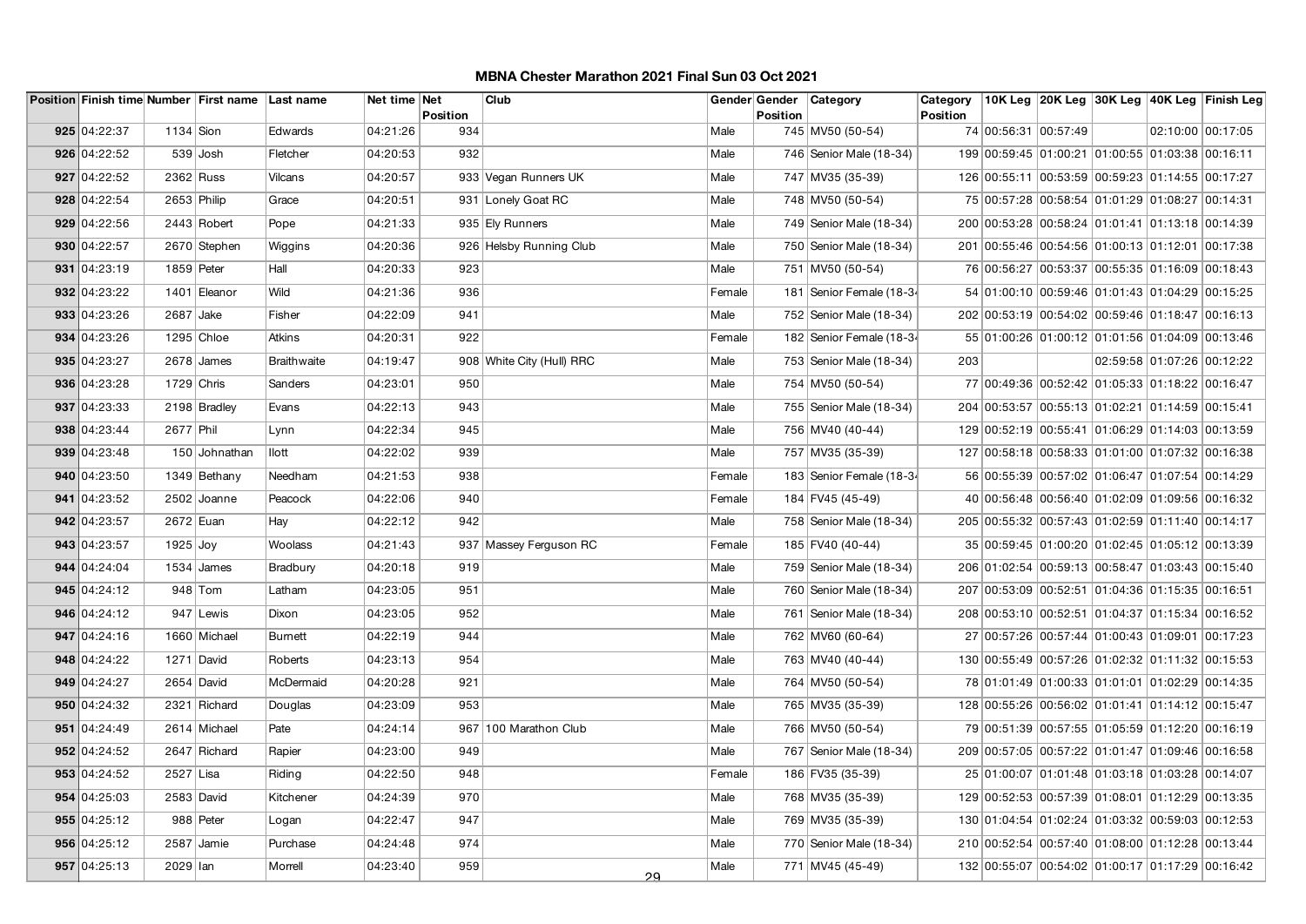|              |             | Position Finish time Number First name Last name |                | Net time Net | <b>Position</b> | Club                      |        | Position | Gender Gender Category    | Category<br><b>Position</b> |                                                  |  | 10K Leg  20K Leg  30K Leg  40K Leg  Finish Leg |
|--------------|-------------|--------------------------------------------------|----------------|--------------|-----------------|---------------------------|--------|----------|---------------------------|-----------------------------|--------------------------------------------------|--|------------------------------------------------|
| 925 04:22:37 | $1134$ Sion |                                                  | Edwards        | 04:21:26     | 934             |                           | Male   |          | 745 MV50 (50-54)          |                             | 74 00:56:31 00:57:49                             |  | 02:10:00 00:17:05                              |
| 926 04:22:52 |             | 539 Josh                                         | Fletcher       | 04:20:53     | 932             |                           | Male   |          | 746 Senior Male (18-34)   |                             | 199 00:59:45 01:00:21 01:00:55 01:03:38 00:16:11 |  |                                                |
| 927 04:22:52 | 2362 Russ   |                                                  | Vilcans        | 04:20:57     |                 | 933 Vegan Runners UK      | Male   |          | 747 MV35 (35-39)          |                             | 126 00:55:11 00:53:59 00:59:23 01:14:55 00:17:27 |  |                                                |
| 928 04:22:54 | 2653 Philip |                                                  | Grace          | 04:20:51     |                 | 931 Lonely Goat RC        | Male   |          | 748 MV50 (50-54)          |                             | 75 00:57:28 00:58:54 01:01:29 01:08:27 00:14:31  |  |                                                |
| 929 04:22:56 |             | $2443$ Robert                                    | Pope           | 04:21:33     |                 | 935 Ely Runners           | Male   |          | 749 Senior Male (18-34)   |                             | 200 00:53:28 00:58:24 01:01:41 01:13:18 00:14:39 |  |                                                |
| 930 04:22:57 |             | 2670 Stephen                                     | Wiggins        | 04:20:36     |                 | 926 Helsby Running Club   | Male   |          | 750 Senior Male (18-34)   |                             | 201 00:55:46 00:54:56 01:00:13 01:12:01 00:17:38 |  |                                                |
| 931 04:23:19 | 1859 Peter  |                                                  | Hall           | 04:20:33     | 923             |                           | Male   |          | 751 MV50 (50-54)          |                             | 76 00:56:27 00:53:37 00:55:35 01:16:09 00:18:43  |  |                                                |
| 932 04:23:22 |             | 1401 Eleanor                                     | Wild           | 04:21:36     | 936             |                           | Female |          | 181 Senior Female (18-34  |                             | 54 01:00:10 00:59:46 01:01:43 01:04:29 00:15:25  |  |                                                |
| 933 04:23:26 | 2687 Jake   |                                                  | Fisher         | 04:22:09     | 941             |                           | Male   |          | 752 Senior Male (18-34)   |                             | 202 00:53:19 00:54:02 00:59:46 01:18:47 00:16:13 |  |                                                |
| 934 04:23:26 |             | $1295$ Chloe                                     | Atkins         | 04:20:31     | 922             |                           | Female |          | 182 Senior Female (18-34  |                             | 55 01:00:26 01:00:12 01:01:56 01:04:09 00:13:46  |  |                                                |
| 935 04:23:27 |             | $2678$ James                                     | Braithwaite    | 04:19:47     |                 | 908 White City (Hull) RRC | Male   |          | 753 Senior Male (18-34)   | 203                         |                                                  |  | 02:59:58 01:07:26 00:12:22                     |
| 936 04:23:28 | 1729 Chris  |                                                  | Sanders        | 04:23:01     | 950             |                           | Male   |          | 754 MV50 (50-54)          |                             | 77 00:49:36 00:52:42 01:05:33 01:18:22 00:16:47  |  |                                                |
| 937 04:23:33 |             | 2198 Bradley                                     | Evans          | 04:22:13     | 943             |                           | Male   |          | 755   Senior Male (18-34) |                             | 204 00:53:57 00:55:13 01:02:21 01:14:59 00:15:41 |  |                                                |
| 938 04:23:44 | 2677 Phil   |                                                  | Lynn           | 04:22:34     | 945             |                           | Male   |          | 756 MV40 (40-44)          |                             | 129 00:52:19 00:55:41 01:06:29 01:14:03 00:13:59 |  |                                                |
| 939 04:23:48 |             | 150 Johnathan                                    | llott          | 04:22:02     | 939             |                           | Male   |          | 757 MV35 (35-39)          |                             | 127 00:58:18 00:58:33 01:01:00 01:07:32 00:16:38 |  |                                                |
| 940 04:23:50 |             | 1349 Bethany                                     | Needham        | 04:21:53     | 938             |                           | Female |          | 183 Senior Female (18-34  |                             | 56 00:55:39 00:57:02 01:06:47 01:07:54 00:14:29  |  |                                                |
| 941 04:23:52 |             | 2502 Joanne                                      | Peacock        | 04:22:06     | 940             |                           | Female |          | 184 FV45 (45-49)          |                             | 40 00:56:48 00:56:40 01:02:09 01:09:56 00:16:32  |  |                                                |
| 942 04:23:57 | 2672 Euan   |                                                  | Hay            | 04:22:12     | 942             |                           | Male   |          | 758 Senior Male (18-34)   |                             | 205 00:55:32 00:57:43 01:02:59 01:11:40 00:14:17 |  |                                                |
| 943 04:23:57 | $1925$ Joy  |                                                  | Woolass        | 04:21:43     |                 | 937 Massey Ferguson RC    | Female |          | 185 FV40 (40-44)          |                             | 35 00:59:45 01:00:20 01:02:45 01:05:12 00:13:39  |  |                                                |
| 944 04:24:04 |             | $1534$ James                                     | Bradbury       | 04:20:18     | 919             |                           | Male   |          | 759 Senior Male (18-34)   |                             | 206 01:02:54 00:59:13 00:58:47 01:03:43 00:15:40 |  |                                                |
| 945 04:24:12 |             | $948$ Tom                                        | Latham         | 04:23:05     | 951             |                           | Male   |          | 760 Senior Male (18-34)   |                             | 207 00:53:09 00:52:51 01:04:36 01:15:35 00:16:51 |  |                                                |
| 946 04:24:12 |             | 947 Lewis                                        | Dixon          | 04:23:05     | 952             |                           | Male   |          | 761   Senior Male (18-34) |                             | 208 00:53:10 00:52:51 01:04:37 01:15:34 00:16:52 |  |                                                |
| 947 04:24:16 |             | 1660 Michael                                     | <b>Burnett</b> | 04:22:19     | 944             |                           | Male   |          | 762 MV60 (60-64)          |                             | 27 00:57:26 00:57:44 01:00:43 01:09:01 00:17:23  |  |                                                |
| 948 04:24:22 |             | 1271 David                                       | Roberts        | 04:23:13     | 954             |                           | Male   |          | 763 MV40 (40-44)          |                             | 130 00:55:49 00:57:26 01:02:32 01:11:32 00:15:53 |  |                                                |
| 949 04:24:27 |             | 2654 David                                       | McDermaid      | 04:20:28     | 921             |                           | Male   |          | 764 MV50 (50-54)          |                             | 78 01:01:49 01:00:33 01:01:01 01:02:29 00:14:35  |  |                                                |
| 950 04:24:32 |             | 2321 Richard                                     | Douglas        | 04:23:09     | 953             |                           | Male   |          | 765 MV35 (35-39)          |                             | 128 00:55:26 00:56:02 01:01:41 01:14:12 00:15:47 |  |                                                |
| 951 04:24:49 |             | 2614 Michael                                     | Pate           | 04:24:14     |                 | 967 100 Marathon Club     | Male   |          | 766 MV50 (50-54)          |                             | 79 00:51:39 00:57:55 01:05:59 01:12:20 00:16:19  |  |                                                |
| 952 04:24:52 |             | 2647 Richard                                     | Rapier         | 04:23:00     | 949             |                           | Male   |          | 767 Senior Male (18-34)   |                             | 209 00:57:05 00:57:22 01:01:47 01:09:46 00:16:58 |  |                                                |
| 953 04:24:52 | 2527 Lisa   |                                                  | Riding         | 04:22:50     | 948             |                           | Female |          | 186 FV35 (35-39)          |                             | 25 01:00:07 01:01:48 01:03:18 01:03:28 00:14:07  |  |                                                |
| 954 04:25:03 |             | 2583 David                                       | Kitchener      | 04:24:39     | 970             |                           | Male   |          | 768 MV35 (35-39)          |                             | 129 00:52:53 00:57:39 01:08:01 01:12:29 00:13:35 |  |                                                |
| 955 04:25:12 |             | 988 Peter                                        | Logan          | 04:22:47     | 947             |                           | Male   |          | 769 MV35 (35-39)          |                             | 130 01:04:54 01:02:24 01:03:32 00:59:03 00:12:53 |  |                                                |
| 956 04:25:12 |             | 2587 Jamie                                       | Purchase       | 04:24:48     | 974             |                           | Male   |          | 770 Senior Male (18-34)   |                             | 210 00:52:54 00:57:40 01:08:00 01:12:28 00:13:44 |  |                                                |
| 957 04:25:13 | 2029 lan    |                                                  | Morrell        | 04:23:40     | 959             | 29                        | Male   |          | 771 MV45 (45-49)          |                             | 132 00:55:07 00:54:02 01:00:17 01:17:29 00:16:42 |  |                                                |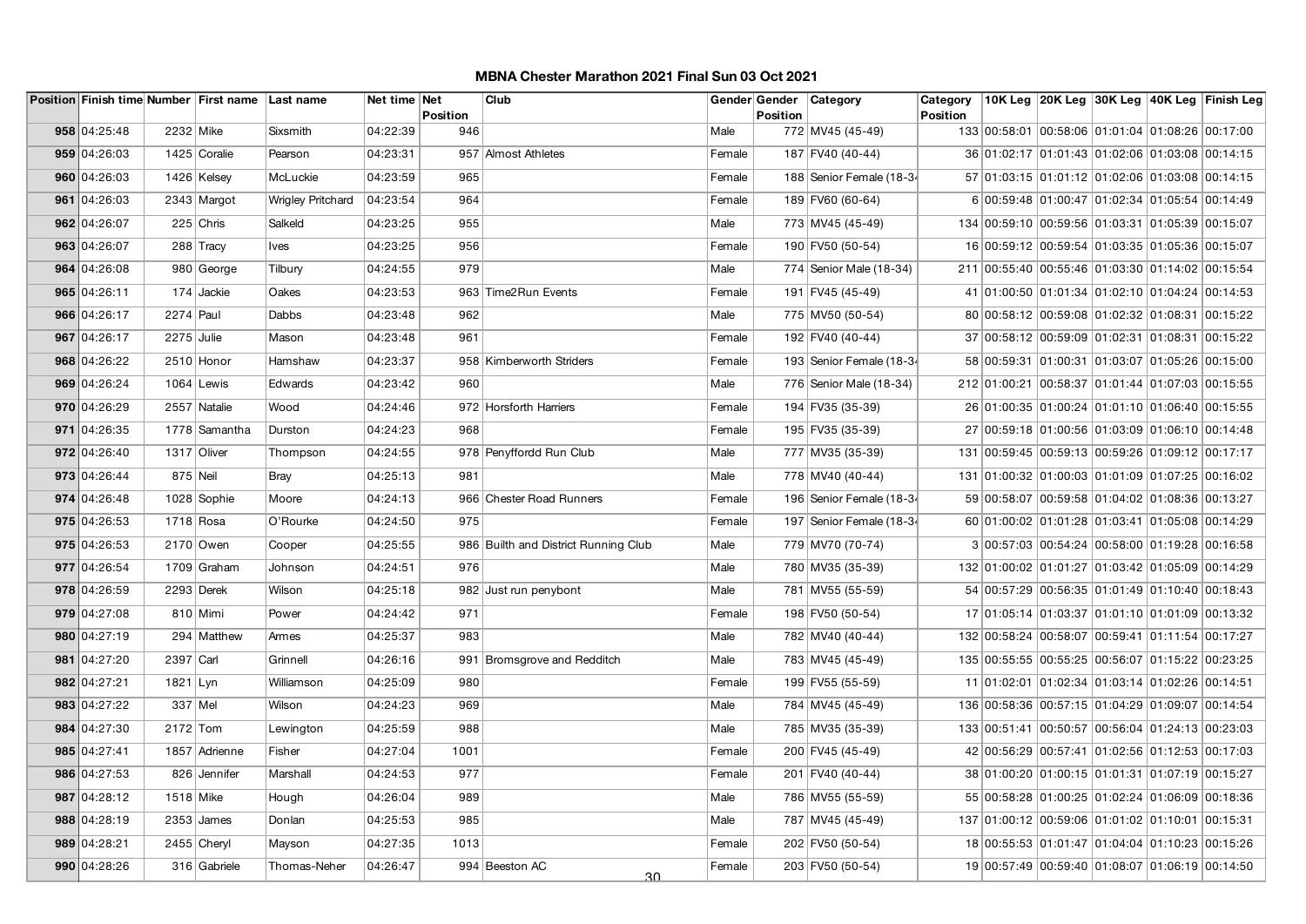|              |              | Position Finish time Number First name Last name |                   | Net time Net |                        | Club                                 |        |          | Gender Gender Category   | Category        |                                                  |  | 10K Leg 20K Leg 30K Leg 40K Leg Finish Leg |
|--------------|--------------|--------------------------------------------------|-------------------|--------------|------------------------|--------------------------------------|--------|----------|--------------------------|-----------------|--------------------------------------------------|--|--------------------------------------------|
| 958 04:25:48 | 2232 Mike    |                                                  | Sixsmith          | 04:22:39     | <b>Position</b><br>946 |                                      | Male   | Position | 772 MV45 (45-49)         | <b>Position</b> | 133 00:58:01 00:58:06 01:01:04 01:08:26 00:17:00 |  |                                            |
|              |              |                                                  |                   |              |                        |                                      |        |          |                          |                 |                                                  |  |                                            |
| 959 04:26:03 |              | 1425 Coralie                                     | Pearson           | 04:23:31     |                        | 957 Almost Athletes                  | Female |          | 187 FV40 (40-44)         |                 | 36 01:02:17 01:01:43 01:02:06 01:03:08 00:14:15  |  |                                            |
| 960 04:26:03 |              | 1426 Kelsey                                      | McLuckie          | 04:23:59     | 965                    |                                      | Female |          | 188 Senior Female (18-34 |                 | 57 01:03:15 01:01:12 01:02:06 01:03:08 00:14:15  |  |                                            |
| 961 04:26:03 |              | 2343 Margot                                      | Wrigley Pritchard | 04:23:54     | 964                    |                                      | Female |          | 189 FV60 (60-64)         |                 | 6 00:59:48 01:00:47 01:02:34 01:05:54 00:14:49   |  |                                            |
| 962 04:26:07 |              | $225$ Chris                                      | Salkeld           | 04:23:25     | 955                    |                                      | Male   |          | 773 MV45 (45-49)         |                 | 134 00:59:10 00:59:56 01:03:31 01:05:39 00:15:07 |  |                                            |
| 963 04:26:07 |              | 288 Tracy                                        | <b>Ives</b>       | 04:23:25     | 956                    |                                      | Female |          | 190 FV50 (50-54)         |                 | 16 00:59:12 00:59:54 01:03:35 01:05:36 00:15:07  |  |                                            |
| 964 04:26:08 |              | 980 George                                       | Tilbury           | 04:24:55     | 979                    |                                      | Male   |          | 774 Senior Male (18-34)  |                 | 211 00:55:40 00:55:46 01:03:30 01:14:02 00:15:54 |  |                                            |
| 965 04:26:11 |              | $174$ Jackie                                     | Oakes             | 04:23:53     |                        | 963 Time2Run Events                  | Female |          | 191 FV45 (45-49)         |                 | 41 01:00:50 01:01:34 01:02:10 01:04:24 00:14:53  |  |                                            |
| 966 04:26:17 | $2274$ Paul  |                                                  | Dabbs             | 04:23:48     | 962                    |                                      | Male   |          | 775   MV50 (50-54)       |                 | 80 00:58:12 00:59:08 01:02:32 01:08:31 00:15:22  |  |                                            |
| 967 04:26:17 | $2275$ Julie |                                                  | Mason             | 04:23:48     | 961                    |                                      | Female |          | 192 FV40 (40-44)         |                 | 37 00:58:12 00:59:09 01:02:31 01:08:31 00:15:22  |  |                                            |
| 968 04:26:22 |              | 2510 Honor                                       | Hamshaw           | 04:23:37     |                        | 958 Kimberworth Striders             | Female |          | 193 Senior Female (18-34 |                 | 58 00:59:31 01:00:31 01:03:07 01:05:26 00:15:00  |  |                                            |
| 969 04:26:24 |              | $1064$ Lewis                                     | Edwards           | 04:23:42     | 960                    |                                      | Male   |          | 776 Senior Male (18-34)  |                 | 212 01:00:21 00:58:37 01:01:44 01:07:03 00:15:55 |  |                                            |
| 970 04:26:29 |              | 2557 Natalie                                     | Wood              | 04:24:46     |                        | 972 Horsforth Harriers               | Female |          | 194 FV35 (35-39)         |                 | 26 01:00:35 01:00:24 01:01:10 01:06:40 00:15:55  |  |                                            |
| 971 04:26:35 |              | 1778 Samantha                                    | Durston           | 04:24:23     | 968                    |                                      | Female |          | 195 FV35 (35-39)         |                 | 27 00:59:18 01:00:56 01:03:09 01:06:10 00:14:48  |  |                                            |
| 972 04:26:40 |              | 1317 Oliver                                      | Thompson          | 04:24:55     |                        | 978 Penyffordd Run Club              | Male   |          | 777   MV35 (35-39)       |                 | 131 00:59:45 00:59:13 00:59:26 01:09:12 00:17:17 |  |                                            |
| 973 04:26:44 | 875 Neil     |                                                  | <b>Bray</b>       | 04:25:13     | 981                    |                                      | Male   |          | 778 MV40 (40-44)         |                 | 131 01:00:32 01:00:03 01:01:09 01:07:25 00:16:02 |  |                                            |
| 974 04:26:48 |              | 1028 Sophie                                      | Moore             | 04:24:13     |                        | 966 Chester Road Runners             | Female |          | 196 Senior Female (18-34 |                 | 59 00:58:07 00:59:58 01:04:02 01:08:36 00:13:27  |  |                                            |
| 975 04:26:53 | $1718$ Rosa  |                                                  | O'Rourke          | 04:24:50     | 975                    |                                      | Female |          | 197 Senior Female (18-34 |                 | 60 01:00:02 01:01:28 01:03:41 01:05:08 00:14:29  |  |                                            |
| 975 04:26:53 |              | 2170 Owen                                        | Cooper            | 04:25:55     |                        | 986 Builth and District Running Club | Male   |          | 779 MV70 (70-74)         |                 | 3 00:57:03 00:54:24 00:58:00 01:19:28 00:16:58   |  |                                            |
| 977 04:26:54 |              | 1709 Graham                                      | Johnson           | 04:24:51     | 976                    |                                      | Male   |          | 780 MV35 (35-39)         |                 | 132 01:00:02 01:01:27 01:03:42 01:05:09 00:14:29 |  |                                            |
| 978 04:26:59 |              | 2293 Derek                                       | Wilson            | 04:25:18     |                        | 982 Just run penybont                | Male   |          | 781 MV55 (55-59)         |                 | 54 00:57:29 00:56:35 01:01:49 01:10:40 00:18:43  |  |                                            |
| 979 04:27:08 |              | 810 Mimi                                         | Power             | 04:24:42     | 971                    |                                      | Female |          | 198 FV50 (50-54)         |                 | 17 01:05:14 01:03:37 01:01:10 01:01:09 00:13:32  |  |                                            |
| 980 04:27:19 |              | 294 Matthew                                      | Armes             | 04:25:37     | 983                    |                                      | Male   |          | 782 MV40 (40-44)         |                 | 132 00:58:24 00:58:07 00:59:41 01:11:54 00:17:27 |  |                                            |
| 981 04:27:20 | 2397 Carl    |                                                  | Grinnell          | 04:26:16     |                        | 991 Bromsgrove and Redditch          | Male   |          | 783 MV45 (45-49)         |                 | 135 00:55:55 00:55:25 00:56:07 01:15:22 00:23:25 |  |                                            |
| 982 04:27:21 | $1821$ Lyn   |                                                  | Williamson        | 04:25:09     | 980                    |                                      | Female |          | 199 FV55 (55-59)         |                 | 11 01:02:01 01:02:34 01:03:14 01:02:26 00:14:51  |  |                                            |
| 983 04:27:22 | $337$ Mel    |                                                  | Wilson            | 04:24:23     | 969                    |                                      | Male   |          | 784 MV45 (45-49)         |                 | 136 00:58:36 00:57:15 01:04:29 01:09:07 00:14:54 |  |                                            |
| 984 04:27:30 | $2172$ Tom   |                                                  | Lewington         | 04:25:59     | 988                    |                                      | Male   |          | 785 MV35 (35-39)         |                 | 133 00:51:41 00:50:57 00:56:04 01:24:13 00:23:03 |  |                                            |
| 985 04:27:41 |              | 1857 Adrienne                                    | Fisher            | 04:27:04     | 1001                   |                                      | Female |          | 200 FV45 (45-49)         |                 | 42 00:56:29 00:57:41 01:02:56 01:12:53 00:17:03  |  |                                            |
| 986 04:27:53 |              | 826 Jennifer                                     | Marshall          | 04:24:53     | 977                    |                                      | Female |          | 201 FV40 (40-44)         |                 | 38 01:00:20 01:00:15 01:01:31 01:07:19 00:15:27  |  |                                            |
| 987 04:28:12 | 1518 Mike    |                                                  | Hough             | 04:26:04     | 989                    |                                      | Male   |          | 786 MV55 (55-59)         |                 | 55 00:58:28 01:00:25 01:02:24 01:06:09 00:18:36  |  |                                            |
| 988 04:28:19 |              | $2353$ James                                     | Donlan            | 04:25:53     | 985                    |                                      | Male   |          | 787 MV45 (45-49)         |                 | 137 01:00:12 00:59:06 01:01:02 01:10:01 00:15:31 |  |                                            |
| 989 04:28:21 |              | 2455 Cheryl                                      | Mayson            | 04:27:35     | 1013                   |                                      | Female |          | 202 FV50 (50-54)         |                 | 18 00:55:53 01:01:47 01:04:04 01:10:23 00:15:26  |  |                                            |
| 990 04:28:26 |              | 316 Gabriele                                     | Thomas-Neher      | 04:26:47     |                        | 994 Beeston AC<br>$\Omega$           | Female |          | 203 FV50 (50-54)         |                 | 19 00:57:49 00:59:40 01:08:07 01:06:19 00:14:50  |  |                                            |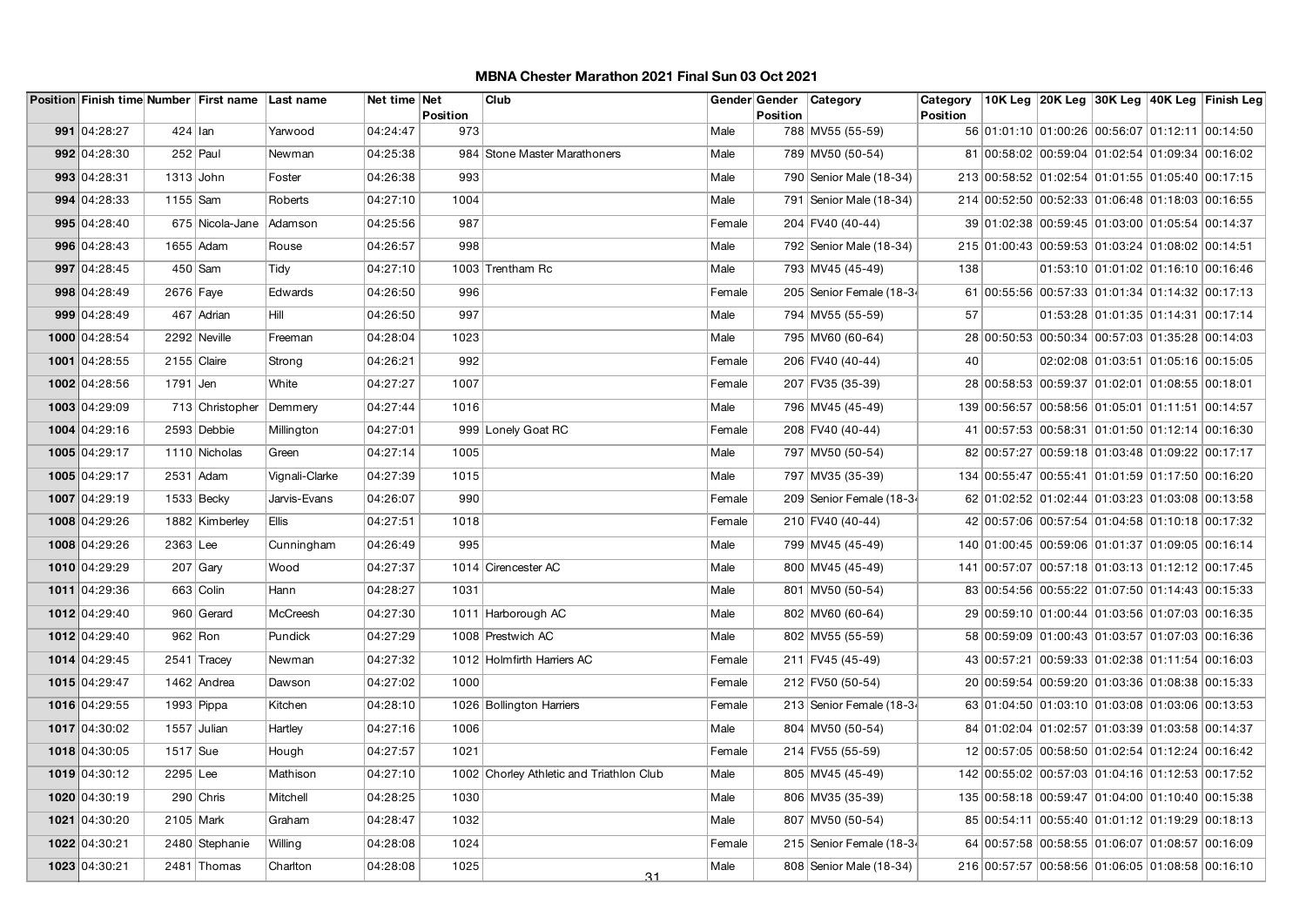|               |             | Position Finish time Number First name Last name |                | Net time Net | Position | Club                                     |        | <b>Position</b> | Gender Gender Category    | Category<br><b>Position</b> |                                                  |                                             | 10K Leg 20K Leg 30K Leg 40K Leg Finish Leg |
|---------------|-------------|--------------------------------------------------|----------------|--------------|----------|------------------------------------------|--------|-----------------|---------------------------|-----------------------------|--------------------------------------------------|---------------------------------------------|--------------------------------------------|
| 991 04:28:27  | $424$ Ian   |                                                  | Yarwood        | 04:24:47     | 973      |                                          | Male   |                 | 788 MV55 (55-59)          |                             | 56 01:01:10 01:00:26 00:56:07 01:12:11 00:14:50  |                                             |                                            |
| 992 04:28:30  |             | $252$ Paul                                       | Newman         | 04:25:38     |          | 984 Stone Master Marathoners             | Male   |                 | 789 MV50 (50-54)          |                             | 81 00:58:02 00:59:04 01:02:54 01:09:34 00:16:02  |                                             |                                            |
| 993 04:28:31  | $1313$ John |                                                  | Foster         | 04:26:38     | 993      |                                          | Male   |                 | 790 Senior Male (18-34)   |                             | 213 00:58:52 01:02:54 01:01:55 01:05:40 00:17:15 |                                             |                                            |
| 994 04:28:33  | 1155 Sam    |                                                  | Roberts        | 04:27:10     | 1004     |                                          | Male   |                 | 791   Senior Male (18-34) |                             | 214 00:52:50 00:52:33 01:06:48 01:18:03 00:16:55 |                                             |                                            |
| 995 04:28:40  |             | 675 Nicola-Jane                                  | Adamson        | 04:25:56     | 987      |                                          | Female |                 | 204 FV40 (40-44)          |                             | 39 01:02:38 00:59:45 01:03:00 01:05:54 00:14:37  |                                             |                                            |
| 996 04:28:43  |             | 1655 Adam                                        | Rouse          | 04:26:57     | 998      |                                          | Male   |                 | 792 Senior Male (18-34)   |                             | 215 01:00:43 00:59:53 01:03:24 01:08:02 00:14:51 |                                             |                                            |
| 997 04:28:45  |             | $450$ Sam                                        | Tidy           | 04:27:10     |          | 1003 Trentham Rc                         | Male   |                 | 793 MV45 (45-49)          | 138                         |                                                  | $01:53:10$ $01:01:02$ $01:16:10$ $00:16:46$ |                                            |
| 998 04:28:49  | 2676 Faye   |                                                  | Edwards        | 04:26:50     | 996      |                                          | Female |                 | 205 Senior Female (18-34  |                             | 61 00:55:56 00:57:33 01:01:34 01:14:32 00:17:13  |                                             |                                            |
| 999 04:28:49  |             | 467 Adrian                                       | Hill           | 04:26:50     | 997      |                                          | Male   |                 | 794 MV55 (55-59)          | 57                          |                                                  |                                             | $01:53:28$ 01:01:35 01:14:31 00:17:14      |
| 1000 04:28:54 |             | 2292 Neville                                     | Freeman        | 04:28:04     | 1023     |                                          | Male   |                 | 795 MV60 (60-64)          |                             | 28 00:50:53 00:50:34 00:57:03 01:35:28 00:14:03  |                                             |                                            |
| 1001 04:28:55 |             | 2155 Claire                                      | Strong         | 04:26:21     | 992      |                                          | Female |                 | 206 FV40 (40-44)          | 40                          |                                                  | 02:02:08 01:03:51 01:05:16 00:15:05         |                                            |
| 1002 04:28:56 | 1791 Jen    |                                                  | White          | 04:27:27     | 1007     |                                          | Female |                 | 207 FV35 (35-39)          |                             | 28 00:58:53 00:59:37 01:02:01 01:08:55 00:18:01  |                                             |                                            |
| 1003 04:29:09 |             | 713 Christopher                                  | Demmery        | 04:27:44     | 1016     |                                          | Male   |                 | 796 MV45 (45-49)          |                             | 139 00:56:57 00:58:56 01:05:01 01:11:51 00:14:57 |                                             |                                            |
| 1004 04:29:16 |             | 2593 Debbie                                      | Millington     | 04:27:01     |          | 999 Lonely Goat RC                       | Female |                 | 208 FV40 (40-44)          |                             | 41 00:57:53 00:58:31 01:01:50 01:12:14 00:16:30  |                                             |                                            |
| 1005 04:29:17 |             | 1110 Nicholas                                    | Green          | 04:27:14     | 1005     |                                          | Male   |                 | 797 MV50 (50-54)          |                             | 82 00:57:27 00:59:18 01:03:48 01:09:22 00:17:17  |                                             |                                            |
| 1005 04:29:17 |             | 2531 Adam                                        | Vignali-Clarke | 04:27:39     | 1015     |                                          | Male   |                 | 797 MV35 (35-39)          |                             | 134 00:55:47 00:55:41 01:01:59 01:17:50 00:16:20 |                                             |                                            |
| 1007 04:29:19 |             | $1533$ Becky                                     | Jarvis-Evans   | 04:26:07     | 990      |                                          | Female |                 | 209 Senior Female (18-34  |                             | 62 01:02:52 01:02:44 01:03:23 01:03:08 00:13:58  |                                             |                                            |
| 1008 04:29:26 |             | 1882 Kimberley                                   | <b>Ellis</b>   | 04:27:51     | 1018     |                                          | Female |                 | 210 FV40 (40-44)          |                             | 42 00:57:06 00:57:54 01:04:58 01:10:18 00:17:32  |                                             |                                            |
| 1008 04:29:26 | 2363 Lee    |                                                  | Cunningham     | 04:26:49     | 995      |                                          | Male   |                 | 799 MV45 (45-49)          |                             | 140 01:00:45 00:59:06 01:01:37 01:09:05 00:16:14 |                                             |                                            |
| 1010 04:29:29 |             | $207$ Gary                                       | Wood           | 04:27:37     |          | 1014 Cirencester AC                      | Male   |                 | 800 MV45 (45-49)          |                             | 141 00:57:07 00:57:18 01:03:13 01:12:12 00:17:45 |                                             |                                            |
| 1011 04:29:36 |             | 663 Colin                                        | Hann           | 04:28:27     | 1031     |                                          | Male   |                 | 801 MV50 (50-54)          |                             | 83 00:54:56 00:55:22 01:07:50 01:14:43 00:15:33  |                                             |                                            |
| 1012 04:29:40 |             | 960 Gerard                                       | McCreesh       | 04:27:30     |          | 1011 Harborough AC                       | Male   |                 | 802 MV60 (60-64)          |                             | 29 00:59:10 01:00:44 01:03:56 01:07:03 00:16:35  |                                             |                                            |
| 1012 04:29:40 |             | $962$ Ron                                        | Pundick        | 04:27:29     |          | 1008 Prestwich AC                        | Male   |                 | 802 MV55 (55-59)          |                             | 58 00:59:09 01:00:43 01:03:57 01:07:03 00:16:36  |                                             |                                            |
| 1014 04:29:45 |             | 2541 Tracey                                      | Newman         | 04:27:32     |          | 1012 Holmfirth Harriers AC               | Female |                 | 211 FV45 (45-49)          |                             | 43 00:57:21 00:59:33 01:02:38 01:11:54 00:16:03  |                                             |                                            |
| 1015 04:29:47 |             | 1462 Andrea                                      | Dawson         | 04:27:02     | 1000     |                                          | Female |                 | 212 FV50 (50-54)          |                             | 20 00:59:54 00:59:20 01:03:36 01:08:38 00:15:33  |                                             |                                            |
| 1016 04:29:55 |             | 1993 Pippa                                       | Kitchen        | 04:28:10     |          | 1026 Bollington Harriers                 | Female |                 | 213 Senior Female (18-34  |                             | 63 01:04:50 01:03:10 01:03:08 01:03:06 00:13:53  |                                             |                                            |
| 1017 04:30:02 |             | 1557 Julian                                      | Hartley        | 04:27:16     | 1006     |                                          | Male   |                 | 804 MV50 (50-54)          |                             | 84 01:02:04 01:02:57 01:03:39 01:03:58 00:14:37  |                                             |                                            |
| 1018 04:30:05 | 1517 Sue    |                                                  | Hough          | 04:27:57     | 1021     |                                          | Female |                 | 214 FV55 (55-59)          |                             | 12 00:57:05 00:58:50 01:02:54 01:12:24 00:16:42  |                                             |                                            |
| 1019 04:30:12 | $2295$ Lee  |                                                  | Mathison       | 04:27:10     |          | 1002 Chorley Athletic and Triathlon Club | Male   |                 | 805 MV45 (45-49)          |                             | 142 00:55:02 00:57:03 01:04:16 01:12:53 00:17:52 |                                             |                                            |
| 1020 04:30:19 |             | 290 Chris                                        | Mitchell       | 04:28:25     | 1030     |                                          | Male   |                 | 806 MV35 (35-39)          |                             | 135 00:58:18 00:59:47 01:04:00 01:10:40 00:15:38 |                                             |                                            |
| 1021 04:30:20 | 2105 Mark   |                                                  | Graham         | 04:28:47     | 1032     |                                          | Male   |                 | 807 MV50 (50-54)          |                             | 85 00:54:11 00:55:40 01:01:12 01:19:29 00:18:13  |                                             |                                            |
| 1022 04:30:21 |             | 2480 Stephanie                                   | Willing        | 04:28:08     | 1024     |                                          | Female |                 | 215 Senior Female (18-34  |                             | 64 00:57:58 00:58:55 01:06:07 01:08:57 00:16:09  |                                             |                                            |
| 1023 04:30:21 |             | 2481 Thomas                                      | Charlton       | 04:28:08     | 1025     | 31                                       | Male   |                 | 808   Senior Male (18-34) |                             | 216 00:57:57 00:58:56 01:06:05 01:08:58 00:16:10 |                                             |                                            |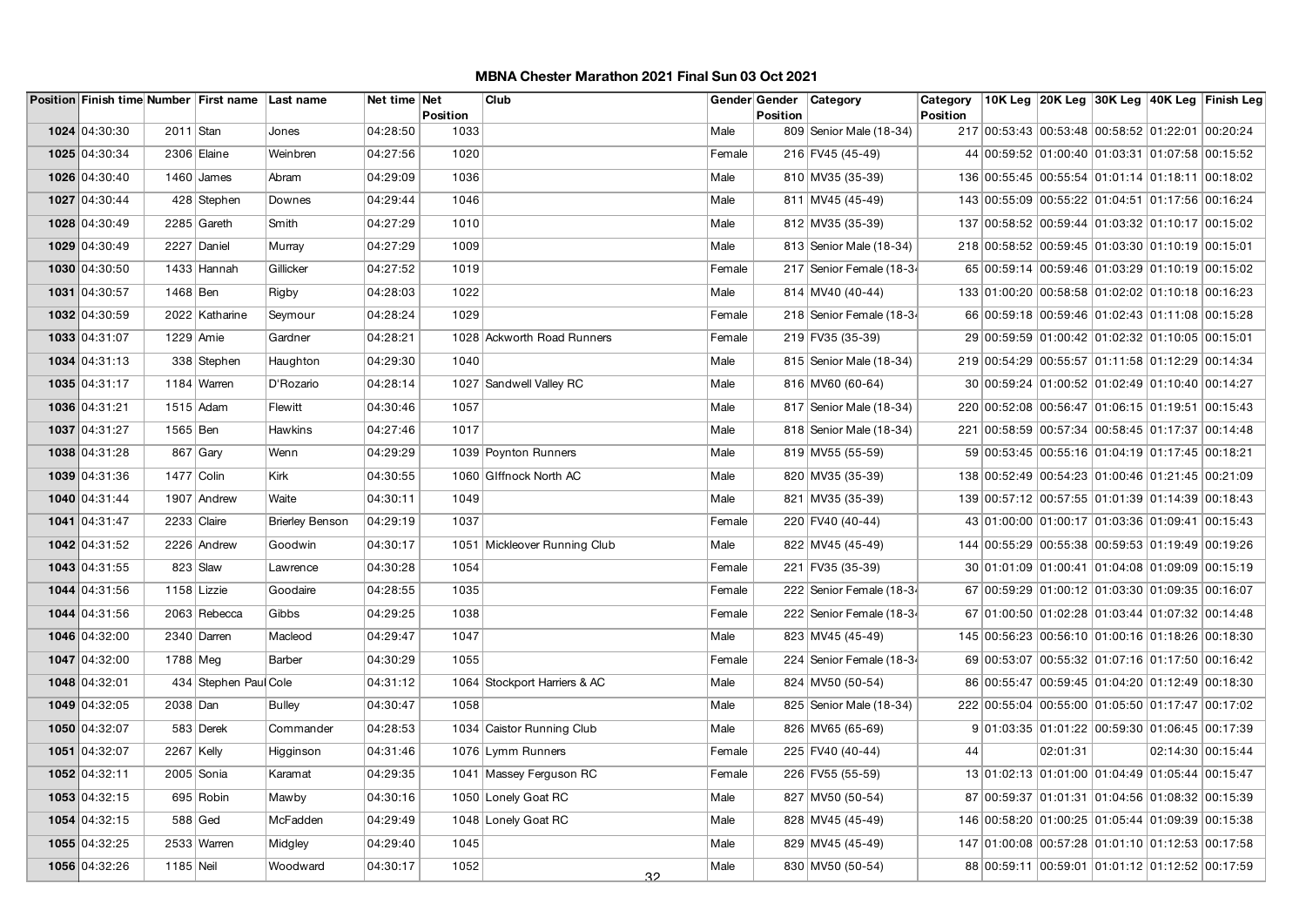|               |              | Position Finish time Number First name Last name |                        | Net time Net | <b>Position</b> | Club                         |        | <b>Position</b> | Gender Gender Category    | Category<br><b>Position</b> |                                                  |          |                   | 10K Leg 20K Leg 30K Leg 40K Leg Finish Leg |
|---------------|--------------|--------------------------------------------------|------------------------|--------------|-----------------|------------------------------|--------|-----------------|---------------------------|-----------------------------|--------------------------------------------------|----------|-------------------|--------------------------------------------|
| 1024 04:30:30 | 2011 Stan    |                                                  | Jones                  | 04:28:50     | 1033            |                              | Male   |                 | 809 Senior Male (18-34)   |                             | 217 00:53:43 00:53:48 00:58:52 01:22:01 00:20:24 |          |                   |                                            |
| 1025 04:30:34 |              | 2306 Elaine                                      | Weinbren               | 04:27:56     | 1020            |                              | Female |                 | 216 FV45 (45-49)          |                             | 44 00:59:52 01:00:40 01:03:31 01:07:58 00:15:52  |          |                   |                                            |
| 1026 04:30:40 |              | $1460$ James                                     | Abram                  | 04:29:09     | 1036            |                              | Male   |                 | 810 MV35 (35-39)          |                             | 136 00:55:45 00:55:54 01:01:14 01:18:11 00:18:02 |          |                   |                                            |
|               |              |                                                  |                        |              |                 |                              |        |                 |                           |                             |                                                  |          |                   |                                            |
| 1027 04:30:44 |              | 428 Stephen                                      | Downes                 | 04:29:44     | 1046            |                              | Male   |                 | 811 MV45 (45-49)          |                             | 143 00:55:09 00:55:22 01:04:51 01:17:56 00:16:24 |          |                   |                                            |
| 1028 04:30:49 |              | 2285 Gareth                                      | Smith                  | 04:27:29     | 1010            |                              | Male   |                 | 812 MV35 (35-39)          |                             | 137 00:58:52 00:59:44 01:03:32 01:10:17 00:15:02 |          |                   |                                            |
| 1029 04:30:49 |              | 2227 Daniel                                      | Murray                 | 04:27:29     | 1009            |                              | Male   |                 | 813 Senior Male (18-34)   |                             | 218 00:58:52 00:59:45 01:03:30 01:10:19 00:15:01 |          |                   |                                            |
| 1030 04:30:50 |              | 1433 Hannah                                      | Gillicker              | 04:27:52     | 1019            |                              | Female |                 | 217 Senior Female (18-34  |                             | 65 00:59:14 00:59:46 01:03:29 01:10:19 00:15:02  |          |                   |                                            |
| 1031 04:30:57 | 1468 Ben     |                                                  | Rigby                  | 04:28:03     | 1022            |                              | Male   |                 | 814 MV40 (40-44)          |                             | 133 01:00:20 00:58:58 01:02:02 01:10:18 00:16:23 |          |                   |                                            |
| 1032 04:30:59 |              | 2022 Katharine                                   | Seymour                | 04:28:24     | 1029            |                              | Female |                 | 218 Senior Female (18-34  |                             | 66 00:59:18 00:59:46 01:02:43 01:11:08 00:15:28  |          |                   |                                            |
| 1033 04:31:07 | 1229 Amie    |                                                  | Gardner                | 04:28:21     |                 | 1028 Ackworth Road Runners   | Female |                 | 219 FV35 (35-39)          |                             | 29 00:59:59 01:00:42 01:02:32 01:10:05 00:15:01  |          |                   |                                            |
| 1034 04:31:13 |              | 338 Stephen                                      | Haughton               | 04:29:30     | 1040            |                              | Male   |                 | 815 Senior Male (18-34)   |                             | 219 00:54:29 00:55:57 01:11:58 01:12:29 00:14:34 |          |                   |                                            |
| 1035 04:31:17 |              | 1184 Warren                                      | D'Rozario              | 04:28:14     |                 | 1027 Sandwell Valley RC      | Male   |                 | 816 MV60 (60-64)          |                             | 30 00:59:24 01:00:52 01:02:49 01:10:40 00:14:27  |          |                   |                                            |
| 1036 04:31:21 |              | 1515 Adam                                        | Flewitt                | 04:30:46     | 1057            |                              | Male   |                 | 817   Senior Male (18-34) |                             | 220 00:52:08 00:56:47 01:06:15 01:19:51 00:15:43 |          |                   |                                            |
| 1037 04:31:27 | 1565 Ben     |                                                  | Hawkins                | 04:27:46     | 1017            |                              | Male   |                 | 818   Senior Male (18-34) |                             | 221 00:58:59 00:57:34 00:58:45 01:17:37 00:14:48 |          |                   |                                            |
| 1038 04:31:28 |              | $867$ Gary                                       | Wenn                   | 04:29:29     |                 | 1039 Poynton Runners         | Male   |                 | 819 MV55 (55-59)          |                             | 59 00:53:45 00:55:16 01:04:19 01:17:45 00:18:21  |          |                   |                                            |
| 1039 04:31:36 | 1477 Colin   |                                                  | Kirk                   | 04:30:55     |                 | 1060 Glffnock North AC       | Male   |                 | 820 MV35 (35-39)          |                             | 138 00:52:49 00:54:23 01:00:46 01:21:45 00:21:09 |          |                   |                                            |
| 1040 04:31:44 |              | 1907 Andrew                                      | Waite                  | 04:30:11     | 1049            |                              | Male   |                 | 821 MV35 (35-39)          |                             | 139 00:57:12 00:57:55 01:01:39 01:14:39 00:18:43 |          |                   |                                            |
| 1041 04:31:47 |              | $2233$ Claire                                    | <b>Brierley Benson</b> | 04:29:19     | 1037            |                              | Female |                 | 220 FV40 (40-44)          |                             | 43 01:00:00 01:00:17 01:03:36 01:09:41 00:15:43  |          |                   |                                            |
| 1042 04:31:52 |              | 2226 Andrew                                      | Goodwin                | 04:30:17     |                 | 1051 Mickleover Running Club | Male   |                 | 822 MV45 (45-49)          |                             | 144 00:55:29 00:55:38 00:59:53 01:19:49 00:19:26 |          |                   |                                            |
| 1043 04:31:55 |              | $823$ Slaw                                       | Lawrence               | 04:30:28     | 1054            |                              | Female |                 | 221 FV35 (35-39)          |                             | 30 01:01:09 01:00:41 01:04:08 01:09:09 00:15:19  |          |                   |                                            |
| 1044 04:31:56 |              | 1158 Lizzie                                      | Goodaire               | 04:28:55     | 1035            |                              | Female |                 | 222 Senior Female (18-34  |                             | 67 00:59:29 01:00:12 01:03:30 01:09:35 00:16:07  |          |                   |                                            |
| 1044 04:31:56 |              | 2063 Rebecca                                     | Gibbs                  | 04:29:25     | 1038            |                              | Female |                 | 222 Senior Female (18-34  |                             | 67 01:00:50 01:02:28 01:03:44 01:07:32 00:14:48  |          |                   |                                            |
| 1046 04:32:00 |              | 2340 Darren                                      | Macleod                | 04:29:47     | 1047            |                              | Male   |                 | 823 MV45 (45-49)          |                             | 145 00:56:23 00:56:10 01:00:16 01:18:26 00:18:30 |          |                   |                                            |
| 1047 04:32:00 | 1788 Meg     |                                                  | Barber                 | 04:30:29     | 1055            |                              | Female |                 | 224 Senior Female (18-34  |                             | 69 00:53:07 00:55:32 01:07:16 01:17:50 00:16:42  |          |                   |                                            |
| 1048 04:32:01 |              | 434 Stephen Paul Cole                            |                        | 04:31:12     |                 | 1064 Stockport Harriers & AC | Male   |                 | 824 MV50 (50-54)          |                             | 86 00:55:47 00:59:45 01:04:20 01:12:49 00:18:30  |          |                   |                                            |
| 1049 04:32:05 | 2038 Dan     |                                                  | <b>Bulley</b>          | 04:30:47     | 1058            |                              | Male   |                 | 825   Senior Male (18-34) |                             | 222 00:55:04 00:55:00 01:05:50 01:17:47 00:17:02 |          |                   |                                            |
| 1050 04:32:07 |              | 583 Derek                                        | Commander              | 04:28:53     |                 | 1034 Caistor Running Club    | Male   |                 | 826 MV65 (65-69)          |                             | 9 01:03:35 01:01:22 00:59:30 01:06:45 00:17:39   |          |                   |                                            |
| 1051 04:32:07 | $2267$ Kelly |                                                  | Higginson              | 04:31:46     |                 | 1076 Lymm Runners            | Female |                 | 225 FV40 (40-44)          | 44                          |                                                  | 02:01:31 | 02:14:30 00:15:44 |                                            |
| 1052 04:32:11 |              | 2005 Sonia                                       | Karamat                | 04:29:35     |                 | 1041 Massey Ferguson RC      | Female |                 | 226 FV55 (55-59)          |                             | 13 01:02:13 01:01:00 01:04:49 01:05:44 00:15:47  |          |                   |                                            |
| 1053 04:32:15 |              | 695 Robin                                        | Mawby                  | 04:30:16     |                 | 1050 Lonely Goat RC          | Male   |                 | 827 MV50 (50-54)          |                             | 87 00:59:37 01:01:31 01:04:56 01:08:32 00:15:39  |          |                   |                                            |
| 1054 04:32:15 |              | $588$ Ged                                        | McFadden               | 04:29:49     |                 | 1048 Lonely Goat RC          | Male   |                 | 828 MV45 (45-49)          |                             | 146 00:58:20 01:00:25 01:05:44 01:09:39 00:15:38 |          |                   |                                            |
| 1055 04:32:25 |              | 2533 Warren                                      | Midgley                | 04:29:40     | 1045            |                              | Male   |                 | 829 MV45 (45-49)          |                             | 147 01:00:08 00:57:28 01:01:10 01:12:53 00:17:58 |          |                   |                                            |
| 1056 04:32:26 | 1185 Neil    |                                                  | Woodward               | 04:30:17     | 1052            | 32                           | Male   |                 | 830 MV50 (50-54)          |                             | 88 00:59:11 00:59:01 01:01:12 01:12:52 00:17:59  |          |                   |                                            |
|               |              |                                                  |                        |              |                 |                              |        |                 |                           |                             |                                                  |          |                   |                                            |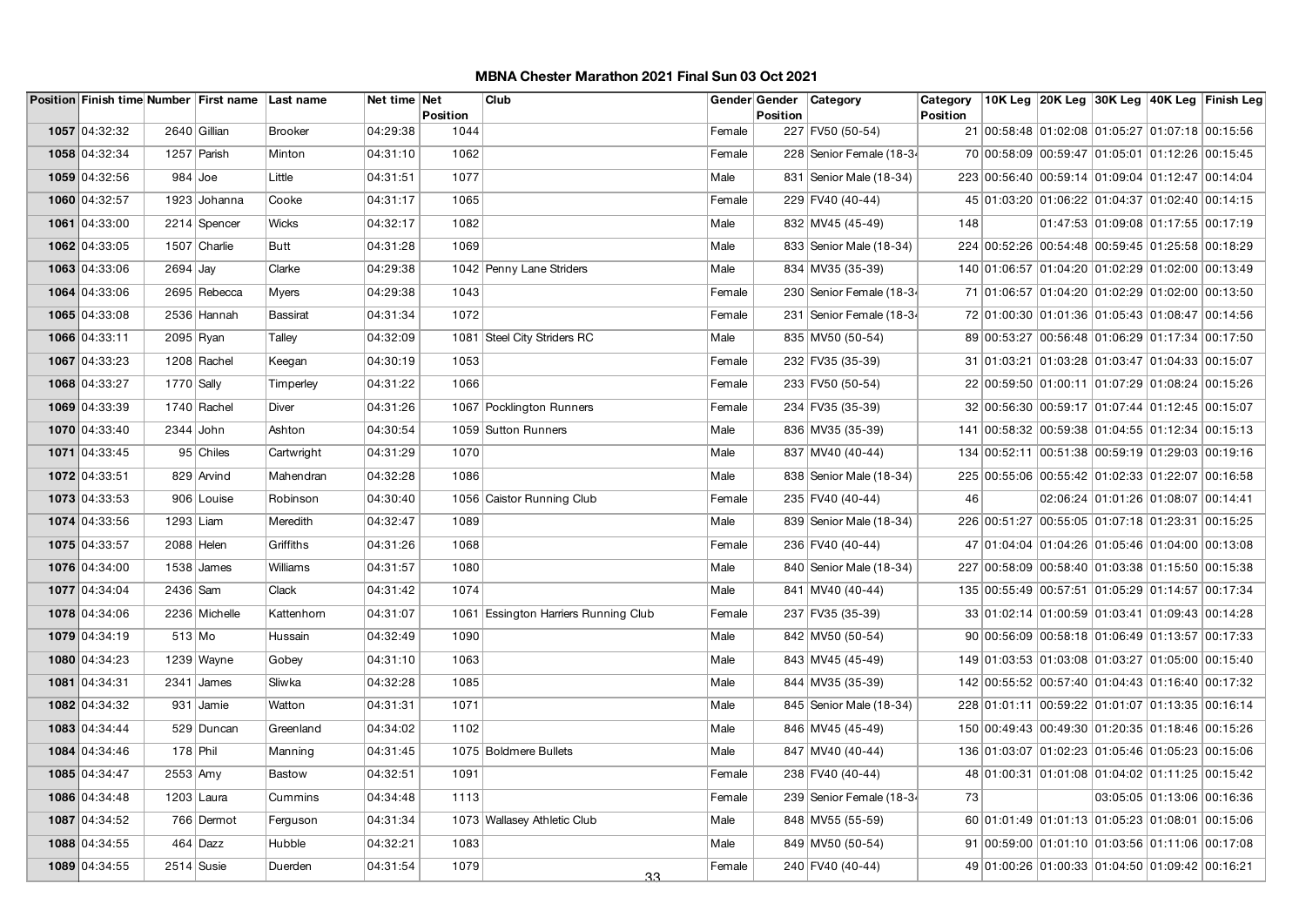|               |                    | Position Finish time Number First name Last name |                 | Net time Net | Position | Club                                 |        | Gender Gender<br><b>Position</b> | Category                 | Category<br><b>Position</b> |                                                  |                                     | 10K Leg 20K Leg 30K Leg 40K Leg Finish Leg |
|---------------|--------------------|--------------------------------------------------|-----------------|--------------|----------|--------------------------------------|--------|----------------------------------|--------------------------|-----------------------------|--------------------------------------------------|-------------------------------------|--------------------------------------------|
| 1057 04:32:32 | 2640 Gillian       |                                                  | <b>Brooker</b>  | 04:29:38     | 1044     |                                      | Female |                                  | 227 FV50 (50-54)         |                             | 21 00:58:48 01:02:08 01:05:27 01:07:18 00:15:56  |                                     |                                            |
| 1058 04:32:34 | 1257 Parish        |                                                  | Minton          | 04:31:10     | 1062     |                                      | Female |                                  | 228 Senior Female (18-34 |                             | 70 00:58:09 00:59:47 01:05:01 01:12:26 00:15:45  |                                     |                                            |
| 1059 04:32:56 | $984$ Joe          |                                                  | Little          | 04:31:51     | 1077     |                                      | Male   |                                  | 831 Senior Male (18-34)  |                             | 223 00:56:40 00:59:14 01:09:04 01:12:47 00:14:04 |                                     |                                            |
| 1060 04:32:57 |                    | 1923 Johanna                                     | Cooke           | 04:31:17     | 1065     |                                      | Female |                                  | 229 FV40 (40-44)         |                             | 45 01:03:20 01:06:22 01:04:37 01:02:40 00:14:15  |                                     |                                            |
| 1061 04:33:00 |                    | 2214 Spencer                                     | <b>Wicks</b>    | 04:32:17     | 1082     |                                      | Male   |                                  | 832 MV45 (45-49)         | 148                         |                                                  |                                     | 01:47:53 01:09:08 01:17:55 00:17:19        |
| 1062 04:33:05 |                    | 1507 Charlie                                     | <b>Butt</b>     | 04:31:28     | 1069     |                                      | Male   |                                  | 833 Senior Male (18-34)  |                             | 224 00:52:26 00:54:48 00:59:45 01:25:58 00:18:29 |                                     |                                            |
| 1063 04:33:06 | $2694$ Jay         |                                                  | Clarke          | 04:29:38     |          | 1042 Penny Lane Striders             | Male   |                                  | 834 MV35 (35-39)         |                             | 140 01:06:57 01:04:20 01:02:29 01:02:00 00:13:49 |                                     |                                            |
| 1064 04:33:06 |                    | 2695 Rebecca                                     | <b>Myers</b>    | 04:29:38     | 1043     |                                      | Female |                                  | 230 Senior Female (18-34 |                             | 71 01:06:57 01:04:20 01:02:29 01:02:00 00:13:50  |                                     |                                            |
| 1065 04:33:08 |                    | 2536 Hannah                                      | <b>Bassirat</b> | 04:31:34     | 1072     |                                      | Female |                                  | 231 Senior Female (18-34 |                             | 72 01:00:30 01:01:36 01:05:43 01:08:47 00:14:56  |                                     |                                            |
| 1066 04:33:11 | 2095 Ryan          |                                                  | Talley          | 04:32:09     |          | 1081 Steel City Striders RC          | Male   |                                  | 835 MV50 (50-54)         |                             | 89 00:53:27 00:56:48 01:06:29 01:17:34 00:17:50  |                                     |                                            |
| 1067 04:33:23 |                    | 1208 Rachel                                      | Keegan          | 04:30:19     | 1053     |                                      | Female |                                  | 232 FV35 (35-39)         |                             | 31 01:03:21 01:03:28 01:03:47 01:04:33 00:15:07  |                                     |                                            |
| 1068 04:33:27 | 1770 Sally         |                                                  | Timperley       | 04:31:22     | 1066     |                                      | Female |                                  | 233 FV50 (50-54)         |                             | 22 00:59:50 01:00:11 01:07:29 01:08:24 00:15:26  |                                     |                                            |
| 1069 04:33:39 |                    | 1740 Rachel                                      | Diver           | 04:31:26     |          | 1067 Pocklington Runners             | Female |                                  | 234 FV35 (35-39)         |                             | 32 00:56:30 00:59:17 01:07:44 01:12:45 00:15:07  |                                     |                                            |
| 1070 04:33:40 | 2344 John          |                                                  | Ashton          | 04:30:54     |          | 1059 Sutton Runners                  | Male   |                                  | 836 MV35 (35-39)         |                             | 141 00:58:32 00:59:38 01:04:55 01:12:34 00:15:13 |                                     |                                            |
| 1071 04:33:45 |                    | 95 Chiles                                        | Cartwright      | 04:31:29     | 1070     |                                      | Male   |                                  | 837 MV40 (40-44)         |                             | 134 00:52:11 00:51:38 00:59:19 01:29:03 00:19:16 |                                     |                                            |
| 1072 04:33:51 |                    | 829 Arvind                                       | Mahendran       | 04:32:28     | 1086     |                                      | Male   |                                  | 838 Senior Male (18-34)  |                             | 225 00:55:06 00:55:42 01:02:33 01:22:07 00:16:58 |                                     |                                            |
| 1073 04:33:53 |                    | 906 Louise                                       | Robinson        | 04:30:40     |          | 1056 Caistor Running Club            | Female |                                  | 235 FV40 (40-44)         | 46                          |                                                  | 02:06:24 01:01:26 01:08:07 00:14:41 |                                            |
| 1074 04:33:56 | 1293 Liam          |                                                  | Meredith        | 04:32:47     | 1089     |                                      | Male   |                                  | 839 Senior Male (18-34)  |                             | 226 00:51:27 00:55:05 01:07:18 01:23:31 00:15:25 |                                     |                                            |
| 1075 04:33:57 | $2088$ Helen       |                                                  | Griffiths       | 04:31:26     | 1068     |                                      | Female |                                  | 236 FV40 (40-44)         |                             | 47 01:04:04 01:04:26 01:05:46 01:04:00 00:13:08  |                                     |                                            |
| 1076 04:34:00 |                    | $1538$ James                                     | Williams        | 04:31:57     | 1080     |                                      | Male   |                                  | 840 Senior Male (18-34)  |                             | 227 00:58:09 00:58:40 01:03:38 01:15:50 00:15:38 |                                     |                                            |
| 1077 04:34:04 | 2436 Sam           |                                                  | Clack           | 04:31:42     | 1074     |                                      | Male   |                                  | 841 MV40 (40-44)         |                             | 135 00:55:49 00:57:51 01:05:29 01:14:57 00:17:34 |                                     |                                            |
| 1078 04:34:06 |                    | 2236 Michelle                                    | Kattenhorn      | 04:31:07     |          | 1061 Essington Harriers Running Club | Female |                                  | 237 FV35 (35-39)         |                             | 33 01:02:14 01:00:59 01:03:41 01:09:43 00:14:28  |                                     |                                            |
| 1079 04:34:19 | $513 \, \text{Mo}$ |                                                  | Hussain         | 04:32:49     | 1090     |                                      | Male   |                                  | 842 MV50 (50-54)         |                             | 90 00:56:09 00:58:18 01:06:49 01:13:57 00:17:33  |                                     |                                            |
| 1080 04:34:23 |                    | $1239$ Wayne                                     | Gobey           | 04:31:10     | 1063     |                                      | Male   |                                  | 843 MV45 (45-49)         |                             | 149 01:03:53 01:03:08 01:03:27 01:05:00 00:15:40 |                                     |                                            |
| 1081 04:34:31 |                    | $2341$ James                                     | Sliwka          | 04:32:28     | 1085     |                                      | Male   |                                  | 844 MV35 (35-39)         |                             | 142 00:55:52 00:57:40 01:04:43 01:16:40 00:17:32 |                                     |                                            |
| 1082 04:34:32 |                    | 931 Jamie                                        | Watton          | 04:31:31     | 1071     |                                      | Male   |                                  | 845 Senior Male (18-34)  |                             | 228 01:01:11 00:59:22 01:01:07 01:13:35 00:16:14 |                                     |                                            |
| 1083 04:34:44 |                    | 529 Duncan                                       | Greenland       | 04:34:02     | 1102     |                                      | Male   |                                  | 846 MV45 (45-49)         |                             | 150 00:49:43 00:49:30 01:20:35 01:18:46 00:15:26 |                                     |                                            |
| 1084 04:34:46 | $178$ Phil         |                                                  | Manning         | 04:31:45     |          | 1075 Boldmere Bullets                | Male   |                                  | 847 MV40 (40-44)         |                             | 136 01:03:07 01:02:23 01:05:46 01:05:23 00:15:06 |                                     |                                            |
| 1085 04:34:47 | $2553$ Amy         |                                                  | <b>Bastow</b>   | 04:32:51     | 1091     |                                      | Female |                                  | 238 FV40 (40-44)         |                             | 48 01:00:31 01:01:08 01:04:02 01:11:25 00:15:42  |                                     |                                            |
| 1086 04:34:48 | $1203$ Laura       |                                                  | Cummins         | 04:34:48     | 1113     |                                      | Female |                                  | 239 Senior Female (18-34 | 73                          |                                                  |                                     | 03:05:05 01:13:06 00:16:36                 |
| 1087 04:34:52 |                    | 766 Dermot                                       | Ferguson        | 04:31:34     |          | 1073 Wallasey Athletic Club          | Male   |                                  | 848 MV55 (55-59)         |                             | 60 01:01:49 01:01:13 01:05:23 01:08:01 00:15:06  |                                     |                                            |
| 1088 04:34:55 |                    | $464$ Dazz                                       | Hubble          | 04:32:21     | 1083     |                                      | Male   |                                  | 849 MV50 (50-54)         |                             | 91 00:59:00 01:01:10 01:03:56 01:11:06 00:17:08  |                                     |                                            |
| 1089 04:34:55 | $2514$ Susie       |                                                  | Duerden         | 04:31:54     | 1079     | 33                                   | Female |                                  | 240 FV40 (40-44)         |                             | 49 01:00:26 01:00:33 01:04:50 01:09:42 00:16:21  |                                     |                                            |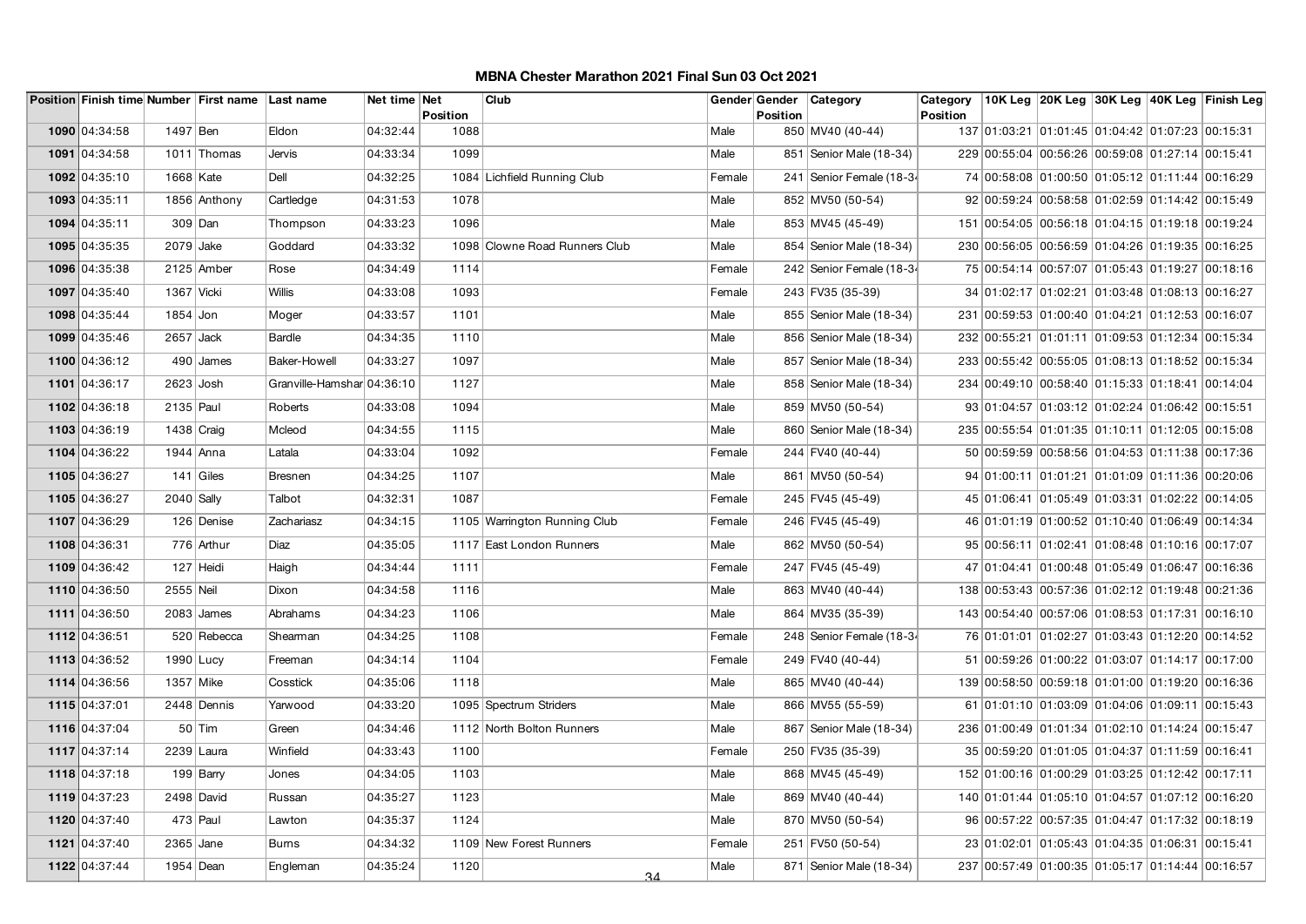|               |              | Position Finish time Number First name Last name |                            | Net time Net | <b>Position</b> | Club                          |        | <b>Position</b> | Gender Gender Category    | Category<br>Position |                                                  |  | 10K Leg 20K Leg 30K Leg 40K Leg Finish Leg |
|---------------|--------------|--------------------------------------------------|----------------------------|--------------|-----------------|-------------------------------|--------|-----------------|---------------------------|----------------------|--------------------------------------------------|--|--------------------------------------------|
| 1090 04:34:58 | 1497 Ben     |                                                  | Eldon                      | 04:32:44     | 1088            |                               | Male   |                 | 850 MV40 (40-44)          |                      | 137 01:03:21 01:01:45 01:04:42 01:07:23 00:15:31 |  |                                            |
| 1091 04:34:58 |              | 1011 Thomas                                      | Jervis                     | 04:33:34     | 1099            |                               | Male   |                 | 851   Senior Male (18-34) |                      | 229 00:55:04 00:56:26 00:59:08 01:27:14 00:15:41 |  |                                            |
| 1092 04:35:10 | 1668 Kate    |                                                  | Dell                       | 04:32:25     |                 | 1084 Lichfield Running Club   | Female |                 | 241 Senior Female (18-34  |                      | 74 00:58:08 01:00:50 01:05:12 01:11:44 00:16:29  |  |                                            |
| 1093 04:35:11 |              | 1856 Anthony                                     | Cartledge                  | 04:31:53     | 1078            |                               | Male   |                 | 852 MV50 (50-54)          |                      | 92 00:59:24 00:58:58 01:02:59 01:14:42 00:15:49  |  |                                            |
| 1094 04:35:11 | 309 Dan      |                                                  | Thompson                   | 04:33:23     | 1096            |                               | Male   |                 | 853 MV45 (45-49)          |                      | 151 00:54:05 00:56:18 01:04:15 01:19:18 00:19:24 |  |                                            |
|               |              |                                                  |                            |              |                 |                               |        |                 |                           |                      |                                                  |  |                                            |
| 1095 04:35:35 | $2079$ Jake  |                                                  | Goddard                    | 04:33:32     |                 | 1098 Clowne Road Runners Club | Male   |                 | 854   Senior Male (18-34) |                      | 230 00:56:05 00:56:59 01:04:26 01:19:35 00:16:25 |  |                                            |
| 1096 04:35:38 |              | 2125 Amber                                       | Rose                       | 04:34:49     | 1114            |                               | Female |                 | 242 Senior Female (18-34  |                      | 75 00:54:14 00:57:07 01:05:43 01:19:27 00:18:16  |  |                                            |
| 1097 04:35:40 | 1367 Vicki   |                                                  | <b>Willis</b>              | 04:33:08     | 1093            |                               | Female |                 | 243 FV35 (35-39)          |                      | 34 01:02:17 01:02:21 01:03:48 01:08:13 00:16:27  |  |                                            |
| 1098 04:35:44 | $1854$ Jon   |                                                  | Moger                      | 04:33:57     | 1101            |                               | Male   |                 | 855   Senior Male (18-34) |                      | 231 00:59:53 01:00:40 01:04:21 01:12:53 00:16:07 |  |                                            |
| 1099 04:35:46 | $2657$ Jack  |                                                  | Bardle                     | 04:34:35     | 1110            |                               | Male   |                 | 856   Senior Male (18-34) |                      | 232 00:55:21 01:01:11 01:09:53 01:12:34 00:15:34 |  |                                            |
| 1100 04:36:12 |              | $490$ James                                      | Baker-Howell               | 04:33:27     | 1097            |                               | Male   |                 | 857 Senior Male (18-34)   |                      | 233 00:55:42 00:55:05 01:08:13 01:18:52 00:15:34 |  |                                            |
| 1101 04:36:17 | $2623$ Josh  |                                                  | Granville-Hamshar 04:36:10 |              | 1127            |                               | Male   |                 | 858   Senior Male (18-34) |                      | 234 00:49:10 00:58:40 01:15:33 01:18:41 00:14:04 |  |                                            |
| 1102 04:36:18 | 2135 Paul    |                                                  | Roberts                    | 04:33:08     | 1094            |                               | Male   |                 | 859 MV50 (50-54)          |                      | 93 01:04:57 01:03:12 01:02:24 01:06:42 00:15:51  |  |                                            |
| 1103 04:36:19 | 1438 Craig   |                                                  | Mcleod                     | 04:34:55     | 1115            |                               | Male   |                 | 860 Senior Male (18-34)   |                      | 235 00:55:54 01:01:35 01:10:11 01:12:05 00:15:08 |  |                                            |
| 1104 04:36:22 | 1944 Anna    |                                                  | Latala                     | 04:33:04     | 1092            |                               | Female |                 | 244 FV40 (40-44)          |                      | 50 00:59:59 00:58:56 01:04:53 01:11:38 00:17:36  |  |                                            |
| 1105 04:36:27 |              | 141 Giles                                        | <b>Bresnen</b>             | 04:34:25     | 1107            |                               | Male   |                 | 861   MV50 (50-54)        |                      | 94 01:00:11 01:01:21 01:01:09 01:11:36 00:20:06  |  |                                            |
| 1105 04:36:27 | $2040$ Sally |                                                  | Talbot                     | 04:32:31     | 1087            |                               | Female |                 | 245   FV45 (45-49)        |                      | 45 01:06:41 01:05:49 01:03:31 01:02:22 00:14:05  |  |                                            |
| 1107 04:36:29 |              | 126 Denise                                       | Zachariasz                 | 04:34:15     |                 | 1105 Warrington Running Club  | Female |                 | 246 FV45 (45-49)          |                      | 46 01:01:19 01:00:52 01:10:40 01:06:49 00:14:34  |  |                                            |
| 1108 04:36:31 |              | 776 Arthur                                       | Diaz                       | 04:35:05     |                 | 1117 East London Runners      | Male   |                 | 862 MV50 (50-54)          |                      | 95 00:56:11 01:02:41 01:08:48 01:10:16 00:17:07  |  |                                            |
| 1109 04:36:42 |              | 127 Heidi                                        | Haigh                      | 04:34:44     | 1111            |                               | Female |                 | 247 FV45 (45-49)          |                      | 47 01:04:41 01:00:48 01:05:49 01:06:47 00:16:36  |  |                                            |
| 1110 04:36:50 | 2555 Neil    |                                                  | Dixon                      | 04:34:58     | 1116            |                               | Male   |                 | 863 MV40 (40-44)          |                      | 138 00:53:43 00:57:36 01:02:12 01:19:48 00:21:36 |  |                                            |
| 1111 04:36:50 |              | $2083$ James                                     | Abrahams                   | 04:34:23     | 1106            |                               | Male   |                 | 864 MV35 (35-39)          |                      | 143 00:54:40 00:57:06 01:08:53 01:17:31 00:16:10 |  |                                            |
| 1112 04:36:51 |              | 520 Rebecca                                      | Shearman                   | 04:34:25     | 1108            |                               | Female |                 | 248 Senior Female (18-34  |                      | 76 01:01:01 01:02:27 01:03:43 01:12:20 00:14:52  |  |                                            |
| 1113 04:36:52 | 1990 Lucy    |                                                  | Freeman                    | 04:34:14     | 1104            |                               | Female |                 | 249 FV40 (40-44)          |                      | 51 00:59:26 01:00:22 01:03:07 01:14:17 00:17:00  |  |                                            |
| 1114 04:36:56 | 1357 Mike    |                                                  | Cosstick                   | 04:35:06     | 1118            |                               | Male   |                 | 865 MV40 (40-44)          |                      | 139 00:58:50 00:59:18 01:01:00 01:19:20 00:16:36 |  |                                            |
| 1115 04:37:01 |              | 2448 Dennis                                      | Yarwood                    | 04:33:20     |                 | 1095 Spectrum Striders        | Male   |                 | 866 MV55 (55-59)          |                      | 61 01:01:10 01:03:09 01:04:06 01:09:11 00:15:43  |  |                                            |
| 1116 04:37:04 |              | $50$ Tim                                         | Green                      | 04:34:46     |                 | 1112 North Bolton Runners     | Male   |                 | 867   Senior Male (18-34) |                      | 236 01:00:49 01:01:34 01:02:10 01:14:24 00:15:47 |  |                                            |
| 1117 04:37:14 | 2239 Laura   |                                                  | Winfield                   | 04:33:43     | 1100            |                               | Female |                 | 250 FV35 (35-39)          |                      | 35 00:59:20 01:01:05 01:04:37 01:11:59 00:16:41  |  |                                            |
| 1118 04:37:18 |              | $199$ Barry                                      | Jones                      | 04:34:05     | 1103            |                               | Male   |                 | 868 MV45 (45-49)          |                      | 152 01:00:16 01:00:29 01:03:25 01:12:42 00:17:11 |  |                                            |
| 1119 04:37:23 | 2498 David   |                                                  | Russan                     | 04:35:27     | 1123            |                               | Male   |                 | 869 MV40 (40-44)          |                      | 140 01:01:44 01:05:10 01:04:57 01:07:12 00:16:20 |  |                                            |
| 1120 04:37:40 | $473$ Paul   |                                                  | Lawton                     | 04:35:37     | 1124            |                               | Male   |                 | 870 MV50 (50-54)          |                      | 96 00:57:22 00:57:35 01:04:47 01:17:32 00:18:19  |  |                                            |
| 1121 04:37:40 | $2365$ Jane  |                                                  | <b>Burns</b>               | 04:34:32     |                 | 1109 New Forest Runners       | Female |                 | 251 FV50 (50-54)          |                      | 23 01:02:01 01:05:43 01:04:35 01:06:31 00:15:41  |  |                                            |
| 1122 04:37:44 | 1954 Dean    |                                                  | Engleman                   | 04:35:24     | 1120            | 34                            | Male   |                 | 871 Senior Male (18-34)   |                      | 237 00:57:49 01:00:35 01:05:17 01:14:44 00:16:57 |  |                                            |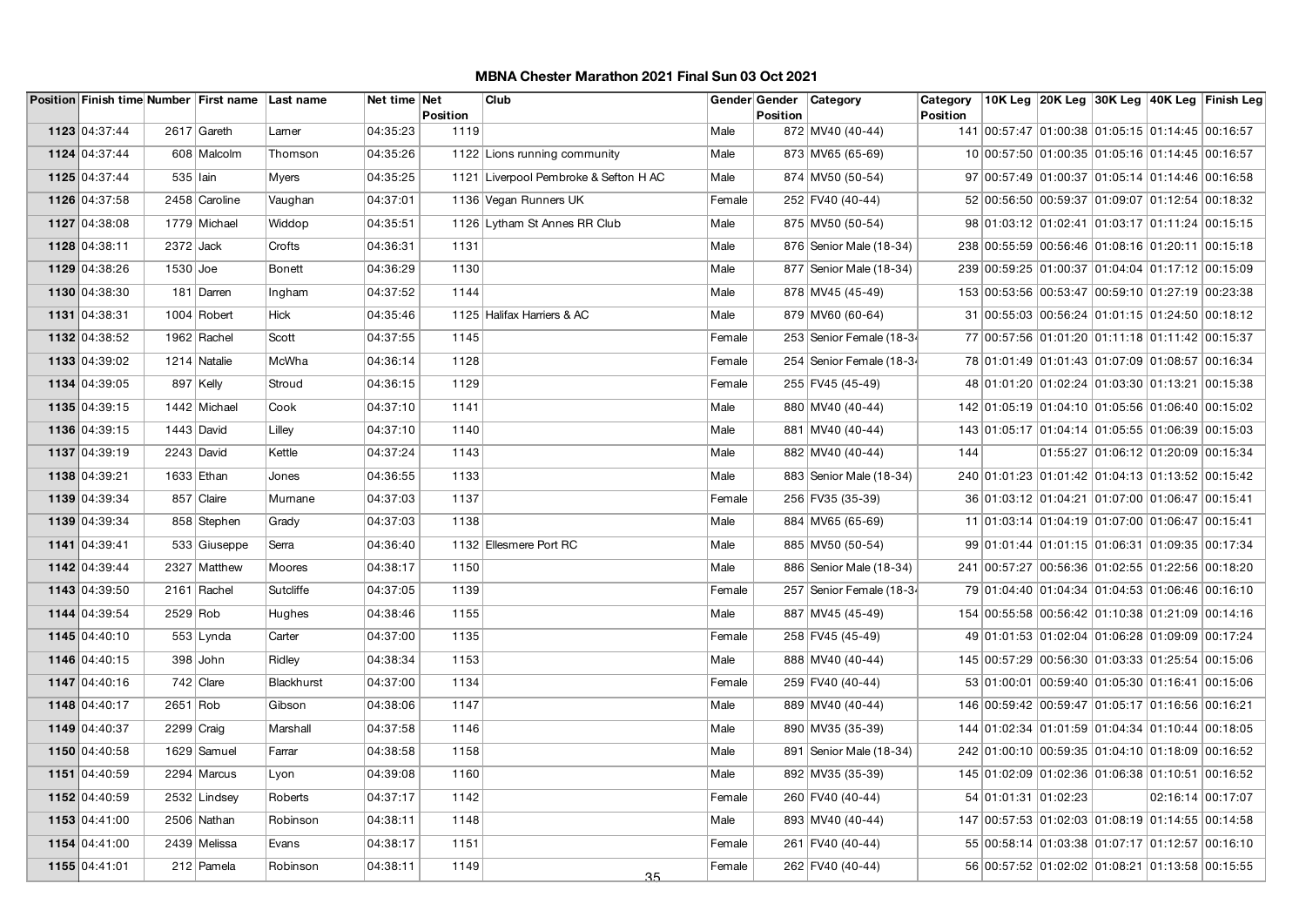|               |            | Position Finish time Number First name Last name |               | Net time Net | <b>Position</b> | Club                                  |        | Gender Gender<br>Position | Category                  | Category<br><b>Position</b> |                                                  |  | 10K Leg 20K Leg 30K Leg 40K Leg Finish Leg       |
|---------------|------------|--------------------------------------------------|---------------|--------------|-----------------|---------------------------------------|--------|---------------------------|---------------------------|-----------------------------|--------------------------------------------------|--|--------------------------------------------------|
| 1123 04:37:44 |            | 2617 Gareth                                      | Larner        | 04:35:23     | 1119            |                                       | Male   |                           | 872 MV40 (40-44)          |                             |                                                  |  | 141 00:57:47 01:00:38 01:05:15 01:14:45 00:16:57 |
| 1124 04:37:44 |            | 608 Malcolm                                      | Thomson       | 04:35:26     |                 | 1122 Lions running community          | Male   |                           | 873 MV65 (65-69)          |                             | 10 00:57:50 01:00:35 01:05:16 01:14:45 00:16:57  |  |                                                  |
| 1125 04:37:44 | 535 Iain   |                                                  | <b>M</b> yers | 04:35:25     |                 | 1121 Liverpool Pembroke & Sefton H AC | Male   |                           | 874 MV50 (50-54)          |                             |                                                  |  | 97 00:57:49 01:00:37 01:05:14 01:14:46 00:16:58  |
| 1126 04:37:58 |            | 2458 Caroline                                    | Vaughan       | 04:37:01     |                 | 1136 Vegan Runners UK                 | Female |                           | 252 FV40 (40-44)          |                             |                                                  |  | 52 00:56:50 00:59:37 01:09:07 01:12:54 00:18:32  |
| 1127 04:38:08 |            | 1779 Michael                                     | Widdop        | 04:35:51     |                 | 1126 Lytham St Annes RR Club          | Male   |                           | 875 MV50 (50-54)          |                             |                                                  |  | 98 01:03:12 01:02:41 01:03:17 01:11:24 00:15:15  |
| 1128 04:38:11 | 2372 Jack  |                                                  | Crofts        | 04:36:31     | 1131            |                                       | Male   |                           | 876   Senior Male (18-34) |                             |                                                  |  | 238 00:55:59 00:56:46 01:08:16 01:20:11 00:15:18 |
| 1129 04:38:26 | $1530$ Joe |                                                  | <b>Bonett</b> | 04:36:29     | 1130            |                                       | Male   |                           | 877   Senior Male (18-34) |                             |                                                  |  | 239 00:59:25 01:00:37 01:04:04 01:17:12 00:15:09 |
| 1130 04:38:30 |            | 181 Darren                                       | Ingham        | 04:37:52     | 1144            |                                       | Male   |                           | 878 MV45 (45-49)          |                             | 153 00:53:56 00:53:47 00:59:10 01:27:19 00:23:38 |  |                                                  |
| 1131 04:38:31 |            | 1004 Robert                                      | Hick          | 04:35:46     |                 | 1125 Halifax Harriers & AC            | Male   |                           | 879 MV60 (60-64)          |                             |                                                  |  | 31 00:55:03 00:56:24 01:01:15 01:24:50 00:18:12  |
| 1132 04:38:52 |            | 1962 Rachel                                      | Scott         | 04:37:55     | 1145            |                                       | Female |                           | 253 Senior Female (18-34  |                             |                                                  |  | 77 00:57:56 01:01:20 01:11:18 01:11:42 00:15:37  |
| 1133 04:39:02 |            | 1214 Natalie                                     | McWha         | 04:36:14     | 1128            |                                       | Female |                           | 254 Senior Female (18-34  |                             | 78 01:01:49 01:01:43 01:07:09 01:08:57 00:16:34  |  |                                                  |
| 1134 04:39:05 |            | 897 Kelly                                        | Stroud        | 04:36:15     | 1129            |                                       | Female |                           | 255 FV45 (45-49)          |                             |                                                  |  | 48 01:01:20 01:02:24 01:03:30 01:13:21 00:15:38  |
| 1135 04:39:15 |            | 1442 Michael                                     | Cook          | 04:37:10     | 1141            |                                       | Male   |                           | 880 MV40 (40-44)          |                             |                                                  |  | 142 01:05:19 01:04:10 01:05:56 01:06:40 00:15:02 |
| 1136 04:39:15 |            | $1443$ David                                     | Lilley        | 04:37:10     | 1140            |                                       | Male   |                           | 881 MV40 (40-44)          |                             |                                                  |  | 143 01:05:17 01:04:14 01:05:55 01:06:39 00:15:03 |
| 1137 04:39:19 |            | 2243 David                                       | Kettle        | 04:37:24     | 1143            |                                       | Male   |                           | 882 MV40 (40-44)          | 144                         |                                                  |  | 01:55:27  01:06:12  01:20:09  00:15:34           |
| 1138 04:39:21 |            | 1633 Ethan                                       | Jones         | 04:36:55     | 1133            |                                       | Male   |                           | 883 Senior Male (18-34)   |                             |                                                  |  | 240 01:01:23 01:01:42 01:04:13 01:13:52 00:15:42 |
| 1139 04:39:34 |            | 857 Claire                                       | Murnane       | 04:37:03     | 1137            |                                       | Female |                           | 256 FV35 (35-39)          |                             | 36 01:03:12 01:04:21 01:07:00 01:06:47 00:15:41  |  |                                                  |
| 1139 04:39:34 |            | 858 Stephen                                      | Grady         | 04:37:03     | 1138            |                                       | Male   |                           | 884 MV65 (65-69)          |                             | 11 01:03:14 01:04:19 01:07:00 01:06:47 00:15:41  |  |                                                  |
| 1141 04:39:41 |            | 533 Giuseppe                                     | Serra         | 04:36:40     |                 | 1132 Ellesmere Port RC                | Male   |                           | 885 MV50 (50-54)          |                             | 99 01:01:44 01:01:15 01:06:31 01:09:35 00:17:34  |  |                                                  |
| 1142 04:39:44 |            | 2327 Matthew                                     | Moores        | 04:38:17     | 1150            |                                       | Male   |                           | 886   Senior Male (18-34) |                             | 241 00:57:27 00:56:36 01:02:55 01:22:56 00:18:20 |  |                                                  |
| 1143 04:39:50 |            | 2161 Rachel                                      | Sutcliffe     | 04:37:05     | 1139            |                                       | Female |                           | 257 Senior Female (18-34  |                             |                                                  |  | 79 01:04:40 01:04:34 01:04:53 01:06:46 00:16:10  |
| 1144 04:39:54 | 2529 Rob   |                                                  | Hughes        | 04:38:46     | 1155            |                                       | Male   |                           | 887 MV45 (45-49)          |                             |                                                  |  | 154 00:55:58 00:56:42 01:10:38 01:21:09 00:14:16 |
| 1145 04:40:10 |            | $553$ Lynda                                      | Carter        | 04:37:00     | 1135            |                                       | Female |                           | 258 FV45 (45-49)          |                             |                                                  |  | 49 01:01:53 01:02:04 01:06:28 01:09:09 00:17:24  |
| 1146 04:40:15 |            | $398$ John                                       | Ridley        | 04:38:34     | 1153            |                                       | Male   |                           | 888 MV40 (40-44)          |                             |                                                  |  | 145 00:57:29 00:56:30 01:03:33 01:25:54 00:15:06 |
| 1147 04:40:16 |            | $742$ Clare                                      | Blackhurst    | 04:37:00     | 1134            |                                       | Female |                           | 259 FV40 (40-44)          |                             |                                                  |  | 53 01:00:01 00:59:40 01:05:30 01:16:41 00:15:06  |
| 1148 04:40:17 | 2651 Rob   |                                                  | Gibson        | 04:38:06     | 1147            |                                       | Male   |                           | 889 MV40 (40-44)          |                             | 146 00:59:42 00:59:47 01:05:17 01:16:56 00:16:21 |  |                                                  |
| 1149 04:40:37 |            | $2299$ Craig                                     | Marshall      | 04:37:58     | 1146            |                                       | Male   |                           | 890 MV35 (35-39)          |                             |                                                  |  | 144 01:02:34 01:01:59 01:04:34 01:10:44 00:18:05 |
| 1150 04:40:58 |            | 1629 Samuel                                      | Farrar        | 04:38:58     | 1158            |                                       | Male   |                           | 891   Senior Male (18-34) |                             |                                                  |  | 242 01:00:10 00:59:35 01:04:10 01:18:09 00:16:52 |
| 1151 04:40:59 |            | 2294 Marcus                                      | Lyon          | 04:39:08     | 1160            |                                       | Male   |                           | 892 MV35 (35-39)          |                             |                                                  |  | 145 01:02:09 01:02:36 01:06:38 01:10:51 00:16:52 |
| 1152 04:40:59 |            | 2532 Lindsey                                     | Roberts       | 04:37:17     | 1142            |                                       | Female |                           | 260 FV40 (40-44)          |                             | 54 01:01:31 01:02:23                             |  | 02:16:14 00:17:07                                |
| 1153 04:41:00 |            | 2506 Nathan                                      | Robinson      | 04:38:11     | 1148            |                                       | Male   |                           | 893 MV40 (40-44)          |                             |                                                  |  | 147 00:57:53 01:02:03 01:08:19 01:14:55 00:14:58 |
| 1154 04:41:00 |            | 2439 Melissa                                     | Evans         | 04:38:17     | 1151            |                                       | Female |                           | 261 FV40 (40-44)          |                             |                                                  |  | 55 00:58:14 01:03:38 01:07:17 01:12:57 00:16:10  |
| 1155 04:41:01 |            | 212 Pamela                                       | Robinson      | 04:38:11     | 1149            | 35                                    | Female |                           | 262 FV40 (40-44)          |                             |                                                  |  | 56 00:57:52 01:02:02 01:08:21 01:13:58 00:15:55  |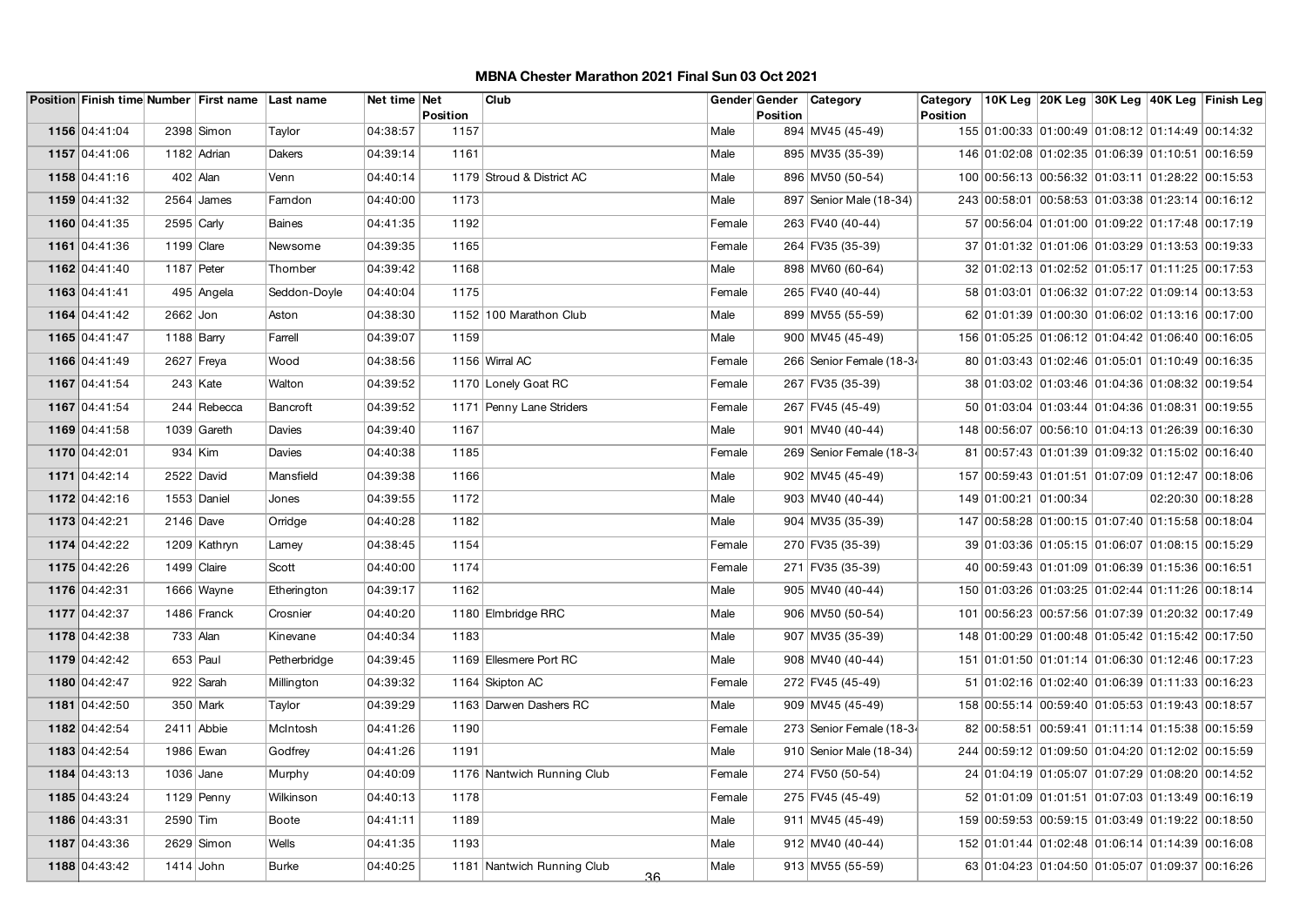|               |            | Position Finish time Number First name Last name |              | Net time Net | <b>Position</b> | Club                             |        | Gender Gender<br><b>Position</b> | Category                  | Category<br>Position |                       |                                                  |  | 10K Leg  20K Leg  30K Leg  40K Leg  Finish Leg   |
|---------------|------------|--------------------------------------------------|--------------|--------------|-----------------|----------------------------------|--------|----------------------------------|---------------------------|----------------------|-----------------------|--------------------------------------------------|--|--------------------------------------------------|
| 1156 04:41:04 |            | 2398 Simon                                       | Taylor       | 04:38:57     | 1157            |                                  | Male   |                                  | 894 MV45 (45-49)          |                      |                       |                                                  |  | 155 01:00:33 01:00:49 01:08:12 01:14:49 00:14:32 |
| 1157 04:41:06 |            | 1182 Adrian                                      | Dakers       | 04:39:14     | 1161            |                                  | Male   |                                  | 895 MV35 (35-39)          |                      |                       |                                                  |  | 146 01:02:08 01:02:35 01:06:39 01:10:51 00:16:59 |
| 1158 04:41:16 |            | $402$ Alan                                       | Venn         | 04:40:14     |                 | 1179 Stroud & District AC        | Male   |                                  | 896 MV50 (50-54)          |                      |                       |                                                  |  | 100 00:56:13 00:56:32 01:03:11 01:28:22 00:15:53 |
| 1159 04:41:32 |            | $2564$ James                                     | Famdon       | 04:40:00     | 1173            |                                  | Male   |                                  | 897   Senior Male (18-34) |                      |                       |                                                  |  | 243 00:58:01 00:58:53 01:03:38 01:23:14 00:16:12 |
| 1160 04:41:35 |            | $2595$ Carly                                     | Baines       | 04:41:35     | 1192            |                                  | Female |                                  | 263 FV40 (40-44)          |                      |                       |                                                  |  | 57 00:56:04 01:01:00 01:09:22 01:17:48 00:17:19  |
| 1161 04:41:36 |            | $1199$ Clare                                     | Newsome      | 04:39:35     | 1165            |                                  | Female |                                  | 264 FV35 (35-39)          |                      |                       |                                                  |  | 37 01:01:32 01:01:06 01:03:29 01:13:53 00:19:33  |
| 1162 04:41:40 | 1187 Peter |                                                  | Thomber      | 04:39:42     | 1168            |                                  | Male   |                                  | 898 MV60 (60-64)          |                      |                       |                                                  |  | 32 01:02:13 01:02:52 01:05:17 01:11:25 00:17:53  |
| 1163 04:41:41 |            | 495 Angela                                       | Seddon-Doyle | 04:40:04     | 1175            |                                  | Female |                                  | 265 FV40 (40-44)          |                      |                       |                                                  |  | 58 01:03:01 01:06:32 01:07:22 01:09:14 00:13:53  |
| 1164 04:41:42 | $2662$ Jon |                                                  | Aston        | 04:38:30     |                 | 1152 100 Marathon Club           | Male   |                                  | 899 MV55 (55-59)          |                      |                       |                                                  |  | 62 01:01:39 01:00:30 01:06:02 01:13:16 00:17:00  |
| 1165 04:41:47 |            | 1188 $Barnv$                                     | Farrell      | 04:39:07     | 1159            |                                  | Male   |                                  | 900 MV45 (45-49)          |                      |                       | 156 01:05:25 01:06:12 01:04:42 01:06:40 00:16:05 |  |                                                  |
| 1166 04:41:49 |            | $2627$ Freya                                     | Wood         | 04:38:56     |                 | 1156 Wirral AC                   | Female |                                  | 266 Senior Female (18-34  |                      |                       |                                                  |  | 80 01:03:43 01:02:46 01:05:01 01:10:49 00:16:35  |
| 1167 04:41:54 |            | $243$ Kate                                       | Walton       | 04:39:52     |                 | 1170 Lonely Goat RC              | Female |                                  | 267 FV35 (35-39)          |                      |                       |                                                  |  | 38 01:03:02 01:03:46 01:04:36 01:08:32 00:19:54  |
| 1167 04:41:54 |            | 244 Rebecca                                      | Bancroft     | 04:39:52     |                 | 1171 Penny Lane Striders         | Female |                                  | 267 FV45 (45-49)          |                      |                       |                                                  |  | 50 01:03:04 01:03:44 01:04:36 01:08:31 00:19:55  |
| 1169 04:41:58 |            | $1039$ Gareth                                    | Davies       | 04:39:40     | 1167            |                                  | Male   |                                  | 901   MV40 (40-44)        |                      |                       |                                                  |  | 148 00:56:07 00:56:10 01:04:13 01:26:39 00:16:30 |
| 1170 04:42:01 |            | $934$ Kim                                        | Davies       | 04:40:38     | 1185            |                                  | Female |                                  | 269 Senior Female (18-34  |                      |                       |                                                  |  | 81 00:57:43 01:01:39 01:09:32 01:15:02 00:16:40  |
| 1171 04:42:14 |            | 2522 David                                       | Mansfield    | 04:39:38     | 1166            |                                  | Male   |                                  | 902 MV45 (45-49)          |                      |                       | 157 00:59:43 01:01:51 01:07:09 01:12:47 00:18:06 |  |                                                  |
| 1172 04:42:16 |            | 1553 Daniel                                      | Jones        | 04:39:55     | 1172            |                                  | Male   |                                  | 903 MV40 (40-44)          |                      | 149 01:00:21 01:00:34 |                                                  |  | 02:20:30 00:18:28                                |
| 1173 04:42:21 |            | $2146$ Dave                                      | Orridge      | 04:40:28     | 1182            |                                  | Male   |                                  | 904   MV35 (35-39)        |                      |                       | 147 00:58:28 01:00:15 01:07:40 01:15:58 00:18:04 |  |                                                  |
| 1174 04:42:22 |            | 1209 Kathryn                                     | Lamey        | 04:38:45     | 1154            |                                  | Female |                                  | 270 FV35 (35-39)          |                      |                       | 39 01:03:36 01:05:15 01:06:07 01:08:15 00:15:29  |  |                                                  |
| 1175 04:42:26 |            | 1499 Claire                                      | Scott        | 04:40:00     | 1174            |                                  | Female |                                  | 271 FV35 (35-39)          |                      |                       | 40 00:59:43 01:01:09 01:06:39 01:15:36 00:16:51  |  |                                                  |
| 1176 04:42:31 |            | 1666 Wayne                                       | Etherington  | 04:39:17     | 1162            |                                  | Male   |                                  | 905 MV40 (40-44)          |                      |                       |                                                  |  | 150 01:03:26 01:03:25 01:02:44 01:11:26 00:18:14 |
| 1177 04:42:37 |            | 1486 Franck                                      | Crosnier     | 04:40:20     |                 | 1180 Elmbridge RRC               | Male   |                                  | 906   MV50 (50-54)        |                      |                       |                                                  |  | 101 00:56:23 00:57:56 01:07:39 01:20:32 00:17:49 |
| 1178 04:42:38 |            | 733 Alan                                         | Kinevane     | 04:40:34     | 1183            |                                  | Male   |                                  | 907   MV35 (35-39)        |                      |                       |                                                  |  | 148 01:00:29 01:00:48 01:05:42 01:15:42 00:17:50 |
| 1179 04:42:42 |            | $653$ Paul                                       | Petherbridge | 04:39:45     |                 | 1169 Ellesmere Port RC           | Male   |                                  | 908 MV40 (40-44)          |                      |                       |                                                  |  | 151 01:01:50 01:01:14 01:06:30 01:12:46 00:17:23 |
| 1180 04:42:47 |            | 922 Sarah                                        | Millington   | 04:39:32     |                 | 1164 Skipton AC                  | Female |                                  | 272 FV45 (45-49)          |                      |                       | 51 01:02:16 01:02:40 01:06:39 01:11:33 00:16:23  |  |                                                  |
| 1181 04:42:50 |            | 350 Mark                                         | Taylor       | 04:39:29     |                 | 1163 Darwen Dashers RC           | Male   |                                  | 909 MV45 (45-49)          |                      |                       | 158 00:55:14 00:59:40 01:05:53 01:19:43 00:18:57 |  |                                                  |
| 1182 04:42:54 |            | 2411 Abbie                                       | McIntosh     | 04:41:26     | 1190            |                                  | Female |                                  | 273 Senior Female (18-34  |                      |                       |                                                  |  | 82 00:58:51 00:59:41 01:11:14 01:15:38 00:15:59  |
| 1183 04:42:54 |            | 1986 Ewan                                        | Godfrey      | 04:41:26     | 1191            |                                  | Male   |                                  | 910 Senior Male (18-34)   |                      |                       | 244 00:59:12 01:09:50 01:04:20 01:12:02 00:15:59 |  |                                                  |
| 1184 04:43:13 |            | 1036 Jane                                        | Murphy       | 04:40:09     |                 | 1176 Nantwich Running Club       | Female |                                  | 274 FV50 (50-54)          |                      |                       |                                                  |  | 24 01:04:19 01:05:07 01:07:29 01:08:20 00:14:52  |
| 1185 04:43:24 |            | $1129$ Penny                                     | Wilkinson    | 04:40:13     | 1178            |                                  | Female |                                  | 275 FV45 (45-49)          |                      |                       |                                                  |  | 52 01:01:09 01:01:51 01:07:03 01:13:49 00:16:19  |
| 1186 04:43:31 | 2590 Tim   |                                                  | <b>Boote</b> | 04:41:11     | 1189            |                                  | Male   |                                  | 911 MV45 (45-49)          |                      |                       |                                                  |  | 159 00:59:53 00:59:15 01:03:49 01:19:22 00:18:50 |
| 1187 04:43:36 |            | $2629$ Simon                                     | Wells        | 04:41:35     | 1193            |                                  | Male   |                                  | 912 MV40 (40-44)          |                      |                       |                                                  |  | 152 01:01:44 01:02:48 01:06:14 01:14:39 00:16:08 |
| 1188 04:43:42 |            | $1414$ John                                      | <b>Burke</b> | 04:40:25     |                 | 1181 Nantwich Running Club<br>26 | Male   |                                  | 913 MV55 (55-59)          |                      |                       |                                                  |  | 63 01:04:23 01:04:50 01:05:07 01:09:37 00:16:26  |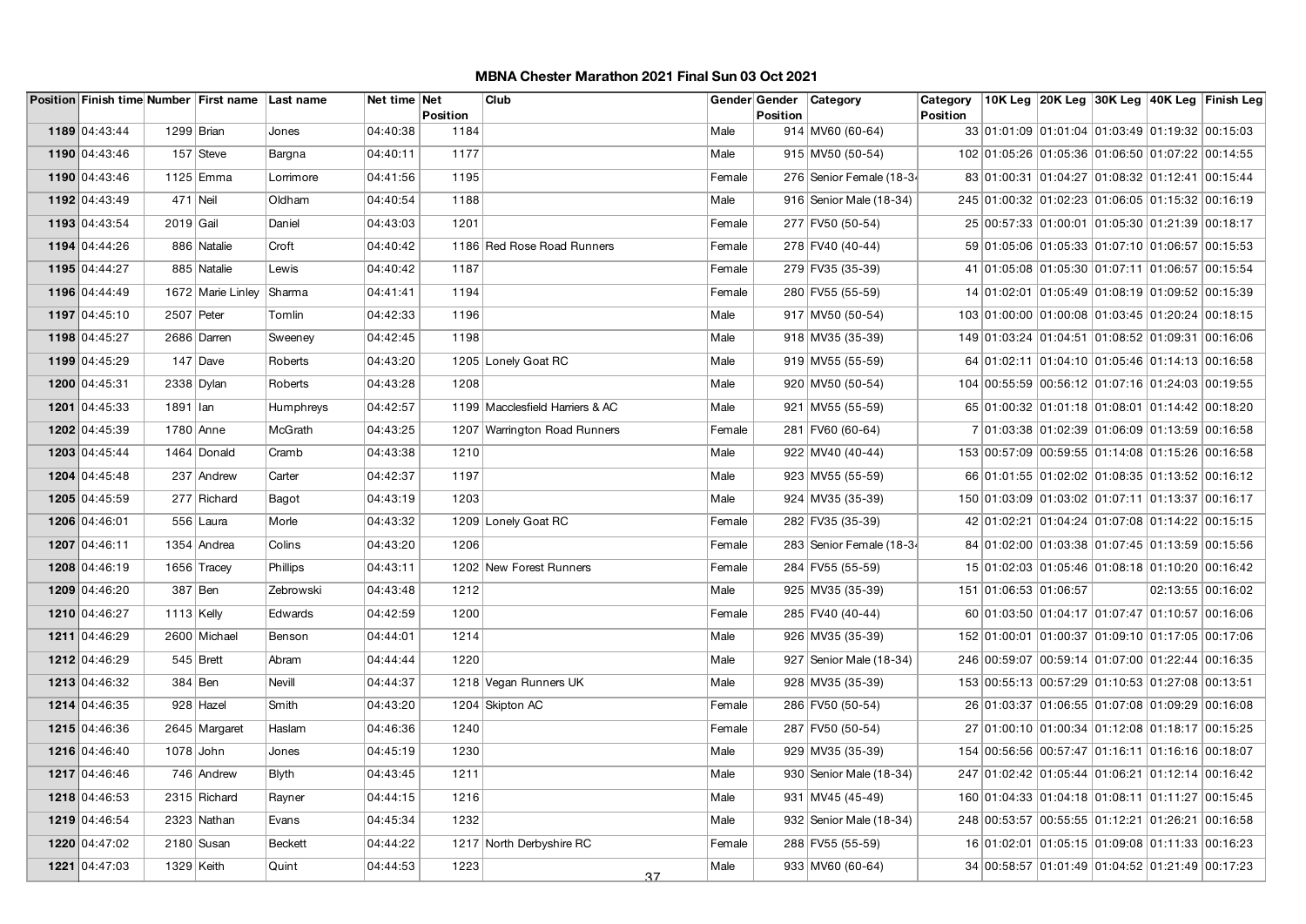|               |              | Position Finish time Number First name Last name |                | Net time Net |                  | Club                            |        | Gender Gender<br><b>Position</b> | Category                 | Category        |                                                  |  | 10K Leg  20K Leg  30K Leg  40K Leg  Finish Leg |
|---------------|--------------|--------------------------------------------------|----------------|--------------|------------------|---------------------------------|--------|----------------------------------|--------------------------|-----------------|--------------------------------------------------|--|------------------------------------------------|
| 1189 04:43:44 | 1299 Brian   |                                                  | Jones          | 04:40:38     | Position<br>1184 |                                 | Male   |                                  | 914 MV60 (60-64)         | <b>Position</b> | 33 01:01:09 01:01:04 01:03:49 01:19:32 00:15:03  |  |                                                |
|               |              |                                                  |                |              |                  |                                 |        |                                  |                          |                 |                                                  |  |                                                |
| 1190 04:43:46 |              | 157 Steve                                        | Bargna         | 04:40:11     | 1177             |                                 | Male   |                                  | 915 MV50 (50-54)         |                 | 102 01:05:26 01:05:36 01:06:50 01:07:22 00:14:55 |  |                                                |
| 1190 04:43:46 |              | 1125 Emma                                        | Lorrimore      | 04:41:56     | 1195             |                                 | Female |                                  | 276 Senior Female (18-34 |                 | 83 01:00:31 01:04:27 01:08:32 01:12:41 00:15:44  |  |                                                |
| 1192 04:43:49 | 471 Neil     |                                                  | Oldham         | 04:40:54     | 1188             |                                 | Male   |                                  | 916 Senior Male (18-34)  |                 | 245 01:00:32 01:02:23 01:06:05 01:15:32 00:16:19 |  |                                                |
| 1193 04:43:54 | $2019$ Gail  |                                                  | Daniel         | 04:43:03     | 1201             |                                 | Female |                                  | 277 FV50 (50-54)         |                 | 25 00:57:33 01:00:01 01:05:30 01:21:39 00:18:17  |  |                                                |
| 1194 04:44:26 |              | 886 Natalie                                      | Croft          | 04:40:42     |                  | 1186 Red Rose Road Runners      | Female |                                  | 278 FV40 (40-44)         |                 | 59 01:05:06 01:05:33 01:07:10 01:06:57 00:15:53  |  |                                                |
| 1195 04:44:27 |              | 885 Natalie                                      | Lewis          | 04:40:42     | 1187             |                                 | Female |                                  | 279 FV35 (35-39)         |                 | 41 01:05:08 01:05:30 01:07:11 01:06:57 00:15:54  |  |                                                |
| 1196 04:44:49 |              | 1672 Marie Linley                                | Sharma         | 04:41:41     | 1194             |                                 | Female |                                  | 280 FV55 (55-59)         |                 | 14 01:02:01 01:05:49 01:08:19 01:09:52 00:15:39  |  |                                                |
| 1197 04:45:10 | 2507 Peter   |                                                  | Tomlin         | 04:42:33     | 1196             |                                 | Male   |                                  | 917 MV50 (50-54)         |                 | 103 01:00:00 01:00:08 01:03:45 01:20:24 00:18:15 |  |                                                |
| 1198 04:45:27 |              | 2686 Darren                                      | Sweeney        | 04:42:45     | 1198             |                                 | Male   |                                  | 918 MV35 (35-39)         |                 | 149 01:03:24 01:04:51 01:08:52 01:09:31 00:16:06 |  |                                                |
| 1199 04:45:29 |              | $147$ Dave                                       | Roberts        | 04:43:20     |                  | 1205 Lonely Goat RC             | Male   |                                  | 919 MV55 (55-59)         |                 | 64 01:02:11 01:04:10 01:05:46 01:14:13 00:16:58  |  |                                                |
| 1200 04:45:31 | $2338$ Dylan |                                                  | Roberts        | 04:43:28     | 1208             |                                 | Male   |                                  | 920 MV50 (50-54)         |                 | 104 00:55:59 00:56:12 01:07:16 01:24:03 00:19:55 |  |                                                |
| 1201 04:45:33 | 1891   Ian   |                                                  | Humphreys      | 04:42:57     |                  | 1199 Macclesfield Harriers & AC | Male   |                                  | 921 MV55 (55-59)         |                 | 65 01:00:32 01:01:18 01:08:01 01:14:42 00:18:20  |  |                                                |
| 1202 04:45:39 | 1780 Anne    |                                                  | McGrath        | 04:43:25     |                  | 1207 Warrington Road Runners    | Female |                                  | 281 FV60 (60-64)         |                 | 7 01:03:38 01:02:39 01:06:09 01:13:59 00:16:58   |  |                                                |
| 1203 04:45:44 |              | 1464 Donald                                      | Cramb          | 04:43:38     | 1210             |                                 | Male   |                                  | 922 MV40 (40-44)         |                 | 153 00:57:09 00:59:55 01:14:08 01:15:26 00:16:58 |  |                                                |
| 1204 04:45:48 |              | 237 Andrew                                       | Carter         | 04:42:37     | 1197             |                                 | Male   |                                  | 923 MV55 (55-59)         |                 | 66 01:01:55 01:02:02 01:08:35 01:13:52 00:16:12  |  |                                                |
| 1205 04:45:59 |              | 277 Richard                                      | Bagot          | 04:43:19     | 1203             |                                 | Male   |                                  | 924 MV35 (35-39)         |                 | 150 01:03:09 01:03:02 01:07:11 01:13:37 00:16:17 |  |                                                |
| 1206 04:46:01 |              | 556 Laura                                        | Morle          | 04:43:32     |                  | 1209 Lonely Goat RC             | Female |                                  | 282 FV35 (35-39)         |                 | 42 01:02:21 01:04:24 01:07:08 01:14:22 00:15:15  |  |                                                |
| 1207 04:46:11 |              | 1354 Andrea                                      | Colins         | 04:43:20     | 1206             |                                 | Female |                                  | 283 Senior Female (18-34 |                 | 84 01:02:00 01:03:38 01:07:45 01:13:59 00:15:56  |  |                                                |
| 1208 04:46:19 |              | 1656 Tracey                                      | Phillips       | 04:43:11     |                  | 1202 New Forest Runners         | Female |                                  | 284 FV55 (55-59)         |                 | 15 01:02:03 01:05:46 01:08:18 01:10:20 00:16:42  |  |                                                |
| 1209 04:46:20 | 387 Ben      |                                                  | Zebrowski      | 04:43:48     | 1212             |                                 | Male   |                                  | 925 MV35 (35-39)         |                 | 151 01:06:53 01:06:57                            |  | 02:13:55 00:16:02                              |
| 1210 04:46:27 | $1113$ Kelly |                                                  | Edwards        | 04:42:59     | 1200             |                                 | Female |                                  | 285 FV40 (40-44)         |                 | 60 01:03:50 01:04:17 01:07:47 01:10:57 00:16:06  |  |                                                |
| 1211 04:46:29 |              | 2600 Michael                                     | Benson         | 04:44:01     | 1214             |                                 | Male   |                                  | 926 MV35 (35-39)         |                 | 152 01:00:01 01:00:37 01:09:10 01:17:05 00:17:06 |  |                                                |
| 1212 04:46:29 |              | 545 Brett                                        | Abram          | 04:44:44     | 1220             |                                 | Male   |                                  | 927 Senior Male (18-34)  |                 | 246 00:59:07 00:59:14 01:07:00 01:22:44 00:16:35 |  |                                                |
| 1213 04:46:32 |              | $384$ Ben                                        | Nevill         | 04:44:37     |                  | 1218 Vegan Runners UK           | Male   |                                  | 928 MV35 (35-39)         |                 | 153 00:55:13 00:57:29 01:10:53 01:27:08 00:13:51 |  |                                                |
| 1214 04:46:35 |              | 928 Hazel                                        | Smith          | 04:43:20     |                  | 1204 Skipton AC                 | Female |                                  | 286 FV50 (50-54)         |                 | 26 01:03:37 01:06:55 01:07:08 01:09:29 00:16:08  |  |                                                |
| 1215 04:46:36 |              | 2645 Margaret                                    | Haslam         | 04:46:36     | 1240             |                                 | Female |                                  | 287 FV50 (50-54)         |                 | 27 01:00:10 01:00:34 01:12:08 01:18:17 00:15:25  |  |                                                |
| 1216 04:46:40 | 1078 John    |                                                  | Jones          | 04:45:19     | 1230             |                                 | Male   |                                  | 929 MV35 (35-39)         |                 | 154 00:56:56 00:57:47 01:16:11 01:16:16 00:18:07 |  |                                                |
| 1217 04:46:46 |              | 746 Andrew                                       | Blyth          | 04:43:45     | 1211             |                                 | Male   |                                  | 930 Senior Male (18-34)  |                 | 247 01:02:42 01:05:44 01:06:21 01:12:14 00:16:42 |  |                                                |
| 1218 04:46:53 |              | 2315 Richard                                     | Rayner         | 04:44:15     | 1216             |                                 | Male   |                                  | 931 MV45 (45-49)         |                 | 160 01:04:33 01:04:18 01:08:11 01:11:27 00:15:45 |  |                                                |
| 1219 04:46:54 |              | 2323 Nathan                                      | Evans          | 04:45:34     | 1232             |                                 | Male   |                                  | 932 Senior Male (18-34)  |                 | 248 00:53:57 00:55:55 01:12:21 01:26:21 00:16:58 |  |                                                |
| 1220 04:47:02 |              | 2180 Susan                                       | <b>Beckett</b> | 04:44:22     |                  | 1217 North Derbyshire RC        | Female |                                  | 288 FV55 (55-59)         |                 | 16 01:02:01 01:05:15 01:09:08 01:11:33 00:16:23  |  |                                                |
| 1221 04:47:03 | 1329 Keith   |                                                  | Quint          | 04:44:53     | 1223             | 37                              | Male   |                                  | 933 MV60 (60-64)         |                 | 34 00:58:57 01:01:49 01:04:52 01:21:49 00:17:23  |  |                                                |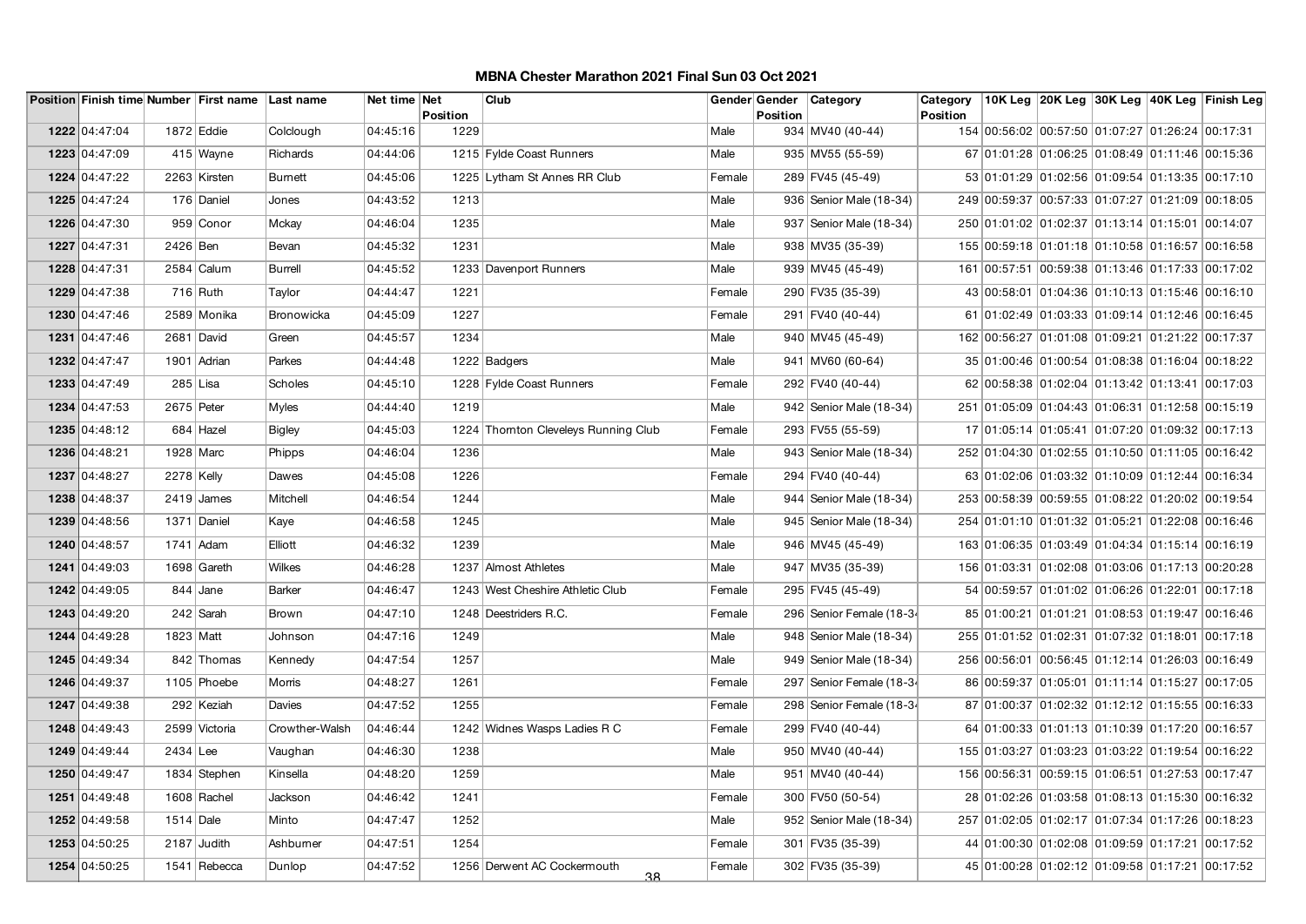|               |              | Position Finish time Number First name Last name |                | Net time Net | Position | Club                                 |        | Gender Gender<br><b>Position</b> | Category                  | Category<br>Position |                                                  |  | 10K Leg 20K Leg 30K Leg 40K Leg Finish Leg      |
|---------------|--------------|--------------------------------------------------|----------------|--------------|----------|--------------------------------------|--------|----------------------------------|---------------------------|----------------------|--------------------------------------------------|--|-------------------------------------------------|
| 1222 04:47:04 | $1872$ Eddie |                                                  | Colclough      | 04:45:16     | 1229     |                                      | Male   |                                  | 934 MV40 (40-44)          |                      | 154 00:56:02 00:57:50 01:07:27 01:26:24 00:17:31 |  |                                                 |
| 1223 04:47:09 |              | 415 Wayne                                        | Richards       | 04:44:06     |          | 1215 Fylde Coast Runners             | Male   |                                  | 935 MV55 (55-59)          |                      | 67 01:01:28 01:06:25 01:08:49 01:11:46 00:15:36  |  |                                                 |
| 1224 04:47:22 |              | 2263 Kirsten                                     | <b>Burnett</b> | 04:45:06     |          | 1225 Lytham St Annes RR Club         | Female |                                  | 289 FV45 (45-49)          |                      |                                                  |  | 53 01:01:29 01:02:56 01:09:54 01:13:35 00:17:10 |
| 1225 04:47:24 |              | 176 Daniel                                       | Jones          | 04:43:52     | 1213     |                                      | Male   |                                  | 936   Senior Male (18-34) |                      | 249 00:59:37 00:57:33 01:07:27 01:21:09 00:18:05 |  |                                                 |
| 1226 04:47:30 |              | 959 Conor                                        | Mckay          | 04:46:04     | 1235     |                                      | Male   |                                  | 937   Senior Male (18-34) |                      | 250 01:01:02 01:02:37 01:13:14 01:15:01 00:14:07 |  |                                                 |
| 1227 04:47:31 | 2426 Ben     |                                                  | Bevan          | 04:45:32     | 1231     |                                      | Male   |                                  | 938 MV35 (35-39)          |                      | 155 00:59:18 01:01:18 01:10:58 01:16:57 00:16:58 |  |                                                 |
| 1228 04:47:31 |              | $2584$ Calum                                     | Burrell        | 04:45:52     |          | 1233 Davenport Runners               | Male   |                                  | 939 MV45 (45-49)          |                      | 161 00:57:51 00:59:38 01:13:46 01:17:33 00:17:02 |  |                                                 |
| 1229 04:47:38 |              | $716$ Ruth                                       | Taylor         | 04:44:47     | 1221     |                                      | Female |                                  | 290 FV35 (35-39)          |                      | 43 00:58:01 01:04:36 01:10:13 01:15:46 00:16:10  |  |                                                 |
| 1230 04:47:46 |              | 2589 Monika                                      | Bronowicka     | 04:45:09     | 1227     |                                      | Female |                                  | 291 FV40 (40-44)          |                      | 61 01:02:49 01:03:33 01:09:14 01:12:46 00:16:45  |  |                                                 |
| 1231 04:47:46 |              | 2681 David                                       | Green          | 04:45:57     | 1234     |                                      | Male   |                                  | 940 MV45 (45-49)          |                      | 162 00:56:27 01:01:08 01:09:21 01:21:22 00:17:37 |  |                                                 |
| 1232 04:47:47 |              | 1901 Adrian                                      | Parkes         | 04:44:48     |          | 1222 Badgers                         | Male   |                                  | 941   MV60 (60-64)        |                      | 35 01:00:46 01:00:54 01:08:38 01:16:04 00:18:22  |  |                                                 |
| 1233 04:47:49 |              | $285$ Lisa                                       | Scholes        | 04:45:10     |          | 1228 Fylde Coast Runners             | Female |                                  | 292 FV40 (40-44)          |                      | 62 00:58:38 01:02:04 01:13:42 01:13:41 00:17:03  |  |                                                 |
| 1234 04:47:53 | 2675 Peter   |                                                  | <b>Myles</b>   | 04:44:40     | 1219     |                                      | Male   |                                  | 942 Senior Male (18-34)   |                      | 251 01:05:09 01:04:43 01:06:31 01:12:58 00:15:19 |  |                                                 |
| 1235 04:48:12 |              | 684 Hazel                                        | <b>Bigley</b>  | 04:45:03     |          | 1224 Thornton Cleveleys Running Club | Female |                                  | 293 FV55 (55-59)          |                      | 17 01:05:14 01:05:41 01:07:20 01:09:32 00:17:13  |  |                                                 |
| 1236 04:48:21 | 1928 Marc    |                                                  | Phipps         | 04:46:04     | 1236     |                                      | Male   |                                  | 943 Senior Male (18-34)   |                      | 252 01:04:30 01:02:55 01:10:50 01:11:05 00:16:42 |  |                                                 |
| 1237 04:48:27 | 2278 Kelly   |                                                  | Dawes          | 04:45:08     | 1226     |                                      | Female |                                  | 294 FV40 (40-44)          |                      | 63 01:02:06 01:03:32 01:10:09 01:12:44 00:16:34  |  |                                                 |
| 1238 04:48:37 |              | $2419$ James                                     | Mitchell       | 04:46:54     | 1244     |                                      | Male   |                                  | 944   Senior Male (18-34) |                      | 253 00:58:39 00:59:55 01:08:22 01:20:02 00:19:54 |  |                                                 |
| 1239 04:48:56 |              | 1371 Daniel                                      | Kaye           | 04:46:58     | 1245     |                                      | Male   |                                  | 945 Senior Male (18-34)   |                      | 254 01:01:10 01:01:32 01:05:21 01:22:08 00:16:46 |  |                                                 |
| 1240 04:48:57 | 1741 Adam    |                                                  | Elliott        | 04:46:32     | 1239     |                                      | Male   |                                  | 946 MV45 (45-49)          |                      | 163 01:06:35 01:03:49 01:04:34 01:15:14 00:16:19 |  |                                                 |
| 1241 04:49:03 |              | 1698 Gareth                                      | Wilkes         | 04:46:28     |          | 1237 Almost Athletes                 | Male   |                                  | 947 MV35 (35-39)          |                      | 156 01:03:31 01:02:08 01:03:06 01:17:13 00:20:28 |  |                                                 |
| 1242 04:49:05 |              | $844$ Jane                                       | <b>Barker</b>  | 04:46:47     |          | 1243 West Cheshire Athletic Club     | Female |                                  | 295 FV45 (45-49)          |                      |                                                  |  | 54 00:59:57 01:01:02 01:06:26 01:22:01 00:17:18 |
| 1243 04:49:20 |              | 242 Sarah                                        | Brown          | 04:47:10     |          | 1248 Deestriders R.C.                | Female |                                  | 296 Senior Female (18-34  |                      | 85 01:00:21 01:01:21 01:08:53 01:19:47 00:16:46  |  |                                                 |
| 1244 04:49:28 | 1823 Matt    |                                                  | Johnson        | 04:47:16     | 1249     |                                      | Male   |                                  | 948 Senior Male (18-34)   |                      | 255 01:01:52 01:02:31 01:07:32 01:18:01 00:17:18 |  |                                                 |
| 1245 04:49:34 |              | 842 Thomas                                       | Kennedy        | 04:47:54     | 1257     |                                      | Male   |                                  | 949 Senior Male (18-34)   |                      | 256 00:56:01 00:56:45 01:12:14 01:26:03 00:16:49 |  |                                                 |
| 1246 04:49:37 |              | 1105 Phoebe                                      | Morris         | 04:48:27     | 1261     |                                      | Female |                                  | 297 Senior Female (18-34  |                      | 86 00:59:37 01:05:01 01:11:14 01:15:27 00:17:05  |  |                                                 |
| 1247 04:49:38 |              | 292 Keziah                                       | Davies         | 04:47:52     | 1255     |                                      | Female |                                  | 298 Senior Female (18-34  |                      | 87 01:00:37 01:02:32 01:12:12 01:15:55 00:16:33  |  |                                                 |
| 1248 04:49:43 |              | 2599 Victoria                                    | Crowther-Walsh | 04:46:44     |          | 1242 Widnes Wasps Ladies R C         | Female |                                  | 299 FV40 (40-44)          |                      | 64 01:00:33 01:01:13 01:10:39 01:17:20 00:16:57  |  |                                                 |
| 1249 04:49:44 | $2434$ Lee   |                                                  | Vaughan        | 04:46:30     | 1238     |                                      | Male   |                                  | 950 MV40 (40-44)          |                      | 155 01:03:27 01:03:23 01:03:22 01:19:54 00:16:22 |  |                                                 |
| 1250 04:49:47 |              | 1834 Stephen                                     | Kinsella       | 04:48:20     | 1259     |                                      | Male   |                                  | 951   MV40 (40-44)        |                      | 156 00:56:31 00:59:15 01:06:51 01:27:53 00:17:47 |  |                                                 |
| 1251 04:49:48 |              | 1608 Rachel                                      | Jackson        | 04:46:42     | 1241     |                                      | Female |                                  | 300 FV50 (50-54)          |                      | 28 01:02:26 01:03:58 01:08:13 01:15:30 00:16:32  |  |                                                 |
| 1252 04:49:58 | 1514 Dale    |                                                  | Minto          | 04:47:47     | 1252     |                                      | Male   |                                  | 952 Senior Male (18-34)   |                      | 257 01:02:05 01:02:17 01:07:34 01:17:26 00:18:23 |  |                                                 |
| 1253 04:50:25 |              | 2187 Judith                                      | Ashburner      | 04:47:51     | 1254     |                                      | Female |                                  | 301 FV35 (35-39)          |                      | 44 01:00:30 01:02:08 01:09:59 01:17:21 00:17:52  |  |                                                 |
| 1254 04:50:25 |              | 1541 Rebecca                                     | Dunlop         | 04:47:52     |          | 1256 Derwent AC Cockermouth<br>-38   | Female |                                  | 302 FV35 (35-39)          |                      |                                                  |  | 45 01:00:28 01:02:12 01:09:58 01:17:21 00:17:52 |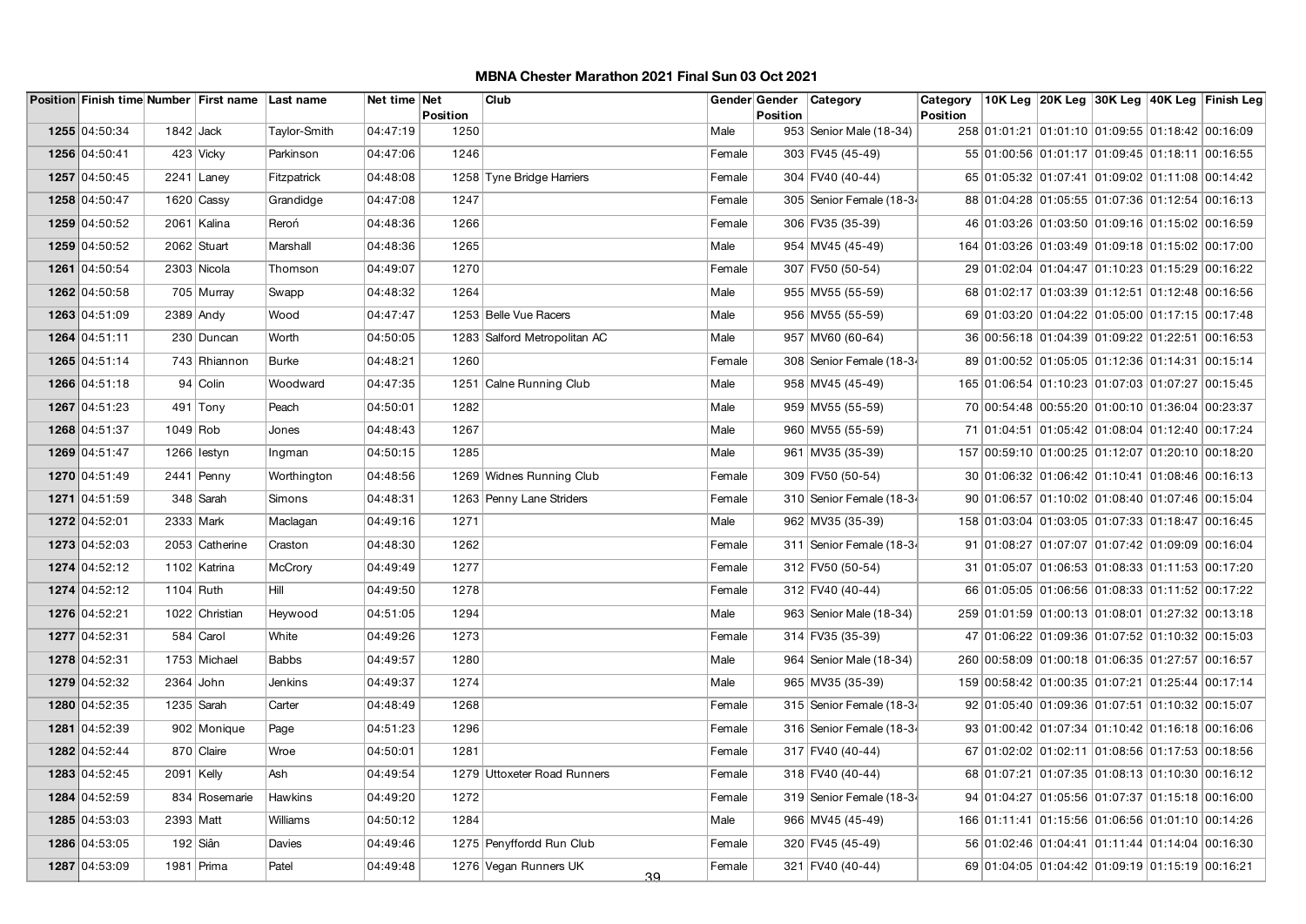|               |              | Position Finish time Number First name Last name |              | Net time Net | <b>Position</b> | Club                         |        | Gender Gender<br>Position | Category                  | Category<br>Position |                                                  |  | 10K Leg  20K Leg  30K Leg  40K Leg  Finish Leg  |
|---------------|--------------|--------------------------------------------------|--------------|--------------|-----------------|------------------------------|--------|---------------------------|---------------------------|----------------------|--------------------------------------------------|--|-------------------------------------------------|
| 1255 04:50:34 | $1842$ Jack  |                                                  | Taylor-Smith | 04:47:19     | 1250            |                              | Male   |                           | 953 Senior Male (18-34)   |                      | 258 01:01:21 01:01:10 01:09:55 01:18:42 00:16:09 |  |                                                 |
| 1256 04:50:41 |              | 423 Vicky                                        | Parkinson    | 04:47:06     | 1246            |                              | Female |                           | 303 FV45 (45-49)          |                      | 55 01:00:56 01:01:17 01:09:45 01:18:11 00:16:55  |  |                                                 |
| 1257 04:50:45 |              | $2241$ Laney                                     | Fitzpatrick  | 04:48:08     |                 | 1258 Tyne Bridge Harriers    | Female |                           | 304 FV40 (40-44)          |                      | 65 01:05:32 01:07:41 01:09:02 01:11:08 00:14:42  |  |                                                 |
| 1258 04:50:47 |              | 1620 Cassy                                       | Grandidge    | 04:47:08     | 1247            |                              | Female |                           | 305 Senior Female (18-34  |                      | 88 01:04:28 01:05:55 01:07:36 01:12:54 00:16:13  |  |                                                 |
| 1259 04:50:52 |              | 2061 Kalina                                      | Reroń        | 04:48:36     | 1266            |                              | Female |                           | 306 FV35 (35-39)          |                      | 46 01:03:26 01:03:50 01:09:16 01:15:02 00:16:59  |  |                                                 |
| 1259 04:50:52 |              | 2062 Stuart                                      | Marshall     | 04:48:36     | 1265            |                              | Male   |                           | 954 MV45 (45-49)          |                      | 164 01:03:26 01:03:49 01:09:18 01:15:02 00:17:00 |  |                                                 |
| 1261 04:50:54 |              | 2303 Nicola                                      | Thomson      | 04:49:07     | 1270            |                              | Female |                           | 307 FV50 (50-54)          |                      | 29 01:02:04 01:04:47 01:10:23 01:15:29 00:16:22  |  |                                                 |
| 1262 04:50:58 |              | 705 Murray                                       | Swapp        | 04:48:32     | 1264            |                              | Male   |                           | 955 MV55 (55-59)          |                      | 68 01:02:17 01:03:39 01:12:51 01:12:48 00:16:56  |  |                                                 |
| 1263 04:51:09 |              | $2389$ Andy                                      | Wood         | 04:47:47     |                 | 1253 Belle Vue Racers        | Male   |                           | 956 MV55 (55-59)          |                      |                                                  |  | 69 01:03:20 01:04:22 01:05:00 01:17:15 00:17:48 |
| 1264 04:51:11 |              | 230 Duncan                                       | Worth        | 04:50:05     |                 | 1283 Salford Metropolitan AC | Male   |                           | 957 MV60 (60-64)          |                      | 36 00:56:18 01:04:39 01:09:22 01:22:51 00:16:53  |  |                                                 |
| 1265 04:51:14 |              | 743 Rhiannon                                     | <b>Burke</b> | 04:48:21     | 1260            |                              | Female |                           | 308 Senior Female (18-34  |                      | 89 01:00:52 01:05:05 01:12:36 01:14:31 00:15:14  |  |                                                 |
| 1266 04:51:18 |              | 94 Colin                                         | Woodward     | 04:47:35     |                 | 1251 Calne Running Club      | Male   |                           | 958 MV45 (45-49)          |                      | 165 01:06:54 01:10:23 01:07:03 01:07:27 00:15:45 |  |                                                 |
| 1267 04:51:23 |              | $491$ Tony                                       | Peach        | 04:50:01     | 1282            |                              | Male   |                           | 959 MV55 (55-59)          |                      | 70 00:54:48 00:55:20 01:00:10 01:36:04 00:23:37  |  |                                                 |
| 1268 04:51:37 | $1049$ Rob   |                                                  | Jones        | 04:48:43     | 1267            |                              | Male   |                           | 960 MV55 (55-59)          |                      | 71 01:04:51 01:05:42 01:08:04 01:12:40 00:17:24  |  |                                                 |
| 1269 04:51:47 |              | 1266 lestyn                                      | Ingman       | 04:50:15     | 1285            |                              | Male   |                           | 961 MV35 (35-39)          |                      | 157 00:59:10 01:00:25 01:12:07 01:20:10 00:18:20 |  |                                                 |
| 1270 04:51:49 |              | $2441$ Penny                                     | Worthington  | 04:48:56     |                 | 1269 Widnes Running Club     | Female |                           | 309 FV50 (50-54)          |                      | 30 01:06:32 01:06:42 01:10:41 01:08:46 00:16:13  |  |                                                 |
| 1271 04:51:59 |              | 348 Sarah                                        | Simons       | 04:48:31     |                 | 1263 Penny Lane Striders     | Female |                           | 310 Senior Female (18-34  |                      | 90 01:06:57 01:10:02 01:08:40 01:07:46 00:15:04  |  |                                                 |
| 1272 04:52:01 |              | 2333 Mark                                        | Maclagan     | 04:49:16     | 1271            |                              | Male   |                           | 962 MV35 (35-39)          |                      | 158 01:03:04 01:03:05 01:07:33 01:18:47 00:16:45 |  |                                                 |
| 1273 04:52:03 |              | 2053 Catherine                                   | Craston      | 04:48:30     | 1262            |                              | Female |                           | 311 Senior Female (18-34  |                      | 91 01:08:27 01:07:07 01:07:42 01:09:09 00:16:04  |  |                                                 |
| 1274 04:52:12 |              | 1102 Katrina                                     | McCrory      | 04:49:49     | 1277            |                              | Female |                           | 312 FV50 (50-54)          |                      | 31 01:05:07 01:06:53 01:08:33 01:11:53 00:17:20  |  |                                                 |
| 1274 04:52:12 | $1104$ Ruth  |                                                  | Hill         | 04:49:50     | 1278            |                              | Female |                           | 312 FV40 (40-44)          |                      | 66 01:05:05 01:06:56 01:08:33 01:11:52 00:17:22  |  |                                                 |
| 1276 04:52:21 |              | 1022 Christian                                   | Heywood      | 04:51:05     | 1294            |                              | Male   |                           | 963   Senior Male (18-34) |                      | 259 01:01:59 01:00:13 01:08:01 01:27:32 00:13:18 |  |                                                 |
| 1277 04:52:31 |              | $584$ Carol                                      | White        | 04:49:26     | 1273            |                              | Female |                           | 314 FV35 (35-39)          |                      | 47 01:06:22 01:09:36 01:07:52 01:10:32 00:15:03  |  |                                                 |
| 1278 04:52:31 |              | 1753 Michael                                     | <b>Babbs</b> | 04:49:57     | 1280            |                              | Male   |                           | 964   Senior Male (18-34) |                      | 260 00:58:09 01:00:18 01:06:35 01:27:57 00:16:57 |  |                                                 |
| 1279 04:52:32 |              | 2364 John                                        | Jenkins      | 04:49:37     | 1274            |                              | Male   |                           | 965 MV35 (35-39)          |                      | 159 00:58:42 01:00:35 01:07:21 01:25:44 00:17:14 |  |                                                 |
| 1280 04:52:35 |              | $1235$ Sarah                                     | Carter       | 04:48:49     | 1268            |                              | Female |                           | 315 Senior Female (18-34  |                      | 92 01:05:40 01:09:36 01:07:51 01:10:32 00:15:07  |  |                                                 |
| 1281 04:52:39 |              | 902 Monique                                      | Page         | 04:51:23     | 1296            |                              | Female |                           | 316 Senior Female (18-34  |                      | 93 01:00:42 01:07:34 01:10:42 01:16:18 00:16:06  |  |                                                 |
| 1282 04:52:44 |              | 870 Claire                                       | Wroe         | 04:50:01     | 1281            |                              | Female |                           | 317 FV40 (40-44)          |                      | 67 01:02:02 01:02:11 01:08:56 01:17:53 00:18:56  |  |                                                 |
| 1283 04:52:45 | 2091   Kelly |                                                  | Ash          | 04:49:54     |                 | 1279 Uttoxeter Road Runners  | Female |                           | 318 FV40 (40-44)          |                      | 68 01:07:21 01:07:35 01:08:13 01:10:30 00:16:12  |  |                                                 |
| 1284 04:52:59 |              | 834   Rosemarie                                  | Hawkins      | 04:49:20     | 1272            |                              | Female |                           | 319 Senior Female (18-34  |                      | 94 01:04:27 01:05:56 01:07:37 01:15:18 00:16:00  |  |                                                 |
| 1285 04:53:03 | 2393 Matt    |                                                  | Williams     | 04:50:12     | 1284            |                              | Male   |                           | 966 MV45 (45-49)          |                      | 166 01:11:41 01:15:56 01:06:56 01:01:10 00:14:26 |  |                                                 |
| 1286 04:53:05 |              | 192 Siân                                         | Davies       | 04:49:46     |                 | 1275 Penyffordd Run Club     | Female |                           | 320 FV45 (45-49)          |                      | 56 01:02:46 01:04:41 01:11:44 01:14:04 00:16:30  |  |                                                 |
| 1287 04:53:09 |              | 1981 Prima                                       | Patel        | 04:49:48     |                 | 1276 Vegan Runners UK<br>20  | Female |                           | 321 FV40 (40-44)          |                      | 69 01:04:05 01:04:42 01:09:19 01:15:19 00:16:21  |  |                                                 |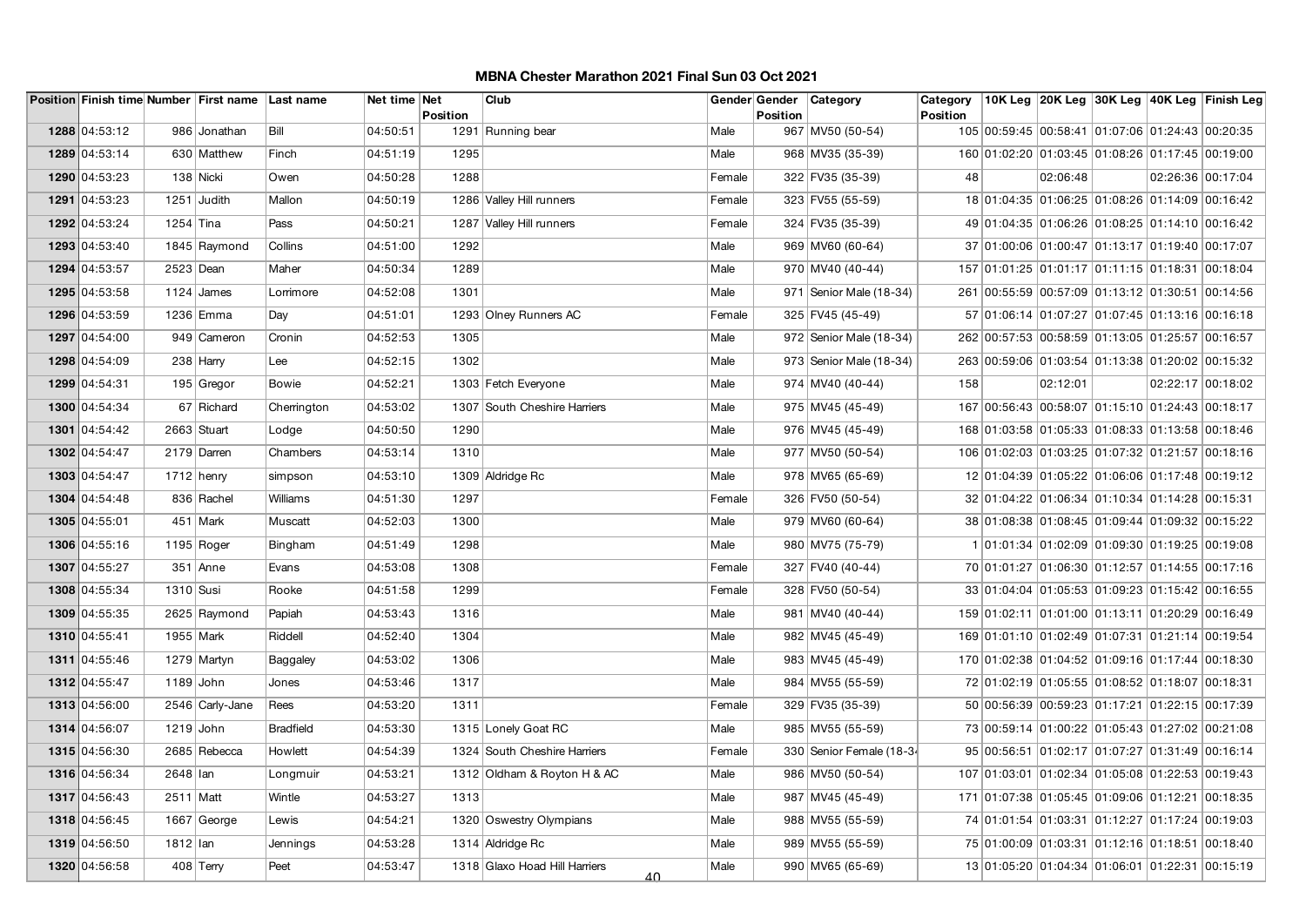|               |             | Position Finish time Number First name Last name |                  | Net time Net | <b>Position</b> | Club                                |        | Gender Gender<br><b>Position</b> | Category                  | Category<br><b>Position</b> |                                                  |          |  | 10K Leg 20K Leg 30K Leg 40K Leg Finish Leg |
|---------------|-------------|--------------------------------------------------|------------------|--------------|-----------------|-------------------------------------|--------|----------------------------------|---------------------------|-----------------------------|--------------------------------------------------|----------|--|--------------------------------------------|
| 1288 04:53:12 |             | 986 Jonathan                                     | Bill             | 04:50:51     |                 | 1291 Running bear                   | Male   |                                  | 967 MV50 (50-54)          |                             | 105 00:59:45 00:58:41 01:07:06 01:24:43 00:20:35 |          |  |                                            |
| 1289 04:53:14 |             | 630 Matthew                                      | Finch            | 04:51:19     | 1295            |                                     | Male   |                                  | 968 MV35 (35-39)          |                             | 160 01:02:20 01:03:45 01:08:26 01:17:45 00:19:00 |          |  |                                            |
| 1290 04:53:23 |             | 138 Nicki                                        | Owen             | 04:50:28     | 1288            |                                     | Female |                                  | 322 FV35 (35-39)          | 48                          |                                                  | 02:06:48 |  | 02:26:36 00:17:04                          |
| 1291 04:53:23 |             | 1251 Judith                                      | Mallon           | 04:50:19     |                 | 1286 Valley Hill runners            | Female |                                  | 323 FV55 (55-59)          |                             | 18 01:04:35 01:06:25 01:08:26 01:14:09 00:16:42  |          |  |                                            |
| 1292 04:53:24 | $1254$ Tina |                                                  | Pass             | 04:50:21     |                 | 1287 Valley Hill runners            | Female |                                  | 324 FV35 (35-39)          |                             | 49 01:04:35 01:06:26 01:08:25 01:14:10 00:16:42  |          |  |                                            |
| 1293 04:53:40 |             | 1845 Raymond                                     | Collins          | 04:51:00     | 1292            |                                     | Male   |                                  | 969 MV60 (60-64)          |                             | 37 01:00:06 01:00:47 01:13:17 01:19:40 00:17:07  |          |  |                                            |
| 1294 04:53:57 | 2523 Dean   |                                                  | Maher            | 04:50:34     | 1289            |                                     | Male   |                                  | 970 MV40 (40-44)          |                             | 157 01:01:25 01:01:17 01:11:15 01:18:31 00:18:04 |          |  |                                            |
| 1295 04:53:58 |             | 1124 $J$ ames                                    | Lorrimore        | 04:52:08     | 1301            |                                     | Male   |                                  | 971   Senior Male (18-34) |                             | 261 00:55:59 00:57:09 01:13:12 01:30:51 00:14:56 |          |  |                                            |
| 1296 04:53:59 |             | 1236 Emma                                        | Day              | 04:51:01     |                 | 1293 Olney Runners AC               | Female |                                  | 325 FV45 (45-49)          |                             | 57 01:06:14 01:07:27 01:07:45 01:13:16 00:16:18  |          |  |                                            |
| 1297 04:54:00 |             | 949 Cameron                                      | Cronin           | 04:52:53     | 1305            |                                     | Male   |                                  | 972 Senior Male (18-34)   |                             | 262 00:57:53 00:58:59 01:13:05 01:25:57 00:16:57 |          |  |                                            |
| 1298 04:54:09 |             | $238$ Harry                                      | Lee              | 04:52:15     | 1302            |                                     | Male   |                                  | 973 Senior Male (18-34)   |                             | 263 00:59:06 01:03:54 01:13:38 01:20:02 00:15:32 |          |  |                                            |
| 1299 04:54:31 |             | 195 Gregor                                       | <b>Bowie</b>     | 04:52:21     |                 | 1303 Fetch Everyone                 | Male   |                                  | 974 MV40 (40-44)          | 158                         |                                                  | 02:12:01 |  | 02:22:17 00:18:02                          |
| 1300 04:54:34 |             | 67 Richard                                       | Cherrington      | 04:53:02     |                 | 1307 South Cheshire Harriers        | Male   |                                  | 975 MV45 (45-49)          |                             | 167 00:56:43 00:58:07 01:15:10 01:24:43 00:18:17 |          |  |                                            |
| 1301 04:54:42 |             | 2663 Stuart                                      | Lodge            | 04:50:50     | 1290            |                                     | Male   |                                  | 976 MV45 (45-49)          |                             | 168 01:03:58 01:05:33 01:08:33 01:13:58 00:18:46 |          |  |                                            |
| 1302 04:54:47 |             | 2179 Darren                                      | Chambers         | 04:53:14     | 1310            |                                     | Male   |                                  | 977 MV50 (50-54)          |                             | 106 01:02:03 01:03:25 01:07:32 01:21:57 00:18:16 |          |  |                                            |
| 1303 04:54:47 |             | $1712$ henry                                     | simpson          | 04:53:10     |                 | 1309 Aldridge Rc                    | Male   |                                  | 978 MV65 (65-69)          |                             | 12 01:04:39 01:05:22 01:06:06 01:17:48 00:19:12  |          |  |                                            |
| 1304 04:54:48 |             | 836 Rachel                                       | Williams         | 04:51:30     | 1297            |                                     | Female |                                  | 326 FV50 (50-54)          |                             | 32 01:04:22 01:06:34 01:10:34 01:14:28 00:15:31  |          |  |                                            |
| 1305 04:55:01 |             | 451 Mark                                         | Muscatt          | 04:52:03     | 1300            |                                     | Male   |                                  | 979 MV60 (60-64)          |                             | 38 01:08:38 01:08:45 01:09:44 01:09:32 00:15:22  |          |  |                                            |
| 1306 04:55:16 |             | $1195$ Roger                                     | Bingham          | 04:51:49     | 1298            |                                     | Male   |                                  | 980 MV75 (75-79)          |                             | 1 01:01:34 01:02:09 01:09:30 01:19:25 00:19:08   |          |  |                                            |
| 1307 04:55:27 |             | $351$ Anne                                       | Evans            | 04:53:08     | 1308            |                                     | Female |                                  | 327 FV40 (40-44)          |                             | 70 01:01:27 01:06:30 01:12:57 01:14:55 00:17:16  |          |  |                                            |
| 1308 04:55:34 | 1310 Susi   |                                                  | Rooke            | 04:51:58     | 1299            |                                     | Female |                                  | 328 FV50 (50-54)          |                             | 33 01:04:04 01:05:53 01:09:23 01:15:42 00:16:55  |          |  |                                            |
| 1309 04:55:35 |             | 2625 Raymond                                     | Papiah           | 04:53:43     | 1316            |                                     | Male   |                                  | 981   MV40 (40-44)        |                             | 159 01:02:11 01:01:00 01:13:11 01:20:29 00:16:49 |          |  |                                            |
| 1310 04:55:41 | 1955 Mark   |                                                  | Riddell          | 04:52:40     | 1304            |                                     | Male   |                                  | 982 MV45 (45-49)          |                             | 169 01:01:10 01:02:49 01:07:31 01:21:14 00:19:54 |          |  |                                            |
| 1311 04:55:46 |             | 1279 Martyn                                      | Baggaley         | 04:53:02     | 1306            |                                     | Male   |                                  | 983 MV45 (45-49)          |                             | 170 01:02:38 01:04:52 01:09:16 01:17:44 00:18:30 |          |  |                                            |
| 1312 04:55:47 | 1189 John   |                                                  | Jones            | 04:53:46     | 1317            |                                     | Male   |                                  | 984 MV55 (55-59)          |                             | 72 01:02:19 01:05:55 01:08:52 01:18:07 00:18:31  |          |  |                                            |
| 1313 04:56:00 |             | 2546 Carly-Jane                                  | Rees             | 04:53:20     | 1311            |                                     | Female |                                  | 329 FV35 (35-39)          |                             | 50 00:56:39 00:59:23 01:17:21 01:22:15 00:17:39  |          |  |                                            |
| 1314 04:56:07 | 1219 John   |                                                  | <b>Bradfield</b> | 04:53:30     |                 | 1315 Lonely Goat RC                 | Male   |                                  | 985 MV55 (55-59)          |                             | 73 00:59:14 01:00:22 01:05:43 01:27:02 00:21:08  |          |  |                                            |
| 1315 04:56:30 |             | 2685 Rebecca                                     | Howlett          | 04:54:39     |                 | 1324 South Cheshire Harriers        | Female |                                  | 330 Senior Female (18-34  |                             | 95 00:56:51 01:02:17 01:07:27 01:31:49 00:16:14  |          |  |                                            |
| 1316 04:56:34 | 2648 lan    |                                                  | Longmuir         | 04:53:21     |                 | 1312 Oldham & Royton H & AC         | Male   |                                  | 986 MV50 (50-54)          |                             | 107 01:03:01 01:02:34 01:05:08 01:22:53 00:19:43 |          |  |                                            |
| 1317 04:56:43 | 2511 Matt   |                                                  | Wintle           | 04:53:27     | 1313            |                                     | Male   |                                  | 987 MV45 (45-49)          |                             | 171 01:07:38 01:05:45 01:09:06 01:12:21 00:18:35 |          |  |                                            |
| 1318 04:56:45 |             | 1667 George                                      | Lewis            | 04:54:21     |                 | 1320 Oswestry Olympians             | Male   |                                  | 988 MV55 (55-59)          |                             | 74 01:01:54 01:03:31 01:12:27 01:17:24 00:19:03  |          |  |                                            |
| 1319 04:56:50 | 1812   Ian  |                                                  | Jennings         | 04:53:28     |                 | 1314 Aldridge Rc                    | Male   |                                  | 989 MV55 (55-59)          |                             | 75 01:00:09 01:03:31 01:12:16 01:18:51 00:18:40  |          |  |                                            |
| 1320 04:56:58 |             | $408$ Terry                                      | Peet             | 04:53:47     |                 | 1318 Glaxo Hoad Hill Harriers<br>40 | Male   |                                  | 990 MV65 (65-69)          |                             | 13 01:05:20 01:04:34 01:06:01 01:22:31 00:15:19  |          |  |                                            |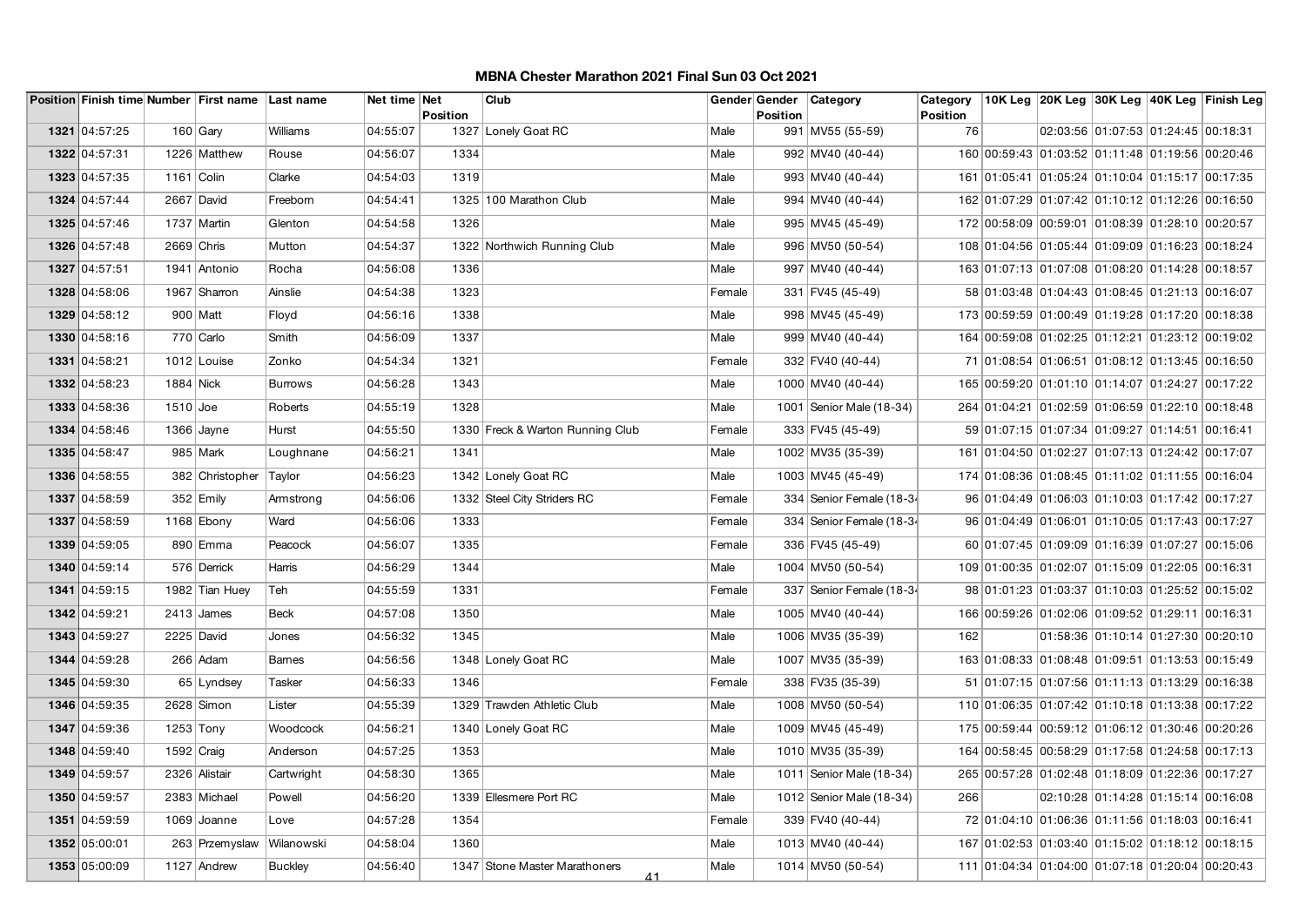|               |              | Position Finish time Number First name Last name |                | Net time Net | Position | Club                                |        | Gender Gender<br><b>Position</b> | Category                   | Category<br><b>Position</b> |                                                  |                                     | 10K Leg 20K Leg 30K Leg 40K Leg Finish Leg |
|---------------|--------------|--------------------------------------------------|----------------|--------------|----------|-------------------------------------|--------|----------------------------------|----------------------------|-----------------------------|--------------------------------------------------|-------------------------------------|--------------------------------------------|
| 1321 04:57:25 |              | 160 $ Gav $                                      | Williams       | 04:55:07     |          | 1327 Lonely Goat RC                 | Male   |                                  | 991 MV55 (55-59)           | 76                          |                                                  | 02:03:56 01:07:53 01:24:45 00:18:31 |                                            |
| 1322 04:57:31 |              | 1226 Matthew                                     | Rouse          | 04:56:07     | 1334     |                                     | Male   |                                  | 992 MV40 (40-44)           |                             | 160 00:59:43 01:03:52 01:11:48 01:19:56 00:20:46 |                                     |                                            |
| 1323 04:57:35 | 1161 Colin   |                                                  | Clarke         | 04:54:03     | 1319     |                                     | Male   |                                  | 993 MV40 (40-44)           |                             | 161 01:05:41 01:05:24 01:10:04 01:15:17 00:17:35 |                                     |                                            |
| 1324 04:57:44 |              | 2667 David                                       | Freeborn       | 04:54:41     |          | 1325 100 Marathon Club              | Male   |                                  | 994 MV40 (40-44)           |                             | 162 01:07:29 01:07:42 01:10:12 01:12:26 00:16:50 |                                     |                                            |
| 1325 04:57:46 |              | 1737 Martin                                      | Glenton        | 04:54:58     | 1326     |                                     | Male   |                                  | 995 MV45 (45-49)           |                             | 172 00:58:09 00:59:01 01:08:39 01:28:10 00:20:57 |                                     |                                            |
| 1326 04:57:48 | $2669$ Chris |                                                  | Mutton         | 04:54:37     |          | 1322 Northwich Running Club         | Male   |                                  | 996 MV50 (50-54)           |                             | 108 01:04:56 01:05:44 01:09:09 01:16:23 00:18:24 |                                     |                                            |
| 1327 04:57:51 |              | 1941 Antonio                                     | Rocha          | 04:56:08     | 1336     |                                     | Male   |                                  | 997 MV40 (40-44)           |                             | 163 01:07:13 01:07:08 01:08:20 01:14:28 00:18:57 |                                     |                                            |
| 1328 04:58:06 |              | 1967 Sharron                                     | Ainslie        | 04:54:38     | 1323     |                                     | Female |                                  | 331 FV45 (45-49)           |                             | 58 01:03:48 01:04:43 01:08:45 01:21:13 00:16:07  |                                     |                                            |
| 1329 04:58:12 |              | 900 Matt                                         | Floyd          | 04:56:16     | 1338     |                                     | Male   |                                  | 998 MV45 (45-49)           |                             | 173 00:59:59 01:00:49 01:19:28 01:17:20 00:18:38 |                                     |                                            |
| 1330 04:58:16 |              | 770 Carlo                                        | Smith          | 04:56:09     | 1337     |                                     | Male   |                                  | 999 MV40 (40-44)           |                             | 164 00:59:08 01:02:25 01:12:21 01:23:12 00:19:02 |                                     |                                            |
| 1331 04:58:21 |              | 1012 Louise                                      | Zonko          | 04:54:34     | 1321     |                                     | Female |                                  | 332 FV40 (40-44)           |                             | 71 01:08:54 01:06:51 01:08:12 01:13:45 00:16:50  |                                     |                                            |
| 1332 04:58:23 | 1884 Nick    |                                                  | <b>Burrows</b> | 04:56:28     | 1343     |                                     | Male   |                                  | 1000 MV40 (40-44)          |                             | 165 00:59:20 01:01:10 01:14:07 01:24:27 00:17:22 |                                     |                                            |
| 1333 04:58:36 | $1510$ Joe   |                                                  | Roberts        | 04:55:19     | 1328     |                                     | Male   |                                  | 1001   Senior Male (18-34) |                             | 264 01:04:21 01:02:59 01:06:59 01:22:10 00:18:48 |                                     |                                            |
| 1334 04:58:46 |              | 1366 Jayne                                       | Hurst          | 04:55:50     |          | 1330 Freck & Warton Running Club    | Female |                                  | 333 FV45 (45-49)           |                             | 59 01:07:15 01:07:34 01:09:27 01:14:51 00:16:41  |                                     |                                            |
| 1335 04:58:47 |              | 985 Mark                                         | Loughnane      | 04:56:21     | 1341     |                                     | Male   |                                  | 1002 MV35 (35-39)          |                             | 161 01:04:50 01:02:27 01:07:13 01:24:42 00:17:07 |                                     |                                            |
| 1336 04:58:55 |              | 382 Christopher                                  | Taylor         | 04:56:23     |          | 1342 Lonely Goat RC                 | Male   |                                  | 1003 MV45 (45-49)          |                             | 174 01:08:36 01:08:45 01:11:02 01:11:55 00:16:04 |                                     |                                            |
| 1337 04:58:59 |              | $352$ Emily                                      | Armstrong      | 04:56:06     |          | 1332 Steel City Striders RC         | Female |                                  | 334 Senior Female (18-34   |                             | 96 01:04:49 01:06:03 01:10:03 01:17:42 00:17:27  |                                     |                                            |
| 1337 04:58:59 |              | 1168 Ebony                                       | Ward           | 04:56:06     | 1333     |                                     | Female |                                  | 334 Senior Female (18-34   |                             | 96 01:04:49 01:06:01 01:10:05 01:17:43 00:17:27  |                                     |                                            |
| 1339 04:59:05 |              | 890 Emma                                         | Peacock        | 04:56:07     | 1335     |                                     | Female |                                  | 336 FV45 (45-49)           |                             | 60 01:07:45 01:09:09 01:16:39 01:07:27 00:15:06  |                                     |                                            |
| 1340 04:59:14 |              | 576 Derrick                                      | Harris         | 04:56:29     | 1344     |                                     | Male   |                                  | 1004 MV50 (50-54)          |                             | 109 01:00:35 01:02:07 01:15:09 01:22:05 00:16:31 |                                     |                                            |
| 1341 04:59:15 |              | 1982 Tian Huey                                   | Teh            | 04:55:59     | 1331     |                                     | Female |                                  | 337 Senior Female (18-34   |                             | 98 01:01:23 01:03:37 01:10:03 01:25:52 00:15:02  |                                     |                                            |
| 1342 04:59:21 |              | $2413$ James                                     | <b>Beck</b>    | 04:57:08     | 1350     |                                     | Male   |                                  | 1005 MV40 (40-44)          |                             | 166 00:59:26 01:02:06 01:09:52 01:29:11 00:16:31 |                                     |                                            |
| 1343 04:59:27 | $2225$ David |                                                  | Jones          | 04:56:32     | 1345     |                                     | Male   |                                  | 1006 MV35 (35-39)          | 162                         |                                                  | 01:58:36 01:10:14 01:27:30 00:20:10 |                                            |
| 1344 04:59:28 |              | 266 Adam                                         | Barnes         | 04:56:56     |          | 1348 Lonely Goat RC                 | Male   |                                  | 1007 MV35 (35-39)          |                             | 163 01:08:33 01:08:48 01:09:51 01:13:53 00:15:49 |                                     |                                            |
| 1345 04:59:30 |              | 65 Lyndsey                                       | Tasker         | 04:56:33     | 1346     |                                     | Female |                                  | 338 FV35 (35-39)           |                             | 51 01:07:15 01:07:56 01:11:13 01:13:29 00:16:38  |                                     |                                            |
| 1346 04:59:35 |              | $2628$ Simon                                     | Lister         | 04:55:39     |          | 1329 Trawden Athletic Club          | Male   |                                  | 1008 MV50 (50-54)          |                             | 110 01:06:35 01:07:42 01:10:18 01:13:38 00:17:22 |                                     |                                            |
| 1347 04:59:36 | $1253$ Tony  |                                                  | Woodcock       | 04:56:21     |          | 1340 Lonely Goat RC                 | Male   |                                  | 1009 MV45 (45-49)          |                             | 175 00:59:44 00:59:12 01:06:12 01:30:46 00:20:26 |                                     |                                            |
| 1348 04:59:40 | $1592$ Craig |                                                  | Anderson       | 04:57:25     | 1353     |                                     | Male   |                                  | 1010 MV35 (35-39)          |                             | 164 00:58:45 00:58:29 01:17:58 01:24:58 00:17:13 |                                     |                                            |
| 1349 04:59:57 |              | 2326 Alistair                                    | Cartwright     | 04:58:30     | 1365     |                                     | Male   |                                  | 1011   Senior Male (18-34) |                             | 265 00:57:28 01:02:48 01:18:09 01:22:36 00:17:27 |                                     |                                            |
| 1350 04:59:57 |              | 2383 Michael                                     | Powell         | 04:56:20     |          | 1339 Ellesmere Port RC              | Male   |                                  | 1012 Senior Male (18-34)   | 266                         |                                                  | 02:10:28 01:14:28 01:15:14 00:16:08 |                                            |
| 1351 04:59:59 |              | 1069 Joanne                                      | Love           | 04:57:28     | 1354     |                                     | Female |                                  | 339 FV40 (40-44)           |                             | 72 01:04:10 01:06:36 01:11:56 01:18:03 00:16:41  |                                     |                                            |
| 1352 05:00:01 |              | 263 Przemyslaw                                   | Wilanowski     | 04:58:04     | 1360     |                                     | Male   |                                  | 1013 MV40 (40-44)          |                             | 167 01:02:53 01:03:40 01:15:02 01:18:12 00:18:15 |                                     |                                            |
| 1353 05:00:09 |              | $1127$ Andrew                                    | <b>Buckley</b> | 04:56:40     |          | 1347 Stone Master Marathoners<br>41 | Male   |                                  | 1014 MV50 (50-54)          |                             | 111 01:04:34 01:04:00 01:07:18 01:20:04 00:20:43 |                                     |                                            |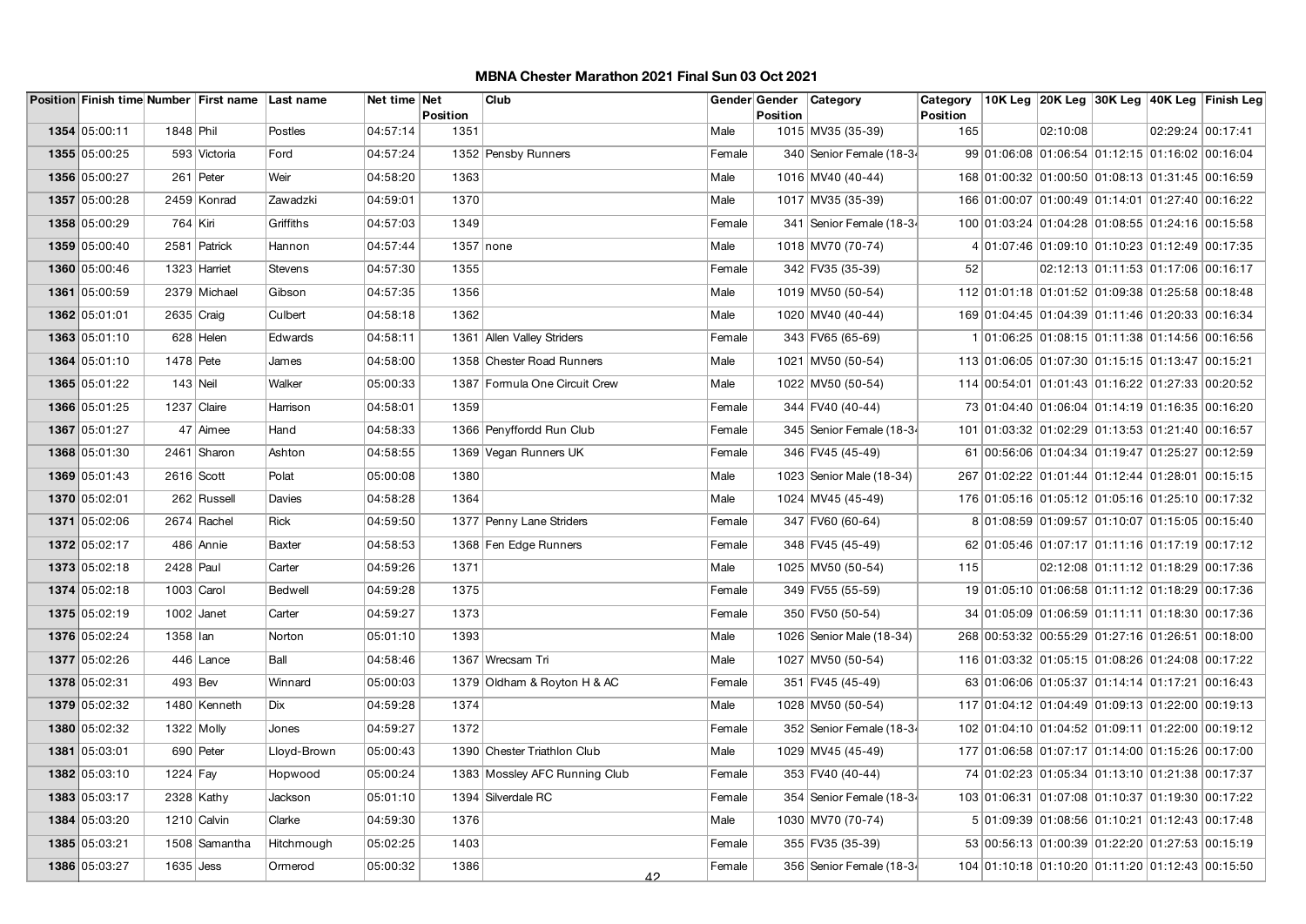|               |              | Position Finish time Number First name Last name |             | Net time Net | Position    | Club                          |        | Gender Gender<br><b>Position</b> | Category                 | Category<br><b>Position</b> |                                                  |          |                                     |                   | 10K Leg 20K Leg 30K Leg 40K Leg Finish Leg |
|---------------|--------------|--------------------------------------------------|-------------|--------------|-------------|-------------------------------|--------|----------------------------------|--------------------------|-----------------------------|--------------------------------------------------|----------|-------------------------------------|-------------------|--------------------------------------------|
| 1354 05:00:11 | 1848 Phil    |                                                  | Postles     | 04:57:14     | 1351        |                               | Male   |                                  | 1015 MV35 (35-39)        | 165                         |                                                  | 02:10:08 |                                     | 02:29:24 00:17:41 |                                            |
| 1355 05:00:25 |              | 593 Victoria                                     | Ford        | 04:57:24     |             | 1352 Pensby Runners           | Female |                                  | 340 Senior Female (18-34 |                             | 99 01:06:08 01:06:54 01:12:15 01:16:02 00:16:04  |          |                                     |                   |                                            |
| 1356 05:00:27 |              | 261 Peter                                        | Weir        | 04:58:20     | 1363        |                               | Male   |                                  | 1016 MV40 (40-44)        |                             | 168 01:00:32 01:00:50 01:08:13 01:31:45 00:16:59 |          |                                     |                   |                                            |
| 1357 05:00:28 |              | 2459 Konrad                                      | Zawadzki    | 04:59:01     | 1370        |                               | Male   |                                  | 1017 MV35 (35-39)        |                             | 166 01:00:07 01:00:49 01:14:01 01:27:40 00:16:22 |          |                                     |                   |                                            |
| 1358 05:00:29 | 764 Kiri     |                                                  | Griffiths   | 04:57:03     | 1349        |                               | Female |                                  | 341 Senior Female (18-34 |                             | 100 01:03:24 01:04:28 01:08:55 01:24:16 00:15:58 |          |                                     |                   |                                            |
| 1359 05:00:40 |              | 2581 Patrick                                     | Hannon      | 04:57:44     | $1357$ none |                               | Male   |                                  | 1018 MV70 (70-74)        |                             | 4 01:07:46 01:09:10 01:10:23 01:12:49 00:17:35   |          |                                     |                   |                                            |
| 1360 05:00:46 |              | 1323 Harriet                                     | Stevens     | 04:57:30     | 1355        |                               | Female |                                  | 342 FV35 (35-39)         | 52                          |                                                  |          | 02:12:13 01:11:53 01:17:06 00:16:17 |                   |                                            |
| 1361 05:00:59 |              | 2379 Michael                                     | Gibson      | 04:57:35     | 1356        |                               | Male   |                                  | 1019 MV50 (50-54)        |                             | 112 01:01:18 01:01:52 01:09:38 01:25:58 00:18:48 |          |                                     |                   |                                            |
| 1362 05:01:01 | 2635 Craig   |                                                  | Culbert     | 04:58:18     | 1362        |                               | Male   |                                  | 1020 MV40 (40-44)        |                             | 169 01:04:45 01:04:39 01:11:46 01:20:33 00:16:34 |          |                                     |                   |                                            |
| 1363 05:01:10 |              | 628 Helen                                        | Edwards     | 04:58:11     |             | 1361 Allen Valley Striders    | Female |                                  | 343 FV65 (65-69)         |                             | 1 01:06:25 01:08:15 01:11:38 01:14:56 00:16:56   |          |                                     |                   |                                            |
| 1364 05:01:10 | 1478 Pete    |                                                  | James       | 04:58:00     |             | 1358 Chester Road Runners     | Male   |                                  | 1021 MV50 (50-54)        |                             | 113 01:06:05 01:07:30 01:15:15 01:13:47 00:15:21 |          |                                     |                   |                                            |
| 1365 05:01:22 | $143$ Neil   |                                                  | Walker      | 05:00:33     |             | 1387 Formula One Circuit Crew | Male   |                                  | 1022 MV50 (50-54)        |                             | 114 00:54:01 01:01:43 01:16:22 01:27:33 00:20:52 |          |                                     |                   |                                            |
| 1366 05:01:25 | 1237 Claire  |                                                  | Harrison    | 04:58:01     | 1359        |                               | Female |                                  | 344 FV40 (40-44)         |                             | 73 01:04:40 01:06:04 01:14:19 01:16:35 00:16:20  |          |                                     |                   |                                            |
| 1367 05:01:27 |              | 47 Aimee                                         | Hand        | 04:58:33     |             | 1366 Penyffordd Run Club      | Female |                                  | 345 Senior Female (18-34 |                             | 101 01:03:32 01:02:29 01:13:53 01:21:40 00:16:57 |          |                                     |                   |                                            |
| 1368 05:01:30 |              | 2461 Sharon                                      | Ashton      | 04:58:55     |             | 1369 Vegan Runners UK         | Female |                                  | 346 FV45 (45-49)         |                             | 61 00:56:06 01:04:34 01:19:47 01:25:27 00:12:59  |          |                                     |                   |                                            |
| 1369 05:01:43 | 2616 Scott   |                                                  | Polat       | 05:00:08     | 1380        |                               | Male   |                                  | 1023 Senior Male (18-34) |                             | 267 01:02:22 01:01:44 01:12:44 01:28:01 00:15:15 |          |                                     |                   |                                            |
| 1370 05:02:01 |              | 262 Russell                                      | Davies      | 04:58:28     | 1364        |                               | Male   |                                  | 1024 MV45 (45-49)        |                             | 176 01:05:16 01:05:12 01:05:16 01:25:10 00:17:32 |          |                                     |                   |                                            |
| 1371 05:02:06 |              | 2674 Rachel                                      | Rick        | 04:59:50     |             | 1377 Penny Lane Striders      | Female |                                  | 347 FV60 (60-64)         |                             | 8 01:08:59 01:09:57 01:10:07 01:15:05 00:15:40   |          |                                     |                   |                                            |
| 1372 05:02:17 |              | 486 Annie                                        | Baxter      | 04:58:53     |             | 1368 Fen Edge Runners         | Female |                                  | 348 FV45 (45-49)         |                             | 62 01:05:46 01:07:17 01:11:16 01:17:19 00:17:12  |          |                                     |                   |                                            |
| 1373 05:02:18 | 2428 Paul    |                                                  | Carter      | 04:59:26     | 1371        |                               | Male   |                                  | 1025 MV50 (50-54)        | 115                         |                                                  |          | 02:12:08 01:11:12 01:18:29 00:17:36 |                   |                                            |
| 1374 05:02:18 | 1003 Carol   |                                                  | Bedwell     | 04:59:28     | 1375        |                               | Female |                                  | 349 FV55 (55-59)         |                             | 19 01:05:10 01:06:58 01:11:12 01:18:29 00:17:36  |          |                                     |                   |                                            |
| 1375 05:02:19 | $1002$ Janet |                                                  | Carter      | 04:59:27     | 1373        |                               | Female |                                  | 350 FV50 (50-54)         |                             | 34 01:05:09 01:06:59 01:11:11 01:18:30 00:17:36  |          |                                     |                   |                                            |
| 1376 05:02:24 | 1358 Ian     |                                                  | Norton      | 05:01:10     | 1393        |                               | Male   |                                  | 1026 Senior Male (18-34) |                             | 268 00:53:32 00:55:29 01:27:16 01:26:51 00:18:00 |          |                                     |                   |                                            |
| 1377 05:02:26 |              | 446 Lance                                        | Ball        | 04:58:46     |             | 1367 Wrecsam Tri              | Male   |                                  | 1027 MV50 (50-54)        |                             | 116 01:03:32 01:05:15 01:08:26 01:24:08 00:17:22 |          |                                     |                   |                                            |
| 1378 05:02:31 | 493 Bev      |                                                  | Winnard     | 05:00:03     |             | 1379 Oldham & Royton H & AC   | Female |                                  | 351 FV45 (45-49)         |                             | 63 01:06:06 01:05:37 01:14:14 01:17:21 00:16:43  |          |                                     |                   |                                            |
| 1379 05:02:32 |              | 1480 Kenneth                                     | Dix         | 04:59:28     | 1374        |                               | Male   |                                  | 1028 MV50 (50-54)        |                             | 117 01:04:12 01:04:49 01:09:13 01:22:00 00:19:13 |          |                                     |                   |                                            |
| 1380 05:02:32 | 1322 Molly   |                                                  | Jones       | 04:59:27     | 1372        |                               | Female |                                  | 352 Senior Female (18-34 |                             | 102 01:04:10 01:04:52 01:09:11 01:22:00 00:19:12 |          |                                     |                   |                                            |
| 1381 05:03:01 |              | 690 Peter                                        | Lloyd-Brown | 05:00:43     |             | 1390 Chester Triathlon Club   | Male   |                                  | 1029 MV45 (45-49)        |                             | 177 01:06:58 01:07:17 01:14:00 01:15:26 00:17:00 |          |                                     |                   |                                            |
| 1382 05:03:10 | 1224 $Fay$   |                                                  | Hopwood     | 05:00:24     |             | 1383 Mossley AFC Running Club | Female |                                  | 353 FV40 (40-44)         |                             | 74 01:02:23 01:05:34 01:13:10 01:21:38 00:17:37  |          |                                     |                   |                                            |
| 1383 05:03:17 |              | 2328 Kathy                                       | Jackson     | 05:01:10     |             | 1394 Silverdale RC            | Female |                                  | 354 Senior Female (18-34 |                             | 103 01:06:31 01:07:08 01:10:37 01:19:30 00:17:22 |          |                                     |                   |                                            |
| 1384 05:03:20 |              | 1210 Calvin                                      | Clarke      | 04:59:30     | 1376        |                               | Male   |                                  | 1030 MV70 (70-74)        |                             | 5 01:09:39 01:08:56 01:10:21 01:12:43 00:17:48   |          |                                     |                   |                                            |
| 1385 05:03:21 |              | 1508 Samantha                                    | Hitchmough  | 05:02:25     | 1403        |                               | Female |                                  | 355 FV35 (35-39)         |                             | 53 00:56:13 01:00:39 01:22:20 01:27:53 00:15:19  |          |                                     |                   |                                            |
| 1386 05:03:27 | $1635$ Jess  |                                                  | Ormerod     | 05:00:32     | 1386        | 42                            | Female |                                  | 356 Senior Female (18-34 |                             | 104 01:10:18 01:10:20 01:11:20 01:12:43 00:15:50 |          |                                     |                   |                                            |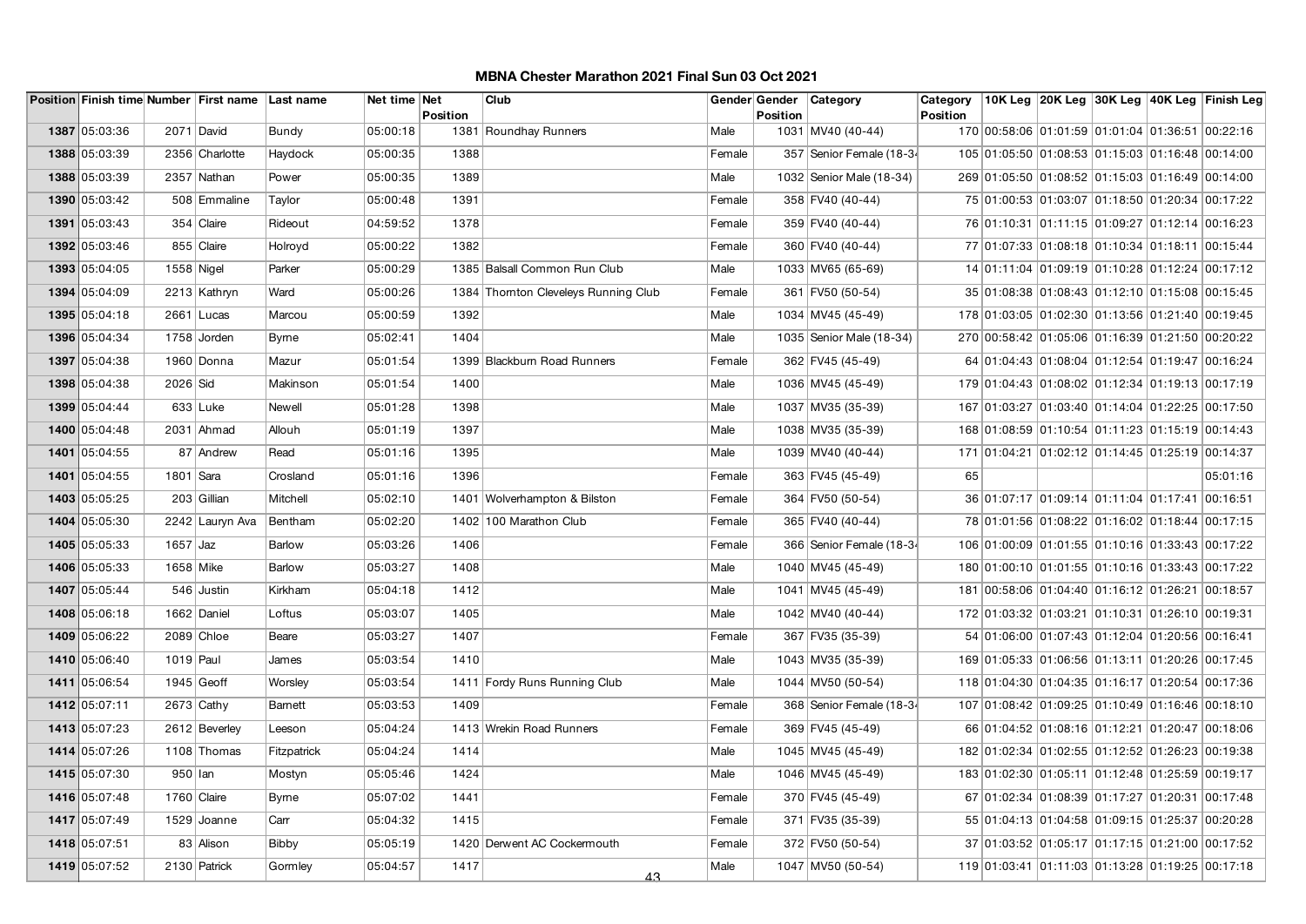|               |            | Position Finish time Number First name Last name |              | Net time Net |          | Club                                 |        | Gender Gender   | Category                 | Category        |                                                  |  | 10K Leg 20K Leg 30K Leg 40K Leg Finish Leg |
|---------------|------------|--------------------------------------------------|--------------|--------------|----------|--------------------------------------|--------|-----------------|--------------------------|-----------------|--------------------------------------------------|--|--------------------------------------------|
| 1387 05:03:36 |            | 2071 David                                       | Bundy        | 05:00:18     | Position | 1381 Roundhay Runners                | Male   | <b>Position</b> | 1031 MV40 (40-44)        | <b>Position</b> | 170 00:58:06 01:01:59 01:01:04 01:36:51 00:22:16 |  |                                            |
| 1388 05:03:39 |            | 2356 Charlotte                                   | Haydock      | 05:00:35     | 1388     |                                      | Female |                 | 357 Senior Female (18-34 |                 | 105 01:05:50 01:08:53 01:15:03 01:16:48 00:14:00 |  |                                            |
| 1388 05:03:39 |            | 2357 Nathan                                      | Power        | 05:00:35     | 1389     |                                      | Male   |                 | 1032 Senior Male (18-34) |                 | 269 01:05:50 01:08:52 01:15:03 01:16:49 00:14:00 |  |                                            |
| 1390 05:03:42 |            | 508 Emmaline                                     | Taylor       | 05:00:48     | 1391     |                                      | Female |                 | 358 FV40 (40-44)         |                 | 75 01:00:53 01:03:07 01:18:50 01:20:34 00:17:22  |  |                                            |
| 1391 05:03:43 |            | $354$ Claire                                     | Rideout      | 04:59:52     | 1378     |                                      | Female |                 | 359 FV40 (40-44)         |                 | 76 01:10:31 01:11:15 01:09:27 01:12:14 00:16:23  |  |                                            |
| 1392 05:03:46 |            | 855 Claire                                       | Holroyd      | 05:00:22     | 1382     |                                      | Female |                 | 360 FV40 (40-44)         |                 | 77 01:07:33 01:08:18 01:10:34 01:18:11 00:15:44  |  |                                            |
| 1393 05:04:05 | 1558 Nigel |                                                  | Parker       | 05:00:29     |          | 1385 Balsall Common Run Club         | Male   |                 | 1033 MV65 (65-69)        |                 | 14 01:11:04 01:09:19 01:10:28 01:12:24 00:17:12  |  |                                            |
| 1394 05:04:09 |            | 2213 Kathryn                                     | Ward         | 05:00:26     |          | 1384 Thornton Cleveleys Running Club | Female |                 | 361 FV50 (50-54)         |                 | 35 01:08:38 01:08:43 01:12:10 01:15:08 00:15:45  |  |                                            |
| 1395 05:04:18 |            | 2661 Lucas                                       | Marcou       | 05:00:59     | 1392     |                                      | Male   |                 | 1034 MV45 (45-49)        |                 | 178 01:03:05 01:02:30 01:13:56 01:21:40 00:19:45 |  |                                            |
| 1396 05:04:34 |            | 1758 Jorden                                      | <b>Byrne</b> | 05:02:41     | 1404     |                                      | Male   |                 | 1035 Senior Male (18-34) |                 | 270 00:58:42 01:05:06 01:16:39 01:21:50 00:20:22 |  |                                            |
| 1397 05:04:38 |            | 1960 Donna                                       | Mazur        | 05:01:54     |          | 1399 Blackburn Road Runners          | Female |                 | 362 FV45 (45-49)         |                 | 64 01:04:43 01:08:04 01:12:54 01:19:47 00:16:24  |  |                                            |
| 1398 05:04:38 | 2026 Sid   |                                                  | Makinson     | 05:01:54     | 1400     |                                      | Male   |                 | 1036 MV45 (45-49)        |                 | 179 01:04:43 01:08:02 01:12:34 01:19:13 00:17:19 |  |                                            |
| 1399 05:04:44 |            | $633$ Luke                                       | Newell       | 05:01:28     | 1398     |                                      | Male   |                 | 1037 MV35 (35-39)        |                 | 167 01:03:27 01:03:40 01:14:04 01:22:25 00:17:50 |  |                                            |
| 1400 05:04:48 |            | 2031 Ahmad                                       | Allouh       | 05:01:19     | 1397     |                                      | Male   |                 | 1038 MV35 (35-39)        |                 | 168 01:08:59 01:10:54 01:11:23 01:15:19 00:14:43 |  |                                            |
| 1401 05:04:55 |            | 87 Andrew                                        | Read         | 05:01:16     | 1395     |                                      | Male   |                 | 1039 MV40 (40-44)        |                 | 171 01:04:21 01:02:12 01:14:45 01:25:19 00:14:37 |  |                                            |
| 1401 05:04:55 | 1801 Sara  |                                                  | Crosland     | 05:01:16     | 1396     |                                      | Female |                 | 363 FV45 (45-49)         | 65              |                                                  |  | 05:01:16                                   |
| 1403 05:05:25 |            | 203 Gillian                                      | Mitchell     | 05:02:10     |          | 1401 Wolverhampton & Bilston         | Female |                 | 364 FV50 (50-54)         |                 | 36 01:07:17 01:09:14 01:11:04 01:17:41 00:16:51  |  |                                            |
| 1404 05:05:30 |            | 2242 Lauryn Ava                                  | Bentham      | 05:02:20     |          | 1402 100 Marathon Club               | Female |                 | 365 FV40 (40-44)         |                 | 78 01:01:56 01:08:22 01:16:02 01:18:44 00:17:15  |  |                                            |
| 1405 05:05:33 | $1657$ Jaz |                                                  | Barlow       | 05:03:26     | 1406     |                                      | Female |                 | 366 Senior Female (18-34 |                 | 106 01:00:09 01:01:55 01:10:16 01:33:43 00:17:22 |  |                                            |
| 1406 05:05:33 | 1658 Mike  |                                                  | Barlow       | 05:03:27     | 1408     |                                      | Male   |                 | 1040 MV45 (45-49)        |                 | 180 01:00:10 01:01:55 01:10:16 01:33:43 00:17:22 |  |                                            |
| 1407 05:05:44 |            | 546 Justin                                       | Kirkham      | 05:04:18     | 1412     |                                      | Male   |                 | 1041 MV45 (45-49)        |                 | 181 00:58:06 01:04:40 01:16:12 01:26:21 00:18:57 |  |                                            |
| 1408 05:06:18 |            | 1662 Daniel                                      | Loftus       | 05:03:07     | 1405     |                                      | Male   |                 | 1042 MV40 (40-44)        |                 | 172 01:03:32 01:03:21 01:10:31 01:26:10 00:19:31 |  |                                            |
| 1409 05:06:22 |            | 2089 Chloe                                       | Beare        | 05:03:27     | 1407     |                                      | Female |                 | 367 FV35 (35-39)         |                 | 54 01:06:00 01:07:43 01:12:04 01:20:56 00:16:41  |  |                                            |
| 1410 05:06:40 | 1019 Paul  |                                                  | James        | 05:03:54     | 1410     |                                      | Male   |                 | 1043 MV35 (35-39)        |                 | 169 01:05:33 01:06:56 01:13:11 01:20:26 00:17:45 |  |                                            |
| 1411 05:06:54 |            | $1945$ Geoff                                     | Worsley      | 05:03:54     |          | 1411 Fordy Runs Running Club         | Male   |                 | 1044 MV50 (50-54)        |                 | 118 01:04:30 01:04:35 01:16:17 01:20:54 00:17:36 |  |                                            |
| 1412 05:07:11 |            | $2673$ Cathy                                     | Barnett      | 05:03:53     | 1409     |                                      | Female |                 | 368 Senior Female (18-34 |                 | 107 01:08:42 01:09:25 01:10:49 01:16:46 00:18:10 |  |                                            |
| 1413 05:07:23 |            | 2612 Beverley                                    | Leeson       | 05:04:24     |          | 1413 Wrekin Road Runners             | Female |                 | 369 FV45 (45-49)         |                 | 66 01:04:52 01:08:16 01:12:21 01:20:47 00:18:06  |  |                                            |
| 1414 05:07:26 |            | 1108 Thomas                                      | Fitzpatrick  | 05:04:24     | 1414     |                                      | Male   |                 | 1045 MV45 (45-49)        |                 | 182 01:02:34 01:02:55 01:12:52 01:26:23 00:19:38 |  |                                            |
| 1415 05:07:30 | 950 lan    |                                                  | Mostyn       | 05:05:46     | 1424     |                                      | Male   |                 | 1046 MV45 (45-49)        |                 | 183 01:02:30 01:05:11 01:12:48 01:25:59 00:19:17 |  |                                            |
| 1416 05:07:48 |            | 1760 Claire                                      | <b>Byrne</b> | 05:07:02     | 1441     |                                      | Female |                 | 370 FV45 (45-49)         |                 | 67 01:02:34 01:08:39 01:17:27 01:20:31 00:17:48  |  |                                            |
| 1417 05:07:49 |            | 1529 Joanne                                      | Carr         | 05:04:32     | 1415     |                                      | Female |                 | 371 FV35 (35-39)         |                 | 55 01:04:13 01:04:58 01:09:15 01:25:37 00:20:28  |  |                                            |
| 1418 05:07:51 |            | 83 Alison                                        | Bibby        | 05:05:19     |          | 1420 Derwent AC Cockermouth          | Female |                 | 372 FV50 (50-54)         |                 | 37 01:03:52 01:05:17 01:17:15 01:21:00 00:17:52  |  |                                            |
| 1419 05:07:52 |            | 2130 Patrick                                     | Gormley      | 05:04:57     | 1417     | 43                                   | Male   |                 | 1047 MV50 (50-54)        |                 | 119 01:03:41 01:11:03 01:13:28 01:19:25 00:17:18 |  |                                            |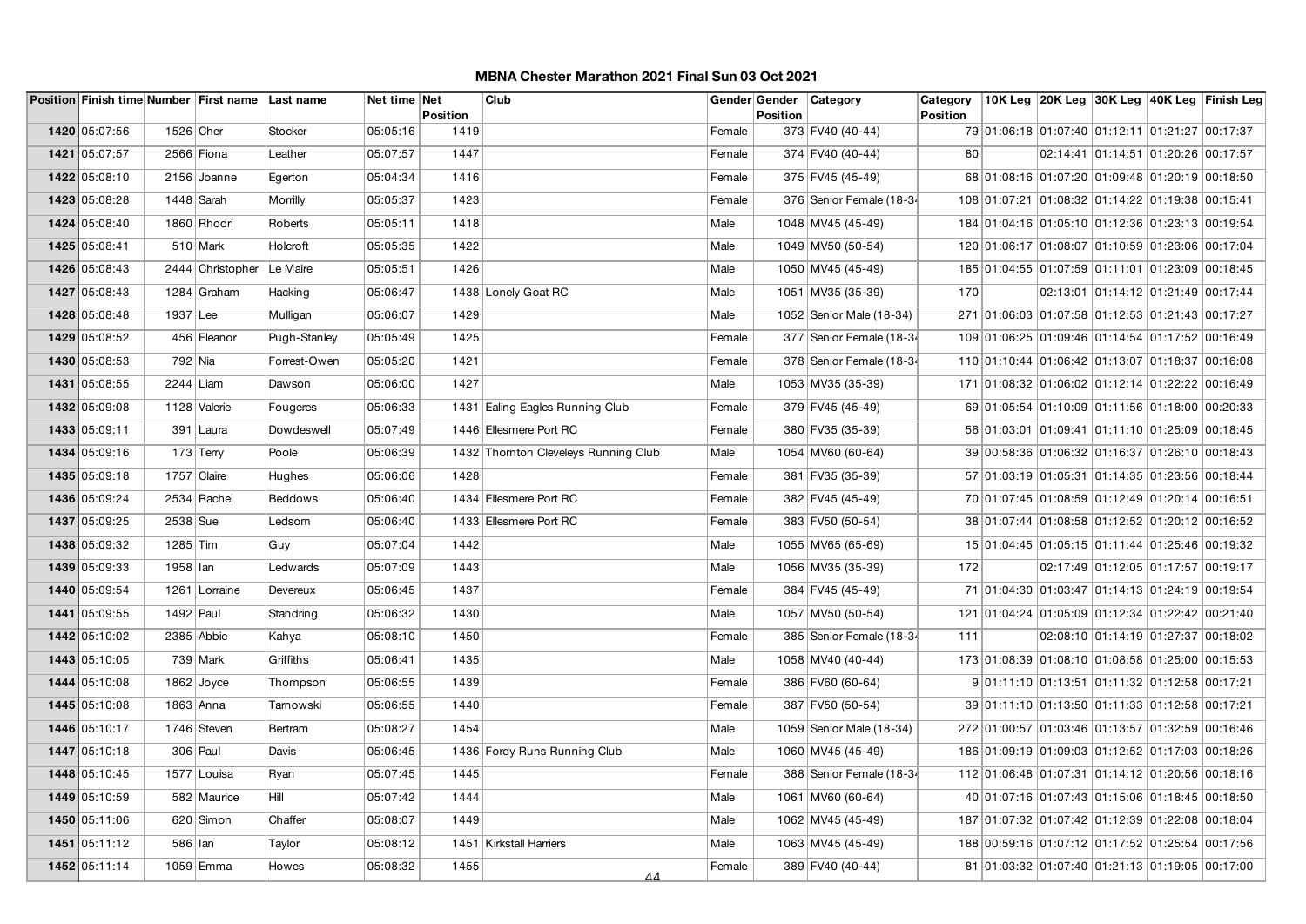|               |             | Position Finish time Number First name Last name |                | Net time Net | Position | Club                                 |        | Gender Gender<br><b>Position</b> | Category                 | Category<br>Position |                                                  |                                     | 10K Leg 20K Leg 30K Leg 40K Leg Finish Leg |
|---------------|-------------|--------------------------------------------------|----------------|--------------|----------|--------------------------------------|--------|----------------------------------|--------------------------|----------------------|--------------------------------------------------|-------------------------------------|--------------------------------------------|
| 1420 05:07:56 | 1526 Cher   |                                                  | Stocker        | 05:05:16     | 1419     |                                      | Female |                                  | 373 FV40 (40-44)         |                      | 79 01:06:18 01:07:40 01:12:11 01:21:27 00:17:37  |                                     |                                            |
| 1421 05:07:57 |             | 2566 Fiona                                       | Leather        | 05:07:57     | 1447     |                                      | Female |                                  | 374 FV40 (40-44)         | 80                   |                                                  | 02:14:41 01:14:51 01:20:26 00:17:57 |                                            |
| 1422 05:08:10 |             | 2156 Joanne                                      | Egerton        | 05:04:34     | 1416     |                                      | Female |                                  | 375 FV45 (45-49)         |                      | 68 01:08:16 01:07:20 01:09:48 01:20:19 00:18:50  |                                     |                                            |
| 1423 05:08:28 | 1448 Sarah  |                                                  | Morrilly       | 05:05:37     | 1423     |                                      | Female |                                  | 376 Senior Female (18-34 |                      | 108 01:07:21 01:08:32 01:14:22 01:19:38 00:15:41 |                                     |                                            |
| 1424 05:08:40 |             | 1860 Rhodri                                      | Roberts        | 05:05:11     | 1418     |                                      | Male   |                                  | 1048 MV45 (45-49)        |                      | 184 01:04:16 01:05:10 01:12:36 01:23:13 00:19:54 |                                     |                                            |
| 1425 05:08:41 |             | $510$ Mark                                       | Holcroft       | 05:05:35     | 1422     |                                      | Male   |                                  | 1049 MV50 (50-54)        |                      | 120 01:06:17 01:08:07 01:10:59 01:23:06 00:17:04 |                                     |                                            |
| 1426 05:08:43 |             | 2444 Christopher                                 | Le Maire       | 05:05:51     | 1426     |                                      | Male   |                                  | 1050 MV45 (45-49)        |                      | 185 01:04:55 01:07:59 01:11:01 01:23:09 00:18:45 |                                     |                                            |
| 1427 05:08:43 |             | 1284 Graham                                      | Hacking        | 05:06:47     |          | 1438 Lonely Goat RC                  | Male   |                                  | 1051 MV35 (35-39)        | 170                  |                                                  | 02:13:01 01:14:12 01:21:49 00:17:44 |                                            |
| 1428 05:08:48 | 1937 Lee    |                                                  | Mulligan       | 05:06:07     | 1429     |                                      | Male   |                                  | 1052 Senior Male (18-34) |                      | 271 01:06:03 01:07:58 01:12:53 01:21:43 00:17:27 |                                     |                                            |
| 1429 05:08:52 |             | 456 Eleanor                                      | Pugh-Stanley   | 05:05:49     | 1425     |                                      | Female |                                  | 377 Senior Female (18-34 |                      | 109 01:06:25 01:09:46 01:14:54 01:17:52 00:16:49 |                                     |                                            |
| 1430 05:08:53 | 792 Nia     |                                                  | Forrest-Owen   | 05:05:20     | 1421     |                                      | Female |                                  | 378 Senior Female (18-34 |                      | 110 01:10:44 01:06:42 01:13:07 01:18:37 00:16:08 |                                     |                                            |
| 1431 05:08:55 | $2244$ Liam |                                                  | Dawson         | 05:06:00     | 1427     |                                      | Male   |                                  | 1053 MV35 (35-39)        |                      | 171 01:08:32 01:06:02 01:12:14 01:22:22 00:16:49 |                                     |                                            |
| 1432 05:09:08 |             | 1128 Valerie                                     | Fougeres       | 05:06:33     |          | 1431 Ealing Eagles Running Club      | Female |                                  | 379 FV45 (45-49)         |                      | 69 01:05:54 01:10:09 01:11:56 01:18:00 00:20:33  |                                     |                                            |
| 1433 05:09:11 |             | 391 Laura                                        | Dowdeswell     | 05:07:49     |          | 1446 Ellesmere Port RC               | Female |                                  | 380 FV35 (35-39)         |                      | 56 01:03:01 01:09:41 01:11:10 01:25:09 00:18:45  |                                     |                                            |
| 1434 05:09:16 |             | $173$ Terry                                      | Poole          | 05:06:39     |          | 1432 Thornton Cleveleys Running Club | Male   |                                  | 1054 MV60 (60-64)        |                      | 39 00:58:36 01:06:32 01:16:37 01:26:10 00:18:43  |                                     |                                            |
| 1435 05:09:18 | 1757 Claire |                                                  | Hughes         | 05:06:06     | 1428     |                                      | Female |                                  | 381 FV35 (35-39)         |                      | 57 01:03:19 01:05:31 01:14:35 01:23:56 00:18:44  |                                     |                                            |
| 1436 05:09:24 |             | $2534$ Rachel                                    | <b>Beddows</b> | 05:06:40     |          | 1434 Ellesmere Port RC               | Female |                                  | 382 FV45 (45-49)         |                      | 70 01:07:45 01:08:59 01:12:49 01:20:14 00:16:51  |                                     |                                            |
| 1437 05:09:25 | 2538 Sue    |                                                  | Ledsom         | 05:06:40     |          | 1433 Ellesmere Port RC               | Female |                                  | 383 FV50 (50-54)         |                      | 38 01:07:44 01:08:58 01:12:52 01:20:12 00:16:52  |                                     |                                            |
| 1438 05:09:32 | $1285$ Tim  |                                                  | Guy            | 05:07:04     | 1442     |                                      | Male   |                                  | 1055 MV65 (65-69)        |                      | 15 01:04:45 01:05:15 01:11:44 01:25:46 00:19:32  |                                     |                                            |
| 1439 05:09:33 | 1958 lan    |                                                  | Ledwards       | 05:07:09     | 1443     |                                      | Male   |                                  | 1056 MV35 (35-39)        | 172                  |                                                  | 02:17:49 01:12:05 01:17:57 00:19:17 |                                            |
| 1440 05:09:54 |             | 1261 Lorraine                                    | Devereux       | 05:06:45     | 1437     |                                      | Female |                                  | 384 FV45 (45-49)         |                      | 71 01:04:30 01:03:47 01:14:13 01:24:19 00:19:54  |                                     |                                            |
| 1441 05:09:55 | 1492 Paul   |                                                  | Standring      | 05:06:32     | 1430     |                                      | Male   |                                  | 1057 MV50 (50-54)        |                      | 121 01:04:24 01:05:09 01:12:34 01:22:42 00:21:40 |                                     |                                            |
| 1442 05:10:02 | 2385 Abbie  |                                                  | Kahya          | 05:08:10     | 1450     |                                      | Female |                                  | 385 Senior Female (18-34 | 111                  |                                                  | 02:08:10 01:14:19 01:27:37 00:18:02 |                                            |
| 1443 05:10:05 |             | $739$ Mark                                       | Griffiths      | 05:06:41     | 1435     |                                      | Male   |                                  | 1058 MV40 (40-44)        |                      | 173 01:08:39 01:08:10 01:08:58 01:25:00 00:15:53 |                                     |                                            |
| 1444 05:10:08 |             | $1862$ Joyce                                     | Thompson       | 05:06:55     | 1439     |                                      | Female |                                  | 386 FV60 (60-64)         |                      | 9 01:11:10 01:13:51 01:11:32 01:12:58 00:17:21   |                                     |                                            |
| 1445 05:10:08 | 1863 Anna   |                                                  | Tamowski       | 05:06:55     | 1440     |                                      | Female |                                  | 387 FV50 (50-54)         |                      | 39 01:11:10 01:13:50 01:11:33 01:12:58 00:17:21  |                                     |                                            |
| 1446 05:10:17 |             | 1746 Steven                                      | Bertram        | 05:08:27     | 1454     |                                      | Male   |                                  | 1059 Senior Male (18-34) |                      | 272 01:00:57 01:03:46 01:13:57 01:32:59 00:16:46 |                                     |                                            |
| 1447 05:10:18 |             | 306 Paul                                         | Davis          | 05:06:45     |          | 1436 Fordy Runs Running Club         | Male   |                                  | 1060 MV45 (45-49)        |                      | 186 01:09:19 01:09:03 01:12:52 01:17:03 00:18:26 |                                     |                                            |
| 1448 05:10:45 |             | 1577 Louisa                                      | Ryan           | 05:07:45     | 1445     |                                      | Female |                                  | 388 Senior Female (18-34 |                      | 112 01:06:48 01:07:31 01:14:12 01:20:56 00:18:16 |                                     |                                            |
| 1449 05:10:59 |             | 582 Maurice                                      | Hill           | 05:07:42     | 1444     |                                      | Male   |                                  | 1061 MV60 (60-64)        |                      | 40 01:07:16 01:07:43 01:15:06 01:18:45 00:18:50  |                                     |                                            |
| 1450 05:11:06 |             | $620$ Simon                                      | Chaffer        | 05:08:07     | 1449     |                                      | Male   |                                  | 1062 MV45 (45-49)        |                      | 187 01:07:32 01:07:42 01:12:39 01:22:08 00:18:04 |                                     |                                            |
| 1451 05:11:12 | 586   Ian   |                                                  | Taylor         | 05:08:12     |          | 1451   Kirkstall Harriers            | Male   |                                  | 1063 MV45 (45-49)        |                      | 188 00:59:16 01:07:12 01:17:52 01:25:54 00:17:56 |                                     |                                            |
| 1452 05:11:14 |             | 1059 Emma                                        | Howes          | 05:08:32     | 1455     | 44                                   | Female |                                  | 389 FV40 (40-44)         |                      | 81 01:03:32 01:07:40 01:21:13 01:19:05 00:17:00  |                                     |                                            |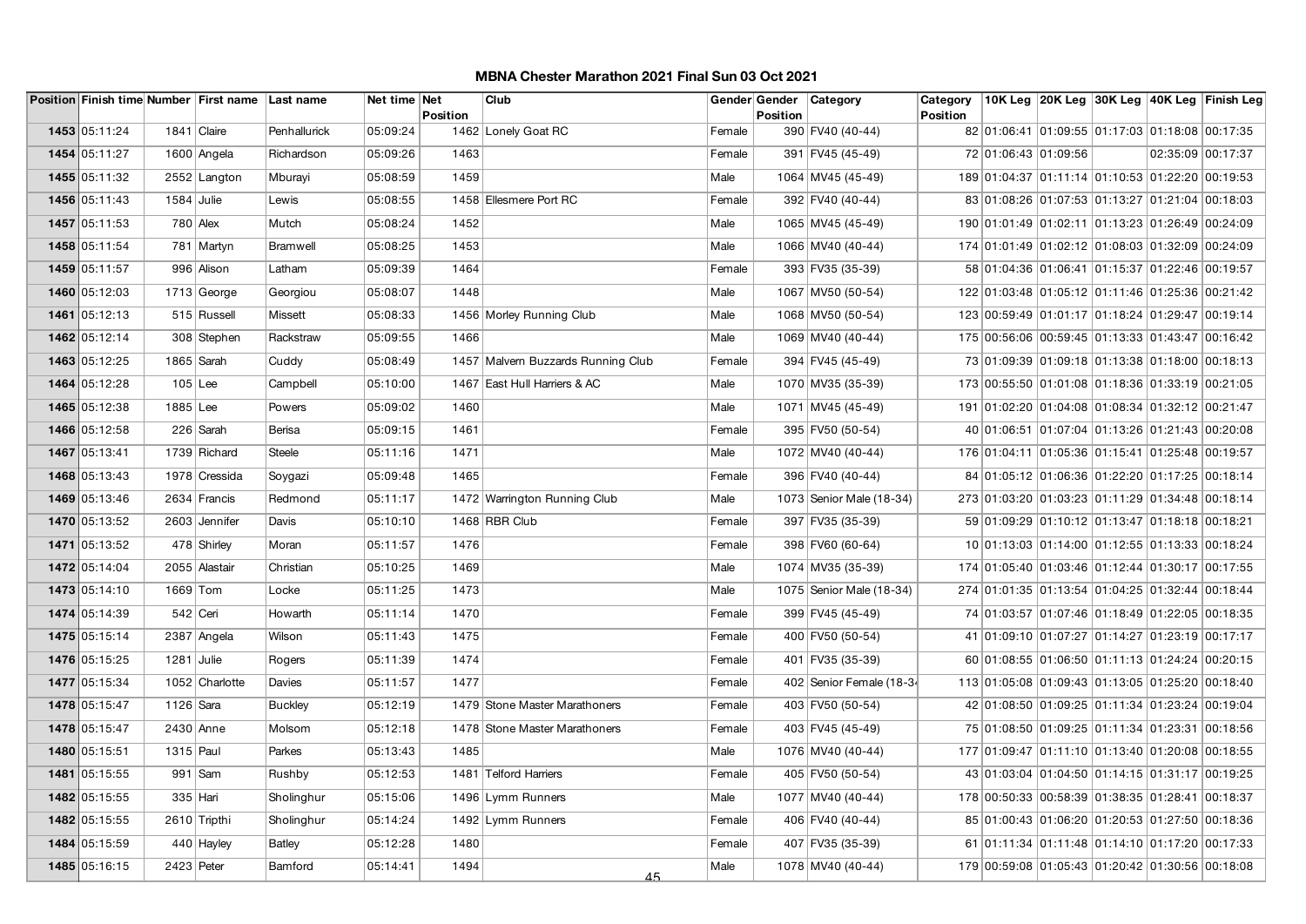|               |              | Position Finish time Number First name Last name |                | Net time Net |          | Club                              | Gender Gender |                 | Category                 | Category        |                                                  |  |                   | 10K Leg  20K Leg  30K Leg  40K Leg  Finish Leg |
|---------------|--------------|--------------------------------------------------|----------------|--------------|----------|-----------------------------------|---------------|-----------------|--------------------------|-----------------|--------------------------------------------------|--|-------------------|------------------------------------------------|
| 1453 05:11:24 |              | 1841 Claire                                      |                | 05:09:24     | Position | 1462 Lonely Goat RC               |               | <b>Position</b> |                          | <b>Position</b> | 82 01:06:41 01:09:55 01:17:03 01:18:08 00:17:35  |  |                   |                                                |
|               |              |                                                  | Penhallurick   |              |          |                                   | Female        |                 | 390 FV40 (40-44)         |                 |                                                  |  |                   |                                                |
| 1454 05:11:27 |              | 1600 Angela                                      | Richardson     | 05:09:26     | 1463     |                                   | Female        |                 | 391 FV45 (45-49)         |                 | 72 01:06:43 01:09:56                             |  | 02:35:09 00:17:37 |                                                |
| 1455 05:11:32 |              | 2552 Langton                                     | Mburayi        | 05:08:59     | 1459     |                                   | Male          |                 | 1064 MV45 (45-49)        |                 | 189 01:04:37 01:11:14 01:10:53 01:22:20 00:19:53 |  |                   |                                                |
| 1456 05:11:43 | $1584$ Julie |                                                  | Lewis          | 05:08:55     |          | 1458 Ellesmere Port RC            | Female        |                 | 392 FV40 (40-44)         |                 | 83 01:08:26 01:07:53 01:13:27 01:21:04 00:18:03  |  |                   |                                                |
| 1457 05:11:53 |              | $780$ Alex                                       | Mutch          | 05:08:24     | 1452     |                                   | Male          |                 | 1065 MV45 (45-49)        |                 | 190 01:01:49 01:02:11 01:13:23 01:26:49 00:24:09 |  |                   |                                                |
| 1458 05:11:54 |              | 781 Martyn                                       | Bramwell       | 05:08:25     | 1453     |                                   | Male          |                 | 1066 MV40 (40-44)        |                 | 174 01:01:49 01:02:12 01:08:03 01:32:09 00:24:09 |  |                   |                                                |
| 1459 05:11:57 |              | 996 Alison                                       | Latham         | 05:09:39     | 1464     |                                   | Female        |                 | 393 FV35 (35-39)         |                 | 58 01:04:36 01:06:41 01:15:37 01:22:46 00:19:57  |  |                   |                                                |
| 1460 05:12:03 |              | $1713$ George                                    | Georgiou       | 05:08:07     | 1448     |                                   | Male          |                 | 1067 MV50 (50-54)        |                 | 122 01:03:48 01:05:12 01:11:46 01:25:36 00:21:42 |  |                   |                                                |
| 1461 05:12:13 |              | 515 Russell                                      | Missett        | 05:08:33     |          | 1456 Morley Running Club          | Male          |                 | 1068 MV50 (50-54)        |                 | 123 00:59:49 01:01:17 01:18:24 01:29:47 00:19:14 |  |                   |                                                |
| 1462 05:12:14 |              | 308 Stephen                                      | Rackstraw      | 05:09:55     | 1466     |                                   | Male          |                 | 1069 MV40 (40-44)        |                 | 175 00:56:06 00:59:45 01:13:33 01:43:47 00:16:42 |  |                   |                                                |
| 1463 05:12:25 |              | 1865 Sarah                                       | Cuddy          | 05:08:49     |          | 1457 Malvem Buzzards Running Club | Female        |                 | 394 FV45 (45-49)         |                 | 73 01:09:39 01:09:18 01:13:38 01:18:00 00:18:13  |  |                   |                                                |
| 1464 05:12:28 | $105$ Lee    |                                                  | Campbell       | 05:10:00     |          | 1467 East Hull Harriers & AC      | Male          |                 | 1070 MV35 (35-39)        |                 | 173 00:55:50 01:01:08 01:18:36 01:33:19 00:21:05 |  |                   |                                                |
| 1465 05:12:38 | 1885 Lee     |                                                  | Powers         | 05:09:02     | 1460     |                                   | Male          |                 | 1071 MV45 (45-49)        |                 | 191 01:02:20 01:04:08 01:08:34 01:32:12 00:21:47 |  |                   |                                                |
| 1466 05:12:58 |              | 226 Sarah                                        | Berisa         | 05:09:15     | 1461     |                                   | Female        |                 | 395 FV50 (50-54)         |                 | 40 01:06:51 01:07:04 01:13:26 01:21:43 00:20:08  |  |                   |                                                |
| 1467 05:13:41 |              | 1739 Richard                                     | Steele         | 05:11:16     | 1471     |                                   | Male          |                 | 1072 MV40 (40-44)        |                 | 176 01:04:11 01:05:36 01:15:41 01:25:48 00:19:57 |  |                   |                                                |
| 1468 05:13:43 |              | 1978 Cressida                                    | Soygazi        | 05:09:48     | 1465     |                                   | Female        |                 | 396 FV40 (40-44)         |                 | 84 01:05:12 01:06:36 01:22:20 01:17:25 00:18:14  |  |                   |                                                |
| 1469 05:13:46 |              | 2634 Francis                                     | Redmond        | 05:11:17     |          | 1472 Warrington Running Club      | Male          |                 | 1073 Senior Male (18-34) |                 | 273 01:03:20 01:03:23 01:11:29 01:34:48 00:18:14 |  |                   |                                                |
| 1470 05:13:52 |              | 2603 Jennifer                                    | Davis          | 05:10:10     |          | 1468 RBR Club                     | Female        |                 | 397 FV35 (35-39)         |                 | 59 01:09:29 01:10:12 01:13:47 01:18:18 00:18:21  |  |                   |                                                |
| 1471 05:13:52 |              | 478 Shirley                                      | Moran          | 05:11:57     | 1476     |                                   | Female        |                 | 398 FV60 (60-64)         |                 | 10 01:13:03 01:14:00 01:12:55 01:13:33 00:18:24  |  |                   |                                                |
| 1472 05:14:04 |              | 2055 Alastair                                    | Christian      | 05:10:25     | 1469     |                                   | Male          |                 | 1074 MV35 (35-39)        |                 | 174 01:05:40 01:03:46 01:12:44 01:30:17 00:17:55 |  |                   |                                                |
| 1473 05:14:10 | 1669 Tom     |                                                  | Locke          | 05:11:25     | 1473     |                                   | Male          |                 | 1075 Senior Male (18-34) |                 | 274 01:01:35 01:13:54 01:04:25 01:32:44 00:18:44 |  |                   |                                                |
| 1474 05:14:39 |              | $542$ Ceri                                       | Howarth        | 05:11:14     | 1470     |                                   | Female        |                 | 399 FV45 (45-49)         |                 | 74 01:03:57 01:07:46 01:18:49 01:22:05 00:18:35  |  |                   |                                                |
| 1475 05:15:14 |              | 2387 Angela                                      | Wilson         | 05:11:43     | 1475     |                                   | Female        |                 | 400 FV50 (50-54)         |                 | 41 01:09:10 01:07:27 01:14:27 01:23:19 00:17:17  |  |                   |                                                |
| 1476 05:15:25 | $1281$ Julie |                                                  | Rogers         | 05:11:39     | 1474     |                                   | Female        |                 | 401 FV35 (35-39)         |                 | 60 01:08:55 01:06:50 01:11:13 01:24:24 00:20:15  |  |                   |                                                |
| 1477 05:15:34 |              | 1052 Charlotte                                   | Davies         | 05:11:57     | 1477     |                                   | Female        |                 | 402 Senior Female (18-34 |                 | 113 01:05:08 01:09:43 01:13:05 01:25:20 00:18:40 |  |                   |                                                |
| 1478 05:15:47 | 1126 Sara    |                                                  | <b>Buckley</b> | 05:12:19     |          | 1479 Stone Master Marathoners     | Female        |                 | 403 FV50 (50-54)         |                 | 42 01:08:50 01:09:25 01:11:34 01:23:24 00:19:04  |  |                   |                                                |
| 1478 05:15:47 | 2430 Anne    |                                                  | Molsom         | 05:12:18     |          | 1478 Stone Master Marathoners     | Female        |                 | 403 FV45 (45-49)         |                 | 75 01:08:50 01:09:25 01:11:34 01:23:31 00:18:56  |  |                   |                                                |
| 1480 05:15:51 | $1315$ Paul  |                                                  | Parkes         | 05:13:43     | 1485     |                                   | Male          |                 | 1076 MV40 (40-44)        |                 | 177 01:09:47 01:11:10 01:13:40 01:20:08 00:18:55 |  |                   |                                                |
| 1481 05:15:55 |              | 991 Sam                                          | Rushby         | 05:12:53     |          | 1481 Telford Harriers             | Female        |                 | 405 FV50 (50-54)         |                 | 43 01:03:04 01:04:50 01:14:15 01:31:17 00:19:25  |  |                   |                                                |
| 1482 05:15:55 |              | 335 Hari                                         | Sholinghur     | 05:15:06     |          | 1496 Lymm Runners                 | Male          |                 | 1077 MV40 (40-44)        |                 | 178 00:50:33 00:58:39 01:38:35 01:28:41 00:18:37 |  |                   |                                                |
| 1482 05:15:55 |              | 2610 Tripthi                                     | Sholinghur     | 05:14:24     |          | 1492 Lymm Runners                 | Female        |                 | 406 FV40 (40-44)         |                 | 85 01:00:43 01:06:20 01:20:53 01:27:50 00:18:36  |  |                   |                                                |
| 1484 05:15:59 |              | 440 Hayley                                       | <b>Batley</b>  | 05:12:28     | 1480     |                                   | Female        |                 | 407 FV35 (35-39)         |                 | 61 01:11:34 01:11:48 01:14:10 01:17:20 00:17:33  |  |                   |                                                |
| 1485 05:16:15 | $2423$ Peter |                                                  | Bamford        | 05:14:41     | 1494     |                                   | Male          |                 | 1078 MV40 (40-44)        |                 | 179 00:59:08 01:05:43 01:20:42 01:30:56 00:18:08 |  |                   |                                                |
|               |              |                                                  |                |              |          | 45                                |               |                 |                          |                 |                                                  |  |                   |                                                |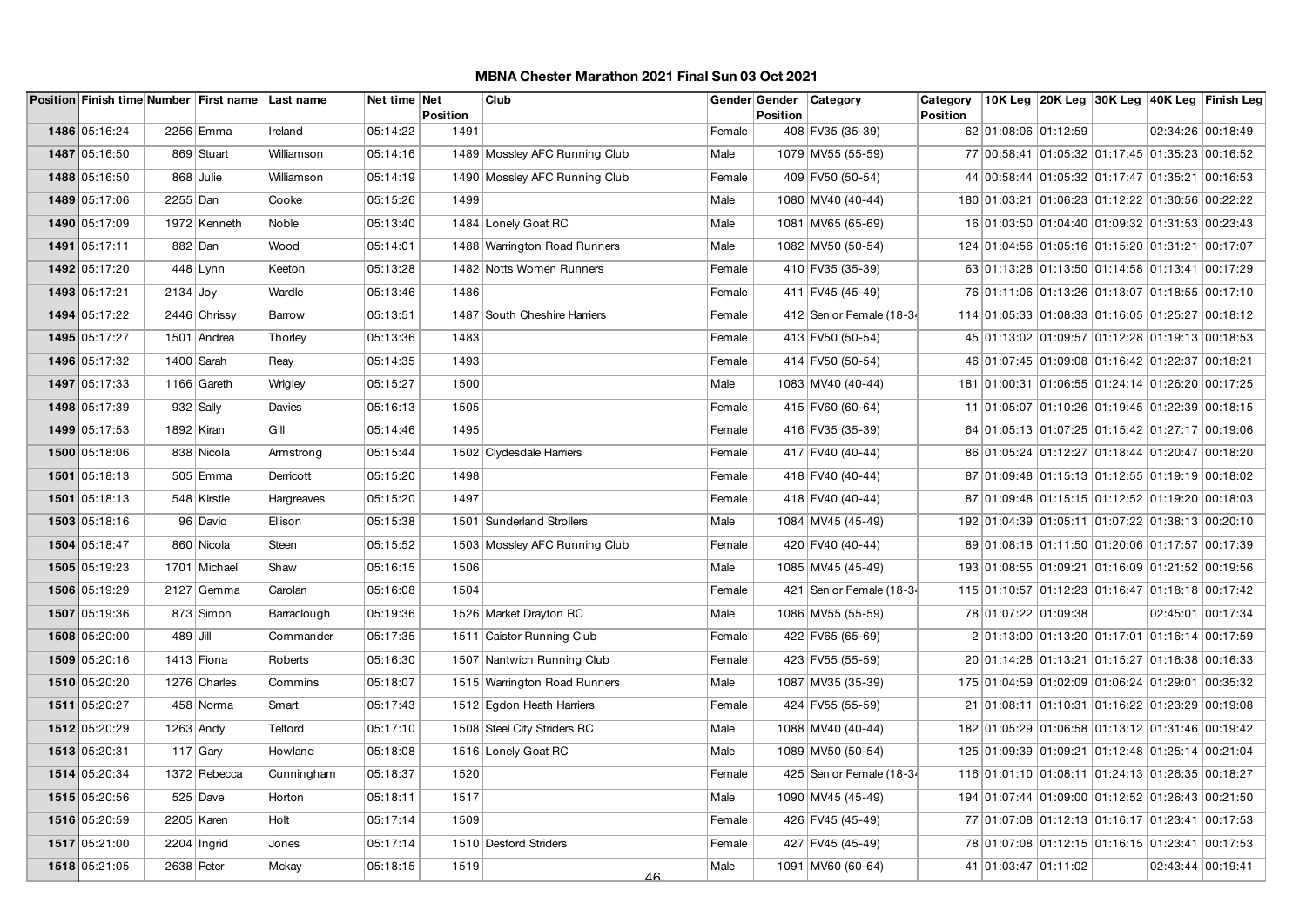|               |             | Position Finish time Number First name Last name |             | Net time Net |                  | Club                          |        | Gender Gender   | Category                 | Category        |                                                  |  | 10K Leg  20K Leg  30K Leg  40K Leg  Finish Leg |
|---------------|-------------|--------------------------------------------------|-------------|--------------|------------------|-------------------------------|--------|-----------------|--------------------------|-----------------|--------------------------------------------------|--|------------------------------------------------|
| 1486 05:16:24 |             | 2256 Emma                                        | Ireland     | 05:14:22     | Position<br>1491 |                               | Female | <b>Position</b> | 408 FV35 (35-39)         | <b>Position</b> | 62 01:08:06 01:12:59                             |  | 02:34:26 00:18:49                              |
| 1487 05:16:50 |             |                                                  | Williamson  |              |                  |                               | Male   |                 |                          |                 |                                                  |  |                                                |
|               |             | 869 Stuart                                       |             | 05:14:16     |                  | 1489 Mossley AFC Running Club |        |                 | 1079 MV55 (55-59)        |                 | 77 00:58:41 01:05:32 01:17:45 01:35:23 00:16:52  |  |                                                |
| 1488 05:16:50 |             | 868 Julie                                        | Williamson  | 05:14:19     |                  | 1490 Mossley AFC Running Club | Female |                 | 409 FV50 (50-54)         |                 | 44 00:58:44 01:05:32 01:17:47 01:35:21 00:16:53  |  |                                                |
| 1489 05:17:06 | $2255$ Dan  |                                                  | Cooke       | 05:15:26     | 1499             |                               | Male   |                 | 1080 MV40 (40-44)        |                 | 180 01:03:21 01:06:23 01:12:22 01:30:56 00:22:22 |  |                                                |
| 1490 05:17:09 |             | 1972 Kenneth                                     | Noble       | 05:13:40     |                  | 1484 Lonely Goat RC           | Male   |                 | 1081 MV65 (65-69)        |                 | 16 01:03:50 01:04:40 01:09:32 01:31:53 00:23:43  |  |                                                |
| 1491 05:17:11 | 882 Dan     |                                                  | Wood        | 05:14:01     |                  | 1488 Warrington Road Runners  | Male   |                 | 1082 MV50 (50-54)        |                 | 124 01:04:56 01:05:16 01:15:20 01:31:21 00:17:07 |  |                                                |
| 1492 05:17:20 |             | 448 Lynn                                         | Keeton      | 05:13:28     |                  | 1482 Notts Women Runners      | Female |                 | 410 FV35 (35-39)         |                 | 63 01:13:28 01:13:50 01:14:58 01:13:41 00:17:29  |  |                                                |
| 1493 05:17:21 | $2134$ Joy  |                                                  | Wardle      | 05:13:46     | 1486             |                               | Female |                 | 411 FV45 (45-49)         |                 | 76 01:11:06 01:13:26 01:13:07 01:18:55 00:17:10  |  |                                                |
| 1494 05:17:22 |             | 2446 Chrissy                                     | Barrow      | 05:13:51     |                  | 1487 South Cheshire Harriers  | Female |                 | 412 Senior Female (18-34 |                 | 114 01:05:33 01:08:33 01:16:05 01:25:27 00:18:12 |  |                                                |
| 1495 05:17:27 |             | 1501 Andrea                                      | Thorley     | 05:13:36     | 1483             |                               | Female |                 | 413 FV50 (50-54)         |                 | 45 01:13:02 01:09:57 01:12:28 01:19:13 00:18:53  |  |                                                |
| 1496 05:17:32 | 1400 Sarah  |                                                  | Reay        | 05:14:35     | 1493             |                               | Female |                 | 414 FV50 (50-54)         |                 | 46 01:07:45 01:09:08 01:16:42 01:22:37 00:18:21  |  |                                                |
| 1497 05:17:33 |             | 1166 Gareth                                      | Wrigley     | 05:15:27     | 1500             |                               | Male   |                 | 1083 MV40 (40-44)        |                 | 181 01:00:31 01:06:55 01:24:14 01:26:20 00:17:25 |  |                                                |
| 1498 05:17:39 |             | $932$ Sally                                      | Davies      | 05:16:13     | 1505             |                               | Female |                 | 415 FV60 (60-64)         |                 | 11 01:05:07 01:10:26 01:19:45 01:22:39 00:18:15  |  |                                                |
| 1499 05:17:53 | 1892 Kiran  |                                                  | Gill        | 05:14:46     | 1495             |                               | Female |                 | 416 FV35 (35-39)         |                 | 64 01:05:13 01:07:25 01:15:42 01:27:17 00:19:06  |  |                                                |
| 1500 05:18:06 |             | 838 Nicola                                       | Armstrong   | 05:15:44     |                  | 1502 Clydesdale Harriers      | Female |                 | 417 FV40 (40-44)         |                 | 86 01:05:24 01:12:27 01:18:44 01:20:47 00:18:20  |  |                                                |
| 1501 05:18:13 |             | 505 Emma                                         | Derricott   | 05:15:20     | 1498             |                               | Female |                 | 418 FV40 (40-44)         |                 | 87 01:09:48 01:15:13 01:12:55 01:19:19 00:18:02  |  |                                                |
| 1501 05:18:13 |             | 548 Kirstie                                      | Hargreaves  | 05:15:20     | 1497             |                               | Female |                 | 418 FV40 (40-44)         |                 | 87 01:09:48 01:15:15 01:12:52 01:19:20 00:18:03  |  |                                                |
| 1503 05:18:16 |             | 96 David                                         | Ellison     | 05:15:38     |                  | 1501 Sunderland Strollers     | Male   |                 | 1084 MV45 (45-49)        |                 | 192 01:04:39 01:05:11 01:07:22 01:38:13 00:20:10 |  |                                                |
| 1504 05:18:47 |             | 860 Nicola                                       | Steen       | 05:15:52     |                  | 1503 Mossley AFC Running Club | Female |                 | 420 FV40 (40-44)         |                 | 89 01:08:18 01:11:50 01:20:06 01:17:57 00:17:39  |  |                                                |
| 1505 05:19:23 |             | 1701 Michael                                     | Shaw        | 05:16:15     | 1506             |                               | Male   |                 | 1085 MV45 (45-49)        |                 | 193 01:08:55 01:09:21 01:16:09 01:21:52 00:19:56 |  |                                                |
| 1506 05:19:29 |             | $2127$ Gemma                                     | Carolan     | 05:16:08     | 1504             |                               | Female |                 | 421 Senior Female (18-34 |                 | 115 01:10:57 01:12:23 01:16:47 01:18:18 00:17:42 |  |                                                |
| 1507 05:19:36 |             | 873 Simon                                        | Barraclough | 05:19:36     |                  | 1526 Market Drayton RC        | Male   |                 | 1086 MV55 (55-59)        |                 | 78 01:07:22 01:09:38                             |  | 02:45:01 00:17:34                              |
| 1508 05:20:00 | $489$ Jill  |                                                  | Commander   | 05:17:35     |                  | 1511 Caistor Running Club     | Female |                 | 422 FV65 (65-69)         |                 | 2 01:13:00 01:13:20 01:17:01 01:16:14 00:17:59   |  |                                                |
| 1509 05:20:16 |             | 1413 Fiona                                       | Roberts     | 05:16:30     |                  | 1507 Nantwich Running Club    | Female |                 | 423 FV55 (55-59)         |                 | 20 01:14:28 01:13:21 01:15:27 01:16:38 00:16:33  |  |                                                |
| 1510 05:20:20 |             | 1276 Charles                                     | Commins     | 05:18:07     |                  | 1515 Warrington Road Runners  | Male   |                 | 1087 MV35 (35-39)        |                 | 175 01:04:59 01:02:09 01:06:24 01:29:01 00:35:32 |  |                                                |
| 1511 05:20:27 |             | 458 Norma                                        | Smart       | 05:17:43     |                  | 1512 Egdon Heath Harriers     | Female |                 | 424 FV55 (55-59)         |                 | 21 01:08:11 01:10:31 01:16:22 01:23:29 00:19:08  |  |                                                |
| 1512 05:20:29 | $1263$ Andy |                                                  | Telford     | 05:17:10     |                  | 1508 Steel City Striders RC   | Male   |                 | 1088 MV40 (40-44)        |                 | 182 01:05:29 01:06:58 01:13:12 01:31:46 00:19:42 |  |                                                |
| 1513 05:20:31 |             | 117 Gary                                         | Howland     | 05:18:08     |                  | 1516 Lonely Goat RC           | Male   |                 | 1089 MV50 (50-54)        |                 | 125 01:09:39 01:09:21 01:12:48 01:25:14 00:21:04 |  |                                                |
| 1514 05:20:34 |             | 1372 Rebecca                                     | Cunningham  | 05:18:37     | 1520             |                               | Female |                 | 425 Senior Female (18-34 |                 | 116 01:01:10 01:08:11 01:24:13 01:26:35 00:18:27 |  |                                                |
| 1515 05:20:56 |             | 525 Dave                                         | Horton      | 05:18:11     | 1517             |                               | Male   |                 | 1090 MV45 (45-49)        |                 | 194 01:07:44 01:09:00 01:12:52 01:26:43 00:21:50 |  |                                                |
| 1516 05:20:59 |             | 2205   Karen                                     | Holt        | 05:17:14     | 1509             |                               | Female |                 | 426 FV45 (45-49)         |                 | 77 01:07:08 01:12:13 01:16:17 01:23:41 00:17:53  |  |                                                |
| 1517 05:21:00 |             | $2204$ Ingrid                                    | Jones       | 05:17:14     |                  | 1510 Desford Striders         | Female |                 | 427 FV45 (45-49)         |                 | 78 01:07:08 01:12:15 01:16:15 01:23:41 00:17:53  |  |                                                |
| 1518 05:21:05 | 2638 Peter  |                                                  | Mckay       | 05:18:15     | 1519             | 46                            | Male   |                 | 1091 MV60 (60-64)        |                 | 41 01:03:47 01:11:02                             |  | 02:43:44 00:19:41                              |
|               |             |                                                  |             |              |                  |                               |        |                 |                          |                 |                                                  |  |                                                |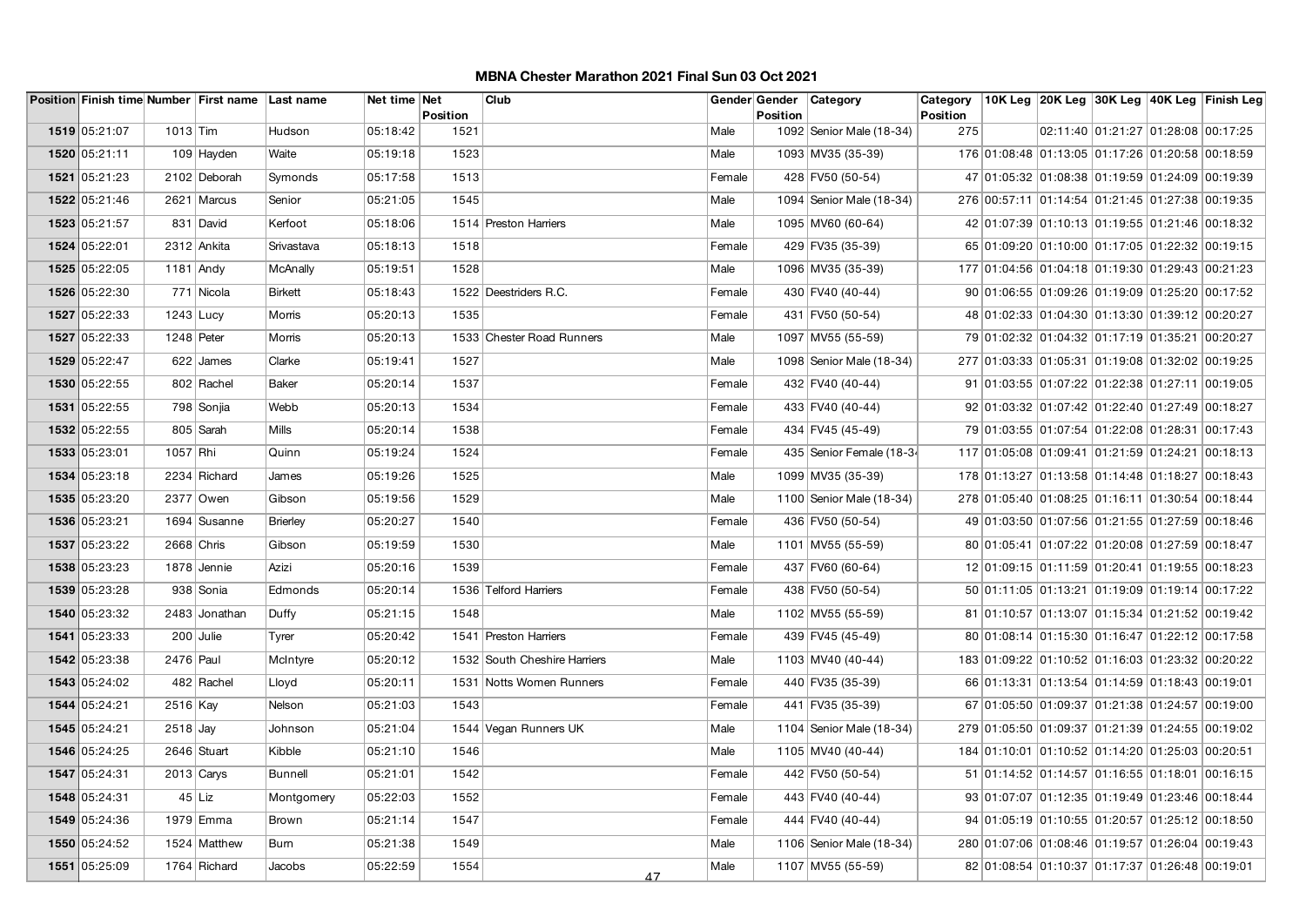|               |              | Position Finish time Number First name Last name |                | Net time Net |                  | Club                         |        | Gender Gender   | Category                 | Category               |                                                  |                                     | 10K Leg 20K Leg 30K Leg 40K Leg Finish Leg |
|---------------|--------------|--------------------------------------------------|----------------|--------------|------------------|------------------------------|--------|-----------------|--------------------------|------------------------|--------------------------------------------------|-------------------------------------|--------------------------------------------|
| 1519 05:21:07 | $1013$ Tim   |                                                  | Hudson         | 05:18:42     | Position<br>1521 |                              | Male   | <b>Position</b> | 1092 Senior Male (18-34) | <b>Position</b><br>275 |                                                  | 02:11:40 01:21:27 01:28:08 00:17:25 |                                            |
| 1520 05:21:11 |              |                                                  | Waite          | 05:19:18     | 1523             |                              | Male   |                 | 1093 MV35 (35-39)        |                        | 176 01:08:48 01:13:05 01:17:26 01:20:58 00:18:59 |                                     |                                            |
|               |              | 109 Hayden                                       |                |              |                  |                              |        |                 |                          |                        |                                                  |                                     |                                            |
| 1521 05:21:23 |              | 2102 Deborah                                     | Symonds        | 05:17:58     | 1513             |                              | Female |                 | 428 FV50 (50-54)         |                        | 47 01:05:32 01:08:38 01:19:59 01:24:09 00:19:39  |                                     |                                            |
| 1522 05:21:46 |              | 2621 Marcus                                      | Senior         | 05:21:05     | 1545             |                              | Male   |                 | 1094 Senior Male (18-34) |                        | 276 00:57:11 01:14:54 01:21:45 01:27:38 00:19:35 |                                     |                                            |
| 1523 05:21:57 |              | 831 David                                        | Kerfoot        | 05:18:06     |                  | 1514 Preston Harriers        | Male   |                 | 1095 MV60 (60-64)        |                        | 42 01:07:39 01:10:13 01:19:55 01:21:46 00:18:32  |                                     |                                            |
| 1524 05:22:01 |              | 2312 Ankita                                      | Srivastava     | 05:18:13     | 1518             |                              | Female |                 | 429 FV35 (35-39)         |                        | 65 01:09:20 01:10:00 01:17:05 01:22:32 00:19:15  |                                     |                                            |
| 1525 05:22:05 | $1181$ Andy  |                                                  | McAnally       | 05:19:51     | 1528             |                              | Male   |                 | 1096 MV35 (35-39)        |                        | 177 01:04:56 01:04:18 01:19:30 01:29:43 00:21:23 |                                     |                                            |
| 1526 05:22:30 |              | 771 Nicola                                       | <b>Birkett</b> | 05:18:43     |                  | 1522 Deestriders R.C.        | Female |                 | 430 FV40 (40-44)         |                        | 90 01:06:55 01:09:26 01:19:09 01:25:20 00:17:52  |                                     |                                            |
| 1527 05:22:33 | $1243$ Lucy  |                                                  | Morris         | 05:20:13     | 1535             |                              | Female |                 | 431 FV50 (50-54)         |                        | 48 01:02:33 01:04:30 01:13:30 01:39:12 00:20:27  |                                     |                                            |
| 1527 05:22:33 | $1248$ Peter |                                                  | Morris         | 05:20:13     |                  | 1533 Chester Road Runners    | Male   |                 | 1097 MV55 (55-59)        |                        | 79 01:02:32 01:04:32 01:17:19 01:35:21 00:20:27  |                                     |                                            |
| 1529 05:22:47 |              | $622$ James                                      | Clarke         | 05:19:41     | 1527             |                              | Male   |                 | 1098 Senior Male (18-34) |                        | 277 01:03:33 01:05:31 01:19:08 01:32:02 00:19:25 |                                     |                                            |
| 1530 05:22:55 |              | 802 Rachel                                       | <b>Baker</b>   | 05:20:14     | 1537             |                              | Female |                 | 432 FV40 (40-44)         |                        | 91 01:03:55 01:07:22 01:22:38 01:27:11 00:19:05  |                                     |                                            |
| 1531 05:22:55 |              | 798 Sonjia                                       | Webb           | 05:20:13     | 1534             |                              | Female |                 | 433 FV40 (40-44)         |                        | 92 01:03:32 01:07:42 01:22:40 01:27:49 00:18:27  |                                     |                                            |
| 1532 05:22:55 |              | 805 Sarah                                        | Mills          | 05:20:14     | 1538             |                              | Female |                 | 434 FV45 (45-49)         |                        | 79 01:03:55 01:07:54 01:22:08 01:28:31 00:17:43  |                                     |                                            |
| 1533 05:23:01 | 1057 Rhi     |                                                  | Quinn          | 05:19:24     | 1524             |                              | Female |                 | 435 Senior Female (18-34 |                        | 117 01:05:08 01:09:41 01:21:59 01:24:21 00:18:13 |                                     |                                            |
| 1534 05:23:18 |              | 2234 Richard                                     | James          | 05:19:26     | 1525             |                              | Male   |                 | 1099 MV35 (35-39)        |                        | 178 01:13:27 01:13:58 01:14:48 01:18:27 00:18:43 |                                     |                                            |
| 1535 05:23:20 |              | 2377 Owen                                        | Gibson         | 05:19:56     | 1529             |                              | Male   |                 | 1100 Senior Male (18-34) |                        | 278 01:05:40 01:08:25 01:16:11 01:30:54 00:18:44 |                                     |                                            |
| 1536 05:23:21 |              | 1694 Susanne                                     | Brierley       | 05:20:27     | 1540             |                              | Female |                 | 436 FV50 (50-54)         |                        | 49 01:03:50 01:07:56 01:21:55 01:27:59 00:18:46  |                                     |                                            |
| 1537 05:23:22 | 2668 Chris   |                                                  | Gibson         | 05:19:59     | 1530             |                              | Male   |                 | 1101 MV55 (55-59)        |                        | 80 01:05:41 01:07:22 01:20:08 01:27:59 00:18:47  |                                     |                                            |
| 1538 05:23:23 |              | 1878 Jennie                                      | Azizi          | 05:20:16     | 1539             |                              | Female |                 | 437 FV60 (60-64)         |                        | 12 01:09:15 01:11:59 01:20:41 01:19:55 00:18:23  |                                     |                                            |
| 1539 05:23:28 |              | 938 Sonia                                        | Edmonds        | 05:20:14     |                  | 1536 Telford Harriers        | Female |                 | 438 FV50 (50-54)         |                        | 50 01:11:05 01:13:21 01:19:09 01:19:14 00:17:22  |                                     |                                            |
| 1540 05:23:32 |              | 2483 Jonathan                                    | Duffy          | 05:21:15     | 1548             |                              | Male   |                 | 1102 MV55 (55-59)        |                        | 81 01:10:57 01:13:07 01:15:34 01:21:52 00:19:42  |                                     |                                            |
| 1541 05:23:33 |              | $200$ Julie                                      | Tyrer          | 05:20:42     |                  | 1541 Preston Harriers        | Female |                 | 439 FV45 (45-49)         |                        | 80 01:08:14 01:15:30 01:16:47 01:22:12 00:17:58  |                                     |                                            |
| 1542 05:23:38 | 2476 Paul    |                                                  | McIntyre       | 05:20:12     |                  | 1532 South Cheshire Harriers | Male   |                 | 1103 MV40 (40-44)        |                        | 183 01:09:22 01:10:52 01:16:03 01:23:32 00:20:22 |                                     |                                            |
| 1543 05:24:02 |              | 482 Rachel                                       | Lloyd          | 05:20:11     |                  | 1531 Notts Women Runners     | Female |                 | 440 FV35 (35-39)         |                        | 66 01:13:31 01:13:54 01:14:59 01:18:43 00:19:01  |                                     |                                            |
| 1544 05:24:21 | 2516 Kay     |                                                  | Nelson         | 05:21:03     | 1543             |                              | Female |                 | 441 FV35 (35-39)         |                        | 67 01:05:50 01:09:37 01:21:38 01:24:57 00:19:00  |                                     |                                            |
| 1545 05:24:21 | $2518$ Jay   |                                                  | Johnson        | 05:21:04     |                  | 1544 Vegan Runners UK        | Male   |                 | 1104 Senior Male (18-34) |                        | 279 01:05:50 01:09:37 01:21:39 01:24:55 00:19:02 |                                     |                                            |
| 1546 05:24:25 |              | 2646 Stuart                                      | Kibble         | 05:21:10     | 1546             |                              | Male   |                 | 1105 MV40 (40-44)        |                        | 184 01:10:01 01:10:52 01:14:20 01:25:03 00:20:51 |                                     |                                            |
| 1547 05:24:31 |              | $2013$ Carys                                     | Bunnell        | 05:21:01     | 1542             |                              | Female |                 | 442 FV50 (50-54)         |                        | 51 01:14:52 01:14:57 01:16:55 01:18:01 00:16:15  |                                     |                                            |
| 1548 05:24:31 |              | $45$ Liz                                         | Montgomery     | 05:22:03     | 1552             |                              | Female |                 | 443 FV40 (40-44)         |                        | 93 01:07:07 01:12:35 01:19:49 01:23:46 00:18:44  |                                     |                                            |
| 1549 05:24:36 |              | 1979 Emma                                        | Brown          | 05:21:14     | 1547             |                              | Female |                 | 444 FV40 (40-44)         |                        | 94 01:05:19 01:10:55 01:20:57 01:25:12 00:18:50  |                                     |                                            |
| 1550 05:24:52 |              | 1524 Matthew                                     | Burn           | 05:21:38     | 1549             |                              | Male   |                 | 1106 Senior Male (18-34) |                        | 280 01:07:06 01:08:46 01:19:57 01:26:04 00:19:43 |                                     |                                            |
| 1551 05:25:09 |              | 1764 Richard                                     | Jacobs         | 05:22:59     | 1554             |                              | Male   |                 | 1107 MV55 (55-59)        |                        | 82 01:08:54 01:10:37 01:17:37 01:26:48 00:19:01  |                                     |                                            |
|               |              |                                                  |                |              |                  | 47                           |        |                 |                          |                        |                                                  |                                     |                                            |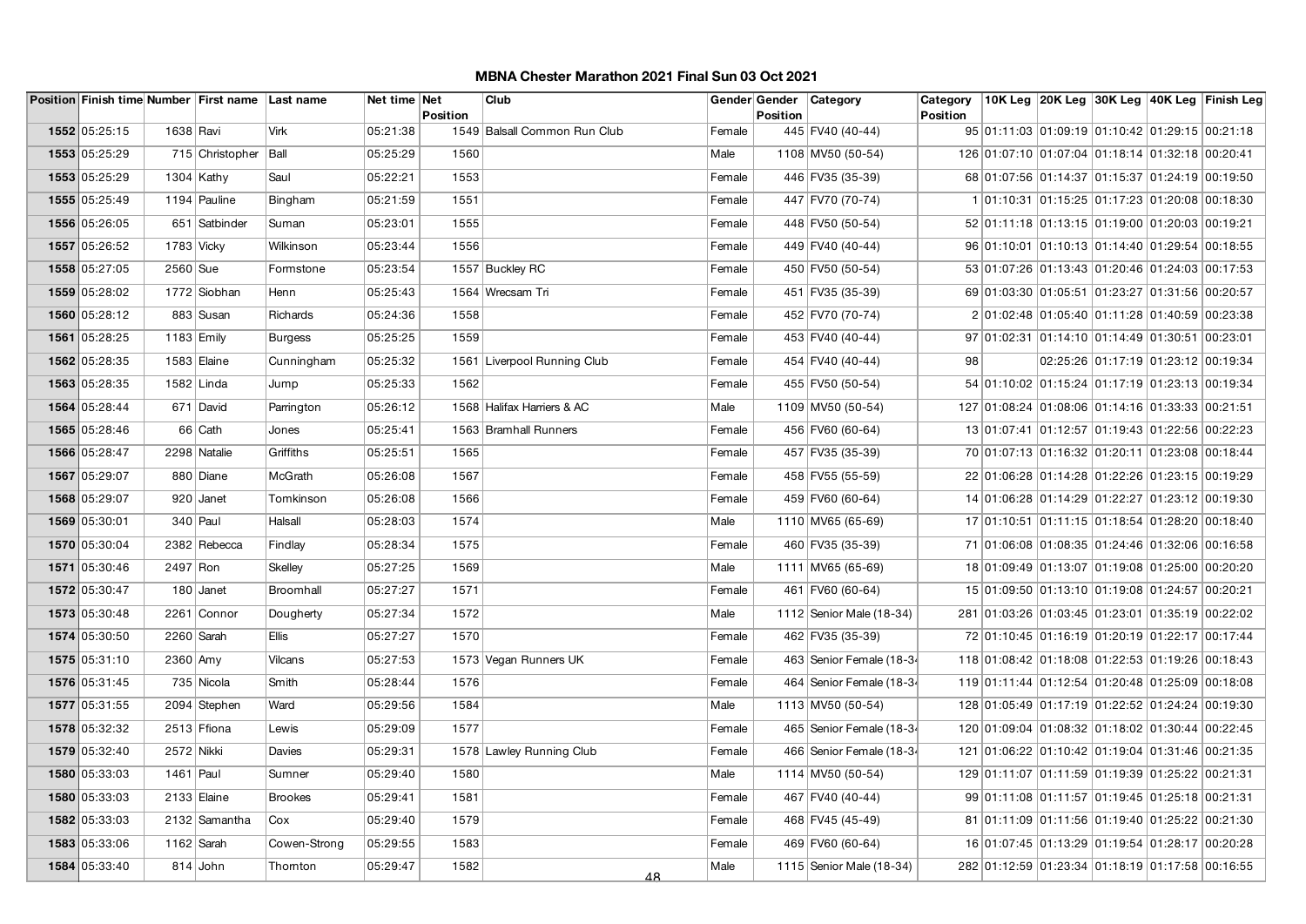|      |               |                       | Position Finish time Number First name Last name |                | Net time Net |                 | Club                         |        | Gender Gender   | Category                 | Category        |                                                  |                                     |  | 10K Leg  20K Leg  30K Leg  40K Leg  Finish Leg |
|------|---------------|-----------------------|--------------------------------------------------|----------------|--------------|-----------------|------------------------------|--------|-----------------|--------------------------|-----------------|--------------------------------------------------|-------------------------------------|--|------------------------------------------------|
|      |               |                       |                                                  |                |              | <b>Position</b> |                              |        | <b>Position</b> |                          | <b>Position</b> |                                                  |                                     |  |                                                |
|      | 1552 05:25:15 | 1638 Ravi             |                                                  | <b>Virk</b>    | 05:21:38     |                 | 1549 Balsall Common Run Club | Female |                 | 445 FV40 (40-44)         |                 | 95 01:11:03 01:09:19 01:10:42 01:29:15 00:21:18  |                                     |  |                                                |
|      | 1553 05:25:29 |                       | 715 Christopher                                  | Ball           | 05:25:29     | 1560            |                              | Male   |                 | 1108 MV50 (50-54)        |                 | 126 01:07:10 01:07:04 01:18:14 01:32:18 00:20:41 |                                     |  |                                                |
|      | 1553 05:25:29 | $1304$ Kathy          |                                                  | Saul           | 05:22:21     | 1553            |                              | Female |                 | 446 FV35 (35-39)         |                 | 68 01:07:56 01:14:37 01:15:37 01:24:19 00:19:50  |                                     |  |                                                |
|      | 1555 05:25:49 |                       | 1194 Pauline                                     | Bingham        | 05:21:59     | 1551            |                              | Female |                 | 447 FV70 (70-74)         |                 | 1 01:10:31 01:15:25 01:17:23 01:20:08 00:18:30   |                                     |  |                                                |
|      | 1556 05:26:05 |                       | 651 Satbinder                                    | Suman          | 05:23:01     | 1555            |                              | Female |                 | 448 FV50 (50-54)         |                 | 52 01:11:18 01:13:15 01:19:00 01:20:03 00:19:21  |                                     |  |                                                |
|      | 1557 05:26:52 | 1783 Vicky            |                                                  | Wilkinson      | 05:23:44     | 1556            |                              | Female |                 | 449 FV40 (40-44)         |                 | 96 01:10:01 01:10:13 01:14:40 01:29:54 00:18:55  |                                     |  |                                                |
|      | 1558 05:27:05 | $2560$ Sue            |                                                  | Formstone      | 05:23:54     |                 | 1557 Buckley RC              | Female |                 | 450 FV50 (50-54)         |                 | 53 01:07:26 01:13:43 01:20:46 01:24:03 00:17:53  |                                     |  |                                                |
|      | 1559 05:28:02 |                       | 1772 Siobhan                                     | Henn           | 05:25:43     |                 | 1564 Wrecsam Tri             | Female |                 | 451 FV35 (35-39)         |                 | 69 01:03:30 01:05:51 01:23:27 01:31:56 00:20:57  |                                     |  |                                                |
|      | 1560 05:28:12 |                       | 883 Susan                                        | Richards       | 05:24:36     | 1558            |                              | Female |                 | 452 FV70 (70-74)         |                 | 2 01:02:48 01:05:40 01:11:28 01:40:59 00:23:38   |                                     |  |                                                |
| 1561 | 05:28:25      | 1183 $\mathsf{Emily}$ |                                                  | <b>Burgess</b> | 05:25:25     | 1559            |                              | Female |                 | 453 FV40 (40-44)         |                 | 97 01:02:31 01:14:10 01:14:49 01:30:51 00:23:01  |                                     |  |                                                |
|      | 1562 05:28:35 | 1583 Elaine           |                                                  | Cunningham     | 05:25:32     |                 | 1561 Liverpool Running Club  | Female |                 | 454 FV40 (40-44)         | 98              |                                                  | 02:25:26 01:17:19 01:23:12 00:19:34 |  |                                                |
|      | 1563 05:28:35 | 1582 Linda            |                                                  | Jump           | 05:25:33     | 1562            |                              | Female |                 | 455 FV50 (50-54)         |                 | 54 01:10:02 01:15:24 01:17:19 01:23:13 00:19:34  |                                     |  |                                                |
|      | 1564 05:28:44 |                       | 671 David                                        | Parrington     | 05:26:12     |                 | 1568 Halifax Harriers & AC   | Male   |                 | 1109 MV50 (50-54)        |                 | 127 01:08:24 01:08:06 01:14:16 01:33:33 00:21:51 |                                     |  |                                                |
|      | 1565 05:28:46 |                       | 66 Cath                                          | Jones          | 05:25:41     |                 | 1563 Bramhall Runners        | Female |                 | 456 FV60 (60-64)         |                 | 13 01:07:41 01:12:57 01:19:43 01:22:56 00:22:23  |                                     |  |                                                |
|      | 1566 05:28:47 |                       | 2298 Natalie                                     | Griffiths      | 05:25:51     | 1565            |                              | Female |                 | 457 FV35 (35-39)         |                 | 70 01:07:13 01:16:32 01:20:11 01:23:08 00:18:44  |                                     |  |                                                |
|      | 1567 05:29:07 |                       | 880 Diane                                        | McGrath        | 05:26:08     | 1567            |                              | Female |                 | 458 FV55 (55-59)         |                 | 22 01:06:28 01:14:28 01:22:26 01:23:15 00:19:29  |                                     |  |                                                |
|      | 1568 05:29:07 |                       | 920 Janet                                        | Tomkinson      | 05:26:08     | 1566            |                              | Female |                 | 459 FV60 (60-64)         |                 | 14 01:06:28 01:14:29 01:22:27 01:23:12 00:19:30  |                                     |  |                                                |
|      | 1569 05:30:01 | $340$ Paul            |                                                  | Halsall        | 05:28:03     | 1574            |                              | Male   |                 | 1110 MV65 (65-69)        |                 | 17 01:10:51 01:11:15 01:18:54 01:28:20 00:18:40  |                                     |  |                                                |
|      | 1570 05:30:04 |                       | 2382 Rebecca                                     | Findlay        | 05:28:34     | 1575            |                              | Female |                 | 460 FV35 (35-39)         |                 | 71 01:06:08 01:08:35 01:24:46 01:32:06 00:16:58  |                                     |  |                                                |
|      | 1571 05:30:46 | 2497 Ron              |                                                  | Skelley        | 05:27:25     | 1569            |                              | Male   |                 | $1111$   MV65 (65-69)    |                 | 18 01:09:49 01:13:07 01:19:08 01:25:00 00:20:20  |                                     |  |                                                |
|      | 1572 05:30:47 |                       | 180 Janet                                        | Broomhall      | 05:27:27     | 1571            |                              | Female |                 | 461 FV60 (60-64)         |                 | 15 01:09:50 01:13:10 01:19:08 01:24:57 00:20:21  |                                     |  |                                                |
|      | 1573 05:30:48 |                       | 2261 Connor                                      | Dougherty      | 05:27:34     | 1572            |                              | Male   |                 | 1112 Senior Male (18-34) |                 | 281 01:03:26 01:03:45 01:23:01 01:35:19 00:22:02 |                                     |  |                                                |
|      | 1574 05:30:50 | 2260 Sarah            |                                                  | <b>Ellis</b>   | 05:27:27     | 1570            |                              | Female |                 | 462 FV35 (35-39)         |                 | 72 01:10:45 01:16:19 01:20:19 01:22:17 00:17:44  |                                     |  |                                                |
|      | 1575 05:31:10 | 2360 Amy              |                                                  | <b>Vilcans</b> | 05:27:53     |                 | 1573 Vegan Runners UK        | Female |                 | 463 Senior Female (18-34 |                 | 118 01:08:42 01:18:08 01:22:53 01:19:26 00:18:43 |                                     |  |                                                |
|      | 1576 05:31:45 |                       | 735 Nicola                                       | Smith          | 05:28:44     | 1576            |                              | Female |                 | 464 Senior Female (18-34 |                 | 119 01:11:44 01:12:54 01:20:48 01:25:09 00:18:08 |                                     |  |                                                |
|      | 1577 05:31:55 |                       | 2094 Stephen                                     | Ward           | 05:29:56     | 1584            |                              | Male   |                 | 1113 MV50 (50-54)        |                 | 128 01:05:49 01:17:19 01:22:52 01:24:24 00:19:30 |                                     |  |                                                |
|      | 1578 05:32:32 |                       | 2513 Ffiona                                      | Lewis          | 05:29:09     | 1577            |                              | Female |                 | 465 Senior Female (18-34 |                 | 120 01:09:04 01:08:32 01:18:02 01:30:44 00:22:45 |                                     |  |                                                |
|      | 1579 05:32:40 | 2572 Nikki            |                                                  | Davies         | 05:29:31     |                 | 1578 Lawley Running Club     | Female |                 | 466 Senior Female (18-34 |                 | 121 01:06:22 01:10:42 01:19:04 01:31:46 00:21:35 |                                     |  |                                                |
|      | 1580 05:33:03 | 1461   Paul           |                                                  | Sumner         | 05:29:40     | 1580            |                              | Male   |                 | 1114 MV50 (50-54)        |                 | 129 01:11:07 01:11:59 01:19:39 01:25:22 00:21:31 |                                     |  |                                                |
|      | 1580 05:33:03 | 2133 Elaine           |                                                  | <b>Brookes</b> | 05:29:41     | 1581            |                              | Female |                 | 467 FV40 (40-44)         |                 | 99 01:11:08 01:11:57 01:19:45 01:25:18 00:21:31  |                                     |  |                                                |
|      | 1582 05:33:03 |                       | 2132 Samantha                                    | Cox            | 05:29:40     | 1579            |                              | Female |                 | 468 FV45 (45-49)         |                 | 81 01:11:09 01:11:56 01:19:40 01:25:22 00:21:30  |                                     |  |                                                |
|      | 1583 05:33:06 | 1162 Sarah            |                                                  | Cowen-Strong   | 05:29:55     | 1583            |                              | Female |                 | 469 FV60 (60-64)         |                 | 16 01:07:45 01:13:29 01:19:54 01:28:17 00:20:28  |                                     |  |                                                |
|      | 1584 05:33:40 |                       | $814$ John                                       | Thornton       | 05:29:47     | 1582            | 48                           | Male   |                 | 1115 Senior Male (18-34) |                 | 282 01:12:59 01:23:34 01:18:19 01:17:58 00:16:55 |                                     |  |                                                |
|      |               |                       |                                                  |                |              |                 |                              |        |                 |                          |                 |                                                  |                                     |  |                                                |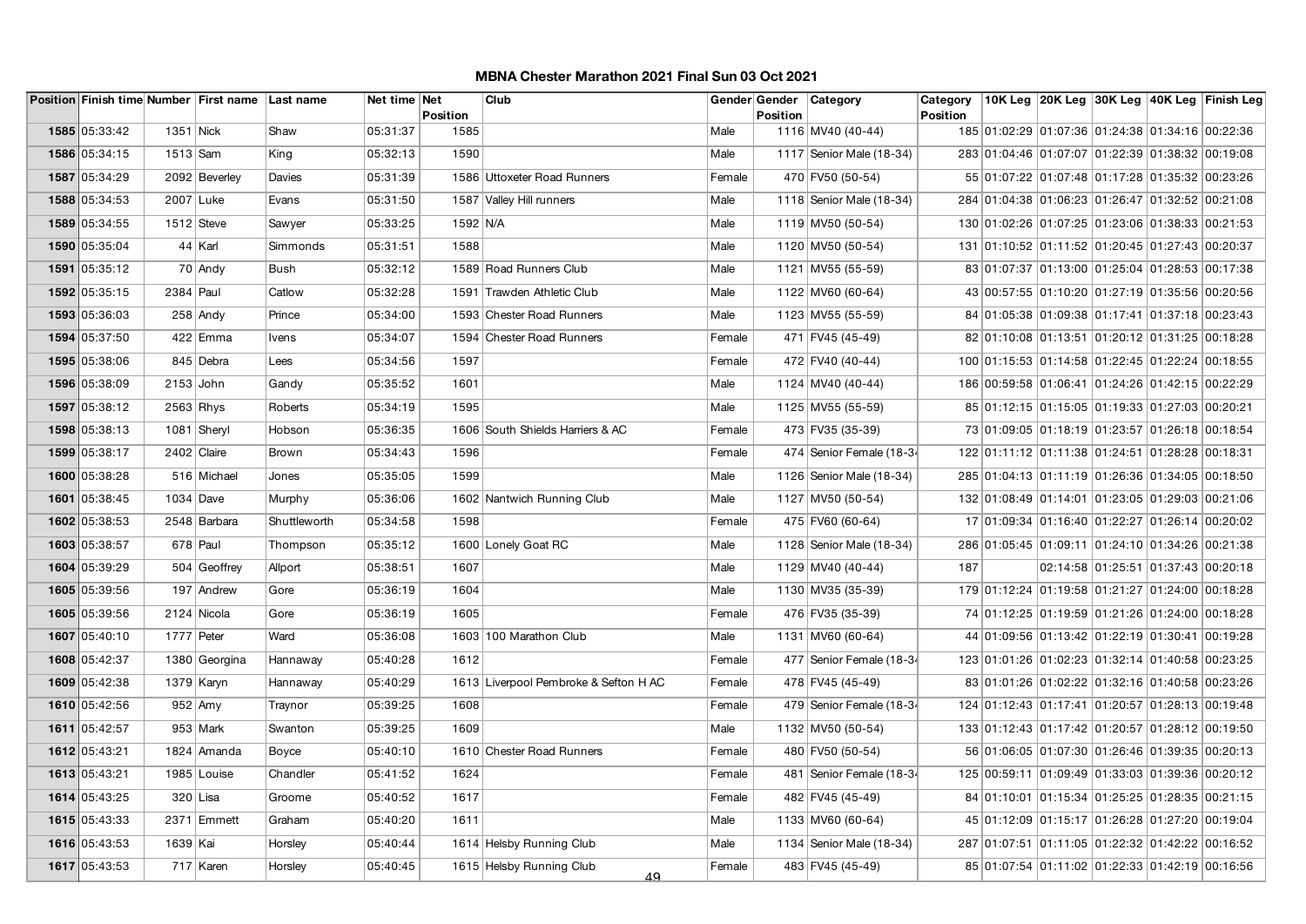|               |              | Position Finish time Number First name Last name |              | Net time Net | Position | Club                                  |        | Gender Gender<br><b>Position</b> | Category                 | Category<br>Position |                                                  |                                     | 10K Leg 20K Leg 30K Leg 40K Leg Finish Leg |
|---------------|--------------|--------------------------------------------------|--------------|--------------|----------|---------------------------------------|--------|----------------------------------|--------------------------|----------------------|--------------------------------------------------|-------------------------------------|--------------------------------------------|
| 1585 05:33:42 | 1351 Nick    |                                                  | Shaw         | 05:31:37     | 1585     |                                       | Male   |                                  | 1116 MV40 (40-44)        |                      | 185 01:02:29 01:07:36 01:24:38 01:34:16 00:22:36 |                                     |                                            |
| 1586 05:34:15 | 1513 Sam     |                                                  | King         | 05:32:13     | 1590     |                                       | Male   |                                  | 1117 Senior Male (18-34) |                      | 283 01:04:46 01:07:07 01:22:39 01:38:32 00:19:08 |                                     |                                            |
| 1587 05:34:29 |              | 2092 Beverley                                    | Davies       | 05:31:39     |          | 1586 Uttoxeter Road Runners           | Female |                                  | 470 FV50 (50-54)         |                      | 55 01:07:22 01:07:48 01:17:28 01:35:32 00:23:26  |                                     |                                            |
| 1588 05:34:53 | 2007 Luke    |                                                  | Evans        | 05:31:50     |          | 1587 Valley Hill runners              | Male   |                                  | 1118 Senior Male (18-34) |                      | 284 01:04:38 01:06:23 01:26:47 01:32:52 00:21:08 |                                     |                                            |
| 1589 05:34:55 | $1512$ Steve |                                                  | Sawyer       | 05:33:25     | 1592 N/A |                                       | Male   |                                  | 1119 MV50 (50-54)        |                      | 130 01:02:26 01:07:25 01:23:06 01:38:33 00:21:53 |                                     |                                            |
| 1590 05:35:04 |              | 44 Karl                                          | Simmonds     | 05:31:51     | 1588     |                                       | Male   |                                  | 1120 MV50 (50-54)        |                      | 131 01:10:52 01:11:52 01:20:45 01:27:43 00:20:37 |                                     |                                            |
| 1591 05:35:12 |              | 70 Andy                                          | Bush         | 05:32:12     |          | 1589 Road Runners Club                | Male   |                                  | 1121 MV55 (55-59)        |                      | 83 01:07:37 01:13:00 01:25:04 01:28:53 00:17:38  |                                     |                                            |
| 1592 05:35:15 | 2384 Paul    |                                                  | Catlow       | 05:32:28     |          | 1591 Trawden Athletic Club            | Male   |                                  | 1122 MV60 (60-64)        |                      | 43 00:57:55 01:10:20 01:27:19 01:35:56 00:20:56  |                                     |                                            |
| 1593 05:36:03 |              | $258$ Andy                                       | Prince       | 05:34:00     |          | 1593 Chester Road Runners             | Male   |                                  | 1123 MV55 (55-59)        |                      | 84 01:05:38 01:09:38 01:17:41 01:37:18 00:23:43  |                                     |                                            |
| 1594 05:37:50 |              | 422 Emma                                         | Ivens        | 05:34:07     |          | 1594 Chester Road Runners             | Female |                                  | 471 FV45 (45-49)         |                      | 82 01:10:08 01:13:51 01:20:12 01:31:25 00:18:28  |                                     |                                            |
| 1595 05:38:06 |              | 845 Debra                                        | Lees         | 05:34:56     | 1597     |                                       | Female |                                  | 472 FV40 (40-44)         |                      | 100 01:15:53 01:14:58 01:22:45 01:22:24 00:18:55 |                                     |                                            |
| 1596 05:38:09 | 2153 John    |                                                  | Gandy        | 05:35:52     | 1601     |                                       | Male   |                                  | 1124 MV40 (40-44)        |                      | 186 00:59:58 01:06:41 01:24:26 01:42:15 00:22:29 |                                     |                                            |
| 1597 05:38:12 | 2563 Rhys    |                                                  | Roberts      | 05:34:19     | 1595     |                                       | Male   |                                  | 1125 MV55 (55-59)        |                      | 85 01:12:15 01:15:05 01:19:33 01:27:03 00:20:21  |                                     |                                            |
| 1598 05:38:13 |              | 1081 Sheryl                                      | Hobson       | 05:36:35     |          | 1606 South Shields Harriers & AC      | Female |                                  | 473 FV35 (35-39)         |                      | 73 01:09:05 01:18:19 01:23:57 01:26:18 00:18:54  |                                     |                                            |
| 1599 05:38:17 | 2402 Claire  |                                                  | <b>Brown</b> | 05:34:43     | 1596     |                                       | Female |                                  | 474 Senior Female (18-34 |                      | 122 01:11:12 01:11:38 01:24:51 01:28:28 00:18:31 |                                     |                                            |
| 1600 05:38:28 |              | 516 Michael                                      | Jones        | 05:35:05     | 1599     |                                       | Male   |                                  | 1126 Senior Male (18-34) |                      | 285 01:04:13 01:11:19 01:26:36 01:34:05 00:18:50 |                                     |                                            |
| 1601 05:38:45 | 1034 Dave    |                                                  | Murphy       | 05:36:06     |          | 1602 Nantwich Running Club            | Male   |                                  | 1127 MV50 (50-54)        |                      | 132 01:08:49 01:14:01 01:23:05 01:29:03 00:21:06 |                                     |                                            |
| 1602 05:38:53 |              | 2548 Barbara                                     | Shuttleworth | 05:34:58     | 1598     |                                       | Female |                                  | 475 FV60 (60-64)         |                      | 17 01:09:34 01:16:40 01:22:27 01:26:14 00:20:02  |                                     |                                            |
| 1603 05:38:57 |              | 678 Paul                                         | Thompson     | 05:35:12     |          | 1600 Lonely Goat RC                   | Male   |                                  | 1128 Senior Male (18-34) |                      | 286 01:05:45 01:09:11 01:24:10 01:34:26 00:21:38 |                                     |                                            |
| 1604 05:39:29 |              | 504 Geoffrey                                     | Allport      | 05:38:51     | 1607     |                                       | Male   |                                  | 1129 MV40 (40-44)        | 187                  |                                                  | 02:14:58 01:25:51 01:37:43 00:20:18 |                                            |
| 1605 05:39:56 |              | 197 Andrew                                       | Gore         | 05:36:19     | 1604     |                                       | Male   |                                  | 1130 MV35 (35-39)        |                      | 179 01:12:24 01:19:58 01:21:27 01:24:00 00:18:28 |                                     |                                            |
| 1605 05:39:56 |              | 2124 Nicola                                      | Gore         | 05:36:19     | 1605     |                                       | Female |                                  | 476 FV35 (35-39)         |                      | 74 01:12:25 01:19:59 01:21:26 01:24:00 00:18:28  |                                     |                                            |
| 1607 05:40:10 | 1777 Peter   |                                                  | Ward         | 05:36:08     |          | 1603 100 Marathon Club                | Male   |                                  | 1131 MV60 (60-64)        |                      | 44 01:09:56 01:13:42 01:22:19 01:30:41 00:19:28  |                                     |                                            |
| 1608 05:42:37 |              | 1380 Georgina                                    | Hannaway     | 05:40:28     | 1612     |                                       | Female |                                  | 477 Senior Female (18-34 |                      | 123 01:01:26 01:02:23 01:32:14 01:40:58 00:23:25 |                                     |                                            |
| 1609 05:42:38 | 1379 Karyn   |                                                  | Hannaway     | 05:40:29     |          | 1613 Liverpool Pembroke & Sefton H AC | Female |                                  | 478 FV45 (45-49)         |                      | 83 01:01:26 01:02:22 01:32:16 01:40:58 00:23:26  |                                     |                                            |
| 1610 05:42:56 |              | $952$ Amy                                        | Traynor      | 05:39:25     | 1608     |                                       | Female |                                  | 479 Senior Female (18-34 |                      | 124 01:12:43 01:17:41 01:20:57 01:28:13 00:19:48 |                                     |                                            |
| 1611 05:42:57 |              | $953$ Mark                                       | Swanton      | 05:39:25     | 1609     |                                       | Male   |                                  | 1132 MV50 (50-54)        |                      | 133 01:12:43 01:17:42 01:20:57 01:28:12 00:19:50 |                                     |                                            |
| 1612 05:43:21 |              | 1824 Amanda                                      | Boyce        | 05:40:10     |          | 1610 Chester Road Runners             | Female |                                  | 480 FV50 (50-54)         |                      | 56 01:06:05 01:07:30 01:26:46 01:39:35 00:20:13  |                                     |                                            |
| 1613 05:43:21 |              | 1985 Louise                                      | Chandler     | 05:41:52     | 1624     |                                       | Female |                                  | 481 Senior Female (18-34 |                      | 125 00:59:11 01:09:49 01:33:03 01:39:36 00:20:12 |                                     |                                            |
| 1614 05:43:25 |              | $320$ Lisa                                       | Groome       | 05:40:52     | 1617     |                                       | Female |                                  | 482 FV45 (45-49)         |                      | 84 01:10:01 01:15:34 01:25:25 01:28:35 00:21:15  |                                     |                                            |
| 1615 05:43:33 |              | 2371 Emmett                                      | Graham       | 05:40:20     | 1611     |                                       | Male   |                                  | 1133 MV60 (60-64)        |                      | 45 01:12:09 01:15:17 01:26:28 01:27:20 00:19:04  |                                     |                                            |
| 1616 05:43:53 | 1639   Kai   |                                                  | Horsley      | 05:40:44     |          | 1614 Helsby Running Club              | Male   |                                  | 1134 Senior Male (18-34) |                      | 287 01:07:51 01:11:05 01:22:32 01:42:22 00:16:52 |                                     |                                            |
| 1617 05:43:53 |              | 717 Karen                                        | Horsley      | 05:40:45     |          | 1615 Helsby Running Club<br>49        | Female |                                  | 483 FV45 (45-49)         |                      | 85 01:07:54 01:11:02 01:22:33 01:42:19 00:16:56  |                                     |                                            |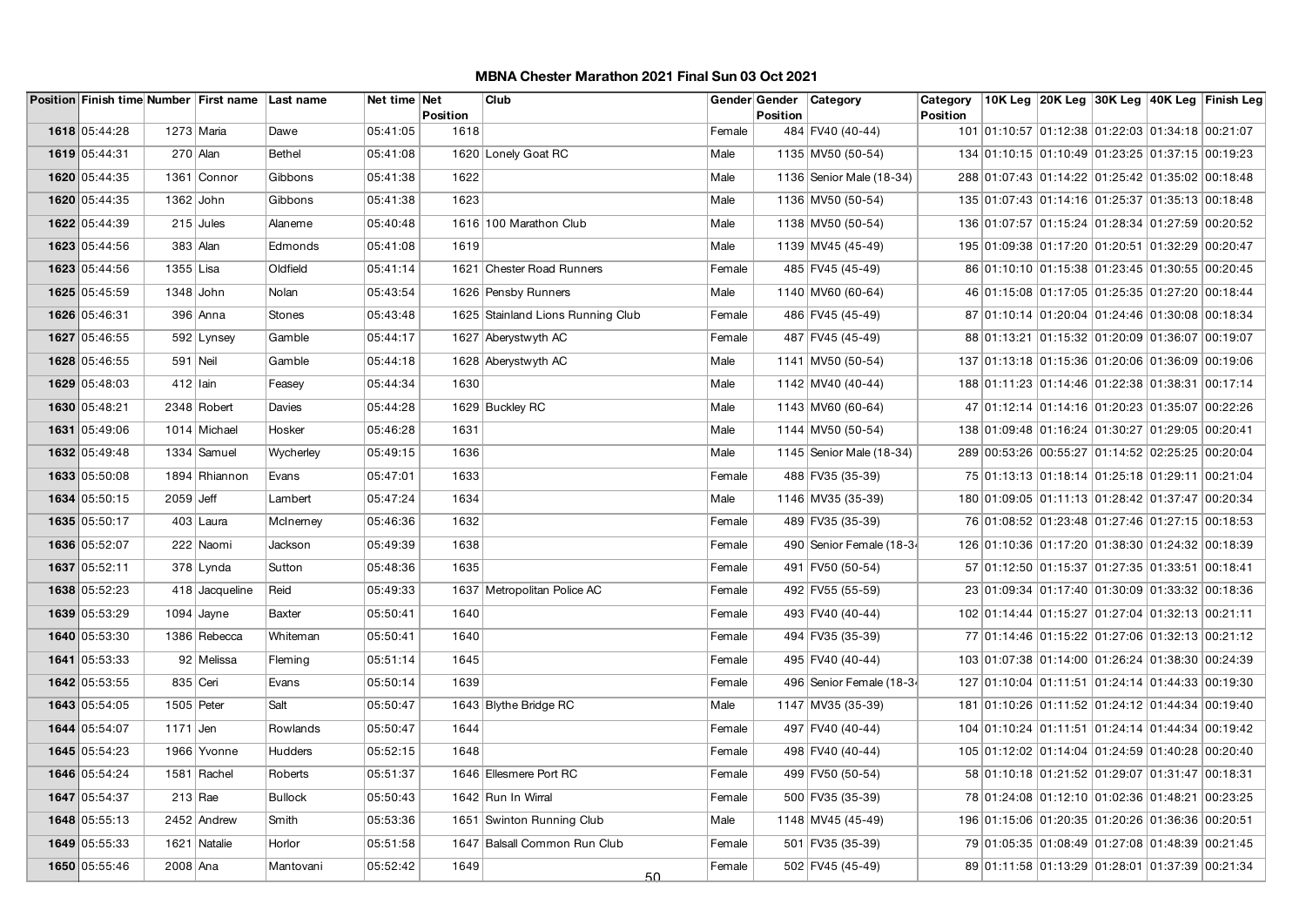|               |             | Position Finish time Number First name Last name |                | Net time Net | Position | Club                              |        | Gender Gender<br><b>Position</b> | <b>Category</b>          | Category<br>Position |                                                  |  | 10K Leg 20K Leg 30K Leg 40K Leg Finish Leg |
|---------------|-------------|--------------------------------------------------|----------------|--------------|----------|-----------------------------------|--------|----------------------------------|--------------------------|----------------------|--------------------------------------------------|--|--------------------------------------------|
| 1618 05:44:28 | 1273 Maria  |                                                  | Dawe           | 05:41:05     | 1618     |                                   | Female |                                  | 484 FV40 (40-44)         |                      | 101 01:10:57 01:12:38 01:22:03 01:34:18 00:21:07 |  |                                            |
|               |             |                                                  |                |              |          |                                   |        |                                  |                          |                      |                                                  |  |                                            |
| 1619 05:44:31 |             | $270$ Alan                                       | <b>Bethel</b>  | 05:41:08     |          | 1620 Lonely Goat RC               | Male   |                                  | 1135 MV50 (50-54)        |                      | 134 01:10:15 01:10:49 01:23:25 01:37:15 00:19:23 |  |                                            |
| 1620 05:44:35 |             | 1361 Connor                                      | Gibbons        | 05:41:38     | 1622     |                                   | Male   |                                  | 1136 Senior Male (18-34) |                      | 288 01:07:43 01:14:22 01:25:42 01:35:02 00:18:48 |  |                                            |
| 1620 05:44:35 | $1362$ John |                                                  | Gibbons        | 05:41:38     | 1623     |                                   | Male   |                                  | 1136 MV50 (50-54)        |                      | 135 01:07:43 01:14:16 01:25:37 01:35:13 00:18:48 |  |                                            |
| 1622 05:44:39 |             | $215$ Jules                                      | Alaneme        | 05:40:48     |          | 1616 100 Marathon Club            | Male   |                                  | 1138 MV50 (50-54)        |                      | 136 01:07:57 01:15:24 01:28:34 01:27:59 00:20:52 |  |                                            |
| 1623 05:44:56 | $383$ Alan  |                                                  | Edmonds        | 05:41:08     | 1619     |                                   | Male   |                                  | 1139 MV45 (45-49)        |                      | 195 01:09:38 01:17:20 01:20:51 01:32:29 00:20:47 |  |                                            |
| 1623 05:44:56 | 1355 Lisa   |                                                  | Oldfield       | 05:41:14     |          | 1621 Chester Road Runners         | Female |                                  | 485 FV45 (45-49)         |                      | 86 01:10:10 01:15:38 01:23:45 01:30:55 00:20:45  |  |                                            |
| 1625 05:45:59 | $1348$ John |                                                  | Nolan          | 05:43:54     |          | 1626 Pensby Runners               | Male   |                                  | 1140 MV60 (60-64)        |                      | 46 01:15:08 01:17:05 01:25:35 01:27:20 00:18:44  |  |                                            |
| 1626 05:46:31 |             | 396 Anna                                         | Stones         | 05:43:48     |          | 1625 Stainland Lions Running Club | Female |                                  | 486 FV45 (45-49)         |                      | 87 01:10:14 01:20:04 01:24:46 01:30:08 00:18:34  |  |                                            |
| 1627 05:46:55 |             | 592 Lynsey                                       | Gamble         | 05:44:17     |          | 1627 Aberystwyth AC               | Female |                                  | 487 FV45 (45-49)         |                      | 88 01:13:21 01:15:32 01:20:09 01:36:07 00:19:07  |  |                                            |
| 1628 05:46:55 | 591 Neil    |                                                  | Gamble         | 05:44:18     |          | 1628 Aberystwyth AC               | Male   |                                  | 1141 MV50 (50-54)        |                      | 137 01:13:18 01:15:36 01:20:06 01:36:09 00:19:06 |  |                                            |
| 1629 05:48:03 | $412$ Iain  |                                                  | Feasey         | 05:44:34     | 1630     |                                   | Male   |                                  | 1142 MV40 (40-44)        |                      | 188 01:11:23 01:14:46 01:22:38 01:38:31 00:17:14 |  |                                            |
| 1630 05:48:21 |             | 2348 Robert                                      | Davies         | 05:44:28     |          | 1629 Buckley RC                   | Male   |                                  | 1143 MV60 (60-64)        |                      | 47 01:12:14 01:14:16 01:20:23 01:35:07 00:22:26  |  |                                            |
| 1631 05:49:06 |             | 1014 Michael                                     | Hosker         | 05:46:28     | 1631     |                                   | Male   |                                  | 1144 MV50 (50-54)        |                      | 138 01:09:48 01:16:24 01:30:27 01:29:05 00:20:41 |  |                                            |
| 1632 05:49:48 |             | 1334 Samuel                                      | Wycherley      | 05:49:15     | 1636     |                                   | Male   |                                  | 1145 Senior Male (18-34) |                      | 289 00:53:26 00:55:27 01:14:52 02:25:25 00:20:04 |  |                                            |
| 1633 05:50:08 |             | 1894 Rhiannon                                    | Evans          | 05:47:01     | 1633     |                                   | Female |                                  | 488 FV35 (35-39)         |                      | 75 01:13:13 01:18:14 01:25:18 01:29:11 00:21:04  |  |                                            |
| 1634 05:50:15 | $2059$ Jeff |                                                  | Lambert        | 05:47:24     | 1634     |                                   | Male   |                                  | 1146 MV35 (35-39)        |                      | 180 01:09:05 01:11:13 01:28:42 01:37:47 00:20:34 |  |                                            |
| 1635 05:50:17 |             | $403$ Laura                                      | McInemey       | 05:46:36     | 1632     |                                   | Female |                                  | 489 FV35 (35-39)         |                      | 76 01:08:52 01:23:48 01:27:46 01:27:15 00:18:53  |  |                                            |
| 1636 05:52:07 |             | 222 Naomi                                        | Jackson        | 05:49:39     | 1638     |                                   | Female |                                  | 490 Senior Female (18-34 |                      | 126 01:10:36 01:17:20 01:38:30 01:24:32 00:18:39 |  |                                            |
| 1637 05:52:11 |             | 378 Lynda                                        | Sutton         | 05:48:36     | 1635     |                                   | Female |                                  | 491 FV50 (50-54)         |                      | 57 01:12:50 01:15:37 01:27:35 01:33:51 00:18:41  |  |                                            |
| 1638 05:52:23 |             | 418 Jacqueline                                   | Reid           | 05:49:33     |          | 1637 Metropolitan Police AC       | Female |                                  | 492 FV55 (55-59)         |                      | 23 01:09:34 01:17:40 01:30:09 01:33:32 00:18:36  |  |                                            |
| 1639 05:53:29 |             | $1094$ Jayne                                     | <b>Baxter</b>  | 05:50:41     | 1640     |                                   | Female |                                  | 493 FV40 (40-44)         |                      | 102 01:14:44 01:15:27 01:27:04 01:32:13 00:21:11 |  |                                            |
| 1640 05:53:30 |             | 1386 Rebecca                                     | Whiteman       | 05:50:41     | 1640     |                                   | Female |                                  | 494 FV35 (35-39)         |                      | 77 01:14:46 01:15:22 01:27:06 01:32:13 00:21:12  |  |                                            |
| 1641 05:53:33 |             | 92 Melissa                                       | Fleming        | 05:51:14     | 1645     |                                   | Female |                                  | 495 FV40 (40-44)         |                      | 103 01:07:38 01:14:00 01:26:24 01:38:30 00:24:39 |  |                                            |
| 1642 05:53:55 | 835 Ceri    |                                                  | Evans          | 05:50:14     | 1639     |                                   | Female |                                  | 496 Senior Female (18-34 |                      | 127 01:10:04 01:11:51 01:24:14 01:44:33 00:19:30 |  |                                            |
| 1643 05:54:05 | 1505 Peter  |                                                  | Salt           | 05:50:47     |          | 1643 Blythe Bridge RC             | Male   |                                  | 1147 MV35 (35-39)        |                      | 181 01:10:26 01:11:52 01:24:12 01:44:34 00:19:40 |  |                                            |
| 1644 05:54:07 | 1171 Jen    |                                                  | Rowlands       | 05:50:47     | 1644     |                                   | Female |                                  | 497 FV40 (40-44)         |                      | 104 01:10:24 01:11:51 01:24:14 01:44:34 00:19:42 |  |                                            |
| 1645 05:54:23 |             | 1966 Yvonne                                      | Hudders        | 05:52:15     | 1648     |                                   | Female |                                  | 498 FV40 (40-44)         |                      | 105 01:12:02 01:14:04 01:24:59 01:40:28 00:20:40 |  |                                            |
| 1646 05:54:24 |             | 1581 Rachel                                      | Roberts        | 05:51:37     |          | 1646 Ellesmere Port RC            | Female |                                  | 499 FV50 (50-54)         |                      | 58 01:10:18 01:21:52 01:29:07 01:31:47 00:18:31  |  |                                            |
| 1647 05:54:37 | $213$ Rae   |                                                  | <b>Bullock</b> | 05:50:43     |          | 1642 Run In Wirral                | Female |                                  | 500 FV35 (35-39)         |                      | 78 01:24:08 01:12:10 01:02:36 01:48:21 00:23:25  |  |                                            |
| 1648 05:55:13 |             | 2452 Andrew                                      | Smith          | 05:53:36     |          | 1651 Swinton Running Club         | Male   |                                  | 1148 MV45 (45-49)        |                      | 196 01:15:06 01:20:35 01:20:26 01:36:36 00:20:51 |  |                                            |
| 1649 05:55:33 |             | 1621 Natalie                                     | Horlor         | 05:51:58     |          | 1647 Balsall Common Run Club      | Female |                                  | 501 FV35 (35-39)         |                      | 79 01:05:35 01:08:49 01:27:08 01:48:39 00:21:45  |  |                                            |
| 1650 05:55:46 | 2008 Ana    |                                                  | Mantovani      | 05:52:42     | 1649     | 50.                               | Female |                                  | 502 FV45 (45-49)         |                      | 89 01:11:58 01:13:29 01:28:01 01:37:39 00:21:34  |  |                                            |